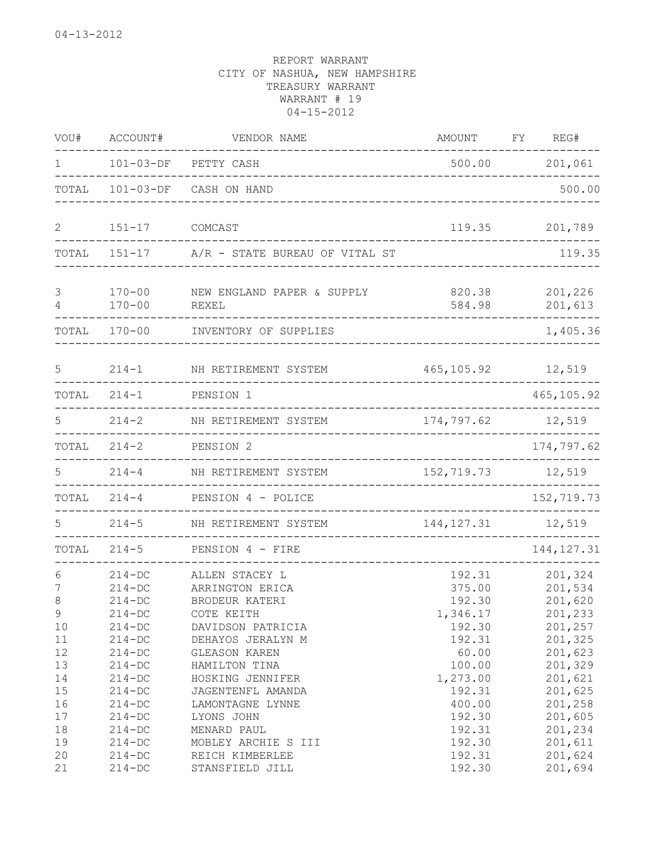| WOU#                             | ACCOUNT#                                                                         | VENDOR NAME                                                                                                 | <b>AMOUNT</b>                                              | FΥ | REG#                                                           |
|----------------------------------|----------------------------------------------------------------------------------|-------------------------------------------------------------------------------------------------------------|------------------------------------------------------------|----|----------------------------------------------------------------|
| $\mathbf{1}$                     | $101 - 03 - DF$                                                                  | PETTY CASH                                                                                                  | 500.00                                                     |    | 201,061                                                        |
| TOTAL                            | $101 - 03 - DF$                                                                  | CASH ON HAND                                                                                                |                                                            |    | 500.00                                                         |
| $\overline{2}$                   | $151 - 17$                                                                       | COMCAST                                                                                                     | 119.35                                                     |    | 201,789                                                        |
|                                  |                                                                                  | TOTAL 151-17 A/R - STATE BUREAU OF VITAL ST                                                                 |                                                            |    | 119.35                                                         |
| 3<br>4                           | $170 - 00$<br>$170 - 00$                                                         | NEW ENGLAND PAPER & SUPPLY<br>REXEL                                                                         | 820.38<br>584.98                                           |    | 201,226<br>201,613                                             |
| TOTAL                            | $170 - 00$                                                                       | INVENTORY OF SUPPLIES                                                                                       |                                                            |    | 1,405.36                                                       |
| 5                                | $214 - 1$                                                                        | NH RETIREMENT SYSTEM                                                                                        | 465, 105.92                                                |    | 12,519                                                         |
| TOTAL                            | $214 - 1$                                                                        | PENSION 1                                                                                                   |                                                            |    | 465, 105.92                                                    |
| 5                                | $214 - 2$                                                                        | NH RETIREMENT SYSTEM                                                                                        | 174,797.62                                                 |    | 12,519                                                         |
| TOTAL                            | $214 - 2$                                                                        | PENSION 2                                                                                                   |                                                            |    | 174,797.62                                                     |
| 5                                | $214 - 4$                                                                        | NH RETIREMENT SYSTEM                                                                                        | 152,719.73                                                 |    | 12,519                                                         |
| TOTAL                            | $214 - 4$                                                                        | PENSION 4 - POLICE                                                                                          | _______________________________                            |    | 152,719.73                                                     |
| 5.                               | $214 - 5$                                                                        | NH RETIREMENT SYSTEM                                                                                        | 144, 127.31                                                |    | 12,519                                                         |
| TOTAL                            | $214 - 5$                                                                        | PENSION 4 - FIRE                                                                                            | ------------                                               |    | 144, 127.31                                                    |
| 6<br>7<br>8<br>9<br>10<br>11     | $214 - DC$<br>$214 - DC$<br>$214 - DC$<br>$214 - DC$<br>$214-DC$<br>$214-DC$     | ALLEN STACEY L<br>ARRINGTON ERICA<br>BRODEUR KATERI<br>COTE KEITH<br>DAVIDSON PATRICIA<br>DEHAYOS JERALYN M | 192.31<br>375.00<br>192.30<br>1,346.17<br>192.30<br>192.31 |    | 201,324<br>201,534<br>201,620<br>201,233<br>201,257<br>201,325 |
| 12<br>13<br>14<br>15<br>16<br>17 | $214 - DC$<br>$214 - DC$<br>$214 - DC$<br>$214 - DC$<br>$214 - DC$<br>$214 - DC$ | GLEASON KAREN<br>HAMILTON TINA<br>HOSKING JENNIFER<br>JAGENTENFL AMANDA<br>LAMONTAGNE LYNNE<br>LYONS JOHN   | 60.00<br>100.00<br>1,273.00<br>192.31<br>400.00<br>192.30  |    | 201,623<br>201,329<br>201,621<br>201,625<br>201,258<br>201,605 |
| 18<br>19<br>20<br>21             | $214 - DC$<br>$214 - DC$<br>$214 - DC$<br>$214 - DC$                             | MENARD PAUL<br>MOBLEY ARCHIE S III<br>REICH KIMBERLEE<br>STANSFIELD JILL                                    | 192.31<br>192.30<br>192.31<br>192.30                       |    | 201,234<br>201,611<br>201,624<br>201,694                       |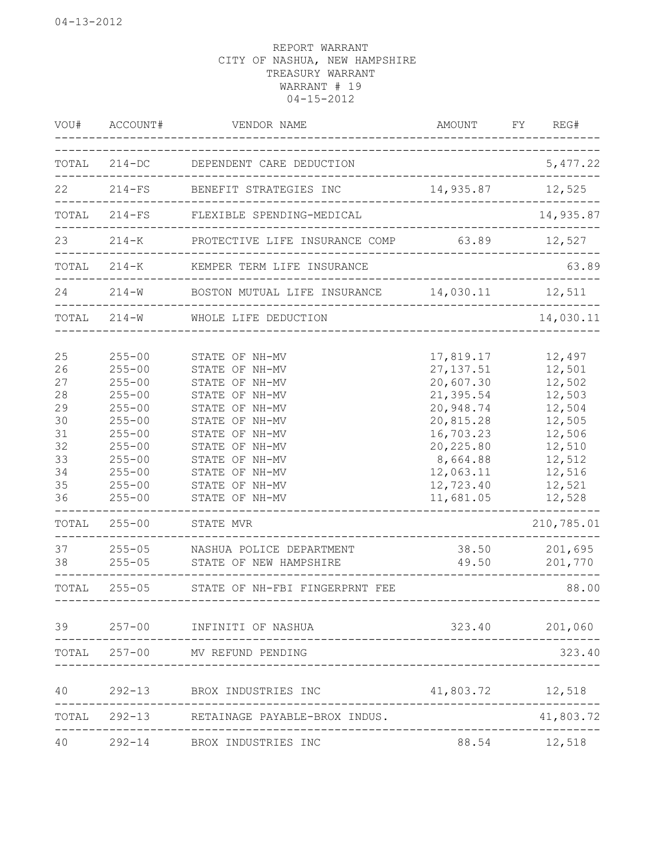| VOU#                                                                                      | ACCOUNT#                                                                                                                                                                                                       | VENDOR NAME                                                                                                                                                                                                                                                                                                             | AMOUNT<br>________________________                                                                                                                                          | FY | REG#                                                                                                                                                     |
|-------------------------------------------------------------------------------------------|----------------------------------------------------------------------------------------------------------------------------------------------------------------------------------------------------------------|-------------------------------------------------------------------------------------------------------------------------------------------------------------------------------------------------------------------------------------------------------------------------------------------------------------------------|-----------------------------------------------------------------------------------------------------------------------------------------------------------------------------|----|----------------------------------------------------------------------------------------------------------------------------------------------------------|
| TOTAL                                                                                     | $214 - DC$                                                                                                                                                                                                     | DEPENDENT CARE DEDUCTION                                                                                                                                                                                                                                                                                                | ------------------------                                                                                                                                                    |    | 5,477.22                                                                                                                                                 |
| 22                                                                                        | $214-FS$                                                                                                                                                                                                       | BENEFIT STRATEGIES INC                                                                                                                                                                                                                                                                                                  | 14,935.87 12,525                                                                                                                                                            |    |                                                                                                                                                          |
|                                                                                           |                                                                                                                                                                                                                | TOTAL 214-FS FLEXIBLE SPENDING-MEDICAL                                                                                                                                                                                                                                                                                  |                                                                                                                                                                             |    | 14,935.87                                                                                                                                                |
| 23                                                                                        |                                                                                                                                                                                                                | 214-K PROTECTIVE LIFE INSURANCE COMP 63.89 12,527                                                                                                                                                                                                                                                                       |                                                                                                                                                                             |    |                                                                                                                                                          |
|                                                                                           |                                                                                                                                                                                                                | TOTAL 214-K KEMPER TERM LIFE INSURANCE                                                                                                                                                                                                                                                                                  | __________________________                                                                                                                                                  |    | 63.89                                                                                                                                                    |
| 24                                                                                        | $214 - W$                                                                                                                                                                                                      | BOSTON MUTUAL LIFE INSURANCE 14,030.11 12,511                                                                                                                                                                                                                                                                           |                                                                                                                                                                             |    |                                                                                                                                                          |
|                                                                                           | TOTAL 214-W                                                                                                                                                                                                    | WHOLE LIFE DEDUCTION                                                                                                                                                                                                                                                                                                    |                                                                                                                                                                             |    | 14,030.11                                                                                                                                                |
| 25<br>26<br>27<br>28<br>29<br>30<br>31<br>32<br>33<br>34<br>35<br>36<br>TOTAL<br>37<br>38 | $255 - 00$<br>$255 - 00$<br>$255 - 00$<br>$255 - 00$<br>$255 - 00$<br>$255 - 00$<br>$255 - 00$<br>$255 - 00$<br>$255 - 00$<br>$255 - 00$<br>$255 - 00$<br>$255 - 00$<br>$255 - 00$<br>$255 - 05$<br>$255 - 05$ | STATE OF NH-MV<br>STATE OF NH-MV<br>STATE OF NH-MV<br>STATE OF NH-MV<br>STATE OF NH-MV<br>STATE OF NH-MV<br>STATE OF NH-MV<br>STATE OF NH-MV<br>STATE OF NH-MV<br>STATE OF NH-MV<br>STATE OF NH-MV<br>STATE OF NH-MV<br>STATE MVR<br>____________________________<br>NASHUA POLICE DEPARTMENT<br>STATE OF NEW HAMPSHIRE | 17,819.17<br>27, 137.51<br>20,607.30<br>21,395.54<br>20,948.74<br>20,815.28<br>16,703.23<br>20, 225.80<br>8,664.88<br>12,063.11<br>12,723.40<br>11,681.05<br>38.50<br>49.50 |    | 12,497<br>12,501<br>12,502<br>12,503<br>12,504<br>12,505<br>12,506<br>12,510<br>12,512<br>12,516<br>12,521<br>12,528<br>210,785.01<br>201,695<br>201,770 |
| TOTAL                                                                                     |                                                                                                                                                                                                                | 255-05 STATE OF NH-FBI FINGERPRNT FEE                                                                                                                                                                                                                                                                                   |                                                                                                                                                                             |    | 88.00                                                                                                                                                    |
|                                                                                           |                                                                                                                                                                                                                | 39 257-00 INFINITI OF NASHUA                                                                                                                                                                                                                                                                                            |                                                                                                                                                                             |    | 323.40 201,060                                                                                                                                           |
|                                                                                           |                                                                                                                                                                                                                | TOTAL 257-00 MV REFUND PENDING                                                                                                                                                                                                                                                                                          |                                                                                                                                                                             |    | 323.40                                                                                                                                                   |
| 40                                                                                        | $292 - 13$                                                                                                                                                                                                     | BROX INDUSTRIES INC                                                                                                                                                                                                                                                                                                     | 41,803.72 12,518                                                                                                                                                            |    |                                                                                                                                                          |
|                                                                                           | TOTAL 292-13                                                                                                                                                                                                   | RETAINAGE PAYABLE-BROX INDUS.                                                                                                                                                                                                                                                                                           |                                                                                                                                                                             |    | 41,803.72                                                                                                                                                |
| 40 — 10                                                                                   |                                                                                                                                                                                                                | 292-14 BROX INDUSTRIES INC                                                                                                                                                                                                                                                                                              | 88.54                                                                                                                                                                       |    | 12,518                                                                                                                                                   |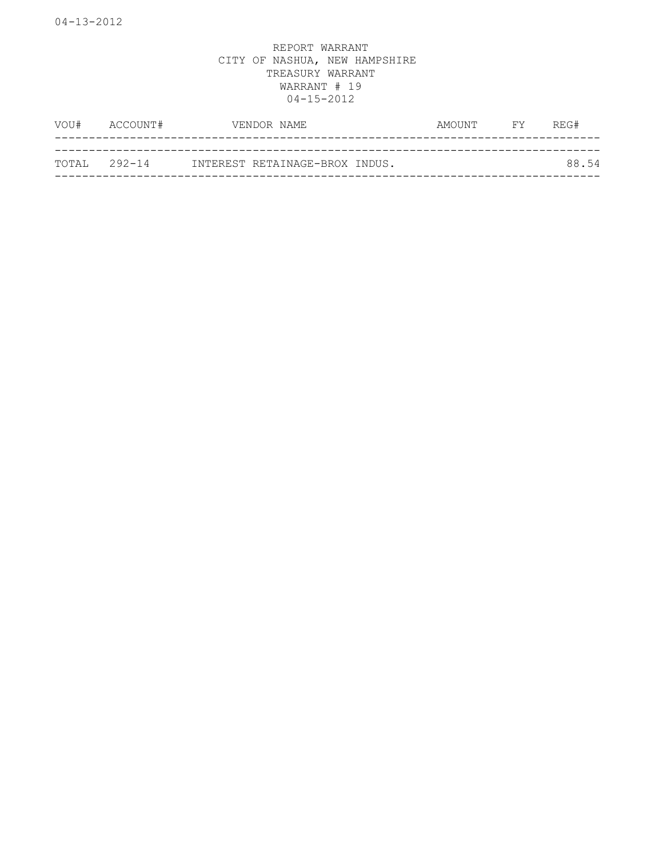| VOU#         | ACCOUNT# | VENDOR NAME                    | AMOUNT FY | REG#  |
|--------------|----------|--------------------------------|-----------|-------|
| TOTAL 292-14 |          | INTEREST RETAINAGE-BROX INDUS. |           | 88.54 |
|              |          |                                |           |       |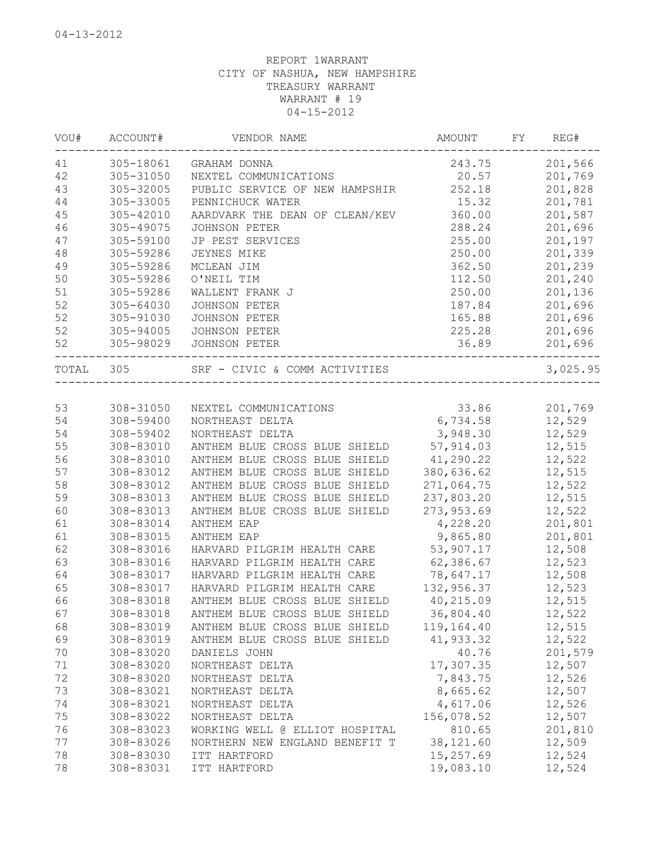| 305-18061<br>201,566<br>243.75<br>GRAHAM DONNA<br>305-31050<br>20.57<br>201,769<br>NEXTEL COMMUNICATIONS<br>305-32005<br>PUBLIC SERVICE OF NEW HAMPSHIR<br>252.18<br>201,828<br>305-33005<br>15.32<br>201,781<br>PENNICHUCK WATER<br>AARDVARK THE DEAN OF CLEAN/KEV<br>360.00<br>201,587<br>305-42010<br>288.24<br>201,696<br>305-49075<br><b>JOHNSON PETER</b><br>305-59100<br>255.00<br>201,197<br>JP PEST SERVICES<br>250.00<br>201,339<br>305-59286<br>JEYNES MIKE<br>201,239<br>305-59286<br>MCLEAN JIM<br>362.50<br>50<br>112.50<br>201,240<br>305-59286<br>O'NEIL TIM<br>250.00<br>201,136<br>305-59286<br>WALLENT FRANK J<br>305-64030<br>JOHNSON PETER<br>187.84<br>201,696<br>201,696<br>305-91030<br>JOHNSON PETER<br>165.88<br>225.28<br>201,696<br>305-94005<br>JOHNSON PETER<br>36.89<br>305-98029<br>JOHNSON PETER<br>201,696<br>SRF - CIVIC & COMM ACTIVITIES<br>TOTAL<br>305<br>308-31050<br>33.86<br>201,769<br>NEXTEL COMMUNICATIONS<br>12,529<br>308-59400<br>6,734.58<br>NORTHEAST DELTA<br>308-59402<br>3,948.30<br>12,529<br>54<br>NORTHEAST DELTA<br>55<br>308-83010<br>57,914.03<br>12,515<br>ANTHEM BLUE CROSS BLUE SHIELD<br>56<br>308-83010<br>ANTHEM BLUE CROSS BLUE SHIELD<br>41,290.22<br>12,522<br>380,636.62<br>12,515<br>57<br>308-83012<br>ANTHEM BLUE CROSS BLUE SHIELD<br>58<br>ANTHEM BLUE CROSS BLUE SHIELD<br>271,064.75<br>12,522<br>308-83012<br>ANTHEM BLUE CROSS BLUE SHIELD<br>237,803.20<br>12,515<br>308-83013<br>308-83013<br>ANTHEM BLUE CROSS BLUE SHIELD<br>273,953.69<br>12,522<br>308-83014<br>4,228.20<br>201,801<br>61<br>ANTHEM EAP<br>61<br>308-83015<br>ANTHEM EAP<br>9,865.80<br>201,801<br>62<br>12,508<br>308-83016<br>53,907.17<br>HARVARD PILGRIM HEALTH CARE<br>63<br>12,523<br>308-83016<br>HARVARD PILGRIM HEALTH CARE<br>62,386.67<br>12,508<br>308-83017<br>HARVARD PILGRIM HEALTH CARE<br>78,647.17<br>132,956.37<br>12,523<br>308-83017<br>HARVARD PILGRIM HEALTH CARE<br>66<br>308-83018<br>ANTHEM BLUE CROSS BLUE SHIELD<br>40,215.09<br>12,515<br>67<br>308-83018<br>36,804.40<br>12,522<br>ANTHEM BLUE CROSS BLUE SHIELD<br>308-83019<br>119,164.40<br>12,515<br>68<br>ANTHEM BLUE CROSS BLUE SHIELD<br>308-83019<br>41,933.32<br>12,522<br>69<br>ANTHEM BLUE CROSS BLUE SHIELD<br>308-83020<br>40.76<br>201,579<br>70<br>DANIELS JOHN<br>17,307.35<br>12,507<br>71<br>308-83020<br>NORTHEAST DELTA<br>72<br>7,843.75<br>12,526<br>308-83020<br>NORTHEAST DELTA<br>8,665.62<br>73<br>308-83021<br>12,507<br>NORTHEAST DELTA<br>74<br>4,617.06<br>12,526<br>308-83021<br>NORTHEAST DELTA<br>75<br>156,078.52<br>12,507<br>308-83022<br>NORTHEAST DELTA<br>76<br>810.65<br>201,810<br>308-83023<br>WORKING WELL @ ELLIOT HOSPITAL<br>38, 121.60<br>77<br>308-83026<br>12,509<br>NORTHERN NEW ENGLAND BENEFIT T<br>12,524<br>78<br>308-83030<br>15,257.69<br>ITT HARTFORD<br>78<br>19,083.10<br>12,524<br>308-83031<br>ITT HARTFORD | VOU# | ACCOUNT# | VENDOR NAME | <b>AMOUNT</b> | FY | REG#     |
|------------------------------------------------------------------------------------------------------------------------------------------------------------------------------------------------------------------------------------------------------------------------------------------------------------------------------------------------------------------------------------------------------------------------------------------------------------------------------------------------------------------------------------------------------------------------------------------------------------------------------------------------------------------------------------------------------------------------------------------------------------------------------------------------------------------------------------------------------------------------------------------------------------------------------------------------------------------------------------------------------------------------------------------------------------------------------------------------------------------------------------------------------------------------------------------------------------------------------------------------------------------------------------------------------------------------------------------------------------------------------------------------------------------------------------------------------------------------------------------------------------------------------------------------------------------------------------------------------------------------------------------------------------------------------------------------------------------------------------------------------------------------------------------------------------------------------------------------------------------------------------------------------------------------------------------------------------------------------------------------------------------------------------------------------------------------------------------------------------------------------------------------------------------------------------------------------------------------------------------------------------------------------------------------------------------------------------------------------------------------------------------------------------------------------------------------------------------------------------------------------------------------------------------------------------------------------------------------------------------------------------------------------------------------------------------------------------------------------------------------------------------------------------------------------------------------------------------------------------------------------------------------------------|------|----------|-------------|---------------|----|----------|
|                                                                                                                                                                                                                                                                                                                                                                                                                                                                                                                                                                                                                                                                                                                                                                                                                                                                                                                                                                                                                                                                                                                                                                                                                                                                                                                                                                                                                                                                                                                                                                                                                                                                                                                                                                                                                                                                                                                                                                                                                                                                                                                                                                                                                                                                                                                                                                                                                                                                                                                                                                                                                                                                                                                                                                                                                                                                                                            | 41   |          |             |               |    |          |
|                                                                                                                                                                                                                                                                                                                                                                                                                                                                                                                                                                                                                                                                                                                                                                                                                                                                                                                                                                                                                                                                                                                                                                                                                                                                                                                                                                                                                                                                                                                                                                                                                                                                                                                                                                                                                                                                                                                                                                                                                                                                                                                                                                                                                                                                                                                                                                                                                                                                                                                                                                                                                                                                                                                                                                                                                                                                                                            | 42   |          |             |               |    |          |
|                                                                                                                                                                                                                                                                                                                                                                                                                                                                                                                                                                                                                                                                                                                                                                                                                                                                                                                                                                                                                                                                                                                                                                                                                                                                                                                                                                                                                                                                                                                                                                                                                                                                                                                                                                                                                                                                                                                                                                                                                                                                                                                                                                                                                                                                                                                                                                                                                                                                                                                                                                                                                                                                                                                                                                                                                                                                                                            | 43   |          |             |               |    |          |
|                                                                                                                                                                                                                                                                                                                                                                                                                                                                                                                                                                                                                                                                                                                                                                                                                                                                                                                                                                                                                                                                                                                                                                                                                                                                                                                                                                                                                                                                                                                                                                                                                                                                                                                                                                                                                                                                                                                                                                                                                                                                                                                                                                                                                                                                                                                                                                                                                                                                                                                                                                                                                                                                                                                                                                                                                                                                                                            | 44   |          |             |               |    |          |
|                                                                                                                                                                                                                                                                                                                                                                                                                                                                                                                                                                                                                                                                                                                                                                                                                                                                                                                                                                                                                                                                                                                                                                                                                                                                                                                                                                                                                                                                                                                                                                                                                                                                                                                                                                                                                                                                                                                                                                                                                                                                                                                                                                                                                                                                                                                                                                                                                                                                                                                                                                                                                                                                                                                                                                                                                                                                                                            | 45   |          |             |               |    |          |
|                                                                                                                                                                                                                                                                                                                                                                                                                                                                                                                                                                                                                                                                                                                                                                                                                                                                                                                                                                                                                                                                                                                                                                                                                                                                                                                                                                                                                                                                                                                                                                                                                                                                                                                                                                                                                                                                                                                                                                                                                                                                                                                                                                                                                                                                                                                                                                                                                                                                                                                                                                                                                                                                                                                                                                                                                                                                                                            | 46   |          |             |               |    |          |
|                                                                                                                                                                                                                                                                                                                                                                                                                                                                                                                                                                                                                                                                                                                                                                                                                                                                                                                                                                                                                                                                                                                                                                                                                                                                                                                                                                                                                                                                                                                                                                                                                                                                                                                                                                                                                                                                                                                                                                                                                                                                                                                                                                                                                                                                                                                                                                                                                                                                                                                                                                                                                                                                                                                                                                                                                                                                                                            | 47   |          |             |               |    |          |
|                                                                                                                                                                                                                                                                                                                                                                                                                                                                                                                                                                                                                                                                                                                                                                                                                                                                                                                                                                                                                                                                                                                                                                                                                                                                                                                                                                                                                                                                                                                                                                                                                                                                                                                                                                                                                                                                                                                                                                                                                                                                                                                                                                                                                                                                                                                                                                                                                                                                                                                                                                                                                                                                                                                                                                                                                                                                                                            | 48   |          |             |               |    |          |
|                                                                                                                                                                                                                                                                                                                                                                                                                                                                                                                                                                                                                                                                                                                                                                                                                                                                                                                                                                                                                                                                                                                                                                                                                                                                                                                                                                                                                                                                                                                                                                                                                                                                                                                                                                                                                                                                                                                                                                                                                                                                                                                                                                                                                                                                                                                                                                                                                                                                                                                                                                                                                                                                                                                                                                                                                                                                                                            | 49   |          |             |               |    |          |
|                                                                                                                                                                                                                                                                                                                                                                                                                                                                                                                                                                                                                                                                                                                                                                                                                                                                                                                                                                                                                                                                                                                                                                                                                                                                                                                                                                                                                                                                                                                                                                                                                                                                                                                                                                                                                                                                                                                                                                                                                                                                                                                                                                                                                                                                                                                                                                                                                                                                                                                                                                                                                                                                                                                                                                                                                                                                                                            |      |          |             |               |    |          |
|                                                                                                                                                                                                                                                                                                                                                                                                                                                                                                                                                                                                                                                                                                                                                                                                                                                                                                                                                                                                                                                                                                                                                                                                                                                                                                                                                                                                                                                                                                                                                                                                                                                                                                                                                                                                                                                                                                                                                                                                                                                                                                                                                                                                                                                                                                                                                                                                                                                                                                                                                                                                                                                                                                                                                                                                                                                                                                            | 51   |          |             |               |    |          |
|                                                                                                                                                                                                                                                                                                                                                                                                                                                                                                                                                                                                                                                                                                                                                                                                                                                                                                                                                                                                                                                                                                                                                                                                                                                                                                                                                                                                                                                                                                                                                                                                                                                                                                                                                                                                                                                                                                                                                                                                                                                                                                                                                                                                                                                                                                                                                                                                                                                                                                                                                                                                                                                                                                                                                                                                                                                                                                            | 52   |          |             |               |    |          |
|                                                                                                                                                                                                                                                                                                                                                                                                                                                                                                                                                                                                                                                                                                                                                                                                                                                                                                                                                                                                                                                                                                                                                                                                                                                                                                                                                                                                                                                                                                                                                                                                                                                                                                                                                                                                                                                                                                                                                                                                                                                                                                                                                                                                                                                                                                                                                                                                                                                                                                                                                                                                                                                                                                                                                                                                                                                                                                            | 52   |          |             |               |    |          |
|                                                                                                                                                                                                                                                                                                                                                                                                                                                                                                                                                                                                                                                                                                                                                                                                                                                                                                                                                                                                                                                                                                                                                                                                                                                                                                                                                                                                                                                                                                                                                                                                                                                                                                                                                                                                                                                                                                                                                                                                                                                                                                                                                                                                                                                                                                                                                                                                                                                                                                                                                                                                                                                                                                                                                                                                                                                                                                            | 52   |          |             |               |    |          |
|                                                                                                                                                                                                                                                                                                                                                                                                                                                                                                                                                                                                                                                                                                                                                                                                                                                                                                                                                                                                                                                                                                                                                                                                                                                                                                                                                                                                                                                                                                                                                                                                                                                                                                                                                                                                                                                                                                                                                                                                                                                                                                                                                                                                                                                                                                                                                                                                                                                                                                                                                                                                                                                                                                                                                                                                                                                                                                            | 52   |          |             |               |    |          |
|                                                                                                                                                                                                                                                                                                                                                                                                                                                                                                                                                                                                                                                                                                                                                                                                                                                                                                                                                                                                                                                                                                                                                                                                                                                                                                                                                                                                                                                                                                                                                                                                                                                                                                                                                                                                                                                                                                                                                                                                                                                                                                                                                                                                                                                                                                                                                                                                                                                                                                                                                                                                                                                                                                                                                                                                                                                                                                            |      |          |             |               |    | 3,025.95 |
|                                                                                                                                                                                                                                                                                                                                                                                                                                                                                                                                                                                                                                                                                                                                                                                                                                                                                                                                                                                                                                                                                                                                                                                                                                                                                                                                                                                                                                                                                                                                                                                                                                                                                                                                                                                                                                                                                                                                                                                                                                                                                                                                                                                                                                                                                                                                                                                                                                                                                                                                                                                                                                                                                                                                                                                                                                                                                                            |      |          |             |               |    |          |
|                                                                                                                                                                                                                                                                                                                                                                                                                                                                                                                                                                                                                                                                                                                                                                                                                                                                                                                                                                                                                                                                                                                                                                                                                                                                                                                                                                                                                                                                                                                                                                                                                                                                                                                                                                                                                                                                                                                                                                                                                                                                                                                                                                                                                                                                                                                                                                                                                                                                                                                                                                                                                                                                                                                                                                                                                                                                                                            | 53   |          |             |               |    |          |
|                                                                                                                                                                                                                                                                                                                                                                                                                                                                                                                                                                                                                                                                                                                                                                                                                                                                                                                                                                                                                                                                                                                                                                                                                                                                                                                                                                                                                                                                                                                                                                                                                                                                                                                                                                                                                                                                                                                                                                                                                                                                                                                                                                                                                                                                                                                                                                                                                                                                                                                                                                                                                                                                                                                                                                                                                                                                                                            | 54   |          |             |               |    |          |
|                                                                                                                                                                                                                                                                                                                                                                                                                                                                                                                                                                                                                                                                                                                                                                                                                                                                                                                                                                                                                                                                                                                                                                                                                                                                                                                                                                                                                                                                                                                                                                                                                                                                                                                                                                                                                                                                                                                                                                                                                                                                                                                                                                                                                                                                                                                                                                                                                                                                                                                                                                                                                                                                                                                                                                                                                                                                                                            |      |          |             |               |    |          |
|                                                                                                                                                                                                                                                                                                                                                                                                                                                                                                                                                                                                                                                                                                                                                                                                                                                                                                                                                                                                                                                                                                                                                                                                                                                                                                                                                                                                                                                                                                                                                                                                                                                                                                                                                                                                                                                                                                                                                                                                                                                                                                                                                                                                                                                                                                                                                                                                                                                                                                                                                                                                                                                                                                                                                                                                                                                                                                            |      |          |             |               |    |          |
|                                                                                                                                                                                                                                                                                                                                                                                                                                                                                                                                                                                                                                                                                                                                                                                                                                                                                                                                                                                                                                                                                                                                                                                                                                                                                                                                                                                                                                                                                                                                                                                                                                                                                                                                                                                                                                                                                                                                                                                                                                                                                                                                                                                                                                                                                                                                                                                                                                                                                                                                                                                                                                                                                                                                                                                                                                                                                                            |      |          |             |               |    |          |
|                                                                                                                                                                                                                                                                                                                                                                                                                                                                                                                                                                                                                                                                                                                                                                                                                                                                                                                                                                                                                                                                                                                                                                                                                                                                                                                                                                                                                                                                                                                                                                                                                                                                                                                                                                                                                                                                                                                                                                                                                                                                                                                                                                                                                                                                                                                                                                                                                                                                                                                                                                                                                                                                                                                                                                                                                                                                                                            |      |          |             |               |    |          |
|                                                                                                                                                                                                                                                                                                                                                                                                                                                                                                                                                                                                                                                                                                                                                                                                                                                                                                                                                                                                                                                                                                                                                                                                                                                                                                                                                                                                                                                                                                                                                                                                                                                                                                                                                                                                                                                                                                                                                                                                                                                                                                                                                                                                                                                                                                                                                                                                                                                                                                                                                                                                                                                                                                                                                                                                                                                                                                            |      |          |             |               |    |          |
|                                                                                                                                                                                                                                                                                                                                                                                                                                                                                                                                                                                                                                                                                                                                                                                                                                                                                                                                                                                                                                                                                                                                                                                                                                                                                                                                                                                                                                                                                                                                                                                                                                                                                                                                                                                                                                                                                                                                                                                                                                                                                                                                                                                                                                                                                                                                                                                                                                                                                                                                                                                                                                                                                                                                                                                                                                                                                                            | 59   |          |             |               |    |          |
|                                                                                                                                                                                                                                                                                                                                                                                                                                                                                                                                                                                                                                                                                                                                                                                                                                                                                                                                                                                                                                                                                                                                                                                                                                                                                                                                                                                                                                                                                                                                                                                                                                                                                                                                                                                                                                                                                                                                                                                                                                                                                                                                                                                                                                                                                                                                                                                                                                                                                                                                                                                                                                                                                                                                                                                                                                                                                                            | 60   |          |             |               |    |          |
|                                                                                                                                                                                                                                                                                                                                                                                                                                                                                                                                                                                                                                                                                                                                                                                                                                                                                                                                                                                                                                                                                                                                                                                                                                                                                                                                                                                                                                                                                                                                                                                                                                                                                                                                                                                                                                                                                                                                                                                                                                                                                                                                                                                                                                                                                                                                                                                                                                                                                                                                                                                                                                                                                                                                                                                                                                                                                                            |      |          |             |               |    |          |
|                                                                                                                                                                                                                                                                                                                                                                                                                                                                                                                                                                                                                                                                                                                                                                                                                                                                                                                                                                                                                                                                                                                                                                                                                                                                                                                                                                                                                                                                                                                                                                                                                                                                                                                                                                                                                                                                                                                                                                                                                                                                                                                                                                                                                                                                                                                                                                                                                                                                                                                                                                                                                                                                                                                                                                                                                                                                                                            |      |          |             |               |    |          |
|                                                                                                                                                                                                                                                                                                                                                                                                                                                                                                                                                                                                                                                                                                                                                                                                                                                                                                                                                                                                                                                                                                                                                                                                                                                                                                                                                                                                                                                                                                                                                                                                                                                                                                                                                                                                                                                                                                                                                                                                                                                                                                                                                                                                                                                                                                                                                                                                                                                                                                                                                                                                                                                                                                                                                                                                                                                                                                            |      |          |             |               |    |          |
|                                                                                                                                                                                                                                                                                                                                                                                                                                                                                                                                                                                                                                                                                                                                                                                                                                                                                                                                                                                                                                                                                                                                                                                                                                                                                                                                                                                                                                                                                                                                                                                                                                                                                                                                                                                                                                                                                                                                                                                                                                                                                                                                                                                                                                                                                                                                                                                                                                                                                                                                                                                                                                                                                                                                                                                                                                                                                                            |      |          |             |               |    |          |
|                                                                                                                                                                                                                                                                                                                                                                                                                                                                                                                                                                                                                                                                                                                                                                                                                                                                                                                                                                                                                                                                                                                                                                                                                                                                                                                                                                                                                                                                                                                                                                                                                                                                                                                                                                                                                                                                                                                                                                                                                                                                                                                                                                                                                                                                                                                                                                                                                                                                                                                                                                                                                                                                                                                                                                                                                                                                                                            | 64   |          |             |               |    |          |
|                                                                                                                                                                                                                                                                                                                                                                                                                                                                                                                                                                                                                                                                                                                                                                                                                                                                                                                                                                                                                                                                                                                                                                                                                                                                                                                                                                                                                                                                                                                                                                                                                                                                                                                                                                                                                                                                                                                                                                                                                                                                                                                                                                                                                                                                                                                                                                                                                                                                                                                                                                                                                                                                                                                                                                                                                                                                                                            | 65   |          |             |               |    |          |
|                                                                                                                                                                                                                                                                                                                                                                                                                                                                                                                                                                                                                                                                                                                                                                                                                                                                                                                                                                                                                                                                                                                                                                                                                                                                                                                                                                                                                                                                                                                                                                                                                                                                                                                                                                                                                                                                                                                                                                                                                                                                                                                                                                                                                                                                                                                                                                                                                                                                                                                                                                                                                                                                                                                                                                                                                                                                                                            |      |          |             |               |    |          |
|                                                                                                                                                                                                                                                                                                                                                                                                                                                                                                                                                                                                                                                                                                                                                                                                                                                                                                                                                                                                                                                                                                                                                                                                                                                                                                                                                                                                                                                                                                                                                                                                                                                                                                                                                                                                                                                                                                                                                                                                                                                                                                                                                                                                                                                                                                                                                                                                                                                                                                                                                                                                                                                                                                                                                                                                                                                                                                            |      |          |             |               |    |          |
|                                                                                                                                                                                                                                                                                                                                                                                                                                                                                                                                                                                                                                                                                                                                                                                                                                                                                                                                                                                                                                                                                                                                                                                                                                                                                                                                                                                                                                                                                                                                                                                                                                                                                                                                                                                                                                                                                                                                                                                                                                                                                                                                                                                                                                                                                                                                                                                                                                                                                                                                                                                                                                                                                                                                                                                                                                                                                                            |      |          |             |               |    |          |
|                                                                                                                                                                                                                                                                                                                                                                                                                                                                                                                                                                                                                                                                                                                                                                                                                                                                                                                                                                                                                                                                                                                                                                                                                                                                                                                                                                                                                                                                                                                                                                                                                                                                                                                                                                                                                                                                                                                                                                                                                                                                                                                                                                                                                                                                                                                                                                                                                                                                                                                                                                                                                                                                                                                                                                                                                                                                                                            |      |          |             |               |    |          |
|                                                                                                                                                                                                                                                                                                                                                                                                                                                                                                                                                                                                                                                                                                                                                                                                                                                                                                                                                                                                                                                                                                                                                                                                                                                                                                                                                                                                                                                                                                                                                                                                                                                                                                                                                                                                                                                                                                                                                                                                                                                                                                                                                                                                                                                                                                                                                                                                                                                                                                                                                                                                                                                                                                                                                                                                                                                                                                            |      |          |             |               |    |          |
|                                                                                                                                                                                                                                                                                                                                                                                                                                                                                                                                                                                                                                                                                                                                                                                                                                                                                                                                                                                                                                                                                                                                                                                                                                                                                                                                                                                                                                                                                                                                                                                                                                                                                                                                                                                                                                                                                                                                                                                                                                                                                                                                                                                                                                                                                                                                                                                                                                                                                                                                                                                                                                                                                                                                                                                                                                                                                                            |      |          |             |               |    |          |
|                                                                                                                                                                                                                                                                                                                                                                                                                                                                                                                                                                                                                                                                                                                                                                                                                                                                                                                                                                                                                                                                                                                                                                                                                                                                                                                                                                                                                                                                                                                                                                                                                                                                                                                                                                                                                                                                                                                                                                                                                                                                                                                                                                                                                                                                                                                                                                                                                                                                                                                                                                                                                                                                                                                                                                                                                                                                                                            |      |          |             |               |    |          |
|                                                                                                                                                                                                                                                                                                                                                                                                                                                                                                                                                                                                                                                                                                                                                                                                                                                                                                                                                                                                                                                                                                                                                                                                                                                                                                                                                                                                                                                                                                                                                                                                                                                                                                                                                                                                                                                                                                                                                                                                                                                                                                                                                                                                                                                                                                                                                                                                                                                                                                                                                                                                                                                                                                                                                                                                                                                                                                            |      |          |             |               |    |          |
|                                                                                                                                                                                                                                                                                                                                                                                                                                                                                                                                                                                                                                                                                                                                                                                                                                                                                                                                                                                                                                                                                                                                                                                                                                                                                                                                                                                                                                                                                                                                                                                                                                                                                                                                                                                                                                                                                                                                                                                                                                                                                                                                                                                                                                                                                                                                                                                                                                                                                                                                                                                                                                                                                                                                                                                                                                                                                                            |      |          |             |               |    |          |
|                                                                                                                                                                                                                                                                                                                                                                                                                                                                                                                                                                                                                                                                                                                                                                                                                                                                                                                                                                                                                                                                                                                                                                                                                                                                                                                                                                                                                                                                                                                                                                                                                                                                                                                                                                                                                                                                                                                                                                                                                                                                                                                                                                                                                                                                                                                                                                                                                                                                                                                                                                                                                                                                                                                                                                                                                                                                                                            |      |          |             |               |    |          |
|                                                                                                                                                                                                                                                                                                                                                                                                                                                                                                                                                                                                                                                                                                                                                                                                                                                                                                                                                                                                                                                                                                                                                                                                                                                                                                                                                                                                                                                                                                                                                                                                                                                                                                                                                                                                                                                                                                                                                                                                                                                                                                                                                                                                                                                                                                                                                                                                                                                                                                                                                                                                                                                                                                                                                                                                                                                                                                            |      |          |             |               |    |          |
|                                                                                                                                                                                                                                                                                                                                                                                                                                                                                                                                                                                                                                                                                                                                                                                                                                                                                                                                                                                                                                                                                                                                                                                                                                                                                                                                                                                                                                                                                                                                                                                                                                                                                                                                                                                                                                                                                                                                                                                                                                                                                                                                                                                                                                                                                                                                                                                                                                                                                                                                                                                                                                                                                                                                                                                                                                                                                                            |      |          |             |               |    |          |
|                                                                                                                                                                                                                                                                                                                                                                                                                                                                                                                                                                                                                                                                                                                                                                                                                                                                                                                                                                                                                                                                                                                                                                                                                                                                                                                                                                                                                                                                                                                                                                                                                                                                                                                                                                                                                                                                                                                                                                                                                                                                                                                                                                                                                                                                                                                                                                                                                                                                                                                                                                                                                                                                                                                                                                                                                                                                                                            |      |          |             |               |    |          |
|                                                                                                                                                                                                                                                                                                                                                                                                                                                                                                                                                                                                                                                                                                                                                                                                                                                                                                                                                                                                                                                                                                                                                                                                                                                                                                                                                                                                                                                                                                                                                                                                                                                                                                                                                                                                                                                                                                                                                                                                                                                                                                                                                                                                                                                                                                                                                                                                                                                                                                                                                                                                                                                                                                                                                                                                                                                                                                            |      |          |             |               |    |          |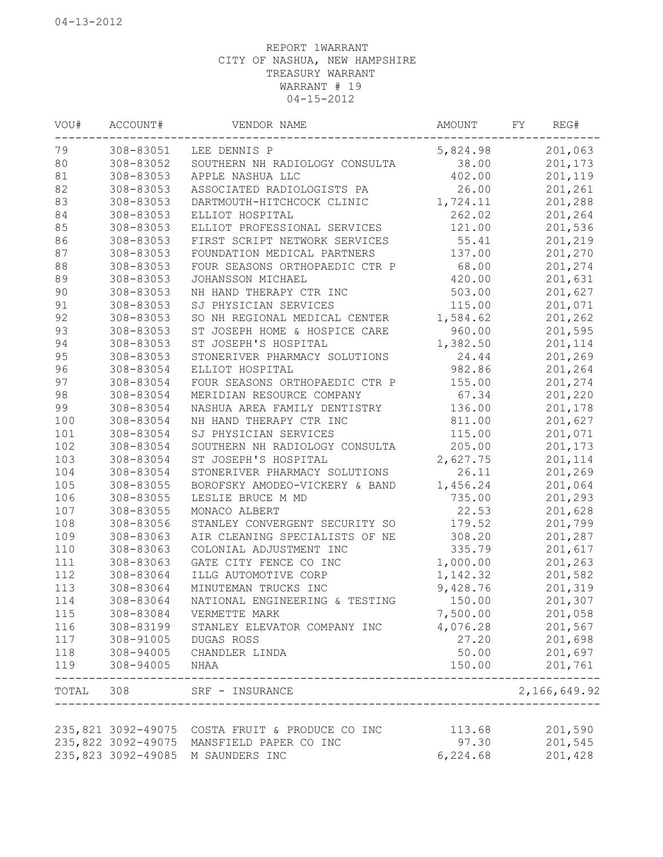| VOU#  | ACCOUNT#           | VENDOR NAME                          | AMOUNT   | FΥ | REG#         |
|-------|--------------------|--------------------------------------|----------|----|--------------|
| 79    | 308-83051          | LEE DENNIS P                         | 5,824.98 |    | 201,063      |
| 80    | 308-83052          | SOUTHERN NH RADIOLOGY CONSULTA       | 38.00    |    | 201,173      |
| 81    | 308-83053          | APPLE NASHUA LLC                     | 402.00   |    | 201,119      |
| 82    | 308-83053          | ASSOCIATED RADIOLOGISTS PA           | 26.00    |    | 201,261      |
| 83    | 308-83053          | DARTMOUTH-HITCHCOCK CLINIC           | 1,724.11 |    | 201,288      |
| 84    | 308-83053          | ELLIOT HOSPITAL                      | 262.02   |    | 201,264      |
| 85    | 308-83053          | ELLIOT PROFESSIONAL SERVICES         | 121.00   |    | 201,536      |
| 86    | 308-83053          | FIRST SCRIPT NETWORK SERVICES        | 55.41    |    | 201,219      |
| 87    | 308-83053          | FOUNDATION MEDICAL PARTNERS          | 137.00   |    | 201,270      |
| 88    | 308-83053          | FOUR SEASONS ORTHOPAEDIC CTR P       | 68.00    |    | 201,274      |
| 89    | 308-83053          | JOHANSSON MICHAEL                    | 420.00   |    | 201,631      |
| 90    | 308-83053          | NH HAND THERAPY CTR INC              | 503.00   |    | 201,627      |
| 91    | 308-83053          | SJ PHYSICIAN SERVICES                | 115.00   |    | 201,071      |
| 92    | 308-83053          | SO NH REGIONAL MEDICAL CENTER        | 1,584.62 |    | 201,262      |
| 93    | 308-83053          | ST JOSEPH HOME & HOSPICE CARE        | 960.00   |    | 201,595      |
| 94    | 308-83053          | ST JOSEPH'S HOSPITAL                 | 1,382.50 |    | 201,114      |
| 95    | 308-83053          | STONERIVER PHARMACY SOLUTIONS        | 24.44    |    | 201,269      |
| 96    | 308-83054          | ELLIOT HOSPITAL                      | 982.86   |    | 201,264      |
| 97    | 308-83054          | FOUR SEASONS ORTHOPAEDIC CTR P       | 155.00   |    | 201,274      |
| 98    | 308-83054          | MERIDIAN RESOURCE COMPANY            | 67.34    |    | 201,220      |
| 99    | 308-83054          | NASHUA AREA FAMILY DENTISTRY         | 136.00   |    | 201,178      |
| 100   | 308-83054          | NH HAND THERAPY CTR INC              | 811.00   |    | 201,627      |
| 101   | 308-83054          | SJ PHYSICIAN SERVICES                | 115.00   |    | 201,071      |
| 102   | 308-83054          | SOUTHERN NH RADIOLOGY CONSULTA       | 205.00   |    | 201,173      |
| 103   | 308-83054          | ST JOSEPH'S HOSPITAL                 | 2,627.75 |    | 201,114      |
| 104   | 308-83054          | STONERIVER PHARMACY SOLUTIONS        | 26.11    |    | 201,269      |
| 105   | 308-83055          | BOROFSKY AMODEO-VICKERY & BAND       | 1,456.24 |    | 201,064      |
| 106   | 308-83055          | LESLIE BRUCE M MD                    | 735.00   |    | 201,293      |
| 107   | 308-83055          | MONACO ALBERT                        | 22.53    |    | 201,628      |
| 108   | 308-83056          | STANLEY CONVERGENT SECURITY SO       | 179.52   |    | 201,799      |
| 109   | 308-83063          | AIR CLEANING SPECIALISTS OF NE       | 308.20   |    | 201,287      |
| 110   | 308-83063          | COLONIAL ADJUSTMENT INC              | 335.79   |    | 201,617      |
| 111   | 308-83063          | GATE CITY FENCE CO INC               | 1,000.00 |    | 201,263      |
| 112   | 308-83064          | ILLG AUTOMOTIVE CORP                 | 1,142.32 |    | 201,582      |
| 113   | 308-83064          | MINUTEMAN TRUCKS INC                 | 9,428.76 |    | 201,319      |
| 114   | 308-83064          | NATIONAL ENGINEERING & TESTING       | 150.00   |    | 201,307      |
| 115   | 308-83084          | VERMETTE MARK                        | 7,500.00 |    | 201,058      |
| 116   | 308-83199          | STANLEY ELEVATOR COMPANY INC         | 4,076.28 |    | 201,567      |
| 117   | 308-91005          | DUGAS ROSS                           | 27.20    |    | 201,698      |
| 118   | 308-94005          | CHANDLER LINDA                       | 50.00    |    | 201,697      |
| 119   | 308-94005          | NHAA                                 | 150.00   |    | 201,761      |
| TOTAL | 308                | SRF - INSURANCE<br>_________________ |          |    | 2,166,649.92 |
|       |                    |                                      |          |    |              |
|       | 235,821 3092-49075 | COSTA FRUIT & PRODUCE CO INC         | 113.68   |    | 201,590      |
|       | 235,822 3092-49075 | MANSFIELD PAPER CO INC               | 97.30    |    | 201,545      |
|       | 235,823 3092-49085 | M SAUNDERS INC                       | 6,224.68 |    | 201,428      |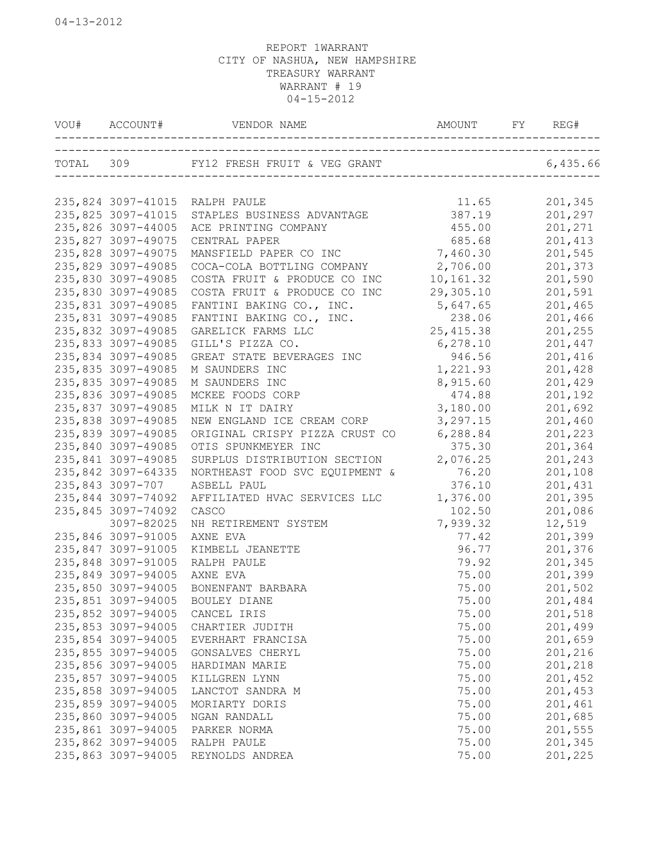| VOU# |                    |                                                 |                |                    |
|------|--------------------|-------------------------------------------------|----------------|--------------------|
|      |                    | TOTAL 309 FY12 FRESH FRUIT & VEG GRANT 6,435.66 |                |                    |
|      |                    |                                                 |                |                    |
|      | 235,824 3097-41015 | RALPH PAULE                                     | 11.65          | 201,345            |
|      | 235,825 3097-41015 | STAPLES BUSINESS ADVANTAGE                      | 387.19         | 201,297            |
|      | 235,826 3097-44005 | ACE PRINTING COMPANY                            | 455.00         | 201,271            |
|      | 235,827 3097-49075 | CENTRAL PAPER                                   | 685.68         | 201,413            |
|      | 235,828 3097-49075 | MANSFIELD PAPER CO INC                          | 7,460.30       | 201,545            |
|      | 235,829 3097-49085 | COCA-COLA BOTTLING COMPANY                      | 2,706.00       | 201,373            |
|      | 235,830 3097-49085 | COSTA FRUIT & PRODUCE CO INC                    | 10,161.32      | 201,590            |
|      | 235,830 3097-49085 | COSTA FRUIT & PRODUCE CO INC                    | 29,305.10      | 201,591            |
|      | 235,831 3097-49085 | FANTINI BAKING CO., INC.                        | 5,647.65       | 201,465            |
|      | 235,831 3097-49085 | FANTINI BAKING CO., INC.                        | 238.06         | 201,466            |
|      | 235,832 3097-49085 | GARELICK FARMS LLC                              | 25, 415.38     | 201,255            |
|      | 235,833 3097-49085 | GILL'S PIZZA CO.                                | 6, 278.10      | 201,447            |
|      | 235,834 3097-49085 | GREAT STATE BEVERAGES INC                       | 946.56         | 201,416            |
|      | 235,835 3097-49085 | M SAUNDERS INC                                  | 1,221.93       | 201,428            |
|      | 235,835 3097-49085 | M SAUNDERS INC                                  | 8,915.60       | 201,429            |
|      | 235,836 3097-49085 | MCKEE FOODS CORP                                | 474.88         | 201,192            |
|      | 235,837 3097-49085 | MILK N IT DAIRY                                 | 3,180.00       | 201,692            |
|      | 235,838 3097-49085 | NEW ENGLAND ICE CREAM CORP                      | 3,297.15       | 201,460            |
|      | 235,839 3097-49085 | ORIGINAL CRISPY PIZZA CRUST CO                  | 6,288.84       | 201,223            |
|      | 235,840 3097-49085 | OTIS SPUNKMEYER INC                             | 375.30         | 201,364            |
|      | 235,841 3097-49085 | SURPLUS DISTRIBUTION SECTION                    | 2,076.25       | 201,243            |
|      | 235,842 3097-64335 | NORTHEAST FOOD SVC EQUIPMENT &                  | 76.20          | 201,108            |
|      | 235,843 3097-707   | ASBELL PAUL                                     | 376.10         | 201,431            |
|      | 235,844 3097-74092 | AFFILIATED HVAC SERVICES LLC                    | 1,376.00       | 201,395            |
|      | 235,845 3097-74092 | CASCO                                           | 102.50         | 201,086            |
|      | 3097-82025         | NH RETIREMENT SYSTEM                            | 7,939.32       | 12,519             |
|      | 235,846 3097-91005 | AXNE EVA                                        | 77.42          | 201,399            |
|      | 235,847 3097-91005 | KIMBELL JEANETTE                                | 96.77          | 201,376            |
|      | 235,848 3097-91005 | RALPH PAULE                                     | 79.92          | 201,345            |
|      | 235,849 3097-94005 | AXNE EVA                                        | 75.00          | 201,399            |
|      | 235,850 3097-94005 | BONENFANT BARBARA                               | 75.00          | 201,502            |
|      | 235,851 3097-94005 | BOULEY DIANE                                    | 75.00          | 201,484            |
|      | 235,852 3097-94005 | CANCEL IRIS                                     | 75.00          | 201,518            |
|      | 235,853 3097-94005 | CHARTIER JUDITH                                 | 75.00          | 201,499            |
|      | 235,854 3097-94005 | EVERHART FRANCISA                               | 75.00          | 201,659            |
|      | 235,855 3097-94005 | GONSALVES CHERYL                                | 75.00          | 201,216            |
|      | 235,856 3097-94005 | HARDIMAN MARIE                                  | 75.00          | 201,218            |
|      | 235,857 3097-94005 | KILLGREN LYNN                                   | 75.00          | 201,452            |
|      | 235,858 3097-94005 | LANCTOT SANDRA M                                | 75.00          | 201,453            |
|      | 235,859 3097-94005 | MORIARTY DORIS                                  | 75.00          | 201,461            |
|      | 235,860 3097-94005 | NGAN RANDALL                                    | 75.00          | 201,685            |
|      | 235,861 3097-94005 |                                                 |                | 201,555            |
|      | 235,862 3097-94005 | PARKER NORMA<br>RALPH PAULE                     | 75.00          |                    |
|      | 235,863 3097-94005 | REYNOLDS ANDREA                                 | 75.00<br>75.00 | 201,345<br>201,225 |
|      |                    |                                                 |                |                    |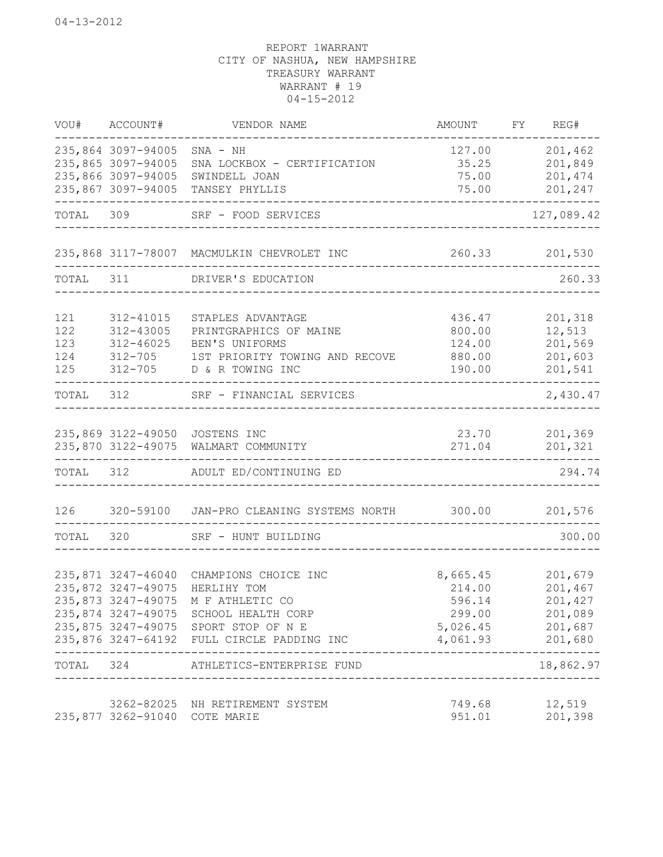|                                 | VOU# ACCOUNT#                                                                        | VENDOR NAME                                                                                                                                                                                              | AMOUNT                                                                         | FY REG#                                            |
|---------------------------------|--------------------------------------------------------------------------------------|----------------------------------------------------------------------------------------------------------------------------------------------------------------------------------------------------------|--------------------------------------------------------------------------------|----------------------------------------------------|
|                                 | 235,864 3097-94005<br>235,865 3097-94005<br>235,866 3097-94005<br>235,867 3097-94005 | $SNA - NH$<br>SNA LOCKBOX - CERTIFICATION<br>SWINDELL JOAN<br>TANSEY PHYLLIS                                                                                                                             | 127.00<br>35.25<br>75.00<br>75.00                                              | 201,462<br>201,849<br>201,474<br>201,247           |
|                                 |                                                                                      | TOTAL 309 SRF - FOOD SERVICES                                                                                                                                                                            |                                                                                | -------<br>127,089.42                              |
|                                 |                                                                                      | 235,868 3117-78007 MACMULKIN CHEVROLET INC                                                                                                                                                               | 260.33 201,530                                                                 |                                                    |
|                                 |                                                                                      | TOTAL 311 DRIVER'S EDUCATION                                                                                                                                                                             |                                                                                | 260.33                                             |
| 121<br>122<br>123<br>124<br>125 | 312-41015<br>312-43005<br>312-46025<br>312-705                                       | STAPLES ADVANTAGE<br>PRINTGRAPHICS OF MAINE<br>BEN'S UNIFORMS<br>1ST PRIORITY TOWING AND RECOVE<br>312-705 D & R TOWING INC                                                                              | 436.47<br>800.00<br>124.00<br>880.00<br>190.00                                 | 201,318<br>12,513<br>201,569<br>201,603<br>201,541 |
|                                 |                                                                                      | TOTAL 312 SRF - FINANCIAL SERVICES                                                                                                                                                                       |                                                                                | 2,430.47                                           |
|                                 |                                                                                      | 235,869 3122-49050 JOSTENS INC<br>235,870 3122-49075 WALMART COMMUNITY                                                                                                                                   |                                                                                | 23.70 201,369<br>271.04 201,321                    |
| TOTAL 312                       |                                                                                      | ADULT ED/CONTINUING ED                                                                                                                                                                                   | ------------------------------------                                           | 294.74                                             |
| 126                             |                                                                                      | 320-59100 JAN-PRO CLEANING SYSTEMS NORTH 300.00 201,576                                                                                                                                                  |                                                                                |                                                    |
|                                 |                                                                                      | TOTAL 320 SRF - HUNT BUILDING                                                                                                                                                                            |                                                                                | 300.00                                             |
|                                 | 235,871 3247-46040<br>235,872 3247-49075<br>______________________                   | CHAMPIONS CHOICE INC<br>HERLIHY TOM<br>235,873 3247-49075 M F ATHLETIC CO<br>235,874 3247-49075 SCHOOL HEALTH CORP<br>235,875 3247-49075 SPORT STOP OF N E<br>235,876 3247-64192 FULL CIRCLE PADDING INC | 8,665.45<br>214.00<br>596.14<br>299.00<br>5,026.45 201,687<br>4,061.93 201,680 | 201,679<br>201,467<br>201,427<br>201,089           |
|                                 | -----------------------                                                              | TOTAL 324 ATHLETICS-ENTERPRISE FUND                                                                                                                                                                      | ____________________________________                                           | 18,862.97                                          |
|                                 | 235,877 3262-91040 COTE MARIE                                                        | 3262-82025 NH RETIREMENT SYSTEM                                                                                                                                                                          | 749.68<br>951.01                                                               | 12,519<br>201,398                                  |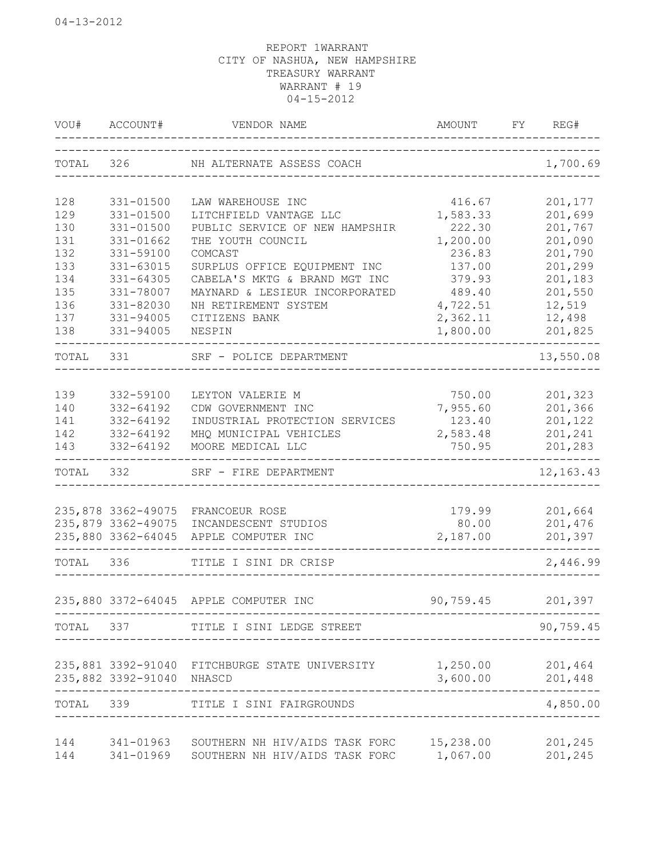| VOU#      | ACCOUNT#                  | VENDOR NAME                                    | AMOUNT<br>___________________________________ | REG#<br>FY                     |
|-----------|---------------------------|------------------------------------------------|-----------------------------------------------|--------------------------------|
|           |                           | TOTAL 326 NH ALTERNATE ASSESS COACH            |                                               | 1,700.69                       |
| 128       | 331-01500                 | LAW WAREHOUSE INC                              | 416.67                                        | 201,177                        |
| 129       | 331-01500                 | LITCHFIELD VANTAGE LLC                         | 1,583.33                                      | 201,699                        |
| 130       | 331-01500                 | PUBLIC SERVICE OF NEW HAMPSHIR                 | 222.30                                        | 201,767                        |
| 131       | 331-01662                 | THE YOUTH COUNCIL                              | 1,200.00                                      | 201,090                        |
| 132       | 331-59100                 | COMCAST                                        | 236.83                                        | 201,790                        |
| 133       | 331-63015                 | SURPLUS OFFICE EQUIPMENT INC                   | 137.00                                        | 201,299                        |
| 134       | 331-64305                 | CABELA'S MKTG & BRAND MGT INC                  | 379.93                                        | 201,183                        |
| 135       | 331-78007                 | MAYNARD & LESIEUR INCORPORATED                 | 489.40                                        | 201,550                        |
| 136       | 331-82030                 | NH RETIREMENT SYSTEM                           | 4,722.51                                      | 12,519                         |
| 137       | 331-94005                 | CITIZENS BANK                                  | 2,362.11                                      | 12,498                         |
| 138       | 331-94005                 | NESPIN                                         | 1,800.00                                      | 201,825<br>--------            |
| TOTAL     | 331                       | SRF - POLICE DEPARTMENT<br>_________________   |                                               | 13,550.08                      |
| 139       | 332-59100                 | LEYTON VALERIE M                               | 750.00                                        | 201,323                        |
| 140       | 332-64192                 | CDW GOVERNMENT INC                             | 7,955.60                                      | 201,366                        |
| 141       | 332-64192                 | INDUSTRIAL PROTECTION SERVICES                 | 123.40                                        | 201,122                        |
| 142       | 332-64192                 | MHQ MUNICIPAL VEHICLES                         | 2,583.48                                      | 201,241                        |
| 143       | 332-64192                 | MOORE MEDICAL LLC                              | 750.95                                        | 201,283                        |
| TOTAL     |                           | 332 SRF - FIRE DEPARTMENT                      |                                               | $- - - - - - -$<br>12, 163. 43 |
|           |                           |                                                |                                               |                                |
|           |                           | 235,878 3362-49075 FRANCOEUR ROSE              | 179.99                                        | 201,664                        |
|           | 235,879 3362-49075        | INCANDESCENT STUDIOS                           | 80.00                                         | 201,476                        |
|           | 235,880 3362-64045        | APPLE COMPUTER INC                             | 2,187.00                                      | 201,397                        |
| TOTAL 336 |                           | TITLE I SINI DR CRISP                          |                                               | 2,446.99                       |
|           |                           | 235,880 3372-64045 APPLE COMPUTER INC          | 90,759.45                                     | 201,397                        |
|           |                           | TOTAL 337 TITLE I SINI LEDGE STREET            |                                               | 90,759.45                      |
|           |                           |                                                |                                               |                                |
|           |                           | 235,881 3392-91040 FITCHBURGE STATE UNIVERSITY | 1,250.00                                      | 201,464                        |
|           | 235,882 3392-91040 NHASCD |                                                | 3,600.00                                      | 201,448<br>$\frac{1}{2}$       |
| TOTAL 339 |                           | TITLE I SINI FAIRGROUNDS                       |                                               | 4,850.00<br>____________       |
| 144       | 341-01963                 | SOUTHERN NH HIV/AIDS TASK FORC 15,238.00       |                                               | 201,245                        |
| 144       |                           | 341-01969 SOUTHERN NH HIV/AIDS TASK FORC       | 1,067.00                                      | 201,245                        |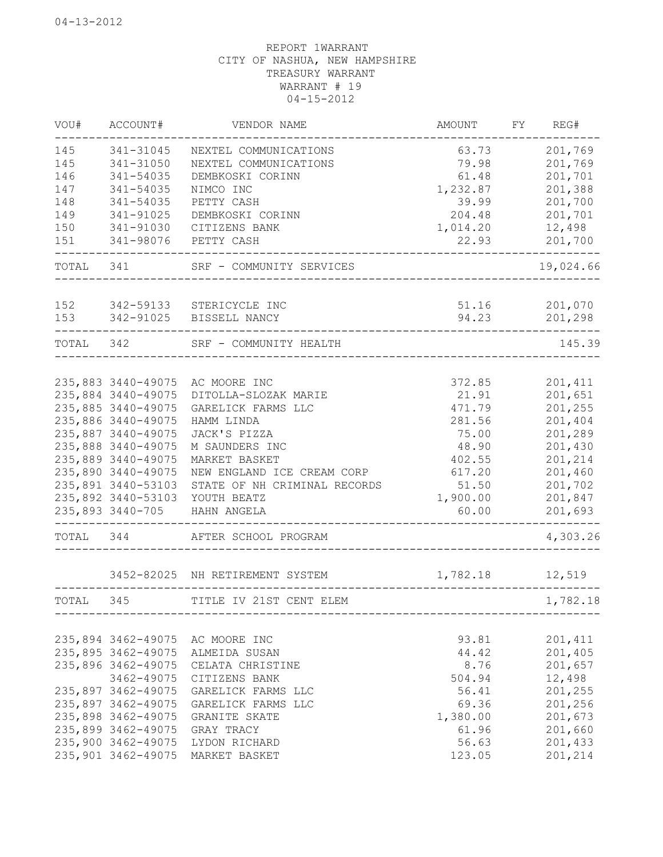| WOU#      | ACCOUNT#           | VENDOR NAME                     | AMOUNT                    | FY REG#             |
|-----------|--------------------|---------------------------------|---------------------------|---------------------|
| 145       | 341-31045          | NEXTEL COMMUNICATIONS           | 63.73                     | 201,769             |
| 145       | 341-31050          | NEXTEL COMMUNICATIONS           | 79.98                     | 201,769             |
| 146       | 341-54035          | DEMBKOSKI CORINN                | 61.48                     | 201,701             |
| 147       | 341-54035          | NIMCO INC                       | 1,232.87                  | 201,388             |
| 148       | 341-54035          | PETTY CASH                      | 39.99                     | 201,700             |
| 149       | 341-91025          | DEMBKOSKI CORINN                | 204.48                    | 201,701             |
| 150       | 341-91030          | CITIZENS BANK                   | 1,014.20                  | 12,498              |
| 151       | 341-98076          | PETTY CASH                      | 22.93                     | 201,700<br>-------- |
| TOTAL 341 |                    | SRF - COMMUNITY SERVICES        |                           | 19,024.66           |
|           |                    |                                 |                           |                     |
| 152       | 342-59133          | STERICYCLE INC                  | 51.16                     | 201,070             |
| 153       | 342-91025          | BISSELL NANCY                   | 94.23                     | 201,298             |
| TOTAL 342 |                    | SRF - COMMUNITY HEALTH          |                           | 145.39              |
|           |                    |                                 |                           |                     |
|           | 235,883 3440-49075 | AC MOORE INC                    | 372.85                    | 201,411             |
|           | 235,884 3440-49075 | DITOLLA-SLOZAK MARIE            | 21.91                     | 201,651             |
|           | 235,885 3440-49075 | GARELICK FARMS LLC              | 471.79                    | 201,255             |
|           | 235,886 3440-49075 | HAMM LINDA                      | 281.56                    | 201,404             |
|           | 235,887 3440-49075 | JACK'S PIZZA                    | 75.00                     | 201,289             |
|           | 235,888 3440-49075 | M SAUNDERS INC                  | 48.90                     | 201,430             |
|           | 235,889 3440-49075 | MARKET BASKET                   | 402.55                    | 201,214             |
|           | 235,890 3440-49075 | NEW ENGLAND ICE CREAM CORP      | 617.20                    | 201,460             |
|           | 235,891 3440-53103 | STATE OF NH CRIMINAL RECORDS    | 51.50                     | 201,702             |
|           | 235,892 3440-53103 | YOUTH BEATZ                     | 1,900.00                  | 201,847             |
|           | 235,893 3440-705   | HAHN ANGELA                     | 60.00                     | 201,693             |
| TOTAL 344 |                    | AFTER SCHOOL PROGRAM            | _________________________ | 4,303.26            |
|           |                    | 3452-82025 NH RETIREMENT SYSTEM | 1,782.18                  | 12,519              |
| TOTAL     | 345                | TITLE IV 21ST CENT ELEM         |                           | 1,782.18            |
|           |                    |                                 |                           |                     |
|           | 235,894 3462-49075 | AC MOORE INC                    | 93.81                     | 201,411             |
|           | 235,895 3462-49075 | ALMEIDA SUSAN                   | 44.42                     | 201,405             |
|           | 235,896 3462-49075 | CELATA CHRISTINE                | 8.76                      | 201,657             |
|           | 3462-49075         | CITIZENS BANK                   | 504.94                    | 12,498              |
|           | 235,897 3462-49075 | GARELICK FARMS LLC              | 56.41                     | 201,255             |
|           | 235,897 3462-49075 | GARELICK FARMS LLC              | 69.36                     | 201,256             |
|           | 235,898 3462-49075 | GRANITE SKATE                   | 1,380.00                  | 201,673             |
|           | 235,899 3462-49075 | GRAY TRACY                      | 61.96                     | 201,660             |
|           | 235,900 3462-49075 | LYDON RICHARD                   | 56.63                     | 201,433             |
|           | 235,901 3462-49075 | MARKET BASKET                   | 123.05                    | 201,214             |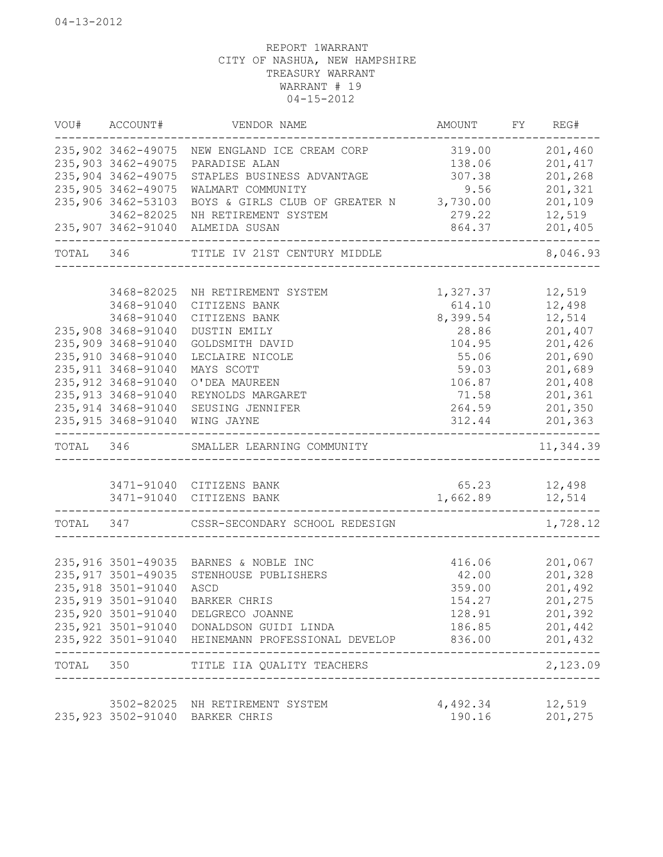|                | VOU# ACCOUNT#                            | VENDOR NAME                                                                                                   | AMOUNT FY REG#                    |                    |
|----------------|------------------------------------------|---------------------------------------------------------------------------------------------------------------|-----------------------------------|--------------------|
|                |                                          | 235,902 3462-49075 NEW ENGLAND ICE CREAM CORP                                                                 | 319.00                            | 201,460            |
|                | 235,903 3462-49075                       | PARADISE ALAN                                                                                                 | 138.06                            | 201,417            |
|                | 235,904 3462-49075                       | STAPLES BUSINESS ADVANTAGE                                                                                    | 307.38                            | 201,268            |
|                | 235,905 3462-49075                       | WALMART COMMUNITY                                                                                             | 9.56                              | 201,321            |
|                | 235,906 3462-53103                       | BOYS & GIRLS CLUB OF GREATER N 3,730.00                                                                       |                                   | 201,109            |
|                | 3462-82025                               | NH RETIREMENT SYSTEM                                                                                          | 279.22                            | 12,519             |
|                |                                          | 235,907 3462-91040 ALMEIDA SUSAN<br>_____________________________                                             | 864.37                            | 201,405<br>------- |
| TOTAL 346      |                                          | TITLE IV 21ST CENTURY MIDDLE                                                                                  |                                   | 8,046.93           |
|                |                                          |                                                                                                               |                                   |                    |
|                | 3468-82025                               | NH RETIREMENT SYSTEM                                                                                          | 1,327.37                          | 12,519             |
|                | 3468-91040                               | CITIZENS BANK                                                                                                 | 614.10                            | 12,498             |
|                | 3468-91040                               | CITIZENS BANK<br>DUSTIN EMILY                                                                                 | 8,399.54<br>28.86                 | 12,514<br>201,407  |
|                | 235,908 3468-91040<br>235,909 3468-91040 |                                                                                                               | 104.95                            | 201,426            |
|                | 235,910 3468-91040                       | GOLDSMITH DAVID<br>LECLAIRE NICOLE                                                                            | 55.06                             |                    |
|                | 235, 911 3468-91040                      | MAYS SCOTT                                                                                                    | 59.03                             | 201,690<br>201,689 |
|                | 235, 912 3468-91040                      | O'DEA MAUREEN                                                                                                 | 106.87                            | 201,408            |
|                | 235, 913 3468-91040                      | REYNOLDS MARGARET                                                                                             | 71.58                             | 201,361            |
|                | 235, 914 3468-91040                      | SEUSING JENNIFER                                                                                              | 264.59                            | 201,350            |
|                | 235, 915 3468-91040                      | WING JAYNE                                                                                                    |                                   | 312.44 201,363     |
|                |                                          |                                                                                                               |                                   |                    |
| TOTAL 346      |                                          | SMALLER LEARNING COMMUNITY<br>_____________________________                                                   |                                   | 11,344.39          |
|                |                                          |                                                                                                               |                                   |                    |
|                |                                          | 3471-91040 CITIZENS BANK                                                                                      | 65.23 12,498                      |                    |
|                |                                          | 3471-91040 CITIZENS BANK<br>----------------------------------                                                | 1,662.89 12,514                   | -------------      |
|                |                                          | TOTAL 347 CSSR-SECONDARY SCHOOL REDESIGN                                                                      |                                   | 1,728.12           |
|                |                                          |                                                                                                               |                                   |                    |
|                |                                          | 235,916 3501-49035 BARNES & NOBLE INC                                                                         |                                   | 416.06 201,067     |
|                | 235, 917 3501-49035                      | STENHOUSE PUBLISHERS                                                                                          | 42.00                             | 201,328            |
|                | 235, 918 3501-91040                      | ASCD                                                                                                          | 359.00                            | 201,492            |
|                |                                          | 235,919 3501-91040 BARKER CHRIS                                                                               | 154.27                            | 201,275            |
|                |                                          | 235,920 3501-91040 DELGRECO JOANNE                                                                            | 128.91                            | 201,392            |
|                |                                          | 235, 921 3501-91040 DONALDSON GUIDI LINDA<br>235,922 3501-91040 HEINEMANN PROFESSIONAL DEVELOP 836.00 201,432 |                                   | 186.85 201,442     |
| ______________ |                                          |                                                                                                               |                                   |                    |
|                |                                          | TOTAL 350 TITLE IIA QUALITY TEACHERS<br>___________________________________                                   | --------------------------------- | 2,123.09           |
|                |                                          | 3502-82025 NH RETIREMENT SYSTEM                                                                               | 4,492.34                          | 12,519             |
|                |                                          | 235,923 3502-91040 BARKER CHRIS                                                                               | 190.16                            | 201,275            |
|                |                                          |                                                                                                               |                                   |                    |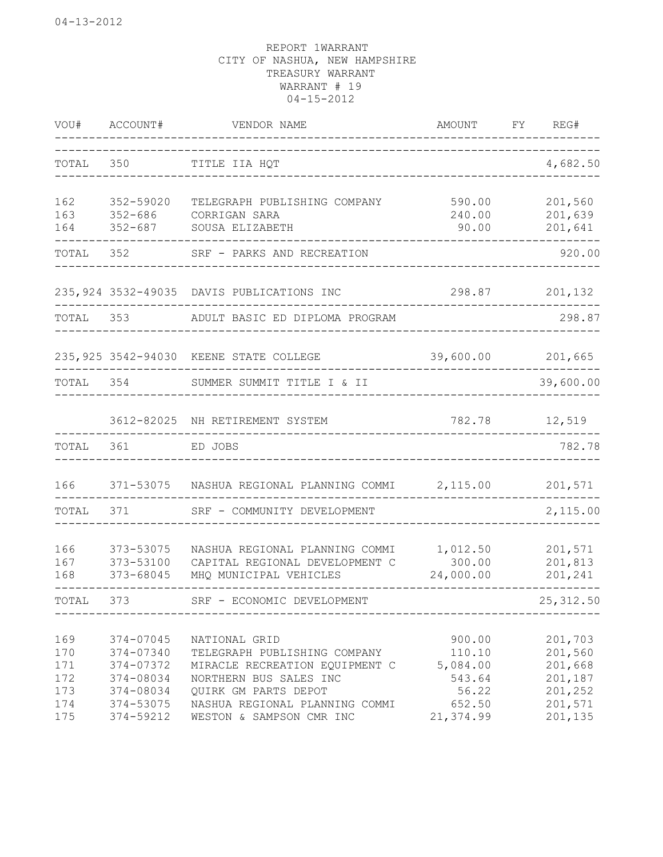| WOU#                                          | ACCOUNT#                                                                                | VENDOR NAME                                                                                                                                                                                     | AMOUNT                                                                 | FY | REG#                                                                      |
|-----------------------------------------------|-----------------------------------------------------------------------------------------|-------------------------------------------------------------------------------------------------------------------------------------------------------------------------------------------------|------------------------------------------------------------------------|----|---------------------------------------------------------------------------|
| TOTAL                                         | 350                                                                                     | TITLE IIA HQT<br>____________________                                                                                                                                                           |                                                                        |    | 4,682.50                                                                  |
| 162<br>163<br>164                             | 352-59020<br>$352 - 686$<br>$352 - 687$                                                 | TELEGRAPH PUBLISHING COMPANY<br>CORRIGAN SARA<br>SOUSA ELIZABETH                                                                                                                                | 590.00<br>240.00<br>90.00                                              |    | 201,560<br>201,639<br>201,641                                             |
| TOTAL                                         | 352                                                                                     | SRF - PARKS AND RECREATION                                                                                                                                                                      |                                                                        |    | 920.00                                                                    |
|                                               |                                                                                         | 235, 924 3532-49035 DAVIS PUBLICATIONS INC                                                                                                                                                      | 298.87                                                                 |    | 201,132                                                                   |
| TOTAL 353                                     |                                                                                         | ADULT BASIC ED DIPLOMA PROGRAM                                                                                                                                                                  |                                                                        |    | 298.87                                                                    |
|                                               |                                                                                         | 235, 925 3542-94030 KEENE STATE COLLEGE                                                                                                                                                         | 39,600.00                                                              |    | 201,665                                                                   |
| TOTAL 354                                     |                                                                                         | SUMMER SUMMIT TITLE I & II                                                                                                                                                                      |                                                                        |    | 39,600.00                                                                 |
|                                               |                                                                                         | 3612-82025 NH RETIREMENT SYSTEM                                                                                                                                                                 | 782.78                                                                 |    | 12,519                                                                    |
| TOTAL                                         | 361                                                                                     | ED JOBS                                                                                                                                                                                         |                                                                        |    | 782.78                                                                    |
| 166                                           |                                                                                         | 371-53075 NASHUA REGIONAL PLANNING COMMI                                                                                                                                                        | 2,115.00                                                               |    | 201,571                                                                   |
| TOTAL                                         | 371                                                                                     | SRF - COMMUNITY DEVELOPMENT                                                                                                                                                                     |                                                                        |    | 2,115.00                                                                  |
| 166<br>167<br>168                             | 373-53075<br>373-53100<br>373-68045                                                     | NASHUA REGIONAL PLANNING COMMI<br>CAPITAL REGIONAL DEVELOPMENT C<br>MHQ MUNICIPAL VEHICLES                                                                                                      | 1,012.50<br>300.00<br>24,000.00                                        |    | 201,571<br>201,813<br>201,241                                             |
| TOTAL                                         | 373                                                                                     | SRF - ECONOMIC DEVELOPMENT                                                                                                                                                                      |                                                                        |    | 25, 312.50                                                                |
| 169<br>170<br>171<br>172<br>173<br>174<br>175 | 374-07045<br>374-07340<br>374-07372<br>374-08034<br>374-08034<br>374-53075<br>374-59212 | NATIONAL GRID<br>TELEGRAPH PUBLISHING COMPANY<br>MIRACLE RECREATION EQUIPMENT C<br>NORTHERN BUS SALES INC<br>QUIRK GM PARTS DEPOT<br>NASHUA REGIONAL PLANNING COMMI<br>WESTON & SAMPSON CMR INC | 900.00<br>110.10<br>5,084.00<br>543.64<br>56.22<br>652.50<br>21,374.99 |    | 201,703<br>201,560<br>201,668<br>201,187<br>201,252<br>201,571<br>201,135 |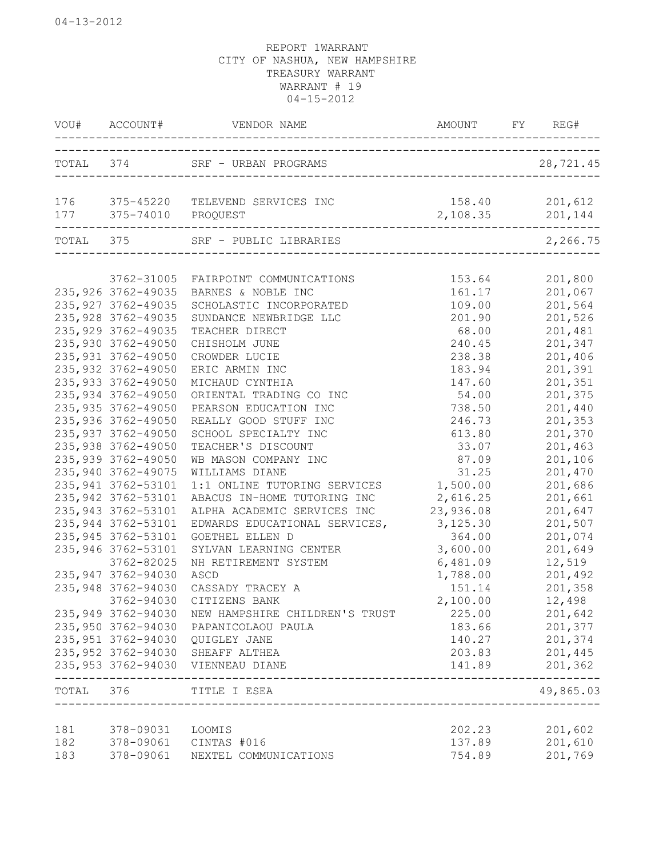|           |                        | VOU# ACCOUNT# VENDOR NAME                         | AMOUNT FY REG#                        |           |
|-----------|------------------------|---------------------------------------------------|---------------------------------------|-----------|
|           |                        | TOTAL 374 SRF - URBAN PROGRAMS                    |                                       | 28,721.45 |
| 176       | 177 375-74010 PROQUEST | 375-45220 TELEVEND SERVICES INC                   | 158.40 201,612<br>2, 108.35 201, 144  |           |
| TOTAL 375 |                        | SRF - PUBLIC LIBRARIES                            | _____________________________________ | 2,266.75  |
|           | 3762-31005             | FAIRPOINT COMMUNICATIONS                          | 153.64                                | 201,800   |
|           | 235, 926 3762-49035    | BARNES & NOBLE INC                                | 161.17                                | 201,067   |
|           | 235, 927 3762-49035    | SCHOLASTIC INCORPORATED                           | 109.00                                | 201,564   |
|           | 235, 928 3762-49035    | SUNDANCE NEWBRIDGE LLC                            | 201.90                                | 201,526   |
|           | 235, 929 3762-49035    | TEACHER DIRECT                                    | 68.00                                 | 201,481   |
|           | 235,930 3762-49050     | CHISHOLM JUNE                                     | 240.45                                | 201,347   |
|           | 235, 931 3762-49050    | CROWDER LUCIE                                     | 238.38                                | 201,406   |
|           | 235,932 3762-49050     | ERIC ARMIN INC                                    | 183.94                                | 201,391   |
|           | 235, 933 3762-49050    | MICHAUD CYNTHIA                                   | 147.60                                | 201,351   |
|           | 235, 934 3762-49050    | ORIENTAL TRADING CO INC                           | 54.00                                 | 201,375   |
|           | 235, 935 3762-49050    | PEARSON EDUCATION INC                             | 738.50                                | 201,440   |
|           | 235,936 3762-49050     | REALLY GOOD STUFF INC                             | 246.73                                | 201,353   |
|           | 235, 937 3762-49050    | SCHOOL SPECIALTY INC                              | 613.80                                | 201,370   |
|           | 235,938 3762-49050     | TEACHER'S DISCOUNT                                | 33.07                                 | 201,463   |
|           | 235,939 3762-49050     | WB MASON COMPANY INC                              | 87.09                                 | 201,106   |
|           | 235, 940 3762-49075    | WILLIAMS DIANE                                    | 31.25                                 | 201,470   |
|           | 235, 941 3762-53101    | 1:1 ONLINE TUTORING SERVICES                      | 1,500.00                              | 201,686   |
|           | 235, 942 3762-53101    | ABACUS IN-HOME TUTORING INC                       | 2,616.25                              | 201,661   |
|           | 235, 943 3762-53101    | ALPHA ACADEMIC SERVICES INC                       | 23,936.08                             | 201,647   |
|           | 235, 944 3762-53101    | EDWARDS EDUCATIONAL SERVICES,                     | 3,125.30                              | 201,507   |
|           | 235, 945 3762-53101    | GOETHEL ELLEN D                                   | 364.00                                | 201,074   |
|           | 235, 946 3762-53101    | SYLVAN LEARNING CENTER                            | 3,600.00                              | 201,649   |
|           | 3762-82025             | NH RETIREMENT SYSTEM                              | 6,481.09                              | 12,519    |
|           | 235, 947 3762-94030    | ASCD                                              | 1,788.00                              | 201,492   |
|           | 235, 948 3762-94030    | CASSADY TRACEY A                                  | 151.14                                | 201,358   |
|           |                        | 3762-94030 CITIZENS BANK                          | 2,100.00                              | 12,498    |
|           |                        | 235,949 3762-94030 NEW HAMPSHIRE CHILDREN'S TRUST | 225.00                                | 201,642   |
|           | 235,950 3762-94030     | PAPANICOLAOU PAULA                                | 183.66                                | 201,377   |
|           | 235,951 3762-94030     | QUIGLEY JANE                                      | 140.27                                | 201,374   |
|           |                        | 235,952 3762-94030 SHEAFF ALTHEA                  | 203.83                                | 201,445   |
|           |                        | 235,953 3762-94030 VIENNEAU DIANE                 | 141.89                                | 201,362   |
| TOTAL 376 |                        | TITLE I ESEA                                      |                                       | 49,865.03 |
| 181       | 378-09031              | LOOMIS                                            | 202.23                                | 201,602   |
| 182       |                        | 378-09061 CINTAS #016                             | 137.89                                | 201,610   |
| 183       | 378-09061              | NEXTEL COMMUNICATIONS                             | 754.89                                | 201,769   |
|           |                        |                                                   |                                       |           |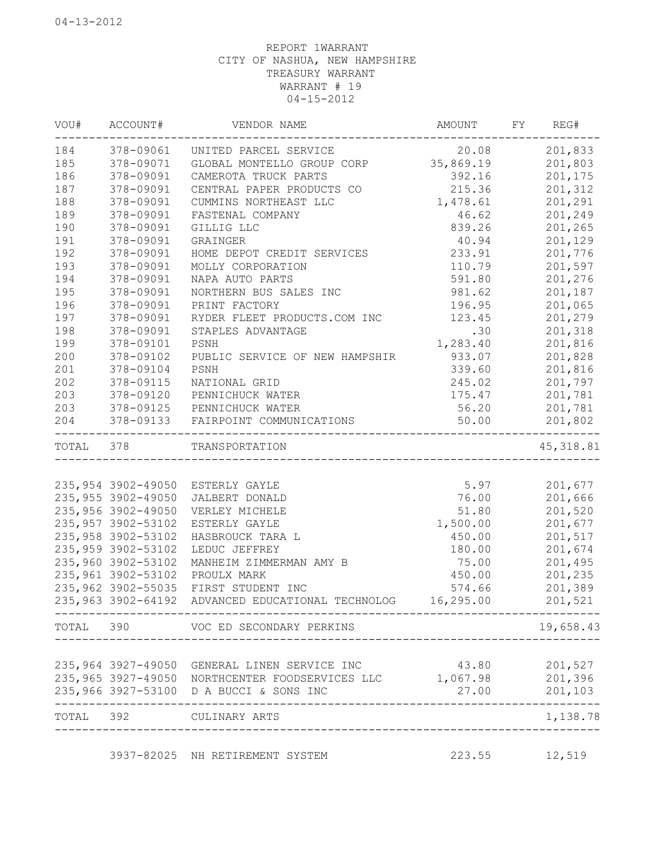| VOU#      | ACCOUNT#            | VENDOR NAME                                              | AMOUNT    | FY | REG#       |
|-----------|---------------------|----------------------------------------------------------|-----------|----|------------|
| 184       | 378-09061           | UNITED PARCEL SERVICE                                    | 20.08     |    | 201,833    |
| 185       | 378-09071           | GLOBAL MONTELLO GROUP CORP                               | 35,869.19 |    | 201,803    |
| 186       | 378-09091           | CAMEROTA TRUCK PARTS                                     | 392.16    |    | 201,175    |
| 187       | 378-09091           | CENTRAL PAPER PRODUCTS CO                                | 215.36    |    | 201,312    |
| 188       | 378-09091           | CUMMINS NORTHEAST LLC                                    | 1,478.61  |    | 201,291    |
| 189       | 378-09091           | FASTENAL COMPANY                                         | 46.62     |    | 201,249    |
| 190       | 378-09091           | GILLIG LLC                                               | 839.26    |    | 201,265    |
| 191       | 378-09091           | GRAINGER                                                 | 40.94     |    | 201,129    |
| 192       | 378-09091           | HOME DEPOT CREDIT SERVICES                               | 233.91    |    | 201,776    |
| 193       | 378-09091           | MOLLY CORPORATION                                        | 110.79    |    | 201,597    |
| 194       | 378-09091           | NAPA AUTO PARTS                                          | 591.80    |    | 201,276    |
| 195       | 378-09091           | NORTHERN BUS SALES INC                                   | 981.62    |    | 201,187    |
| 196       | 378-09091           | PRINT FACTORY                                            | 196.95    |    | 201,065    |
| 197       | 378-09091           | RYDER FLEET PRODUCTS.COM INC                             | 123.45    |    | 201,279    |
| 198       | 378-09091           | STAPLES ADVANTAGE                                        | .30       |    | 201,318    |
| 199       | 378-09101           | PSNH                                                     | 1,283.40  |    | 201,816    |
| 200       | 378-09102           | PUBLIC SERVICE OF NEW HAMPSHIR                           | 933.07    |    | 201,828    |
| 201       | 378-09104           | PSNH                                                     | 339.60    |    | 201,816    |
| 202       | 378-09115           | NATIONAL GRID                                            | 245.02    |    | 201,797    |
| 203       | 378-09120           | PENNICHUCK WATER                                         | 175.47    |    | 201,781    |
| 203       | 378-09125           | PENNICHUCK WATER                                         | 56.20     |    | 201,781    |
| 204       | 378-09133           | FAIRPOINT COMMUNICATIONS                                 | 50.00     |    | 201,802    |
| TOTAL 378 |                     | TRANSPORTATION<br>________________________               |           |    | 45, 318.81 |
|           |                     |                                                          |           |    |            |
|           |                     | 235,954 3902-49050 ESTERLY GAYLE                         | 5.97      |    | 201,677    |
|           | 235, 955 3902-49050 | JALBERT DONALD                                           | 76.00     |    | 201,666    |
|           | 235,956 3902-49050  | VERLEY MICHELE                                           | 51.80     |    | 201,520    |
|           | 235, 957 3902-53102 | ESTERLY GAYLE                                            | 1,500.00  |    | 201,677    |
|           | 235, 958 3902-53102 | HASBROUCK TARA L                                         | 450.00    |    | 201,517    |
|           | 235, 959 3902-53102 | LEDUC JEFFREY                                            | 180.00    |    | 201,674    |
|           | 235,960 3902-53102  | MANHEIM ZIMMERMAN AMY B                                  | 75.00     |    | 201,495    |
|           | 235, 961 3902-53102 | PROULX MARK                                              | 450.00    |    | 201,235    |
|           | 235,962 3902-55035  | FIRST STUDENT INC                                        | 574.66    |    | 201,389    |
|           | 235, 963 3902-64192 | ADVANCED EDUCATIONAL TECHNOLOG                           | 16,295.00 |    | 201,521    |
|           |                     | TOTAL 390 VOC ED SECONDARY PERKINS                       |           |    | 19,658.43  |
|           |                     |                                                          |           |    |            |
|           | 235,964 3927-49050  | GENERAL LINEN SERVICE INC                                | 43.80     |    | 201,527    |
|           |                     | 235,965 3927-49050 NORTHCENTER FOODSERVICES LLC 1,067.98 |           |    | 201,396    |
|           |                     | 235,966 3927-53100 D A BUCCI & SONS INC                  | 27.00     |    | 201,103    |
| TOTAL 392 |                     | CULINARY ARTS<br>_____________________________           |           |    | 1,138.78   |
|           |                     |                                                          |           |    |            |

3937-82025 NH RETIREMENT SYSTEM 223.55 12,519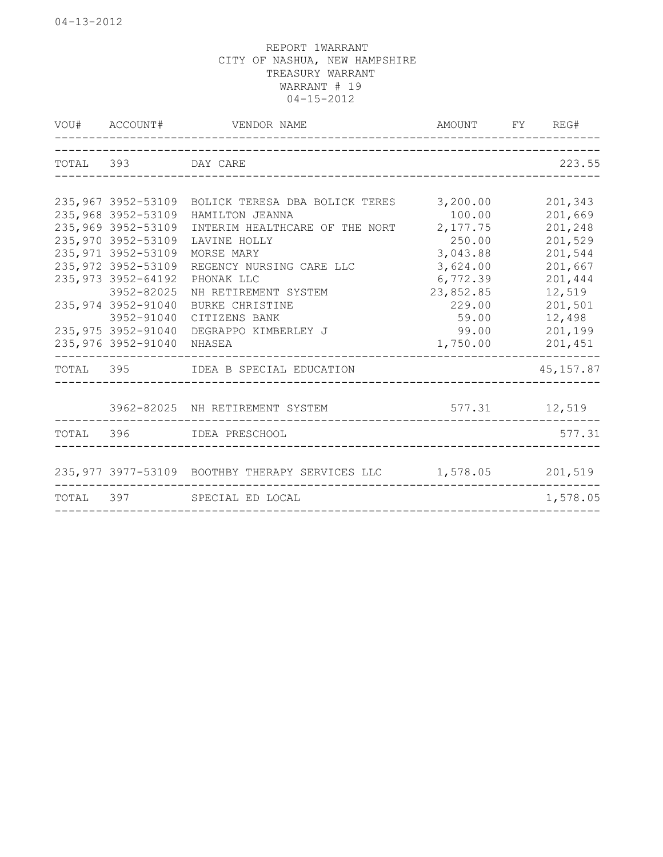|           |                                                                                                                                                                                                                                    | VOU# ACCOUNT# VENDOR NAME                                                                                                                                                                                                                                                    | AMOUNT FY REG#                                                                                                                            |                                                                                                                     |
|-----------|------------------------------------------------------------------------------------------------------------------------------------------------------------------------------------------------------------------------------------|------------------------------------------------------------------------------------------------------------------------------------------------------------------------------------------------------------------------------------------------------------------------------|-------------------------------------------------------------------------------------------------------------------------------------------|---------------------------------------------------------------------------------------------------------------------|
|           | TOTAL 393 DAY CARE                                                                                                                                                                                                                 |                                                                                                                                                                                                                                                                              |                                                                                                                                           | 223.55                                                                                                              |
|           | 235,968 3952-53109<br>235,969 3952-53109<br>235,970 3952-53109<br>235, 971 3952-53109<br>235, 972 3952-53109<br>235, 973 3952-64192<br>3952-82025<br>235, 974 3952-91040<br>3952-91040<br>235,975 3952-91040<br>235,976 3952-91040 | 235,967 3952-53109 BOLICK TERESA DBA BOLICK TERES<br>HAMILTON JEANNA<br>INTERIM HEALTHCARE OF THE NORT<br>LAVINE HOLLY<br>MORSE MARY<br>REGENCY NURSING CARE LLC<br>PHONAK LLC<br>NH RETIREMENT SYSTEM<br>BURKE CHRISTINE<br>CITIZENS BANK<br>DEGRAPPO KIMBERLEY J<br>NHASEA | 3,200.00<br>100.00<br>2,177.75<br>250.00<br>3,043.88<br>3,624.00<br>6,772.39<br>23,852.85<br>229.00<br>59.00<br>99.00<br>1,750.00 201,451 | 201,343<br>201,669<br>201,248<br>201,529<br>201,544<br>201,667<br>201,444<br>12,519<br>201,501<br>12,498<br>201,199 |
|           |                                                                                                                                                                                                                                    | TOTAL 395 IDEA B SPECIAL EDUCATION                                                                                                                                                                                                                                           |                                                                                                                                           | 45, 157.87                                                                                                          |
|           |                                                                                                                                                                                                                                    | 3962-82025 NH RETIREMENT SYSTEM<br>TOTAL 396 IDEA PRESCHOOL                                                                                                                                                                                                                  | 577.31 12,519                                                                                                                             | 577.31                                                                                                              |
| TOTAL 397 |                                                                                                                                                                                                                                    | 235,977 3977-53109 BOOTHBY THERAPY SERVICES LLC 1,578.05 201,519<br>SPECIAL ED LOCAL                                                                                                                                                                                         |                                                                                                                                           | 1,578.05                                                                                                            |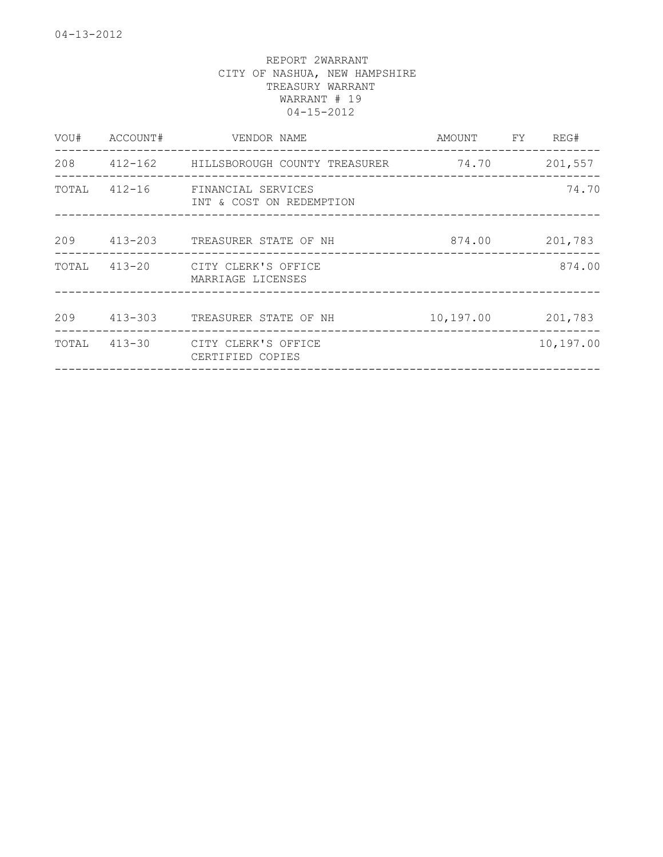| VOU#  | ACCOUNT#   | VENDOR NAME                                     | AMOUNT                   | FY. | REG#      |
|-------|------------|-------------------------------------------------|--------------------------|-----|-----------|
| 208   |            | 412-162          HILLSBOROUGH COUNTY  TREASURER | 74.70<br>_______________ |     | 201,557   |
| TOTAL | $412 - 16$ | FINANCIAL SERVICES<br>INT & COST ON REDEMPTION  |                          |     | 74.70     |
| 209   | 413-203    | TREASURER STATE OF NH                           | 874.00                   |     | 201,783   |
| TOTAL |            | 413-20 CITY CLERK'S OFFICE<br>MARRIAGE LICENSES |                          |     | 874.00    |
| 209   | 413-303    | TREASURER STATE OF NH                           | 10,197.00                |     | 201,783   |
| TOTAL |            | 413-30 CITY CLERK'S OFFICE<br>CERTIFIED COPIES  |                          |     | 10,197.00 |
|       |            |                                                 |                          |     |           |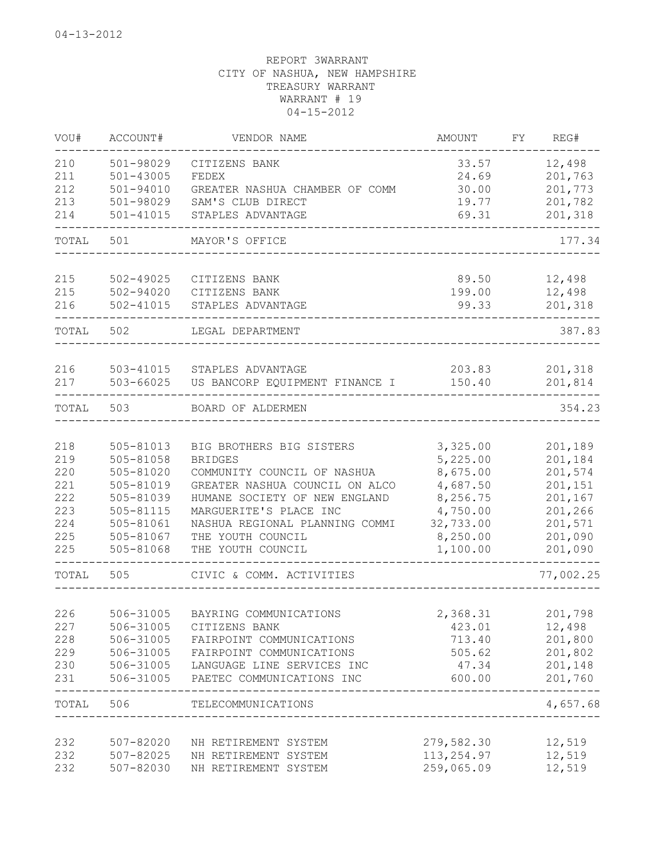| VOU#       | ACCOUNT#               | VENDOR NAME                            | <b>AMOUNT</b>        | FY | REG#               |
|------------|------------------------|----------------------------------------|----------------------|----|--------------------|
| 210        | 501-98029              | CITIZENS BANK                          | 33.57                |    | 12,498             |
| 211        | $501 - 43005$          | FEDEX                                  | 24.69                |    | 201,763            |
| 212        | 501-94010              | GREATER NASHUA CHAMBER OF COMM         | 30.00                |    | 201,773            |
| 213        | 501-98029              | SAM'S CLUB DIRECT                      | 19.77                |    | 201,782            |
| 214        | 501-41015              | STAPLES ADVANTAGE                      | 69.31                |    | 201,318            |
| TOTAL      | 501                    | MAYOR'S OFFICE                         |                      |    | 177.34             |
| 215        | 502-49025              | CITIZENS BANK                          | 89.50                |    | 12,498             |
| 215        | 502-94020              | CITIZENS BANK                          | 199.00               |    | 12,498             |
| 216        | 502-41015              | STAPLES ADVANTAGE                      | 99.33                |    | 201,318            |
| TOTAL      | 502                    | LEGAL DEPARTMENT                       |                      |    | 387.83             |
| 216        | 503-41015              | STAPLES ADVANTAGE                      | 203.83               |    | 201,318            |
| 217        | 503-66025              | US BANCORP EQUIPMENT FINANCE I         | 150.40               |    | 201,814            |
| TOTAL      | 503                    | BOARD OF ALDERMEN                      |                      |    | 354.23             |
|            |                        | BIG BROTHERS BIG SISTERS               |                      |    |                    |
| 218<br>219 | 505-81013<br>505-81058 | <b>BRIDGES</b>                         | 3,325.00             |    | 201,189            |
| 220        | 505-81020              | COMMUNITY COUNCIL OF NASHUA            | 5,225.00<br>8,675.00 |    | 201,184<br>201,574 |
| 221        |                        | GREATER NASHUA COUNCIL ON ALCO         |                      |    |                    |
| 222        | 505-81019              | HUMANE SOCIETY OF NEW ENGLAND          | 4,687.50<br>8,256.75 |    | 201,151            |
| 223        | 505-81039              | MARGUERITE'S PLACE INC                 |                      |    | 201,167            |
| 224        | 505-81115              |                                        | 4,750.00             |    | 201,266            |
|            | 505-81061              | NASHUA REGIONAL PLANNING COMMI         | 32,733.00            |    | 201,571            |
| 225<br>225 | 505-81067<br>505-81068 | THE YOUTH COUNCIL<br>THE YOUTH COUNCIL | 8,250.00<br>1,100.00 |    | 201,090<br>201,090 |
| TOTAL      | 505                    | CIVIC & COMM. ACTIVITIES               |                      |    | 77,002.25          |
|            |                        |                                        |                      |    |                    |
| 226        | 506-31005              | BAYRING COMMUNICATIONS                 | 2,368.31             |    | 201,798            |
| 227        | 506-31005              | CITIZENS BANK                          | 423.01               |    | 12,498             |
| 228        | 506-31005              | FAIRPOINT COMMUNICATIONS               | 713.40               |    | 201,800            |
| 229        | 506-31005              | FAIRPOINT COMMUNICATIONS               | 505.62               |    | 201,802            |
| 230        | 506-31005              | LANGUAGE LINE SERVICES INC             | 47.34                |    | 201,148            |
| 231        | 506-31005              | PAETEC COMMUNICATIONS INC              | 600.00               |    | 201,760            |
| TOTAL      | 506                    | TELECOMMUNICATIONS                     |                      |    | -----<br>4,657.68  |
| 232        | 507-82020              | NH RETIREMENT SYSTEM                   | 279,582.30           |    | 12,519             |
| 232        | 507-82025              | NH RETIREMENT SYSTEM                   | 113, 254.97          |    | 12,519             |
| 232        | 507-82030              | NH RETIREMENT SYSTEM                   | 259,065.09           |    | 12,519             |
|            |                        |                                        |                      |    |                    |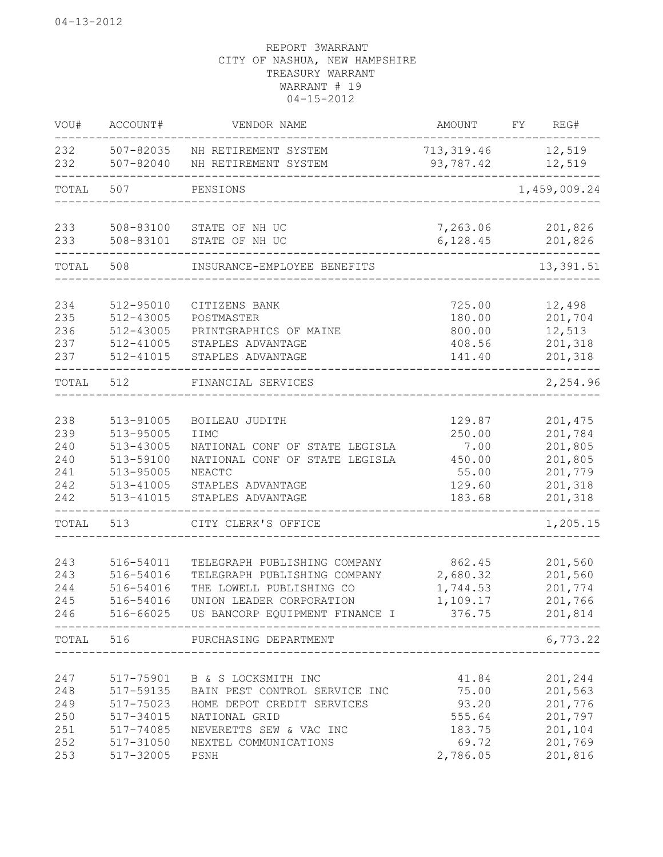| WOU#       | ACCOUNT#               | VENDOR NAME                                             | AMOUNT                   | REG#<br>FY        |
|------------|------------------------|---------------------------------------------------------|--------------------------|-------------------|
| 232<br>232 | 507-82035<br>507-82040 | NH RETIREMENT SYSTEM<br>NH RETIREMENT SYSTEM            | 713, 319.46<br>93,787.42 | 12,519<br>12,519  |
| TOTAL      | 507                    | PENSIONS                                                |                          | 1,459,009.24      |
| 233        | 508-83100              | STATE OF NH UC                                          | 7,263.06                 | 201,826           |
| 233        | 508-83101              | STATE OF NH UC                                          | 6, 128.45                | 201,826           |
| TOTAL      | 508                    | INSURANCE-EMPLOYEE BENEFITS                             |                          | 13,391.51         |
| 234        | 512-95010              | CITIZENS BANK                                           | 725.00                   | 12,498            |
| 235        | 512-43005              | POSTMASTER                                              | 180.00                   | 201,704           |
| 236<br>237 | 512-43005<br>512-41005 | PRINTGRAPHICS OF MAINE<br>STAPLES ADVANTAGE             | 800.00<br>408.56         | 12,513<br>201,318 |
| 237        | 512-41015              | STAPLES ADVANTAGE                                       | 141.40                   | 201,318           |
| TOTAL      | 512                    | FINANCIAL SERVICES                                      |                          | 2,254.96          |
| 238        | 513-91005              | BOILEAU JUDITH                                          | 129.87                   | 201,475           |
| 239        | 513-95005              | <b>I IMC</b>                                            | 250.00                   | 201,784           |
| 240        | 513-43005              | NATIONAL CONF OF STATE LEGISLA                          | 7.00                     | 201,805           |
| 240        | 513-59100              | NATIONAL CONF OF STATE LEGISLA                          | 450.00                   | 201,805           |
| 241        | 513-95005              | <b>NEACTC</b>                                           | 55.00                    | 201,779           |
| 242        | 513-41005              | STAPLES ADVANTAGE                                       | 129.60                   | 201,318           |
| 242        | 513-41015              | STAPLES ADVANTAGE                                       | 183.68                   | 201,318           |
| TOTAL      | 513                    | CITY CLERK'S OFFICE                                     |                          | 1,205.15          |
| 243        | 516-54011              | TELEGRAPH PUBLISHING COMPANY                            | 862.45                   | 201,560           |
| 243        | 516-54016              | TELEGRAPH PUBLISHING COMPANY                            | 2,680.32                 | 201,560           |
| 244        | 516-54016              | THE LOWELL PUBLISHING CO                                | 1,744.53                 | 201,774           |
| 245        | 516-54016              | UNION LEADER CORPORATION                                | 1,109.17                 | 201,766           |
| 246        |                        | 516-66025 US BANCORP EQUIPMENT FINANCE I 376.75 201,814 |                          |                   |
| TOTAL 516  |                        | PURCHASING DEPARTMENT                                   |                          | 6,773.22          |
| 247        | 517-75901              | B & S LOCKSMITH INC                                     | 41.84                    | 201,244           |
| 248        | 517-59135              | BAIN PEST CONTROL SERVICE INC                           | 75.00                    | 201,563           |
| 249        | 517-75023              | HOME DEPOT CREDIT SERVICES                              | 93.20                    | 201,776           |
| 250        | 517-34015              | NATIONAL GRID                                           | 555.64                   | 201,797           |
| 251        | 517-74085              | NEVERETTS SEW & VAC INC                                 | 183.75                   | 201,104           |
| 252        | 517-31050              | NEXTEL COMMUNICATIONS                                   | 69.72                    | 201,769           |
| 253        | 517-32005              | PSNH                                                    | 2,786.05                 | 201,816           |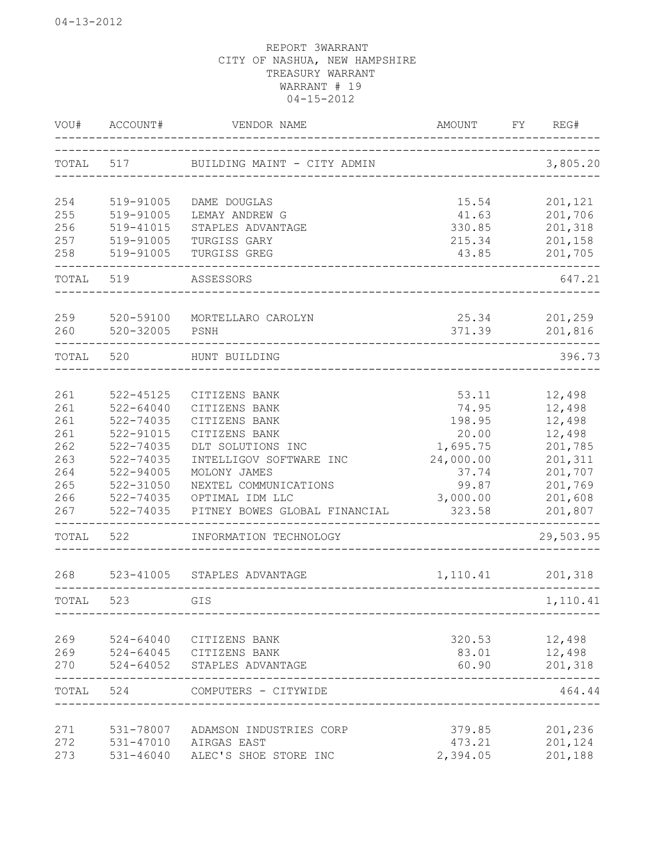| VOU#      | ACCOUNT#                          | VENDOR NAME                           | AMOUNT<br>___________ <b>______________________</b> __ | FY REG#   |
|-----------|-----------------------------------|---------------------------------------|--------------------------------------------------------|-----------|
|           |                                   | TOTAL 517 BUILDING MAINT - CITY ADMIN |                                                        | 3,805.20  |
| 254       | 519-91005                         | DAME DOUGLAS                          | 15.54                                                  | 201,121   |
| 255       | 519-91005                         | LEMAY ANDREW G                        | 41.63                                                  | 201,706   |
| 256       | 519-41015                         | STAPLES ADVANTAGE                     | 330.85                                                 | 201,318   |
| 257       | 519-91005                         | TURGISS GARY                          | 215.34                                                 | 201,158   |
| 258       | 519-91005                         | TURGISS GREG                          | 43.85                                                  | 201,705   |
| TOTAL     | 519                               | ASSESSORS                             | __________________                                     | 647.21    |
| 259       | 520-59100                         | MORTELLARO CAROLYN                    | 25.34                                                  | 201,259   |
| 260       | 520-32005                         | PSNH                                  | 371.39                                                 | 201,816   |
| TOTAL     | 520                               | HUNT BUILDING                         |                                                        | 396.73    |
|           |                                   |                                       |                                                        |           |
| 261       | 522-45125                         | CITIZENS BANK                         | 53.11                                                  | 12,498    |
| 261       | $522 - 64040$                     | CITIZENS BANK                         | 74.95                                                  | 12,498    |
| 261       | 522-74035                         | CITIZENS BANK                         | 198.95                                                 | 12,498    |
| 261       | 522-91015                         | CITIZENS BANK                         | 20.00                                                  | 12,498    |
| 262       | 522-74035                         | DLT SOLUTIONS INC                     | 1,695.75                                               | 201,785   |
| 263       | 522-74035                         | INTELLIGOV SOFTWARE INC               | 24,000.00                                              | 201,311   |
| 264       | 522-94005                         | MOLONY JAMES                          | 37.74                                                  | 201,707   |
| 265       | 522-31050                         | NEXTEL COMMUNICATIONS                 | 99.87                                                  | 201,769   |
| 266       | 522-74035                         | OPTIMAL IDM LLC                       | 3,000.00                                               | 201,608   |
| 267       | 522-74035<br>-------------------- | PITNEY BOWES GLOBAL FINANCIAL         | 323.58                                                 | 201,807   |
| TOTAL     | 522                               | INFORMATION TECHNOLOGY                | ______________________________                         | 29,503.95 |
| 268       |                                   | 523-41005 STAPLES ADVANTAGE           | 1,110.41                                               | 201,318   |
| TOTAL     | 523                               | GIS                                   |                                                        | 1,110.41  |
|           |                                   |                                       |                                                        |           |
| 269       | 524-64040                         | CITIZENS BANK                         | 320.53                                                 | 12,498    |
| 269       |                                   | 524-64045 CITIZENS BANK               | 83.01                                                  | 12,498    |
| 270       |                                   | 524-64052 STAPLES ADVANTAGE           | 60.90                                                  | 201,318   |
| TOTAL 524 |                                   | COMPUTERS - CITYWIDE                  |                                                        | 464.44    |
| 271       | 531-78007                         | ADAMSON INDUSTRIES CORP               | 379.85                                                 | 201,236   |
| 272       | 531-47010                         | AIRGAS EAST                           | 473.21                                                 | 201,124   |
| 273       | $531 - 46040$                     | ALEC'S SHOE STORE INC                 | 2,394.05                                               | 201,188   |
|           |                                   |                                       |                                                        |           |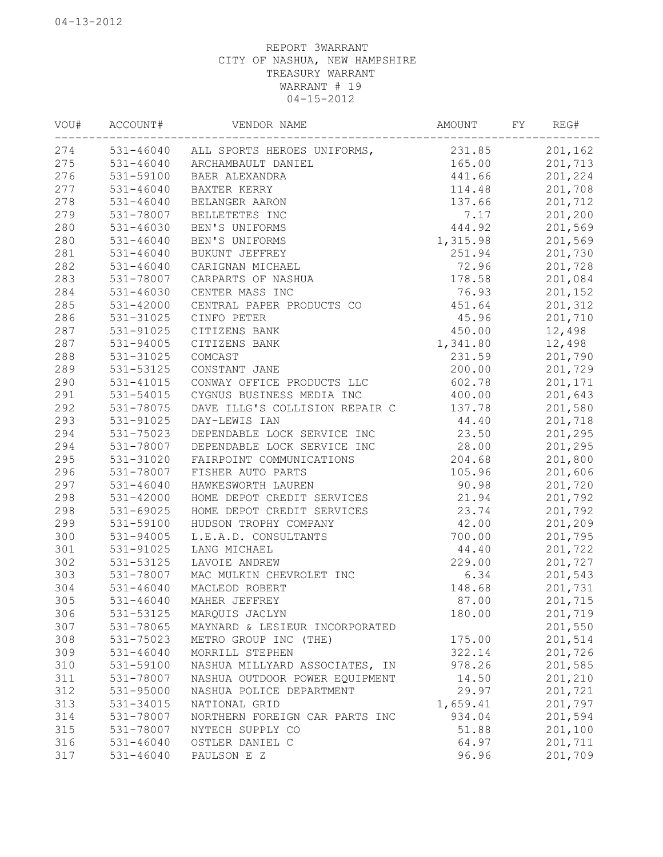| 201,162<br>531-46040 ALL SPORTS HEROES UNIFORMS,<br>231.85<br>201,713<br>165.00<br>531-46040 ARCHAMBAULT DANIEL<br>531-59100<br>441.66<br>201,224<br>BAER ALEXANDRA<br>$531 - 46040$<br>114.48<br>201,708<br>BAXTER KERRY<br>$531 - 46040$<br>137.66<br>201,712<br>BELANGER AARON<br>7.17<br>201,200<br>531-78007<br>BELLETETES INC<br>531-46030<br>444.92<br>201,569<br>BEN'S UNIFORMS<br>$531 - 46040$<br>1,315.98<br>201,569<br>BEN'S UNIFORMS<br>251.94<br>201,730<br>$531 - 46040$<br>BUKUNT JEFFREY<br>72.96<br>201,728<br>$531 - 46040$<br>CARIGNAN MICHAEL<br>283<br>531-78007<br>178.58<br>201,084<br>CARPARTS OF NASHUA<br>531-46030<br>CENTER MASS INC<br>76.93<br>201,152<br>CENTRAL PAPER PRODUCTS CO<br>451.64<br>201,312<br>531-42000<br>45.96<br>201,710<br>531-31025<br>CINFO PETER<br>531-91025<br>450.00<br>12,498<br>CITIZENS BANK<br>1,341.80<br>12,498<br>531-94005<br>CITIZENS BANK<br>288<br>531-31025<br>COMCAST<br>231.59<br>201,790<br>289<br>531-53125<br>CONSTANT JANE<br>200.00<br>201,729<br>290<br>531-41015<br>CONWAY OFFICE PRODUCTS LLC<br>602.78<br>201,171<br>291<br>400.00<br>531-54015<br>CYGNUS BUSINESS MEDIA INC<br>201,643<br>292<br>201,580<br>531-78075<br>DAVE ILLG'S COLLISION REPAIR C<br>137.78<br>293<br>531-91025<br>44.40<br>201,718<br>DAY-LEWIS IAN<br>294<br>531-75023<br>23.50<br>201,295<br>DEPENDABLE LOCK SERVICE INC<br>294<br>531-78007<br>28.00<br>201,295<br>DEPENDABLE LOCK SERVICE INC<br>295<br>531-31020<br>204.68<br>201,800<br>FAIRPOINT COMMUNICATIONS<br>531-78007<br>105.96<br>FISHER AUTO PARTS<br>201,606<br>297<br>531-46040<br>90.98<br>HAWKESWORTH LAUREN<br>201,720<br>298<br>531-42000<br>21.94<br>201,792<br>HOME DEPOT CREDIT SERVICES<br>298<br>23.74<br>531-69025<br>201,792<br>HOME DEPOT CREDIT SERVICES<br>299<br>531-59100<br>42.00<br>201,209<br>HUDSON TROPHY COMPANY<br>300<br>531-94005<br>L.E.A.D. CONSULTANTS<br>700.00<br>201,795<br>301<br>531-91025<br>LANG MICHAEL<br>44.40<br>201,722<br>302<br>531-53125<br>229.00<br>LAVOIE ANDREW<br>201,727<br>303<br>531-78007<br>MAC MULKIN CHEVROLET INC<br>6.34<br>201,543<br>304<br>531-46040<br>MACLEOD ROBERT<br>148.68<br>201,731<br>305<br>531-46040<br>87.00<br>MAHER JEFFREY<br>201,715<br>531-53125<br>201,719<br>306<br>180.00<br>MARQUIS JACLYN<br>307<br>531-78065<br>201,550<br>MAYNARD & LESIEUR INCORPORATED<br>308<br>201,514<br>531-75023<br>METRO GROUP INC (THE)<br>175.00<br>309<br>$531 - 46040$<br>MORRILL STEPHEN<br>322.14<br>201,726<br>310<br>531-59100<br>NASHUA MILLYARD ASSOCIATES, IN<br>978.26<br>201,585<br>311<br>531-78007<br>NASHUA OUTDOOR POWER EQUIPMENT<br>14.50<br>201,210<br>312<br>531-95000<br>201,721<br>NASHUA POLICE DEPARTMENT<br>29.97<br>313<br>1,659.41<br>201,797<br>531-34015<br>NATIONAL GRID<br>314<br>934.04<br>201,594<br>531-78007<br>NORTHERN FOREIGN CAR PARTS INC<br>315<br>51.88<br>201,100<br>531-78007<br>NYTECH SUPPLY CO<br>316<br>$531 - 46040$<br>64.97<br>201,711<br>OSTLER DANIEL C<br>317<br>531-46040<br>96.96<br>201,709<br>PAULSON E Z | VOU# | ACCOUNT# | VENDOR NAME | AMOUNT | FY | REG# |
|----------------------------------------------------------------------------------------------------------------------------------------------------------------------------------------------------------------------------------------------------------------------------------------------------------------------------------------------------------------------------------------------------------------------------------------------------------------------------------------------------------------------------------------------------------------------------------------------------------------------------------------------------------------------------------------------------------------------------------------------------------------------------------------------------------------------------------------------------------------------------------------------------------------------------------------------------------------------------------------------------------------------------------------------------------------------------------------------------------------------------------------------------------------------------------------------------------------------------------------------------------------------------------------------------------------------------------------------------------------------------------------------------------------------------------------------------------------------------------------------------------------------------------------------------------------------------------------------------------------------------------------------------------------------------------------------------------------------------------------------------------------------------------------------------------------------------------------------------------------------------------------------------------------------------------------------------------------------------------------------------------------------------------------------------------------------------------------------------------------------------------------------------------------------------------------------------------------------------------------------------------------------------------------------------------------------------------------------------------------------------------------------------------------------------------------------------------------------------------------------------------------------------------------------------------------------------------------------------------------------------------------------------------------------------------------------------------------------------------------------------------------------------------------------------------------------------------------------------------------------------------------------------------------------------------------------------------------------------------------------------------------------------------------------------------|------|----------|-------------|--------|----|------|
|                                                                                                                                                                                                                                                                                                                                                                                                                                                                                                                                                                                                                                                                                                                                                                                                                                                                                                                                                                                                                                                                                                                                                                                                                                                                                                                                                                                                                                                                                                                                                                                                                                                                                                                                                                                                                                                                                                                                                                                                                                                                                                                                                                                                                                                                                                                                                                                                                                                                                                                                                                                                                                                                                                                                                                                                                                                                                                                                                                                                                                                          | 274  |          |             |        |    |      |
|                                                                                                                                                                                                                                                                                                                                                                                                                                                                                                                                                                                                                                                                                                                                                                                                                                                                                                                                                                                                                                                                                                                                                                                                                                                                                                                                                                                                                                                                                                                                                                                                                                                                                                                                                                                                                                                                                                                                                                                                                                                                                                                                                                                                                                                                                                                                                                                                                                                                                                                                                                                                                                                                                                                                                                                                                                                                                                                                                                                                                                                          | 275  |          |             |        |    |      |
|                                                                                                                                                                                                                                                                                                                                                                                                                                                                                                                                                                                                                                                                                                                                                                                                                                                                                                                                                                                                                                                                                                                                                                                                                                                                                                                                                                                                                                                                                                                                                                                                                                                                                                                                                                                                                                                                                                                                                                                                                                                                                                                                                                                                                                                                                                                                                                                                                                                                                                                                                                                                                                                                                                                                                                                                                                                                                                                                                                                                                                                          | 276  |          |             |        |    |      |
|                                                                                                                                                                                                                                                                                                                                                                                                                                                                                                                                                                                                                                                                                                                                                                                                                                                                                                                                                                                                                                                                                                                                                                                                                                                                                                                                                                                                                                                                                                                                                                                                                                                                                                                                                                                                                                                                                                                                                                                                                                                                                                                                                                                                                                                                                                                                                                                                                                                                                                                                                                                                                                                                                                                                                                                                                                                                                                                                                                                                                                                          | 277  |          |             |        |    |      |
|                                                                                                                                                                                                                                                                                                                                                                                                                                                                                                                                                                                                                                                                                                                                                                                                                                                                                                                                                                                                                                                                                                                                                                                                                                                                                                                                                                                                                                                                                                                                                                                                                                                                                                                                                                                                                                                                                                                                                                                                                                                                                                                                                                                                                                                                                                                                                                                                                                                                                                                                                                                                                                                                                                                                                                                                                                                                                                                                                                                                                                                          | 278  |          |             |        |    |      |
|                                                                                                                                                                                                                                                                                                                                                                                                                                                                                                                                                                                                                                                                                                                                                                                                                                                                                                                                                                                                                                                                                                                                                                                                                                                                                                                                                                                                                                                                                                                                                                                                                                                                                                                                                                                                                                                                                                                                                                                                                                                                                                                                                                                                                                                                                                                                                                                                                                                                                                                                                                                                                                                                                                                                                                                                                                                                                                                                                                                                                                                          | 279  |          |             |        |    |      |
|                                                                                                                                                                                                                                                                                                                                                                                                                                                                                                                                                                                                                                                                                                                                                                                                                                                                                                                                                                                                                                                                                                                                                                                                                                                                                                                                                                                                                                                                                                                                                                                                                                                                                                                                                                                                                                                                                                                                                                                                                                                                                                                                                                                                                                                                                                                                                                                                                                                                                                                                                                                                                                                                                                                                                                                                                                                                                                                                                                                                                                                          | 280  |          |             |        |    |      |
|                                                                                                                                                                                                                                                                                                                                                                                                                                                                                                                                                                                                                                                                                                                                                                                                                                                                                                                                                                                                                                                                                                                                                                                                                                                                                                                                                                                                                                                                                                                                                                                                                                                                                                                                                                                                                                                                                                                                                                                                                                                                                                                                                                                                                                                                                                                                                                                                                                                                                                                                                                                                                                                                                                                                                                                                                                                                                                                                                                                                                                                          | 280  |          |             |        |    |      |
|                                                                                                                                                                                                                                                                                                                                                                                                                                                                                                                                                                                                                                                                                                                                                                                                                                                                                                                                                                                                                                                                                                                                                                                                                                                                                                                                                                                                                                                                                                                                                                                                                                                                                                                                                                                                                                                                                                                                                                                                                                                                                                                                                                                                                                                                                                                                                                                                                                                                                                                                                                                                                                                                                                                                                                                                                                                                                                                                                                                                                                                          | 281  |          |             |        |    |      |
|                                                                                                                                                                                                                                                                                                                                                                                                                                                                                                                                                                                                                                                                                                                                                                                                                                                                                                                                                                                                                                                                                                                                                                                                                                                                                                                                                                                                                                                                                                                                                                                                                                                                                                                                                                                                                                                                                                                                                                                                                                                                                                                                                                                                                                                                                                                                                                                                                                                                                                                                                                                                                                                                                                                                                                                                                                                                                                                                                                                                                                                          | 282  |          |             |        |    |      |
|                                                                                                                                                                                                                                                                                                                                                                                                                                                                                                                                                                                                                                                                                                                                                                                                                                                                                                                                                                                                                                                                                                                                                                                                                                                                                                                                                                                                                                                                                                                                                                                                                                                                                                                                                                                                                                                                                                                                                                                                                                                                                                                                                                                                                                                                                                                                                                                                                                                                                                                                                                                                                                                                                                                                                                                                                                                                                                                                                                                                                                                          |      |          |             |        |    |      |
|                                                                                                                                                                                                                                                                                                                                                                                                                                                                                                                                                                                                                                                                                                                                                                                                                                                                                                                                                                                                                                                                                                                                                                                                                                                                                                                                                                                                                                                                                                                                                                                                                                                                                                                                                                                                                                                                                                                                                                                                                                                                                                                                                                                                                                                                                                                                                                                                                                                                                                                                                                                                                                                                                                                                                                                                                                                                                                                                                                                                                                                          | 284  |          |             |        |    |      |
|                                                                                                                                                                                                                                                                                                                                                                                                                                                                                                                                                                                                                                                                                                                                                                                                                                                                                                                                                                                                                                                                                                                                                                                                                                                                                                                                                                                                                                                                                                                                                                                                                                                                                                                                                                                                                                                                                                                                                                                                                                                                                                                                                                                                                                                                                                                                                                                                                                                                                                                                                                                                                                                                                                                                                                                                                                                                                                                                                                                                                                                          | 285  |          |             |        |    |      |
|                                                                                                                                                                                                                                                                                                                                                                                                                                                                                                                                                                                                                                                                                                                                                                                                                                                                                                                                                                                                                                                                                                                                                                                                                                                                                                                                                                                                                                                                                                                                                                                                                                                                                                                                                                                                                                                                                                                                                                                                                                                                                                                                                                                                                                                                                                                                                                                                                                                                                                                                                                                                                                                                                                                                                                                                                                                                                                                                                                                                                                                          | 286  |          |             |        |    |      |
|                                                                                                                                                                                                                                                                                                                                                                                                                                                                                                                                                                                                                                                                                                                                                                                                                                                                                                                                                                                                                                                                                                                                                                                                                                                                                                                                                                                                                                                                                                                                                                                                                                                                                                                                                                                                                                                                                                                                                                                                                                                                                                                                                                                                                                                                                                                                                                                                                                                                                                                                                                                                                                                                                                                                                                                                                                                                                                                                                                                                                                                          | 287  |          |             |        |    |      |
|                                                                                                                                                                                                                                                                                                                                                                                                                                                                                                                                                                                                                                                                                                                                                                                                                                                                                                                                                                                                                                                                                                                                                                                                                                                                                                                                                                                                                                                                                                                                                                                                                                                                                                                                                                                                                                                                                                                                                                                                                                                                                                                                                                                                                                                                                                                                                                                                                                                                                                                                                                                                                                                                                                                                                                                                                                                                                                                                                                                                                                                          | 287  |          |             |        |    |      |
|                                                                                                                                                                                                                                                                                                                                                                                                                                                                                                                                                                                                                                                                                                                                                                                                                                                                                                                                                                                                                                                                                                                                                                                                                                                                                                                                                                                                                                                                                                                                                                                                                                                                                                                                                                                                                                                                                                                                                                                                                                                                                                                                                                                                                                                                                                                                                                                                                                                                                                                                                                                                                                                                                                                                                                                                                                                                                                                                                                                                                                                          |      |          |             |        |    |      |
|                                                                                                                                                                                                                                                                                                                                                                                                                                                                                                                                                                                                                                                                                                                                                                                                                                                                                                                                                                                                                                                                                                                                                                                                                                                                                                                                                                                                                                                                                                                                                                                                                                                                                                                                                                                                                                                                                                                                                                                                                                                                                                                                                                                                                                                                                                                                                                                                                                                                                                                                                                                                                                                                                                                                                                                                                                                                                                                                                                                                                                                          |      |          |             |        |    |      |
|                                                                                                                                                                                                                                                                                                                                                                                                                                                                                                                                                                                                                                                                                                                                                                                                                                                                                                                                                                                                                                                                                                                                                                                                                                                                                                                                                                                                                                                                                                                                                                                                                                                                                                                                                                                                                                                                                                                                                                                                                                                                                                                                                                                                                                                                                                                                                                                                                                                                                                                                                                                                                                                                                                                                                                                                                                                                                                                                                                                                                                                          |      |          |             |        |    |      |
|                                                                                                                                                                                                                                                                                                                                                                                                                                                                                                                                                                                                                                                                                                                                                                                                                                                                                                                                                                                                                                                                                                                                                                                                                                                                                                                                                                                                                                                                                                                                                                                                                                                                                                                                                                                                                                                                                                                                                                                                                                                                                                                                                                                                                                                                                                                                                                                                                                                                                                                                                                                                                                                                                                                                                                                                                                                                                                                                                                                                                                                          |      |          |             |        |    |      |
|                                                                                                                                                                                                                                                                                                                                                                                                                                                                                                                                                                                                                                                                                                                                                                                                                                                                                                                                                                                                                                                                                                                                                                                                                                                                                                                                                                                                                                                                                                                                                                                                                                                                                                                                                                                                                                                                                                                                                                                                                                                                                                                                                                                                                                                                                                                                                                                                                                                                                                                                                                                                                                                                                                                                                                                                                                                                                                                                                                                                                                                          |      |          |             |        |    |      |
|                                                                                                                                                                                                                                                                                                                                                                                                                                                                                                                                                                                                                                                                                                                                                                                                                                                                                                                                                                                                                                                                                                                                                                                                                                                                                                                                                                                                                                                                                                                                                                                                                                                                                                                                                                                                                                                                                                                                                                                                                                                                                                                                                                                                                                                                                                                                                                                                                                                                                                                                                                                                                                                                                                                                                                                                                                                                                                                                                                                                                                                          |      |          |             |        |    |      |
|                                                                                                                                                                                                                                                                                                                                                                                                                                                                                                                                                                                                                                                                                                                                                                                                                                                                                                                                                                                                                                                                                                                                                                                                                                                                                                                                                                                                                                                                                                                                                                                                                                                                                                                                                                                                                                                                                                                                                                                                                                                                                                                                                                                                                                                                                                                                                                                                                                                                                                                                                                                                                                                                                                                                                                                                                                                                                                                                                                                                                                                          |      |          |             |        |    |      |
|                                                                                                                                                                                                                                                                                                                                                                                                                                                                                                                                                                                                                                                                                                                                                                                                                                                                                                                                                                                                                                                                                                                                                                                                                                                                                                                                                                                                                                                                                                                                                                                                                                                                                                                                                                                                                                                                                                                                                                                                                                                                                                                                                                                                                                                                                                                                                                                                                                                                                                                                                                                                                                                                                                                                                                                                                                                                                                                                                                                                                                                          |      |          |             |        |    |      |
|                                                                                                                                                                                                                                                                                                                                                                                                                                                                                                                                                                                                                                                                                                                                                                                                                                                                                                                                                                                                                                                                                                                                                                                                                                                                                                                                                                                                                                                                                                                                                                                                                                                                                                                                                                                                                                                                                                                                                                                                                                                                                                                                                                                                                                                                                                                                                                                                                                                                                                                                                                                                                                                                                                                                                                                                                                                                                                                                                                                                                                                          |      |          |             |        |    |      |
|                                                                                                                                                                                                                                                                                                                                                                                                                                                                                                                                                                                                                                                                                                                                                                                                                                                                                                                                                                                                                                                                                                                                                                                                                                                                                                                                                                                                                                                                                                                                                                                                                                                                                                                                                                                                                                                                                                                                                                                                                                                                                                                                                                                                                                                                                                                                                                                                                                                                                                                                                                                                                                                                                                                                                                                                                                                                                                                                                                                                                                                          | 296  |          |             |        |    |      |
|                                                                                                                                                                                                                                                                                                                                                                                                                                                                                                                                                                                                                                                                                                                                                                                                                                                                                                                                                                                                                                                                                                                                                                                                                                                                                                                                                                                                                                                                                                                                                                                                                                                                                                                                                                                                                                                                                                                                                                                                                                                                                                                                                                                                                                                                                                                                                                                                                                                                                                                                                                                                                                                                                                                                                                                                                                                                                                                                                                                                                                                          |      |          |             |        |    |      |
|                                                                                                                                                                                                                                                                                                                                                                                                                                                                                                                                                                                                                                                                                                                                                                                                                                                                                                                                                                                                                                                                                                                                                                                                                                                                                                                                                                                                                                                                                                                                                                                                                                                                                                                                                                                                                                                                                                                                                                                                                                                                                                                                                                                                                                                                                                                                                                                                                                                                                                                                                                                                                                                                                                                                                                                                                                                                                                                                                                                                                                                          |      |          |             |        |    |      |
|                                                                                                                                                                                                                                                                                                                                                                                                                                                                                                                                                                                                                                                                                                                                                                                                                                                                                                                                                                                                                                                                                                                                                                                                                                                                                                                                                                                                                                                                                                                                                                                                                                                                                                                                                                                                                                                                                                                                                                                                                                                                                                                                                                                                                                                                                                                                                                                                                                                                                                                                                                                                                                                                                                                                                                                                                                                                                                                                                                                                                                                          |      |          |             |        |    |      |
|                                                                                                                                                                                                                                                                                                                                                                                                                                                                                                                                                                                                                                                                                                                                                                                                                                                                                                                                                                                                                                                                                                                                                                                                                                                                                                                                                                                                                                                                                                                                                                                                                                                                                                                                                                                                                                                                                                                                                                                                                                                                                                                                                                                                                                                                                                                                                                                                                                                                                                                                                                                                                                                                                                                                                                                                                                                                                                                                                                                                                                                          |      |          |             |        |    |      |
|                                                                                                                                                                                                                                                                                                                                                                                                                                                                                                                                                                                                                                                                                                                                                                                                                                                                                                                                                                                                                                                                                                                                                                                                                                                                                                                                                                                                                                                                                                                                                                                                                                                                                                                                                                                                                                                                                                                                                                                                                                                                                                                                                                                                                                                                                                                                                                                                                                                                                                                                                                                                                                                                                                                                                                                                                                                                                                                                                                                                                                                          |      |          |             |        |    |      |
|                                                                                                                                                                                                                                                                                                                                                                                                                                                                                                                                                                                                                                                                                                                                                                                                                                                                                                                                                                                                                                                                                                                                                                                                                                                                                                                                                                                                                                                                                                                                                                                                                                                                                                                                                                                                                                                                                                                                                                                                                                                                                                                                                                                                                                                                                                                                                                                                                                                                                                                                                                                                                                                                                                                                                                                                                                                                                                                                                                                                                                                          |      |          |             |        |    |      |
|                                                                                                                                                                                                                                                                                                                                                                                                                                                                                                                                                                                                                                                                                                                                                                                                                                                                                                                                                                                                                                                                                                                                                                                                                                                                                                                                                                                                                                                                                                                                                                                                                                                                                                                                                                                                                                                                                                                                                                                                                                                                                                                                                                                                                                                                                                                                                                                                                                                                                                                                                                                                                                                                                                                                                                                                                                                                                                                                                                                                                                                          |      |          |             |        |    |      |
|                                                                                                                                                                                                                                                                                                                                                                                                                                                                                                                                                                                                                                                                                                                                                                                                                                                                                                                                                                                                                                                                                                                                                                                                                                                                                                                                                                                                                                                                                                                                                                                                                                                                                                                                                                                                                                                                                                                                                                                                                                                                                                                                                                                                                                                                                                                                                                                                                                                                                                                                                                                                                                                                                                                                                                                                                                                                                                                                                                                                                                                          |      |          |             |        |    |      |
|                                                                                                                                                                                                                                                                                                                                                                                                                                                                                                                                                                                                                                                                                                                                                                                                                                                                                                                                                                                                                                                                                                                                                                                                                                                                                                                                                                                                                                                                                                                                                                                                                                                                                                                                                                                                                                                                                                                                                                                                                                                                                                                                                                                                                                                                                                                                                                                                                                                                                                                                                                                                                                                                                                                                                                                                                                                                                                                                                                                                                                                          |      |          |             |        |    |      |
|                                                                                                                                                                                                                                                                                                                                                                                                                                                                                                                                                                                                                                                                                                                                                                                                                                                                                                                                                                                                                                                                                                                                                                                                                                                                                                                                                                                                                                                                                                                                                                                                                                                                                                                                                                                                                                                                                                                                                                                                                                                                                                                                                                                                                                                                                                                                                                                                                                                                                                                                                                                                                                                                                                                                                                                                                                                                                                                                                                                                                                                          |      |          |             |        |    |      |
|                                                                                                                                                                                                                                                                                                                                                                                                                                                                                                                                                                                                                                                                                                                                                                                                                                                                                                                                                                                                                                                                                                                                                                                                                                                                                                                                                                                                                                                                                                                                                                                                                                                                                                                                                                                                                                                                                                                                                                                                                                                                                                                                                                                                                                                                                                                                                                                                                                                                                                                                                                                                                                                                                                                                                                                                                                                                                                                                                                                                                                                          |      |          |             |        |    |      |
|                                                                                                                                                                                                                                                                                                                                                                                                                                                                                                                                                                                                                                                                                                                                                                                                                                                                                                                                                                                                                                                                                                                                                                                                                                                                                                                                                                                                                                                                                                                                                                                                                                                                                                                                                                                                                                                                                                                                                                                                                                                                                                                                                                                                                                                                                                                                                                                                                                                                                                                                                                                                                                                                                                                                                                                                                                                                                                                                                                                                                                                          |      |          |             |        |    |      |
|                                                                                                                                                                                                                                                                                                                                                                                                                                                                                                                                                                                                                                                                                                                                                                                                                                                                                                                                                                                                                                                                                                                                                                                                                                                                                                                                                                                                                                                                                                                                                                                                                                                                                                                                                                                                                                                                                                                                                                                                                                                                                                                                                                                                                                                                                                                                                                                                                                                                                                                                                                                                                                                                                                                                                                                                                                                                                                                                                                                                                                                          |      |          |             |        |    |      |
|                                                                                                                                                                                                                                                                                                                                                                                                                                                                                                                                                                                                                                                                                                                                                                                                                                                                                                                                                                                                                                                                                                                                                                                                                                                                                                                                                                                                                                                                                                                                                                                                                                                                                                                                                                                                                                                                                                                                                                                                                                                                                                                                                                                                                                                                                                                                                                                                                                                                                                                                                                                                                                                                                                                                                                                                                                                                                                                                                                                                                                                          |      |          |             |        |    |      |
|                                                                                                                                                                                                                                                                                                                                                                                                                                                                                                                                                                                                                                                                                                                                                                                                                                                                                                                                                                                                                                                                                                                                                                                                                                                                                                                                                                                                                                                                                                                                                                                                                                                                                                                                                                                                                                                                                                                                                                                                                                                                                                                                                                                                                                                                                                                                                                                                                                                                                                                                                                                                                                                                                                                                                                                                                                                                                                                                                                                                                                                          |      |          |             |        |    |      |
|                                                                                                                                                                                                                                                                                                                                                                                                                                                                                                                                                                                                                                                                                                                                                                                                                                                                                                                                                                                                                                                                                                                                                                                                                                                                                                                                                                                                                                                                                                                                                                                                                                                                                                                                                                                                                                                                                                                                                                                                                                                                                                                                                                                                                                                                                                                                                                                                                                                                                                                                                                                                                                                                                                                                                                                                                                                                                                                                                                                                                                                          |      |          |             |        |    |      |
|                                                                                                                                                                                                                                                                                                                                                                                                                                                                                                                                                                                                                                                                                                                                                                                                                                                                                                                                                                                                                                                                                                                                                                                                                                                                                                                                                                                                                                                                                                                                                                                                                                                                                                                                                                                                                                                                                                                                                                                                                                                                                                                                                                                                                                                                                                                                                                                                                                                                                                                                                                                                                                                                                                                                                                                                                                                                                                                                                                                                                                                          |      |          |             |        |    |      |
|                                                                                                                                                                                                                                                                                                                                                                                                                                                                                                                                                                                                                                                                                                                                                                                                                                                                                                                                                                                                                                                                                                                                                                                                                                                                                                                                                                                                                                                                                                                                                                                                                                                                                                                                                                                                                                                                                                                                                                                                                                                                                                                                                                                                                                                                                                                                                                                                                                                                                                                                                                                                                                                                                                                                                                                                                                                                                                                                                                                                                                                          |      |          |             |        |    |      |
|                                                                                                                                                                                                                                                                                                                                                                                                                                                                                                                                                                                                                                                                                                                                                                                                                                                                                                                                                                                                                                                                                                                                                                                                                                                                                                                                                                                                                                                                                                                                                                                                                                                                                                                                                                                                                                                                                                                                                                                                                                                                                                                                                                                                                                                                                                                                                                                                                                                                                                                                                                                                                                                                                                                                                                                                                                                                                                                                                                                                                                                          |      |          |             |        |    |      |
|                                                                                                                                                                                                                                                                                                                                                                                                                                                                                                                                                                                                                                                                                                                                                                                                                                                                                                                                                                                                                                                                                                                                                                                                                                                                                                                                                                                                                                                                                                                                                                                                                                                                                                                                                                                                                                                                                                                                                                                                                                                                                                                                                                                                                                                                                                                                                                                                                                                                                                                                                                                                                                                                                                                                                                                                                                                                                                                                                                                                                                                          |      |          |             |        |    |      |
|                                                                                                                                                                                                                                                                                                                                                                                                                                                                                                                                                                                                                                                                                                                                                                                                                                                                                                                                                                                                                                                                                                                                                                                                                                                                                                                                                                                                                                                                                                                                                                                                                                                                                                                                                                                                                                                                                                                                                                                                                                                                                                                                                                                                                                                                                                                                                                                                                                                                                                                                                                                                                                                                                                                                                                                                                                                                                                                                                                                                                                                          |      |          |             |        |    |      |
|                                                                                                                                                                                                                                                                                                                                                                                                                                                                                                                                                                                                                                                                                                                                                                                                                                                                                                                                                                                                                                                                                                                                                                                                                                                                                                                                                                                                                                                                                                                                                                                                                                                                                                                                                                                                                                                                                                                                                                                                                                                                                                                                                                                                                                                                                                                                                                                                                                                                                                                                                                                                                                                                                                                                                                                                                                                                                                                                                                                                                                                          |      |          |             |        |    |      |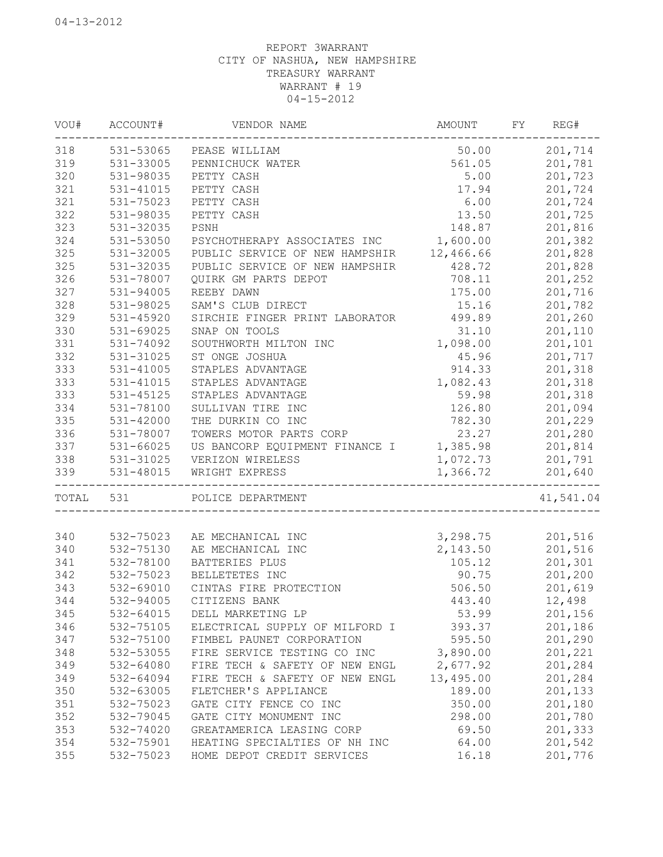| VOU#      | ACCOUNT#  | VENDOR NAME                             | AMOUNT    | FY REG#   |
|-----------|-----------|-----------------------------------------|-----------|-----------|
| 318       |           | 531-53065 PEASE WILLIAM                 | 50.00     | 201,714   |
| 319       | 531-33005 | PENNICHUCK WATER                        | 561.05    | 201,781   |
| 320       | 531-98035 | PETTY CASH                              | 5.00      | 201,723   |
| 321       | 531-41015 | PETTY CASH                              | 17.94     | 201,724   |
| 321       | 531-75023 | PETTY CASH                              | 6.00      | 201,724   |
| 322       | 531-98035 | PETTY CASH                              | 13.50     | 201,725   |
| 323       | 531-32035 | PSNH                                    | 148.87    | 201,816   |
| 324       | 531-53050 | PSYCHOTHERAPY ASSOCIATES INC            | 1,600.00  | 201,382   |
| 325       | 531-32005 | PUBLIC SERVICE OF NEW HAMPSHIR          | 12,466.66 | 201,828   |
| 325       | 531-32035 | PUBLIC SERVICE OF NEW HAMPSHIR          | 428.72    | 201,828   |
| 326       | 531-78007 | QUIRK GM PARTS DEPOT                    | 708.11    | 201,252   |
| 327       | 531-94005 | REEBY DAWN                              | 175.00    | 201,716   |
| 328       | 531-98025 | SAM'S CLUB DIRECT                       | 15.16     | 201,782   |
| 329       | 531-45920 | SIRCHIE FINGER PRINT LABORATOR          | 499.89    | 201,260   |
| 330       | 531-69025 | SNAP ON TOOLS                           | 31.10     | 201,110   |
| 331       | 531-74092 | SOUTHWORTH MILTON INC                   | 1,098.00  | 201,101   |
| 332       | 531-31025 | ST ONGE JOSHUA                          | 45.96     | 201,717   |
| 333       | 531-41005 | STAPLES ADVANTAGE                       | 914.33    | 201,318   |
| 333       | 531-41015 | STAPLES ADVANTAGE                       | 1,082.43  | 201,318   |
| 333       | 531-45125 | STAPLES ADVANTAGE                       | 59.98     | 201,318   |
| 334       | 531-78100 | SULLIVAN TIRE INC                       | 126.80    | 201,094   |
| 335       | 531-42000 | THE DURKIN CO INC                       | 782.30    | 201,229   |
| 336       | 531-78007 | TOWERS MOTOR PARTS CORP                 | 23.27     | 201,280   |
| 337       | 531-66025 | US BANCORP EQUIPMENT FINANCE I 1,385.98 |           | 201,814   |
| 338       | 531-31025 | VERIZON WIRELESS                        | 1,072.73  | 201,791   |
| 339       | 531-48015 | WRIGHT EXPRESS                          | 1,366.72  | 201,640   |
| TOTAL 531 |           | POLICE DEPARTMENT                       |           | 41,541.04 |
|           |           |                                         |           |           |
| 340       | 532-75023 | AE MECHANICAL INC                       | 3,298.75  | 201,516   |
| 340       | 532-75130 | AE MECHANICAL INC                       | 2,143.50  | 201,516   |
| 341       | 532-78100 | BATTERIES PLUS                          | 105.12    | 201,301   |
| 342       | 532-75023 | BELLETETES INC                          | 90.75     | 201,200   |
| 343       | 532-69010 | CINTAS FIRE PROTECTION                  | 506.50    | 201,619   |
| 344       | 532-94005 | CITIZENS BANK                           | 443.40    | 12,498    |
| 345       | 532-64015 | DELL MARKETING LP                       | 53.99     | 201,156   |
| 346       | 532-75105 | ELECTRICAL SUPPLY OF MILFORD I          | 393.37    | 201,186   |
| 347       | 532-75100 | FIMBEL PAUNET CORPORATION               | 595.50    | 201,290   |
| 348       | 532-53055 | FIRE SERVICE TESTING CO INC             | 3,890.00  | 201,221   |
| 349       | 532-64080 | FIRE TECH & SAFETY OF NEW ENGL          | 2,677.92  | 201,284   |
| 349       | 532-64094 | FIRE TECH & SAFETY OF NEW ENGL          | 13,495.00 | 201,284   |
| 350       | 532-63005 | FLETCHER'S APPLIANCE                    | 189.00    | 201,133   |
| 351       | 532-75023 | GATE CITY FENCE CO INC                  | 350.00    | 201,180   |
| 352       | 532-79045 | GATE CITY MONUMENT INC                  | 298.00    | 201,780   |
| 353       | 532-74020 | GREATAMERICA LEASING CORP               | 69.50     | 201,333   |
| 354       | 532-75901 | HEATING SPECIALTIES OF NH INC           | 64.00     | 201,542   |
| 355       | 532-75023 | HOME DEPOT CREDIT SERVICES              | 16.18     | 201,776   |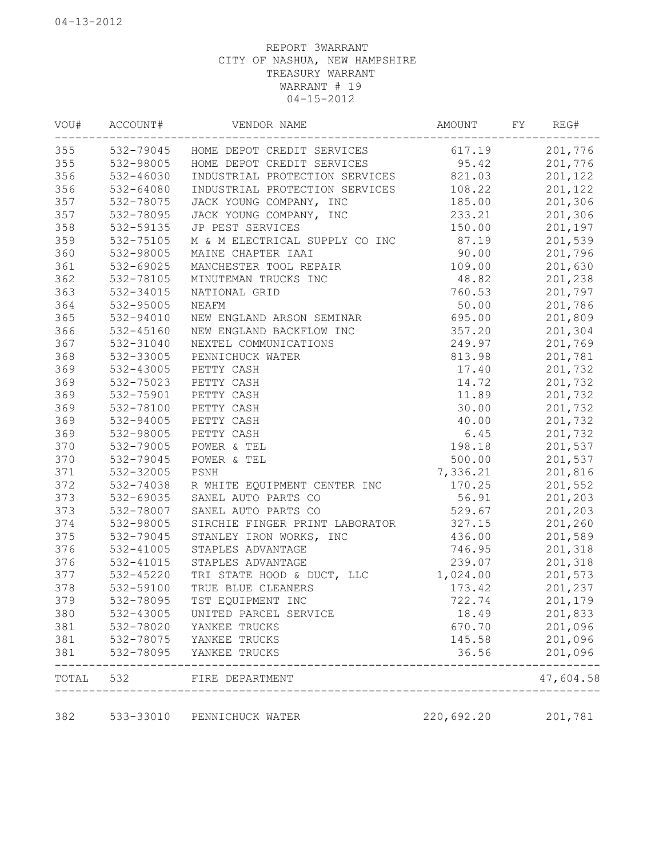| VOU#  | ACCOUNT#  | VENDOR NAME                               | AMOUNT     | FΥ | REG#      |
|-------|-----------|-------------------------------------------|------------|----|-----------|
| 355   |           | 532-79045 HOME DEPOT CREDIT SERVICES      | 617.19     |    | 201,776   |
| 355   | 532-98005 | HOME DEPOT CREDIT SERVICES                | 95.42      |    | 201,776   |
| 356   | 532-46030 | INDUSTRIAL PROTECTION SERVICES            | 821.03     |    | 201,122   |
| 356   | 532-64080 | INDUSTRIAL PROTECTION SERVICES            | 108.22     |    | 201,122   |
| 357   | 532-78075 | JACK YOUNG COMPANY, INC                   | 185.00     |    | 201,306   |
| 357   | 532-78095 | JACK YOUNG COMPANY, INC                   | 233.21     |    | 201,306   |
| 358   | 532-59135 | JP PEST SERVICES                          | 150.00     |    | 201,197   |
| 359   | 532-75105 | M & M ELECTRICAL SUPPLY CO INC            | 87.19      |    | 201,539   |
| 360   | 532-98005 | MAINE CHAPTER IAAI                        | 90.00      |    | 201,796   |
| 361   | 532-69025 | MANCHESTER TOOL REPAIR                    | 109.00     |    | 201,630   |
| 362   | 532-78105 | MINUTEMAN TRUCKS INC                      | 48.82      |    | 201,238   |
| 363   | 532-34015 | NATIONAL GRID                             | 760.53     |    | 201,797   |
| 364   | 532-95005 | NEAFM                                     | 50.00      |    | 201,786   |
| 365   | 532-94010 | NEW ENGLAND ARSON SEMINAR                 | 695.00     |    | 201,809   |
| 366   | 532-45160 | NEW ENGLAND BACKFLOW INC                  | 357.20     |    | 201,304   |
| 367   | 532-31040 | NEXTEL COMMUNICATIONS                     | 249.97     |    | 201,769   |
| 368   | 532-33005 | PENNICHUCK WATER                          | 813.98     |    | 201,781   |
| 369   | 532-43005 | PETTY CASH                                | 17.40      |    | 201,732   |
| 369   | 532-75023 | PETTY CASH                                | 14.72      |    | 201,732   |
| 369   | 532-75901 | PETTY CASH                                | 11.89      |    | 201,732   |
| 369   | 532-78100 | PETTY CASH                                | 30.00      |    | 201,732   |
| 369   | 532-94005 | PETTY CASH                                | 40.00      |    | 201,732   |
| 369   | 532-98005 | PETTY CASH                                | 6.45       |    | 201,732   |
| 370   | 532-79005 | POWER & TEL                               | 198.18     |    | 201,537   |
| 370   | 532-79045 | POWER & TEL                               | 500.00     |    | 201,537   |
| 371   | 532-32005 | PSNH                                      | 7,336.21   |    | 201,816   |
| 372   | 532-74038 | R WHITE EQUIPMENT CENTER INC              | 170.25     |    | 201,552   |
| 373   | 532-69035 | SANEL AUTO PARTS CO                       | 56.91      |    | 201,203   |
| 373   | 532-78007 | SANEL AUTO PARTS CO                       | 529.67     |    | 201,203   |
| 374   | 532-98005 | SIRCHIE FINGER PRINT LABORATOR            | 327.15     |    | 201,260   |
| 375   | 532-79045 | STANLEY IRON WORKS, INC                   | 436.00     |    | 201,589   |
| 376   | 532-41005 | STAPLES ADVANTAGE                         | 746.95     |    | 201,318   |
| 376   | 532-41015 | STAPLES ADVANTAGE                         | 239.07     |    | 201,318   |
| 377   | 532-45220 | TRI STATE HOOD & DUCT, LLC                | 1,024.00   |    | 201,573   |
| 378   | 532-59100 | TRUE BLUE CLEANERS                        | 173.42     |    | 201,237   |
| 379   | 532-78095 | TST EQUIPMENT INC                         | 722.74     |    | 201,179   |
| 380   | 532-43005 | UNITED PARCEL SERVICE                     | 18.49      |    | 201,833   |
| 381   | 532-78020 | YANKEE TRUCKS                             | 670.70     |    | 201,096   |
| 381   | 532-78075 | YANKEE TRUCKS                             | 145.58     |    | 201,096   |
| 381   | 532-78095 | YANKEE TRUCKS                             | 36.56      |    | 201,096   |
| TOTAL | 532       | FIRE DEPARTMENT<br>______________________ |            |    | 47,604.58 |
| 382   | 533-33010 | PENNICHUCK WATER                          | 220,692.20 |    | 201,781   |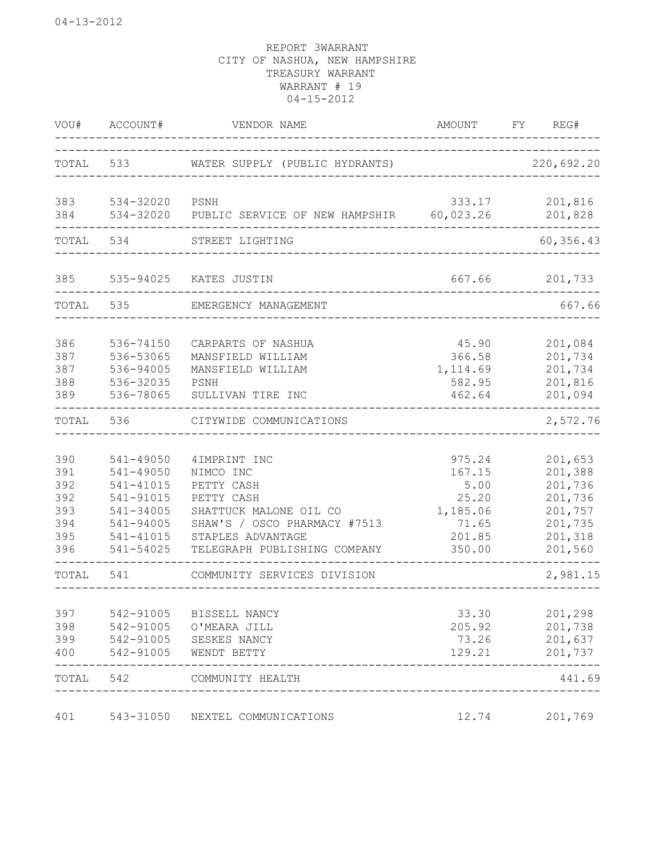| WOU#                                                 | ACCOUNT#                                                                                             | VENDOR NAME                                                                                                                                                          | AMOUNT                                                                     | REG#<br>FY.                                                                          |          |
|------------------------------------------------------|------------------------------------------------------------------------------------------------------|----------------------------------------------------------------------------------------------------------------------------------------------------------------------|----------------------------------------------------------------------------|--------------------------------------------------------------------------------------|----------|
| TOTAL                                                | 533                                                                                                  | WATER SUPPLY (PUBLIC HYDRANTS)                                                                                                                                       |                                                                            | 220,692.20                                                                           |          |
| 383<br>384                                           | 534-32020<br>534-32020                                                                               | PSNH<br>PUBLIC SERVICE OF NEW HAMPSHIR                                                                                                                               | 333.17<br>60,023.26                                                        | 201,816<br>201,828                                                                   |          |
| TOTAL                                                | 534                                                                                                  | STREET LIGHTING                                                                                                                                                      |                                                                            | 60,356.43                                                                            |          |
| 385                                                  | 535-94025                                                                                            | KATES JUSTIN                                                                                                                                                         | 667.66                                                                     | 201,733                                                                              |          |
| TOTAL                                                | 535                                                                                                  | EMERGENCY MANAGEMENT                                                                                                                                                 |                                                                            |                                                                                      | 667.66   |
| 386<br>387<br>387<br>388<br>389                      | 536-74150<br>536-53065<br>536-94005<br>536-32035<br>536-78065                                        | CARPARTS OF NASHUA<br>MANSFIELD WILLIAM<br>MANSFIELD WILLIAM<br>PSNH<br>SULLIVAN TIRE INC                                                                            | 45.90<br>366.58<br>1,114.69<br>582.95<br>462.64                            | 201,084<br>201,734<br>201,734<br>201,816<br>201,094                                  |          |
| TOTAL                                                | 536                                                                                                  | CITYWIDE COMMUNICATIONS                                                                                                                                              |                                                                            |                                                                                      | 2,572.76 |
| 390<br>391<br>392<br>392<br>393<br>394<br>395<br>396 | 541-49050<br>541-49050<br>541-41015<br>541-91015<br>541-34005<br>541-94005<br>541-41015<br>541-54025 | 4IMPRINT INC<br>NIMCO INC<br>PETTY CASH<br>PETTY CASH<br>SHATTUCK MALONE OIL CO<br>SHAW'S / OSCO PHARMACY #7513<br>STAPLES ADVANTAGE<br>TELEGRAPH PUBLISHING COMPANY | 975.24<br>167.15<br>5.00<br>25.20<br>1,185.06<br>71.65<br>201.85<br>350.00 | 201,653<br>201,388<br>201,736<br>201,736<br>201,757<br>201,735<br>201,318<br>201,560 |          |
| TOTAL                                                | 541                                                                                                  | COMMUNITY SERVICES DIVISION                                                                                                                                          |                                                                            |                                                                                      | 2,981.15 |
| 397<br>398<br>399<br>400                             | 542-91005<br>542-91005<br>542-91005<br>542-91005                                                     | BISSELL NANCY<br>O'MEARA JILL<br>SESKES NANCY<br>WENDT BETTY                                                                                                         | 33.30<br>205.92<br>73.26<br>129.21                                         | 201,298<br>201,738<br>201,637<br>201,737                                             |          |
| TOTAL                                                | 542                                                                                                  | COMMUNITY HEALTH                                                                                                                                                     |                                                                            |                                                                                      | 441.69   |
| 401                                                  | 543-31050                                                                                            | NEXTEL COMMUNICATIONS                                                                                                                                                | 12.74                                                                      | 201,769                                                                              |          |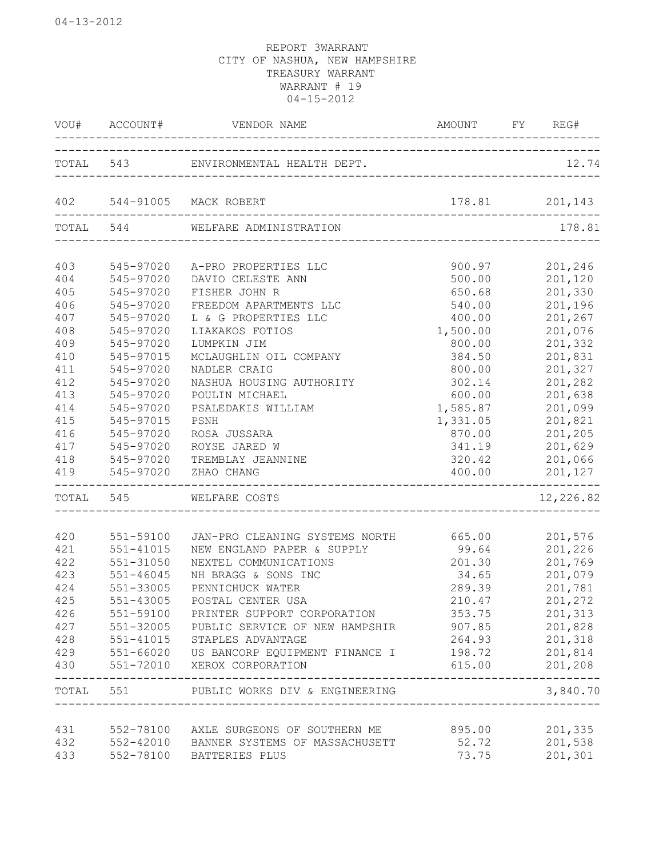|     |               | VOU# ACCOUNT# VENDOR NAME                                   | AMOUNT FY REG#                                  |                |
|-----|---------------|-------------------------------------------------------------|-------------------------------------------------|----------------|
|     |               | TOTAL 543 ENVIRONMENTAL HEALTH DEPT.                        |                                                 | 12.74          |
|     |               | 402 544-91005 MACK ROBERT                                   | $178.81$ 201,143                                |                |
|     | TOTAL 544     | WELFARE ADMINISTRATION                                      |                                                 | 178.81         |
| 403 | 545-97020     | A-PRO PROPERTIES LLC                                        | 900.97                                          | 201,246        |
| 404 | 545-97020     | DAVIO CELESTE ANN                                           | 500.00                                          | 201,120        |
| 405 | 545-97020     | FISHER JOHN R                                               | 650.68                                          | 201,330        |
| 406 | 545-97020     | FREEDOM APARTMENTS LLC                                      | 540.00                                          | 201,196        |
| 407 | 545-97020     | L & G PROPERTIES LLC                                        | 400.00                                          | 201,267        |
| 408 | 545-97020     | LIAKAKOS FOTIOS                                             | 1,500.00                                        | 201,076        |
| 409 | 545-97020     | LUMPKIN JIM                                                 | 800.00                                          | 201,332        |
| 410 | 545-97015     | MCLAUGHLIN OIL COMPANY                                      | 384.50                                          | 201,831        |
| 411 | 545-97020     | NADLER CRAIG                                                | 800.00                                          | 201,327        |
| 412 | 545-97020     | NASHUA HOUSING AUTHORITY                                    | 302.14                                          | 201,282        |
| 413 | 545-97020     | POULIN MICHAEL                                              | 600.00                                          | 201,638        |
| 414 | 545-97020     | PSALEDAKIS WILLIAM                                          | 1,585.87                                        | 201,099        |
| 415 | 545-97015     | PSNH                                                        | 1,331.05                                        | 201,821        |
| 416 | 545-97020     | ROSA JUSSARA                                                | 870.00                                          | 201,205        |
| 417 | 545-97020     | ROYSE JARED W                                               | 341.19                                          | 201,629        |
| 418 | 545-97020     | TREMBLAY JEANNINE                                           | 320.42                                          | 201,066        |
| 419 | 545-97020     | ZHAO CHANG                                                  |                                                 | 400.00 201,127 |
|     |               | TOTAL 545 WELFARE COSTS                                     |                                                 | 12,226.82      |
| 420 | 551-59100     | JAN-PRO CLEANING SYSTEMS NORTH 665.00 201,576               |                                                 |                |
| 421 | 551-41015     | NEW ENGLAND PAPER & SUPPLY                                  | 99.64                                           | 201,226        |
| 422 | 551-31050     | NEXTEL COMMUNICATIONS                                       | 201.30                                          | 201,769        |
| 423 | 551-46045     | NH BRAGG & SONS INC                                         | 34.65                                           | 201,079        |
| 424 | 551-33005     | PENNICHUCK WATER                                            | 289.39                                          | 201,781        |
| 425 | 551-43005     | POSTAL CENTER USA                                           | 210.47                                          | 201,272        |
| 426 |               | 551-59100 PRINTER SUPPORT CORPORATION                       | 353.75                                          | 201,313        |
|     |               | 427 551-32005 PUBLIC SERVICE OF NEW HAMPSHIR                | 907.85 201,828                                  |                |
| 428 |               | 551-41015 STAPLES ADVANTAGE                                 |                                                 | 264.93 201,318 |
|     |               | 429 551-66020 US BANCORP EQUIPMENT FINANCE I 198.72 201,814 |                                                 |                |
|     | ------------- | 430 551-72010 XEROX CORPORATION                             | 615.00 201,208<br>_____________________________ | ------         |
|     |               | TOTAL 551 PUBLIC WORKS DIV & ENGINEERING                    | ------------------------                        | 3,840.70       |
| 431 |               | 552-78100 AXLE SURGEONS OF SOUTHERN ME                      | 895.00                                          | 201,335        |
| 432 |               | 552-42010 BANNER SYSTEMS OF MASSACHUSETT                    | 52.72                                           | 201,538        |
| 433 |               | 552-78100 BATTERIES PLUS                                    | 73.75                                           | 201,301        |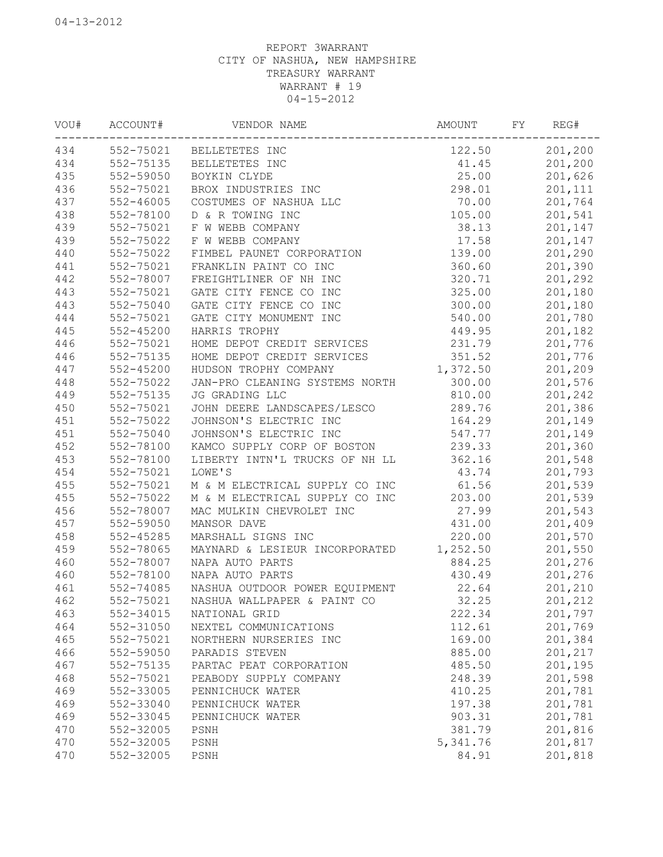| VOU# | ACCOUNT#  | VENDOR NAME                    | AMOUNT   | FY | REG#    |
|------|-----------|--------------------------------|----------|----|---------|
| 434  | 552-75021 | BELLETETES INC                 | 122.50   |    | 201,200 |
| 434  | 552-75135 | BELLETETES INC                 | 41.45    |    | 201,200 |
| 435  | 552-59050 | BOYKIN CLYDE                   | 25.00    |    | 201,626 |
| 436  | 552-75021 | BROX INDUSTRIES INC            | 298.01   |    | 201,111 |
| 437  | 552-46005 | COSTUMES OF NASHUA LLC         | 70.00    |    | 201,764 |
| 438  | 552-78100 | D & R TOWING INC               | 105.00   |    | 201,541 |
| 439  | 552-75021 | F W WEBB COMPANY               | 38.13    |    | 201,147 |
| 439  | 552-75022 | F W WEBB COMPANY               | 17.58    |    | 201,147 |
| 440  | 552-75022 | FIMBEL PAUNET CORPORATION      | 139.00   |    | 201,290 |
| 441  | 552-75021 | FRANKLIN PAINT CO INC          | 360.60   |    | 201,390 |
| 442  | 552-78007 | FREIGHTLINER OF NH INC         | 320.71   |    | 201,292 |
| 443  | 552-75021 | GATE CITY FENCE CO INC         | 325.00   |    | 201,180 |
| 443  | 552-75040 | GATE CITY FENCE CO INC         | 300.00   |    | 201,180 |
| 444  | 552-75021 | GATE CITY MONUMENT INC         | 540.00   |    | 201,780 |
| 445  | 552-45200 | HARRIS TROPHY                  | 449.95   |    | 201,182 |
| 446  | 552-75021 | HOME DEPOT CREDIT SERVICES     | 231.79   |    | 201,776 |
| 446  | 552-75135 | HOME DEPOT CREDIT SERVICES     | 351.52   |    | 201,776 |
| 447  | 552-45200 | HUDSON TROPHY COMPANY          | 1,372.50 |    | 201,209 |
| 448  | 552-75022 | JAN-PRO CLEANING SYSTEMS NORTH | 300.00   |    | 201,576 |
| 449  | 552-75135 | JG GRADING LLC                 | 810.00   |    | 201,242 |
| 450  | 552-75021 | JOHN DEERE LANDSCAPES/LESCO    | 289.76   |    | 201,386 |
| 451  | 552-75022 | JOHNSON'S ELECTRIC INC         | 164.29   |    | 201,149 |
| 451  | 552-75040 | JOHNSON'S ELECTRIC INC         | 547.77   |    | 201,149 |
| 452  | 552-78100 | KAMCO SUPPLY CORP OF BOSTON    | 239.33   |    | 201,360 |
| 453  | 552-78100 | LIBERTY INTN'L TRUCKS OF NH LL | 362.16   |    | 201,548 |
| 454  | 552-75021 | LOWE'S                         | 43.74    |    | 201,793 |
| 455  | 552-75021 | M & M ELECTRICAL SUPPLY CO INC | 61.56    |    | 201,539 |
| 455  | 552-75022 | M & M ELECTRICAL SUPPLY CO INC | 203.00   |    | 201,539 |
| 456  | 552-78007 | MAC MULKIN CHEVROLET INC       | 27.99    |    | 201,543 |
| 457  | 552-59050 | MANSOR DAVE                    | 431.00   |    | 201,409 |
| 458  | 552-45285 | MARSHALL SIGNS INC             | 220.00   |    | 201,570 |
| 459  | 552-78065 | MAYNARD & LESIEUR INCORPORATED | 1,252.50 |    | 201,550 |
| 460  | 552-78007 | NAPA AUTO PARTS                | 884.25   |    | 201,276 |
| 460  | 552-78100 | NAPA AUTO PARTS                | 430.49   |    | 201,276 |
| 461  | 552-74085 | NASHUA OUTDOOR POWER EQUIPMENT | 22.64    |    | 201,210 |
| 462  | 552-75021 | NASHUA WALLPAPER & PAINT CO    | 32.25    |    | 201,212 |
| 463  | 552-34015 | NATIONAL GRID                  | 222.34   |    | 201,797 |
| 464  | 552-31050 | NEXTEL COMMUNICATIONS          | 112.61   |    | 201,769 |
| 465  | 552-75021 | NORTHERN NURSERIES INC         | 169.00   |    | 201,384 |
| 466  | 552-59050 | PARADIS STEVEN                 | 885.00   |    | 201,217 |
| 467  | 552-75135 | PARTAC PEAT CORPORATION        | 485.50   |    | 201,195 |
| 468  | 552-75021 | PEABODY SUPPLY COMPANY         | 248.39   |    | 201,598 |
| 469  | 552-33005 | PENNICHUCK WATER               | 410.25   |    | 201,781 |
| 469  | 552-33040 | PENNICHUCK WATER               | 197.38   |    | 201,781 |
| 469  | 552-33045 | PENNICHUCK WATER               | 903.31   |    | 201,781 |
| 470  | 552-32005 | PSNH                           | 381.79   |    | 201,816 |
| 470  | 552-32005 | PSNH                           | 5,341.76 |    | 201,817 |
| 470  | 552-32005 | PSNH                           | 84.91    |    | 201,818 |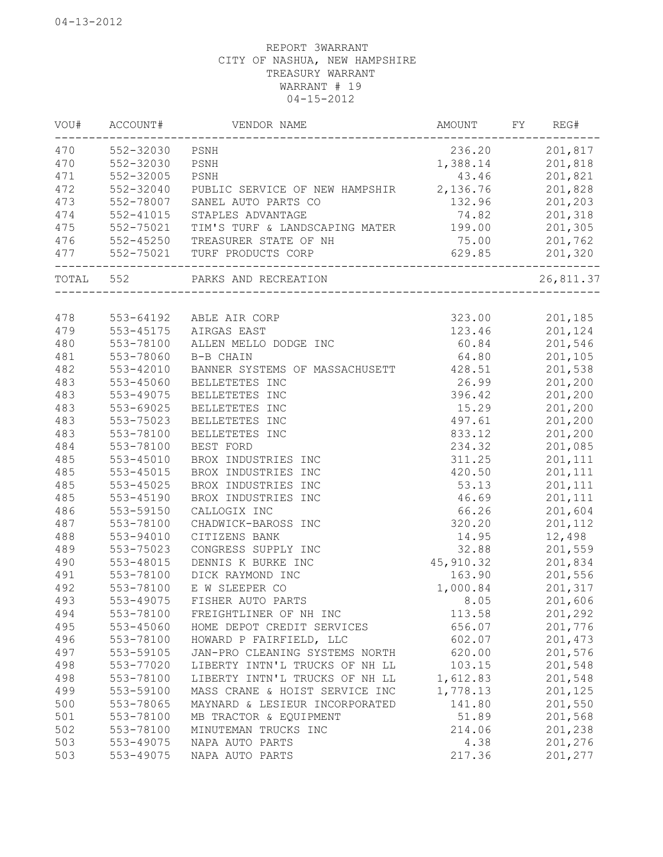| VOU#      | ACCOUNT#  | VENDOR NAME                                             | AMOUNT    | FY | REG#      |
|-----------|-----------|---------------------------------------------------------|-----------|----|-----------|
| 470       | 552-32030 | PSNH                                                    | 236.20    |    | 201,817   |
| 470       | 552-32030 | PSNH                                                    | 1,388.14  |    | 201,818   |
| 471       | 552-32005 | PSNH                                                    | 43.46     |    | 201,821   |
| 472       | 552-32040 | PUBLIC SERVICE OF NEW HAMPSHIR                          | 2,136.76  |    | 201,828   |
| 473       | 552-78007 | SANEL AUTO PARTS CO                                     | 132.96    |    | 201,203   |
| 474       | 552-41015 | STAPLES ADVANTAGE                                       | 74.82     |    | 201,318   |
| 475       | 552-75021 | TIM'S TURF & LANDSCAPING MATER                          | 199.00    |    | 201,305   |
| 476       | 552-45250 | TREASURER STATE OF NH                                   | 75.00     |    | 201,762   |
| 477       |           | 552-75021 TURF PRODUCTS CORP<br>_______________________ | 629.85    |    | 201,320   |
| TOTAL 552 |           | PARKS AND RECREATION                                    |           |    | 26,811.37 |
|           |           |                                                         |           |    |           |
| 478       |           | 553-64192 ABLE AIR CORP                                 | 323.00    |    | 201,185   |
| 479       | 553-45175 | AIRGAS EAST                                             | 123.46    |    | 201,124   |
| 480       | 553-78100 | ALLEN MELLO DODGE INC                                   | 60.84     |    | 201,546   |
| 481       | 553-78060 | B-B CHAIN                                               | 64.80     |    | 201,105   |
| 482       | 553-42010 | BANNER SYSTEMS OF MASSACHUSETT                          | 428.51    |    | 201,538   |
| 483       | 553-45060 | BELLETETES INC                                          | 26.99     |    | 201,200   |
| 483       | 553-49075 | BELLETETES INC                                          | 396.42    |    | 201,200   |
| 483       | 553-69025 | BELLETETES INC                                          | 15.29     |    | 201,200   |
| 483       | 553-75023 | BELLETETES INC                                          | 497.61    |    | 201,200   |
| 483       | 553-78100 | BELLETETES INC                                          | 833.12    |    | 201,200   |
| 484       | 553-78100 | BEST FORD                                               | 234.32    |    | 201,085   |
| 485       | 553-45010 | BROX INDUSTRIES INC                                     | 311.25    |    | 201,111   |
| 485       | 553-45015 | BROX INDUSTRIES INC                                     | 420.50    |    | 201,111   |
| 485       | 553-45025 | BROX INDUSTRIES INC                                     | 53.13     |    | 201,111   |
| 485       | 553-45190 | BROX INDUSTRIES INC                                     | 46.69     |    | 201,111   |
| 486       | 553-59150 | CALLOGIX INC                                            | 66.26     |    | 201,604   |
| 487       | 553-78100 | CHADWICK-BAROSS INC                                     | 320.20    |    | 201,112   |
| 488       | 553-94010 | CITIZENS BANK                                           | 14.95     |    | 12,498    |
| 489       | 553-75023 | CONGRESS SUPPLY INC                                     | 32.88     |    | 201,559   |
| 490       | 553-48015 | DENNIS K BURKE INC                                      | 45,910.32 |    | 201,834   |
| 491       | 553-78100 | DICK RAYMOND INC                                        | 163.90    |    | 201,556   |
| 492       | 553-78100 | E W SLEEPER CO                                          | 1,000.84  |    | 201,317   |
| 493       | 553-49075 | FISHER AUTO PARTS                                       | 8.05      |    | 201,606   |
| 494       | 553-78100 | FREIGHTLINER OF NH INC                                  | 113.58    |    | 201,292   |
| 495       | 553-45060 | HOME DEPOT CREDIT SERVICES                              | 656.07    |    | 201,776   |
| 496       | 553-78100 | HOWARD P FAIRFIELD, LLC                                 | 602.07    |    | 201,473   |
| 497       | 553-59105 | JAN-PRO CLEANING SYSTEMS NORTH                          | 620.00    |    | 201,576   |
| 498       | 553-77020 | LIBERTY INTN'L TRUCKS OF NH LL                          | 103.15    |    | 201,548   |
| 498       | 553-78100 | LIBERTY INTN'L TRUCKS OF NH LL                          | 1,612.83  |    | 201,548   |
| 499       | 553-59100 | MASS CRANE & HOIST SERVICE INC                          | 1,778.13  |    | 201,125   |
| 500       | 553-78065 | MAYNARD & LESIEUR INCORPORATED                          | 141.80    |    | 201,550   |
| 501       | 553-78100 | MB TRACTOR & EQUIPMENT                                  | 51.89     |    | 201,568   |
| 502       | 553-78100 | MINUTEMAN TRUCKS INC                                    | 214.06    |    | 201,238   |
| 503       | 553-49075 | NAPA AUTO PARTS                                         | 4.38      |    | 201,276   |
| 503       | 553-49075 | NAPA AUTO PARTS                                         | 217.36    |    | 201,277   |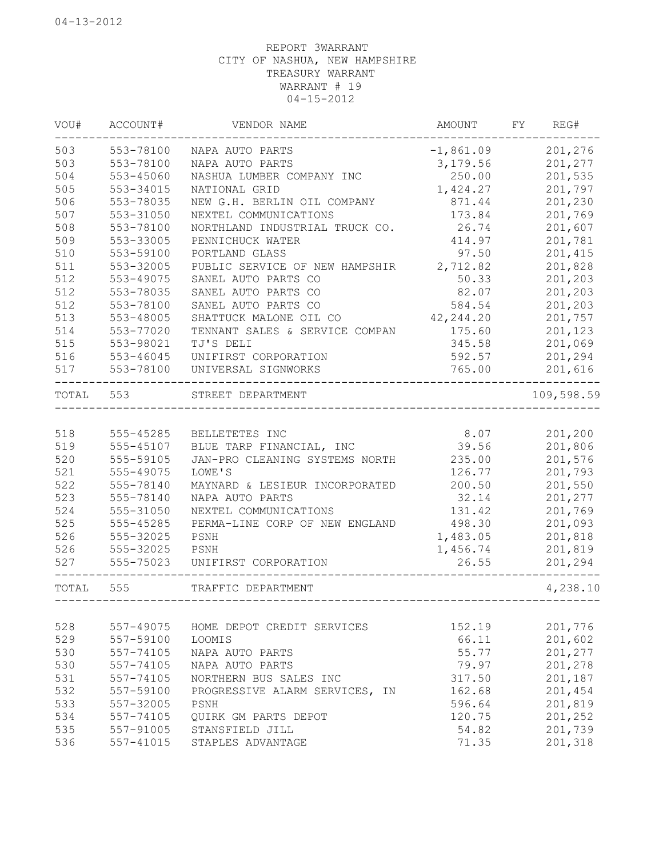| 503<br>553-78100<br>201,276<br>$-1,861.09$<br>NAPA AUTO PARTS<br>503<br>201,277<br>553-78100<br>3,179.56<br>NAPA AUTO PARTS<br>504<br>250.00<br>201,535<br>553-45060<br>NASHUA LUMBER COMPANY INC<br>201,797<br>505<br>1,424.27<br>553-34015<br>NATIONAL GRID<br>201,230<br>506<br>553-78035<br>871.44<br>NEW G.H. BERLIN OIL COMPANY<br>507<br>173.84<br>201,769<br>553-31050<br>NEXTEL COMMUNICATIONS<br>508<br>553-78100<br>26.74<br>201,607<br>NORTHLAND INDUSTRIAL TRUCK CO.<br>509<br>553-33005<br>414.97<br>201,781<br>PENNICHUCK WATER<br>510<br>97.50<br>201,415<br>553-59100<br>PORTLAND GLASS<br>511<br>553-32005<br>2,712.82<br>201,828<br>PUBLIC SERVICE OF NEW HAMPSHIR<br>553-49075<br>50.33<br>201,203<br>SANEL AUTO PARTS CO<br>201,203<br>553-78035<br>SANEL AUTO PARTS CO<br>82.07<br>512<br>584.54<br>201,203<br>553-78100<br>SANEL AUTO PARTS CO<br>513<br>42, 244.20<br>201,757<br>553-48005<br>SHATTUCK MALONE OIL CO<br>514<br>553-77020<br>175.60<br>201,123<br>TENNANT SALES & SERVICE COMPAN<br>515<br>201,069<br>553-98021<br>TJ'S DELI<br>345.58<br>516<br>201,294<br>553-46045<br>UNIFIRST CORPORATION<br>592.57<br>765.00<br>517<br>553-78100<br>201,616<br>UNIVERSAL SIGNWORKS<br>553<br>TOTAL<br>STREET DEPARTMENT<br>518<br>8.07<br>555-45285<br>201,200<br>BELLETETES INC<br>519<br>39.56<br>201,806<br>555-45107<br>BLUE TARP FINANCIAL, INC<br>520<br>235.00<br>201,576<br>555-59105<br>JAN-PRO CLEANING SYSTEMS NORTH<br>521<br>201,793<br>555-49075<br>LOWE'S<br>126.77<br>522<br>201,550<br>555-78140<br>200.50<br>MAYNARD & LESIEUR INCORPORATED<br>523<br>201,277<br>555-78140<br>NAPA AUTO PARTS<br>32.14<br>524<br>131.42<br>201,769<br>555-31050<br>NEXTEL COMMUNICATIONS<br>525<br>201,093<br>555-45285<br>PERMA-LINE CORP OF NEW ENGLAND<br>498.30<br>526<br>555-32025<br>PSNH<br>1,483.05<br>201,818<br>526<br>555-32025<br>PSNH<br>1,456.74<br>201,819<br>527<br>555-75023<br>UNIFIRST CORPORATION<br>26.55<br>201,294<br>TOTAL<br>555<br>TRAFFIC DEPARTMENT<br>528<br>201,776<br>557-49075<br>HOME DEPOT CREDIT SERVICES<br>152.19<br>529<br>557-59100<br>LOOMIS<br>66.11<br>201,602<br>530<br>557-74105<br>55.77<br>201,277<br>NAPA AUTO PARTS<br>530<br>557-74105<br>NAPA AUTO PARTS<br>79.97<br>201,278<br>531<br>557-74105<br>NORTHERN BUS SALES INC<br>317.50<br>201,187<br>532<br>162.68<br>201,454<br>557-59100<br>PROGRESSIVE ALARM SERVICES, IN<br>533<br>557-32005<br>PSNH<br>596.64<br>201,819<br>534<br>557-74105<br>120.75<br>201,252<br>QUIRK GM PARTS DEPOT<br>535<br>557-91005<br>54.82<br>STANSFIELD JILL<br>201,739 | VOU# | ACCOUNT#      | VENDOR NAME       | <b>AMOUNT</b> | FY | REG#       |
|-----------------------------------------------------------------------------------------------------------------------------------------------------------------------------------------------------------------------------------------------------------------------------------------------------------------------------------------------------------------------------------------------------------------------------------------------------------------------------------------------------------------------------------------------------------------------------------------------------------------------------------------------------------------------------------------------------------------------------------------------------------------------------------------------------------------------------------------------------------------------------------------------------------------------------------------------------------------------------------------------------------------------------------------------------------------------------------------------------------------------------------------------------------------------------------------------------------------------------------------------------------------------------------------------------------------------------------------------------------------------------------------------------------------------------------------------------------------------------------------------------------------------------------------------------------------------------------------------------------------------------------------------------------------------------------------------------------------------------------------------------------------------------------------------------------------------------------------------------------------------------------------------------------------------------------------------------------------------------------------------------------------------------------------------------------------------------------------------------------------------------------------------------------------------------------------------------------------------------------------------------------------------------------------------------------------------------------------------------------------------------------------------------------------------------------------------------------------------------------------------------------------------------------------------------------------------------------------|------|---------------|-------------------|---------------|----|------------|
|                                                                                                                                                                                                                                                                                                                                                                                                                                                                                                                                                                                                                                                                                                                                                                                                                                                                                                                                                                                                                                                                                                                                                                                                                                                                                                                                                                                                                                                                                                                                                                                                                                                                                                                                                                                                                                                                                                                                                                                                                                                                                                                                                                                                                                                                                                                                                                                                                                                                                                                                                                                         |      |               |                   |               |    |            |
|                                                                                                                                                                                                                                                                                                                                                                                                                                                                                                                                                                                                                                                                                                                                                                                                                                                                                                                                                                                                                                                                                                                                                                                                                                                                                                                                                                                                                                                                                                                                                                                                                                                                                                                                                                                                                                                                                                                                                                                                                                                                                                                                                                                                                                                                                                                                                                                                                                                                                                                                                                                         |      |               |                   |               |    |            |
|                                                                                                                                                                                                                                                                                                                                                                                                                                                                                                                                                                                                                                                                                                                                                                                                                                                                                                                                                                                                                                                                                                                                                                                                                                                                                                                                                                                                                                                                                                                                                                                                                                                                                                                                                                                                                                                                                                                                                                                                                                                                                                                                                                                                                                                                                                                                                                                                                                                                                                                                                                                         |      |               |                   |               |    |            |
|                                                                                                                                                                                                                                                                                                                                                                                                                                                                                                                                                                                                                                                                                                                                                                                                                                                                                                                                                                                                                                                                                                                                                                                                                                                                                                                                                                                                                                                                                                                                                                                                                                                                                                                                                                                                                                                                                                                                                                                                                                                                                                                                                                                                                                                                                                                                                                                                                                                                                                                                                                                         |      |               |                   |               |    |            |
|                                                                                                                                                                                                                                                                                                                                                                                                                                                                                                                                                                                                                                                                                                                                                                                                                                                                                                                                                                                                                                                                                                                                                                                                                                                                                                                                                                                                                                                                                                                                                                                                                                                                                                                                                                                                                                                                                                                                                                                                                                                                                                                                                                                                                                                                                                                                                                                                                                                                                                                                                                                         |      |               |                   |               |    |            |
|                                                                                                                                                                                                                                                                                                                                                                                                                                                                                                                                                                                                                                                                                                                                                                                                                                                                                                                                                                                                                                                                                                                                                                                                                                                                                                                                                                                                                                                                                                                                                                                                                                                                                                                                                                                                                                                                                                                                                                                                                                                                                                                                                                                                                                                                                                                                                                                                                                                                                                                                                                                         |      |               |                   |               |    |            |
|                                                                                                                                                                                                                                                                                                                                                                                                                                                                                                                                                                                                                                                                                                                                                                                                                                                                                                                                                                                                                                                                                                                                                                                                                                                                                                                                                                                                                                                                                                                                                                                                                                                                                                                                                                                                                                                                                                                                                                                                                                                                                                                                                                                                                                                                                                                                                                                                                                                                                                                                                                                         |      |               |                   |               |    |            |
|                                                                                                                                                                                                                                                                                                                                                                                                                                                                                                                                                                                                                                                                                                                                                                                                                                                                                                                                                                                                                                                                                                                                                                                                                                                                                                                                                                                                                                                                                                                                                                                                                                                                                                                                                                                                                                                                                                                                                                                                                                                                                                                                                                                                                                                                                                                                                                                                                                                                                                                                                                                         |      |               |                   |               |    |            |
|                                                                                                                                                                                                                                                                                                                                                                                                                                                                                                                                                                                                                                                                                                                                                                                                                                                                                                                                                                                                                                                                                                                                                                                                                                                                                                                                                                                                                                                                                                                                                                                                                                                                                                                                                                                                                                                                                                                                                                                                                                                                                                                                                                                                                                                                                                                                                                                                                                                                                                                                                                                         |      |               |                   |               |    |            |
|                                                                                                                                                                                                                                                                                                                                                                                                                                                                                                                                                                                                                                                                                                                                                                                                                                                                                                                                                                                                                                                                                                                                                                                                                                                                                                                                                                                                                                                                                                                                                                                                                                                                                                                                                                                                                                                                                                                                                                                                                                                                                                                                                                                                                                                                                                                                                                                                                                                                                                                                                                                         |      |               |                   |               |    |            |
|                                                                                                                                                                                                                                                                                                                                                                                                                                                                                                                                                                                                                                                                                                                                                                                                                                                                                                                                                                                                                                                                                                                                                                                                                                                                                                                                                                                                                                                                                                                                                                                                                                                                                                                                                                                                                                                                                                                                                                                                                                                                                                                                                                                                                                                                                                                                                                                                                                                                                                                                                                                         | 512  |               |                   |               |    |            |
|                                                                                                                                                                                                                                                                                                                                                                                                                                                                                                                                                                                                                                                                                                                                                                                                                                                                                                                                                                                                                                                                                                                                                                                                                                                                                                                                                                                                                                                                                                                                                                                                                                                                                                                                                                                                                                                                                                                                                                                                                                                                                                                                                                                                                                                                                                                                                                                                                                                                                                                                                                                         | 512  |               |                   |               |    |            |
|                                                                                                                                                                                                                                                                                                                                                                                                                                                                                                                                                                                                                                                                                                                                                                                                                                                                                                                                                                                                                                                                                                                                                                                                                                                                                                                                                                                                                                                                                                                                                                                                                                                                                                                                                                                                                                                                                                                                                                                                                                                                                                                                                                                                                                                                                                                                                                                                                                                                                                                                                                                         |      |               |                   |               |    |            |
|                                                                                                                                                                                                                                                                                                                                                                                                                                                                                                                                                                                                                                                                                                                                                                                                                                                                                                                                                                                                                                                                                                                                                                                                                                                                                                                                                                                                                                                                                                                                                                                                                                                                                                                                                                                                                                                                                                                                                                                                                                                                                                                                                                                                                                                                                                                                                                                                                                                                                                                                                                                         |      |               |                   |               |    |            |
|                                                                                                                                                                                                                                                                                                                                                                                                                                                                                                                                                                                                                                                                                                                                                                                                                                                                                                                                                                                                                                                                                                                                                                                                                                                                                                                                                                                                                                                                                                                                                                                                                                                                                                                                                                                                                                                                                                                                                                                                                                                                                                                                                                                                                                                                                                                                                                                                                                                                                                                                                                                         |      |               |                   |               |    |            |
|                                                                                                                                                                                                                                                                                                                                                                                                                                                                                                                                                                                                                                                                                                                                                                                                                                                                                                                                                                                                                                                                                                                                                                                                                                                                                                                                                                                                                                                                                                                                                                                                                                                                                                                                                                                                                                                                                                                                                                                                                                                                                                                                                                                                                                                                                                                                                                                                                                                                                                                                                                                         |      |               |                   |               |    |            |
|                                                                                                                                                                                                                                                                                                                                                                                                                                                                                                                                                                                                                                                                                                                                                                                                                                                                                                                                                                                                                                                                                                                                                                                                                                                                                                                                                                                                                                                                                                                                                                                                                                                                                                                                                                                                                                                                                                                                                                                                                                                                                                                                                                                                                                                                                                                                                                                                                                                                                                                                                                                         |      |               |                   |               |    |            |
|                                                                                                                                                                                                                                                                                                                                                                                                                                                                                                                                                                                                                                                                                                                                                                                                                                                                                                                                                                                                                                                                                                                                                                                                                                                                                                                                                                                                                                                                                                                                                                                                                                                                                                                                                                                                                                                                                                                                                                                                                                                                                                                                                                                                                                                                                                                                                                                                                                                                                                                                                                                         |      |               |                   |               |    |            |
|                                                                                                                                                                                                                                                                                                                                                                                                                                                                                                                                                                                                                                                                                                                                                                                                                                                                                                                                                                                                                                                                                                                                                                                                                                                                                                                                                                                                                                                                                                                                                                                                                                                                                                                                                                                                                                                                                                                                                                                                                                                                                                                                                                                                                                                                                                                                                                                                                                                                                                                                                                                         |      |               |                   |               |    | 109,598.59 |
|                                                                                                                                                                                                                                                                                                                                                                                                                                                                                                                                                                                                                                                                                                                                                                                                                                                                                                                                                                                                                                                                                                                                                                                                                                                                                                                                                                                                                                                                                                                                                                                                                                                                                                                                                                                                                                                                                                                                                                                                                                                                                                                                                                                                                                                                                                                                                                                                                                                                                                                                                                                         |      |               |                   |               |    |            |
|                                                                                                                                                                                                                                                                                                                                                                                                                                                                                                                                                                                                                                                                                                                                                                                                                                                                                                                                                                                                                                                                                                                                                                                                                                                                                                                                                                                                                                                                                                                                                                                                                                                                                                                                                                                                                                                                                                                                                                                                                                                                                                                                                                                                                                                                                                                                                                                                                                                                                                                                                                                         |      |               |                   |               |    |            |
|                                                                                                                                                                                                                                                                                                                                                                                                                                                                                                                                                                                                                                                                                                                                                                                                                                                                                                                                                                                                                                                                                                                                                                                                                                                                                                                                                                                                                                                                                                                                                                                                                                                                                                                                                                                                                                                                                                                                                                                                                                                                                                                                                                                                                                                                                                                                                                                                                                                                                                                                                                                         |      |               |                   |               |    |            |
|                                                                                                                                                                                                                                                                                                                                                                                                                                                                                                                                                                                                                                                                                                                                                                                                                                                                                                                                                                                                                                                                                                                                                                                                                                                                                                                                                                                                                                                                                                                                                                                                                                                                                                                                                                                                                                                                                                                                                                                                                                                                                                                                                                                                                                                                                                                                                                                                                                                                                                                                                                                         |      |               |                   |               |    |            |
|                                                                                                                                                                                                                                                                                                                                                                                                                                                                                                                                                                                                                                                                                                                                                                                                                                                                                                                                                                                                                                                                                                                                                                                                                                                                                                                                                                                                                                                                                                                                                                                                                                                                                                                                                                                                                                                                                                                                                                                                                                                                                                                                                                                                                                                                                                                                                                                                                                                                                                                                                                                         |      |               |                   |               |    |            |
|                                                                                                                                                                                                                                                                                                                                                                                                                                                                                                                                                                                                                                                                                                                                                                                                                                                                                                                                                                                                                                                                                                                                                                                                                                                                                                                                                                                                                                                                                                                                                                                                                                                                                                                                                                                                                                                                                                                                                                                                                                                                                                                                                                                                                                                                                                                                                                                                                                                                                                                                                                                         |      |               |                   |               |    |            |
|                                                                                                                                                                                                                                                                                                                                                                                                                                                                                                                                                                                                                                                                                                                                                                                                                                                                                                                                                                                                                                                                                                                                                                                                                                                                                                                                                                                                                                                                                                                                                                                                                                                                                                                                                                                                                                                                                                                                                                                                                                                                                                                                                                                                                                                                                                                                                                                                                                                                                                                                                                                         |      |               |                   |               |    |            |
|                                                                                                                                                                                                                                                                                                                                                                                                                                                                                                                                                                                                                                                                                                                                                                                                                                                                                                                                                                                                                                                                                                                                                                                                                                                                                                                                                                                                                                                                                                                                                                                                                                                                                                                                                                                                                                                                                                                                                                                                                                                                                                                                                                                                                                                                                                                                                                                                                                                                                                                                                                                         |      |               |                   |               |    |            |
|                                                                                                                                                                                                                                                                                                                                                                                                                                                                                                                                                                                                                                                                                                                                                                                                                                                                                                                                                                                                                                                                                                                                                                                                                                                                                                                                                                                                                                                                                                                                                                                                                                                                                                                                                                                                                                                                                                                                                                                                                                                                                                                                                                                                                                                                                                                                                                                                                                                                                                                                                                                         |      |               |                   |               |    |            |
|                                                                                                                                                                                                                                                                                                                                                                                                                                                                                                                                                                                                                                                                                                                                                                                                                                                                                                                                                                                                                                                                                                                                                                                                                                                                                                                                                                                                                                                                                                                                                                                                                                                                                                                                                                                                                                                                                                                                                                                                                                                                                                                                                                                                                                                                                                                                                                                                                                                                                                                                                                                         |      |               |                   |               |    |            |
|                                                                                                                                                                                                                                                                                                                                                                                                                                                                                                                                                                                                                                                                                                                                                                                                                                                                                                                                                                                                                                                                                                                                                                                                                                                                                                                                                                                                                                                                                                                                                                                                                                                                                                                                                                                                                                                                                                                                                                                                                                                                                                                                                                                                                                                                                                                                                                                                                                                                                                                                                                                         |      |               |                   |               |    |            |
|                                                                                                                                                                                                                                                                                                                                                                                                                                                                                                                                                                                                                                                                                                                                                                                                                                                                                                                                                                                                                                                                                                                                                                                                                                                                                                                                                                                                                                                                                                                                                                                                                                                                                                                                                                                                                                                                                                                                                                                                                                                                                                                                                                                                                                                                                                                                                                                                                                                                                                                                                                                         |      |               |                   |               |    |            |
|                                                                                                                                                                                                                                                                                                                                                                                                                                                                                                                                                                                                                                                                                                                                                                                                                                                                                                                                                                                                                                                                                                                                                                                                                                                                                                                                                                                                                                                                                                                                                                                                                                                                                                                                                                                                                                                                                                                                                                                                                                                                                                                                                                                                                                                                                                                                                                                                                                                                                                                                                                                         |      |               |                   |               |    | 4,238.10   |
|                                                                                                                                                                                                                                                                                                                                                                                                                                                                                                                                                                                                                                                                                                                                                                                                                                                                                                                                                                                                                                                                                                                                                                                                                                                                                                                                                                                                                                                                                                                                                                                                                                                                                                                                                                                                                                                                                                                                                                                                                                                                                                                                                                                                                                                                                                                                                                                                                                                                                                                                                                                         |      |               |                   |               |    |            |
|                                                                                                                                                                                                                                                                                                                                                                                                                                                                                                                                                                                                                                                                                                                                                                                                                                                                                                                                                                                                                                                                                                                                                                                                                                                                                                                                                                                                                                                                                                                                                                                                                                                                                                                                                                                                                                                                                                                                                                                                                                                                                                                                                                                                                                                                                                                                                                                                                                                                                                                                                                                         |      |               |                   |               |    |            |
|                                                                                                                                                                                                                                                                                                                                                                                                                                                                                                                                                                                                                                                                                                                                                                                                                                                                                                                                                                                                                                                                                                                                                                                                                                                                                                                                                                                                                                                                                                                                                                                                                                                                                                                                                                                                                                                                                                                                                                                                                                                                                                                                                                                                                                                                                                                                                                                                                                                                                                                                                                                         |      |               |                   |               |    |            |
|                                                                                                                                                                                                                                                                                                                                                                                                                                                                                                                                                                                                                                                                                                                                                                                                                                                                                                                                                                                                                                                                                                                                                                                                                                                                                                                                                                                                                                                                                                                                                                                                                                                                                                                                                                                                                                                                                                                                                                                                                                                                                                                                                                                                                                                                                                                                                                                                                                                                                                                                                                                         |      |               |                   |               |    |            |
|                                                                                                                                                                                                                                                                                                                                                                                                                                                                                                                                                                                                                                                                                                                                                                                                                                                                                                                                                                                                                                                                                                                                                                                                                                                                                                                                                                                                                                                                                                                                                                                                                                                                                                                                                                                                                                                                                                                                                                                                                                                                                                                                                                                                                                                                                                                                                                                                                                                                                                                                                                                         |      |               |                   |               |    |            |
|                                                                                                                                                                                                                                                                                                                                                                                                                                                                                                                                                                                                                                                                                                                                                                                                                                                                                                                                                                                                                                                                                                                                                                                                                                                                                                                                                                                                                                                                                                                                                                                                                                                                                                                                                                                                                                                                                                                                                                                                                                                                                                                                                                                                                                                                                                                                                                                                                                                                                                                                                                                         |      |               |                   |               |    |            |
|                                                                                                                                                                                                                                                                                                                                                                                                                                                                                                                                                                                                                                                                                                                                                                                                                                                                                                                                                                                                                                                                                                                                                                                                                                                                                                                                                                                                                                                                                                                                                                                                                                                                                                                                                                                                                                                                                                                                                                                                                                                                                                                                                                                                                                                                                                                                                                                                                                                                                                                                                                                         |      |               |                   |               |    |            |
|                                                                                                                                                                                                                                                                                                                                                                                                                                                                                                                                                                                                                                                                                                                                                                                                                                                                                                                                                                                                                                                                                                                                                                                                                                                                                                                                                                                                                                                                                                                                                                                                                                                                                                                                                                                                                                                                                                                                                                                                                                                                                                                                                                                                                                                                                                                                                                                                                                                                                                                                                                                         |      |               |                   |               |    |            |
|                                                                                                                                                                                                                                                                                                                                                                                                                                                                                                                                                                                                                                                                                                                                                                                                                                                                                                                                                                                                                                                                                                                                                                                                                                                                                                                                                                                                                                                                                                                                                                                                                                                                                                                                                                                                                                                                                                                                                                                                                                                                                                                                                                                                                                                                                                                                                                                                                                                                                                                                                                                         |      |               |                   |               |    |            |
|                                                                                                                                                                                                                                                                                                                                                                                                                                                                                                                                                                                                                                                                                                                                                                                                                                                                                                                                                                                                                                                                                                                                                                                                                                                                                                                                                                                                                                                                                                                                                                                                                                                                                                                                                                                                                                                                                                                                                                                                                                                                                                                                                                                                                                                                                                                                                                                                                                                                                                                                                                                         |      |               |                   |               |    |            |
|                                                                                                                                                                                                                                                                                                                                                                                                                                                                                                                                                                                                                                                                                                                                                                                                                                                                                                                                                                                                                                                                                                                                                                                                                                                                                                                                                                                                                                                                                                                                                                                                                                                                                                                                                                                                                                                                                                                                                                                                                                                                                                                                                                                                                                                                                                                                                                                                                                                                                                                                                                                         | 536  | $557 - 41015$ | STAPLES ADVANTAGE | 71.35         |    | 201,318    |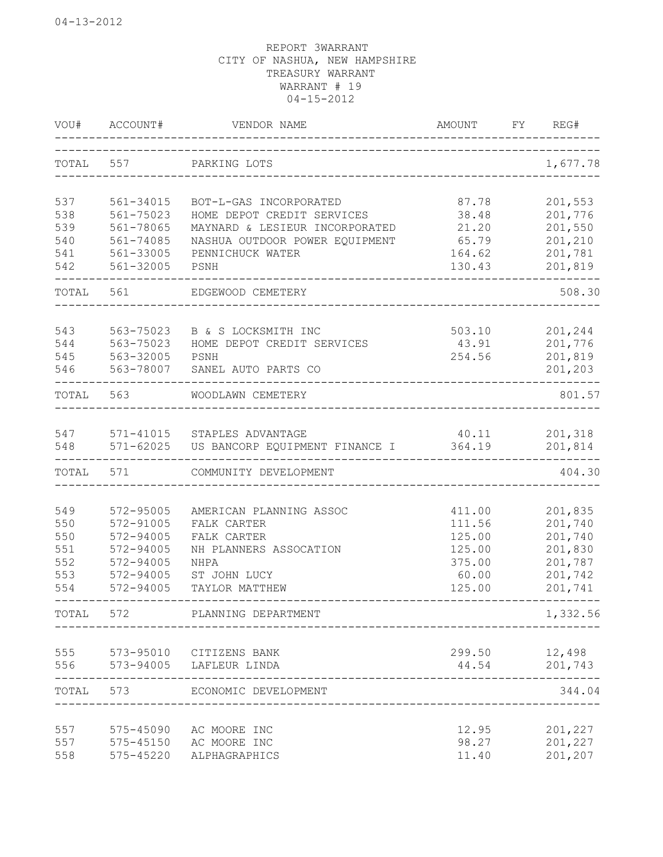| VOU#       | ACCOUNT#               | VENDOR NAME                            | AMOUNT           | FY | REG#               |
|------------|------------------------|----------------------------------------|------------------|----|--------------------|
| TOTAL      | 557                    | PARKING LOTS                           |                  |    | 1,677.78           |
| 537        | 561-34015              | BOT-L-GAS INCORPORATED                 | 87.78            |    | 201,553            |
| 538        | 561-75023              | HOME DEPOT CREDIT SERVICES             | 38.48            |    | 201,776            |
| 539        | 561-78065              | MAYNARD & LESIEUR INCORPORATED         | 21.20            |    | 201,550            |
| 540        | 561-74085              | NASHUA OUTDOOR POWER EQUIPMENT         | 65.79            |    | 201,210            |
| 541<br>542 | 561-33005<br>561-32005 | PENNICHUCK WATER<br>PSNH               | 164.62<br>130.43 |    | 201,781<br>201,819 |
|            |                        |                                        |                  |    |                    |
| TOTAL      | 561                    | EDGEWOOD CEMETERY                      |                  |    | 508.30             |
| 543        | 563-75023              | B & S LOCKSMITH INC                    | 503.10           |    | 201,244            |
| 544        | 563-75023              | HOME DEPOT CREDIT SERVICES             | 43.91            |    | 201,776            |
| 545        | 563-32005              | PSNH                                   | 254.56           |    | 201,819            |
| 546        | 563-78007              | SANEL AUTO PARTS CO                    |                  |    | 201,203            |
| TOTAL      | 563                    | WOODLAWN CEMETERY                      |                  |    | 801.57             |
| 547        | 571-41015              | STAPLES ADVANTAGE                      | 40.11            |    | 201,318            |
| 548        | $571 - 62025$          | US BANCORP EQUIPMENT FINANCE I         | 364.19           |    | 201,814            |
| TOTAL      | 571                    | COMMUNITY DEVELOPMENT                  |                  |    | 404.30             |
|            | 572-95005              |                                        |                  |    |                    |
| 549<br>550 | 572-91005              | AMERICAN PLANNING ASSOC<br>FALK CARTER | 411.00<br>111.56 |    | 201,835<br>201,740 |
| 550        | 572-94005              | FALK CARTER                            | 125.00           |    | 201,740            |
| 551        | 572-94005              | NH PLANNERS ASSOCATION                 | 125.00           |    | 201,830            |
| 552        | 572-94005              | <b>NHPA</b>                            | 375.00           |    | 201,787            |
| 553        | 572-94005              | ST JOHN LUCY                           | 60.00            |    | 201,742            |
| 554        | 572-94005              | TAYLOR MATTHEW                         | 125.00           |    | 201,741            |
| TOTAL      | 572                    | PLANNING DEPARTMENT                    |                  |    | 1,332.56           |
| 555        | 573-95010              | CITIZENS BANK                          | 299.50           |    | 12,498             |
| 556        | 573-94005              | LAFLEUR LINDA                          | 44.54            |    | 201,743            |
| TOTAL      | 573                    | ECONOMIC DEVELOPMENT                   |                  |    | 344.04             |
| 557        | 575-45090              | AC MOORE INC                           | 12.95            |    | 201,227            |
| 557        | 575-45150              | AC MOORE INC                           | 98.27            |    | 201,227            |
| 558        | 575-45220              | ALPHAGRAPHICS                          | 11.40            |    | 201,207            |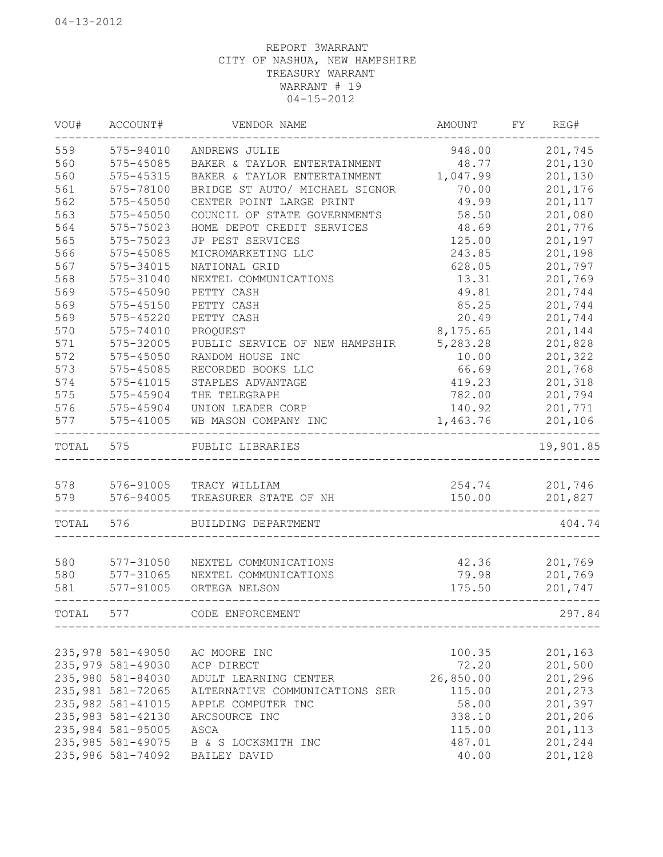| VOU#  | ACCOUNT#           | VENDOR NAME                    | AMOUNT    | FY | REG#      |
|-------|--------------------|--------------------------------|-----------|----|-----------|
| 559   | 575-94010          | ANDREWS JULIE                  | 948.00    |    | 201,745   |
| 560   | 575-45085          | BAKER & TAYLOR ENTERTAINMENT   | 48.77     |    | 201,130   |
| 560   | 575-45315          | BAKER & TAYLOR ENTERTAINMENT   | 1,047.99  |    | 201,130   |
| 561   | 575-78100          | BRIDGE ST AUTO/ MICHAEL SIGNOR | 70.00     |    | 201,176   |
| 562   | 575-45050          | CENTER POINT LARGE PRINT       | 49.99     |    | 201,117   |
| 563   | $575 - 45050$      | COUNCIL OF STATE GOVERNMENTS   | 58.50     |    | 201,080   |
| 564   | 575-75023          | HOME DEPOT CREDIT SERVICES     | 48.69     |    | 201,776   |
| 565   | 575-75023          | JP PEST SERVICES               | 125.00    |    | 201,197   |
| 566   | 575-45085          | MICROMARKETING LLC             | 243.85    |    | 201,198   |
| 567   | 575-34015          | NATIONAL GRID                  | 628.05    |    | 201,797   |
| 568   | 575-31040          | NEXTEL COMMUNICATIONS          | 13.31     |    | 201,769   |
| 569   | 575-45090          | PETTY CASH                     | 49.81     |    | 201,744   |
| 569   | 575-45150          | PETTY CASH                     | 85.25     |    | 201,744   |
| 569   | 575-45220          | PETTY CASH                     | 20.49     |    | 201,744   |
| 570   | 575-74010          | PROQUEST                       | 8,175.65  |    | 201,144   |
| 571   | 575-32005          | PUBLIC SERVICE OF NEW HAMPSHIR | 5,283.28  |    | 201,828   |
| 572   | 575-45050          | RANDOM HOUSE INC               | 10.00     |    | 201,322   |
| 573   | 575-45085          | RECORDED BOOKS LLC             | 66.69     |    | 201,768   |
| 574   | 575-41015          | STAPLES ADVANTAGE              | 419.23    |    | 201,318   |
| 575   | 575-45904          | THE TELEGRAPH                  | 782.00    |    | 201,794   |
| 576   | 575-45904          | UNION LEADER CORP              | 140.92    |    | 201,771   |
| 577   | 575-41005          | WB MASON COMPANY INC           | 1,463.76  |    | 201,106   |
| TOTAL | 575                | PUBLIC LIBRARIES               |           |    | 19,901.85 |
| 578   | 576-91005          | TRACY WILLIAM                  | 254.74    |    | 201,746   |
| 579   | 576-94005          | TREASURER STATE OF NH          | 150.00    |    | 201,827   |
|       |                    |                                |           |    |           |
| TOTAL | 576                | BUILDING DEPARTMENT            |           |    | 404.74    |
|       |                    |                                |           |    |           |
| 580   | 577-31050          | NEXTEL COMMUNICATIONS          | 42.36     |    | 201,769   |
| 580   | 577-31065          | NEXTEL COMMUNICATIONS          | 79.98     |    | 201,769   |
| 581   | 577-91005          | ORTEGA NELSON                  | 175.50    |    | 201,747   |
| TOTAL | 577                | CODE ENFORCEMENT               |           |    | 297.84    |
|       |                    |                                |           |    |           |
|       | 235,978 581-49050  | AC MOORE INC                   | 100.35    |    | 201,163   |
|       | 235,979 581-49030  | ACP DIRECT                     | 72.20     |    | 201,500   |
|       | 235,980 581-84030  | ADULT LEARNING CENTER          | 26,850.00 |    | 201,296   |
|       | 235,981 581-72065  | ALTERNATIVE COMMUNICATIONS SER | 115.00    |    | 201,273   |
|       | 235, 982 581-41015 | APPLE COMPUTER INC             | 58.00     |    | 201,397   |
|       | 235, 983 581-42130 | ARCSOURCE INC                  | 338.10    |    | 201,206   |
|       | 235,984 581-95005  | ASCA                           | 115.00    |    | 201,113   |
|       | 235, 985 581-49075 | B & S LOCKSMITH INC            | 487.01    |    | 201,244   |
|       | 235,986 581-74092  | BAILEY DAVID                   | 40.00     |    | 201,128   |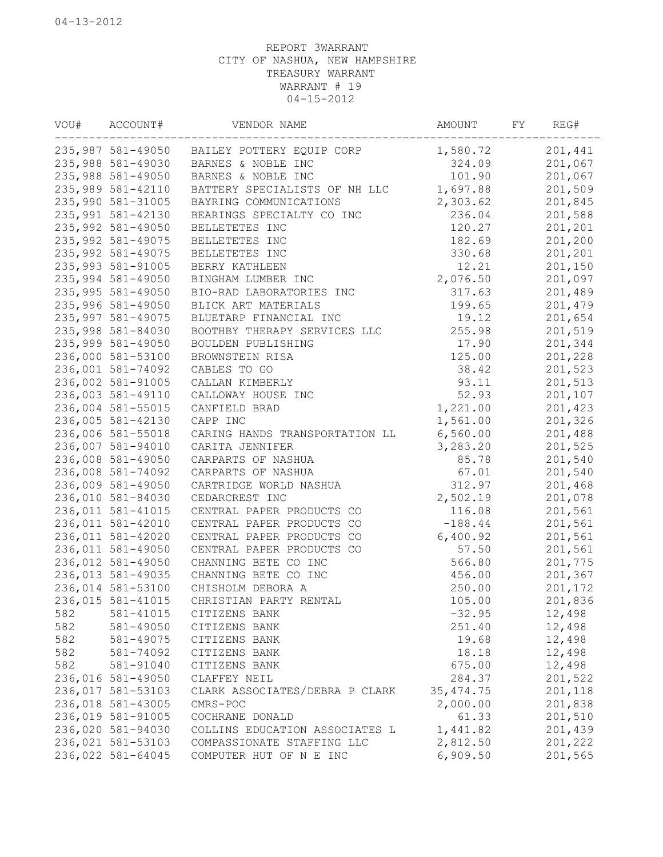| VOU# | ACCOUNT#           | VENDOR NAME                    | AMOUNT     | FY | REG#    |
|------|--------------------|--------------------------------|------------|----|---------|
|      | 235,987 581-49050  | BAILEY POTTERY EQUIP CORP      | 1,580.72   |    | 201,441 |
|      | 235,988 581-49030  | BARNES & NOBLE INC             | 324.09     |    | 201,067 |
|      | 235,988 581-49050  | BARNES & NOBLE INC             | 101.90     |    | 201,067 |
|      | 235,989 581-42110  | BATTERY SPECIALISTS OF NH LLC  | 1,697.88   |    | 201,509 |
|      | 235,990 581-31005  | BAYRING COMMUNICATIONS         | 2,303.62   |    | 201,845 |
|      | 235,991 581-42130  | BEARINGS SPECIALTY CO INC      | 236.04     |    | 201,588 |
|      | 235,992 581-49050  | BELLETETES INC                 | 120.27     |    | 201,201 |
|      | 235, 992 581-49075 | BELLETETES INC                 | 182.69     |    | 201,200 |
|      | 235,992 581-49075  | BELLETETES INC                 | 330.68     |    | 201,201 |
|      | 235,993 581-91005  | BERRY KATHLEEN                 | 12.21      |    | 201,150 |
|      | 235,994 581-49050  | BINGHAM LUMBER INC             | 2,076.50   |    | 201,097 |
|      | 235,995 581-49050  | BIO-RAD LABORATORIES INC       | 317.63     |    | 201,489 |
|      | 235,996 581-49050  | BLICK ART MATERIALS            | 199.65     |    | 201,479 |
|      | 235,997 581-49075  | BLUETARP FINANCIAL INC         | 19.12      |    | 201,654 |
|      | 235,998 581-84030  | BOOTHBY THERAPY SERVICES LLC   | 255.98     |    | 201,519 |
|      | 235,999 581-49050  | BOULDEN PUBLISHING             | 17.90      |    | 201,344 |
|      | 236,000 581-53100  | BROWNSTEIN RISA                | 125.00     |    | 201,228 |
|      | 236,001 581-74092  | CABLES TO GO                   | 38.42      |    | 201,523 |
|      | 236,002 581-91005  | CALLAN KIMBERLY                | 93.11      |    | 201,513 |
|      | 236,003 581-49110  | CALLOWAY HOUSE INC             | 52.93      |    | 201,107 |
|      | 236,004 581-55015  | CANFIELD BRAD                  | 1,221.00   |    | 201,423 |
|      | 236,005 581-42130  | CAPP INC                       | 1,561.00   |    | 201,326 |
|      | 236,006 581-55018  | CARING HANDS TRANSPORTATION LL | 6,560.00   |    | 201,488 |
|      | 236,007 581-94010  | CARITA JENNIFER                | 3,283.20   |    | 201,525 |
|      | 236,008 581-49050  | CARPARTS OF NASHUA             | 85.78      |    | 201,540 |
|      | 236,008 581-74092  | CARPARTS OF NASHUA             | 67.01      |    | 201,540 |
|      | 236,009 581-49050  | CARTRIDGE WORLD NASHUA         | 312.97     |    | 201,468 |
|      | 236,010 581-84030  | CEDARCREST INC                 | 2,502.19   |    | 201,078 |
|      | 236,011 581-41015  | CENTRAL PAPER PRODUCTS CO      | 116.08     |    | 201,561 |
|      | 236,011 581-42010  | CENTRAL PAPER PRODUCTS CO      | $-188.44$  |    | 201,561 |
|      | 236,011 581-42020  | CENTRAL PAPER PRODUCTS CO      | 6,400.92   |    | 201,561 |
|      | 236,011 581-49050  | CENTRAL PAPER PRODUCTS CO      | 57.50      |    | 201,561 |
|      | 236,012 581-49050  | CHANNING BETE CO INC           | 566.80     |    | 201,775 |
|      | 236,013 581-49035  | CHANNING BETE CO INC           | 456.00     |    | 201,367 |
|      | 236,014 581-53100  | CHISHOLM DEBORA A              | 250.00     |    | 201,172 |
|      | 236,015 581-41015  | CHRISTIAN PARTY RENTAL         | 105.00     |    | 201,836 |
| 582  | 581-41015          | CITIZENS BANK                  | $-32.95$   |    | 12,498  |
| 582  | 581-49050          | CITIZENS BANK                  | 251.40     |    | 12,498  |
| 582  | 581-49075          | CITIZENS BANK                  | 19.68      |    | 12,498  |
| 582  | 581-74092          | CITIZENS BANK                  | 18.18      |    | 12,498  |
| 582  | 581-91040          | CITIZENS BANK                  | 675.00     |    | 12,498  |
|      | 236,016 581-49050  | CLAFFEY NEIL                   | 284.37     |    | 201,522 |
|      | 236,017 581-53103  | CLARK ASSOCIATES/DEBRA P CLARK | 35, 474.75 |    | 201,118 |
|      | 236,018 581-43005  | CMRS-POC                       | 2,000.00   |    | 201,838 |
|      | 236,019 581-91005  | COCHRANE DONALD                | 61.33      |    | 201,510 |
|      | 236,020 581-94030  | COLLINS EDUCATION ASSOCIATES L | 1,441.82   |    | 201,439 |
|      | 236,021 581-53103  | COMPASSIONATE STAFFING LLC     | 2,812.50   |    | 201,222 |
|      | 236,022 581-64045  | COMPUTER HUT OF N E INC        | 6,909.50   |    | 201,565 |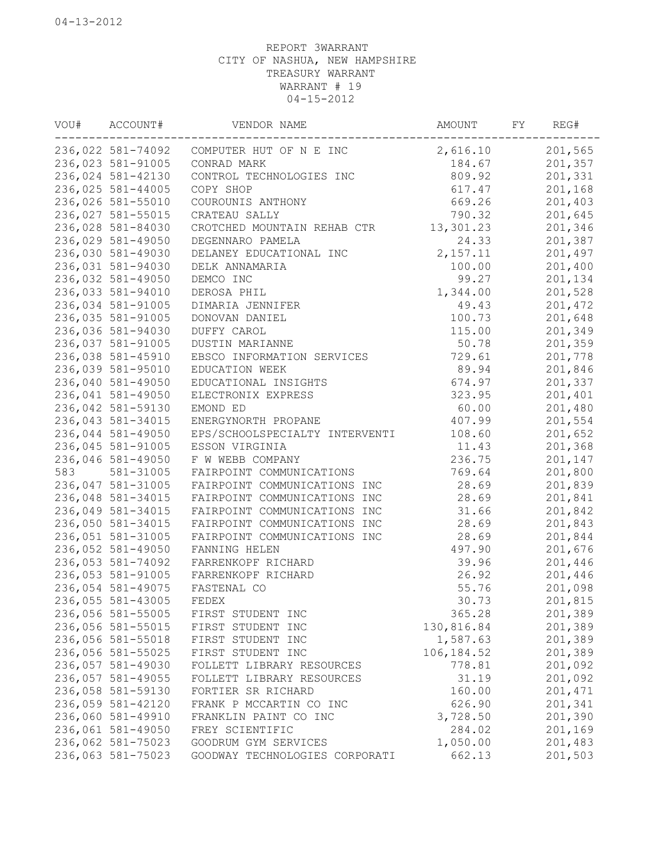| VOU# | ACCOUNT#          | VENDOR NAME                    | AMOUNT      | FY | REG#    |
|------|-------------------|--------------------------------|-------------|----|---------|
|      | 236,022 581-74092 | COMPUTER HUT OF N E INC        | 2,616.10    |    | 201,565 |
|      | 236,023 581-91005 | CONRAD MARK                    | 184.67      |    | 201,357 |
|      | 236,024 581-42130 | CONTROL TECHNOLOGIES INC       | 809.92      |    | 201,331 |
|      | 236,025 581-44005 | COPY SHOP                      | 617.47      |    | 201,168 |
|      | 236,026 581-55010 | COUROUNIS ANTHONY              | 669.26      |    | 201,403 |
|      | 236,027 581-55015 | CRATEAU SALLY                  | 790.32      |    | 201,645 |
|      | 236,028 581-84030 | CROTCHED MOUNTAIN REHAB CTR    | 13,301.23   |    | 201,346 |
|      | 236,029 581-49050 | DEGENNARO PAMELA               | 24.33       |    | 201,387 |
|      | 236,030 581-49030 | DELANEY EDUCATIONAL INC        | 2, 157.11   |    | 201,497 |
|      | 236,031 581-94030 | DELK ANNAMARIA                 | 100.00      |    | 201,400 |
|      | 236,032 581-49050 | DEMCO INC                      | 99.27       |    | 201,134 |
|      | 236,033 581-94010 | DEROSA PHIL                    | 1,344.00    |    | 201,528 |
|      | 236,034 581-91005 | DIMARIA JENNIFER               | 49.43       |    | 201,472 |
|      | 236,035 581-91005 | DONOVAN DANIEL                 | 100.73      |    | 201,648 |
|      | 236,036 581-94030 | DUFFY CAROL                    | 115.00      |    | 201,349 |
|      | 236,037 581-91005 | DUSTIN MARIANNE                | 50.78       |    | 201,359 |
|      | 236,038 581-45910 | EBSCO INFORMATION SERVICES     | 729.61      |    | 201,778 |
|      | 236,039 581-95010 | EDUCATION WEEK                 | 89.94       |    | 201,846 |
|      | 236,040 581-49050 | EDUCATIONAL INSIGHTS           | 674.97      |    | 201,337 |
|      | 236,041 581-49050 | ELECTRONIX EXPRESS             | 323.95      |    | 201,401 |
|      | 236,042 581-59130 | EMOND ED                       | 60.00       |    | 201,480 |
|      | 236,043 581-34015 | ENERGYNORTH PROPANE            | 407.99      |    | 201,554 |
|      |                   | EPS/SCHOOLSPECIALTY INTERVENTI |             |    |         |
|      | 236,044 581-49050 |                                | 108.60      |    | 201,652 |
|      | 236,045 581-91005 | ESSON VIRGINIA                 | 11.43       |    | 201,368 |
|      | 236,046 581-49050 | F W WEBB COMPANY               | 236.75      |    | 201,147 |
| 583  | 581-31005         | FAIRPOINT COMMUNICATIONS       | 769.64      |    | 201,800 |
|      | 236,047 581-31005 | FAIRPOINT COMMUNICATIONS INC   | 28.69       |    | 201,839 |
|      | 236,048 581-34015 | FAIRPOINT COMMUNICATIONS INC   | 28.69       |    | 201,841 |
|      | 236,049 581-34015 | FAIRPOINT COMMUNICATIONS INC   | 31.66       |    | 201,842 |
|      | 236,050 581-34015 | FAIRPOINT COMMUNICATIONS INC   | 28.69       |    | 201,843 |
|      | 236,051 581-31005 | FAIRPOINT COMMUNICATIONS INC   | 28.69       |    | 201,844 |
|      | 236,052 581-49050 | FANNING HELEN                  | 497.90      |    | 201,676 |
|      | 236,053 581-74092 | FARRENKOPF RICHARD             | 39.96       |    | 201,446 |
|      | 236,053 581-91005 | FARRENKOPF RICHARD             | 26.92       |    | 201,446 |
|      | 236,054 581-49075 | FASTENAL CO                    | 55.76       |    | 201,098 |
|      | 236,055 581-43005 | FEDEX                          | 30.73       |    | 201,815 |
|      | 236,056 581-55005 | FIRST STUDENT INC              | 365.28      |    | 201,389 |
|      | 236,056 581-55015 | FIRST STUDENT INC              | 130,816.84  |    | 201,389 |
|      | 236,056 581-55018 | FIRST STUDENT INC              | 1,587.63    |    | 201,389 |
|      | 236,056 581-55025 | FIRST STUDENT INC              | 106, 184.52 |    | 201,389 |
|      | 236,057 581-49030 | FOLLETT LIBRARY RESOURCES      | 778.81      |    | 201,092 |
|      | 236,057 581-49055 | FOLLETT LIBRARY RESOURCES      | 31.19       |    | 201,092 |
|      | 236,058 581-59130 | FORTIER SR RICHARD             | 160.00      |    | 201,471 |
|      | 236,059 581-42120 | FRANK P MCCARTIN CO INC        | 626.90      |    | 201,341 |
|      | 236,060 581-49910 | FRANKLIN PAINT CO INC          | 3,728.50    |    | 201,390 |
|      | 236,061 581-49050 | FREY SCIENTIFIC                | 284.02      |    | 201,169 |
|      | 236,062 581-75023 | GOODRUM GYM SERVICES           | 1,050.00    |    | 201,483 |
|      | 236,063 581-75023 | GOODWAY TECHNOLOGIES CORPORATI | 662.13      |    | 201,503 |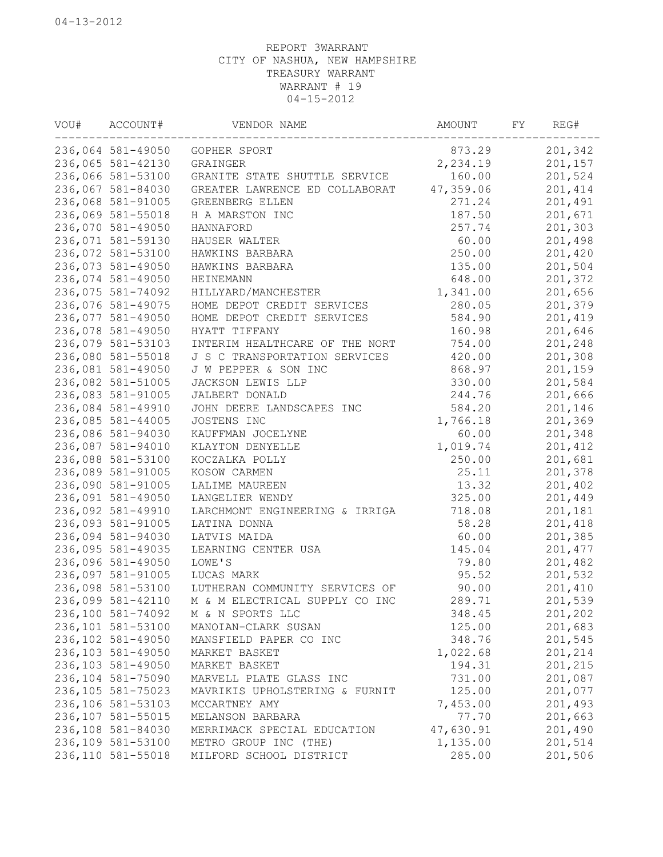| VOU# | ACCOUNT#           | VENDOR NAME                    | AMOUNT    | FY | REG#    |
|------|--------------------|--------------------------------|-----------|----|---------|
|      | 236,064 581-49050  | GOPHER SPORT                   | 873.29    |    | 201,342 |
|      | 236,065 581-42130  | GRAINGER                       | 2,234.19  |    | 201,157 |
|      | 236,066 581-53100  | GRANITE STATE SHUTTLE SERVICE  | 160.00    |    | 201,524 |
|      | 236,067 581-84030  | GREATER LAWRENCE ED COLLABORAT | 47,359.06 |    | 201,414 |
|      | 236,068 581-91005  | GREENBERG ELLEN                | 271.24    |    | 201,491 |
|      | 236,069 581-55018  | H A MARSTON INC                | 187.50    |    | 201,671 |
|      | 236,070 581-49050  | HANNAFORD                      | 257.74    |    | 201,303 |
|      | 236,071 581-59130  | HAUSER WALTER                  | 60.00     |    | 201,498 |
|      | 236,072 581-53100  | HAWKINS BARBARA                | 250.00    |    | 201,420 |
|      | 236,073 581-49050  | HAWKINS BARBARA                | 135.00    |    | 201,504 |
|      | 236,074 581-49050  | HEINEMANN                      | 648.00    |    | 201,372 |
|      | 236,075 581-74092  | HILLYARD/MANCHESTER            | 1,341.00  |    | 201,656 |
|      | 236,076 581-49075  | HOME DEPOT CREDIT SERVICES     | 280.05    |    | 201,379 |
|      | 236,077 581-49050  | HOME DEPOT CREDIT SERVICES     | 584.90    |    | 201,419 |
|      | 236,078 581-49050  | HYATT TIFFANY                  | 160.98    |    | 201,646 |
|      | 236,079 581-53103  | INTERIM HEALTHCARE OF THE NORT | 754.00    |    | 201,248 |
|      | 236,080 581-55018  | J S C TRANSPORTATION SERVICES  | 420.00    |    | 201,308 |
|      | 236,081 581-49050  | J W PEPPER & SON INC           | 868.97    |    | 201,159 |
|      | 236,082 581-51005  | JACKSON LEWIS LLP              | 330.00    |    | 201,584 |
|      | 236,083 581-91005  | JALBERT DONALD                 | 244.76    |    | 201,666 |
|      | 236,084 581-49910  | JOHN DEERE LANDSCAPES INC      | 584.20    |    | 201,146 |
|      | 236,085 581-44005  | JOSTENS INC                    | 1,766.18  |    | 201,369 |
|      | 236,086 581-94030  | KAUFFMAN JOCELYNE              | 60.00     |    | 201,348 |
|      | 236,087 581-94010  | KLAYTON DENYELLE               | 1,019.74  |    | 201,412 |
|      | 236,088 581-53100  | KOCZALKA POLLY                 | 250.00    |    | 201,681 |
|      | 236,089 581-91005  | KOSOW CARMEN                   | 25.11     |    | 201,378 |
|      | 236,090 581-91005  | LALIME MAUREEN                 | 13.32     |    | 201,402 |
|      | 236,091 581-49050  | LANGELIER WENDY                | 325.00    |    | 201,449 |
|      | 236,092 581-49910  | LARCHMONT ENGINEERING & IRRIGA | 718.08    |    | 201,181 |
|      | 236,093 581-91005  | LATINA DONNA                   | 58.28     |    | 201,418 |
|      | 236,094 581-94030  | LATVIS MAIDA                   | 60.00     |    | 201,385 |
|      | 236,095 581-49035  | LEARNING CENTER USA            | 145.04    |    | 201,477 |
|      | 236,096 581-49050  | LOWE'S                         | 79.80     |    | 201,482 |
|      | 236,097 581-91005  | LUCAS MARK                     | 95.52     |    | 201,532 |
|      | 236,098 581-53100  | LUTHERAN COMMUNITY SERVICES OF | 90.00     |    | 201,410 |
|      | 236,099 581-42110  | M & M ELECTRICAL SUPPLY CO INC | 289.71    |    | 201,539 |
|      | 236,100 581-74092  | M & N SPORTS LLC               | 348.45    |    | 201,202 |
|      | 236,101 581-53100  | MANOIAN-CLARK SUSAN            | 125.00    |    | 201,683 |
|      | 236,102 581-49050  | MANSFIELD PAPER CO INC         | 348.76    |    | 201,545 |
|      | 236,103 581-49050  | MARKET BASKET                  | 1,022.68  |    | 201,214 |
|      | 236,103 581-49050  | MARKET BASKET                  | 194.31    |    | 201,215 |
|      | 236,104 581-75090  | MARVELL PLATE GLASS INC        | 731.00    |    | 201,087 |
|      | 236,105 581-75023  | MAVRIKIS UPHOLSTERING & FURNIT | 125.00    |    | 201,077 |
|      | 236,106 581-53103  | MCCARTNEY AMY                  | 7,453.00  |    | 201,493 |
|      | 236,107 581-55015  | MELANSON BARBARA               | 77.70     |    | 201,663 |
|      | 236,108 581-84030  | MERRIMACK SPECIAL EDUCATION    | 47,630.91 |    | 201,490 |
|      | 236,109 581-53100  | METRO GROUP INC (THE)          | 1,135.00  |    | 201,514 |
|      | 236, 110 581-55018 | MILFORD SCHOOL DISTRICT        | 285.00    |    | 201,506 |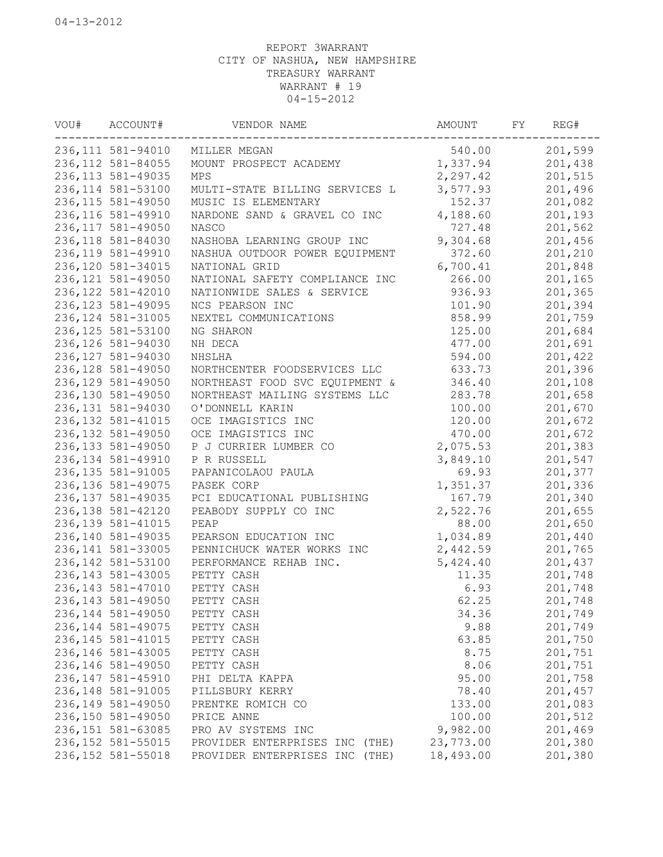| VOU# | ACCOUNT#           | VENDOR NAME                    | AMOUNT    | FY | REG#    |
|------|--------------------|--------------------------------|-----------|----|---------|
|      | 236, 111 581-94010 | MILLER MEGAN                   | 540.00    |    | 201,599 |
|      | 236, 112 581-84055 | MOUNT PROSPECT ACADEMY         | 1,337.94  |    | 201,438 |
|      | 236, 113 581-49035 | MPS                            | 2,297.42  |    | 201,515 |
|      | 236, 114 581-53100 | MULTI-STATE BILLING SERVICES L | 3,577.93  |    | 201,496 |
|      | 236, 115 581-49050 | MUSIC IS ELEMENTARY            | 152.37    |    | 201,082 |
|      | 236, 116 581-49910 | NARDONE SAND & GRAVEL CO INC   | 4,188.60  |    | 201,193 |
|      | 236, 117 581-49050 | NASCO                          | 727.48    |    | 201,562 |
|      | 236,118 581-84030  | NASHOBA LEARNING GROUP INC     | 9,304.68  |    | 201,456 |
|      | 236, 119 581-49910 | NASHUA OUTDOOR POWER EQUIPMENT | 372.60    |    | 201,210 |
|      | 236, 120 581-34015 | NATIONAL GRID                  | 6,700.41  |    | 201,848 |
|      | 236, 121 581-49050 | NATIONAL SAFETY COMPLIANCE INC | 266.00    |    | 201,165 |
|      | 236, 122 581-42010 | NATIONWIDE SALES & SERVICE     | 936.93    |    | 201,365 |
|      | 236, 123 581-49095 | NCS PEARSON INC                | 101.90    |    | 201,394 |
|      | 236, 124 581-31005 | NEXTEL COMMUNICATIONS          | 858.99    |    | 201,759 |
|      | 236, 125 581-53100 | NG SHARON                      | 125.00    |    | 201,684 |
|      | 236, 126 581-94030 | NH DECA                        | 477.00    |    | 201,691 |
|      | 236, 127 581-94030 | NHSLHA                         | 594.00    |    | 201,422 |
|      | 236, 128 581-49050 | NORTHCENTER FOODSERVICES LLC   | 633.73    |    | 201,396 |
|      | 236, 129 581-49050 | NORTHEAST FOOD SVC EQUIPMENT & | 346.40    |    | 201,108 |
|      | 236,130 581-49050  | NORTHEAST MAILING SYSTEMS LLC  | 283.78    |    | 201,658 |
|      | 236, 131 581-94030 | O'DONNELL KARIN                | 100.00    |    | 201,670 |
|      | 236, 132 581-41015 | OCE IMAGISTICS INC             | 120.00    |    | 201,672 |
|      | 236, 132 581-49050 | OCE IMAGISTICS INC             | 470.00    |    | 201,672 |
|      | 236, 133 581-49050 | P J CURRIER LUMBER CO          | 2,075.53  |    | 201,383 |
|      | 236, 134 581-49910 | P R RUSSELL                    | 3,849.10  |    | 201,547 |
|      | 236, 135 581-91005 | PAPANICOLAOU PAULA             | 69.93     |    | 201,377 |
|      | 236, 136 581-49075 | PASEK CORP                     | 1,351.37  |    | 201,336 |
|      | 236, 137 581-49035 | PCI EDUCATIONAL PUBLISHING     | 167.79    |    | 201,340 |
|      | 236, 138 581-42120 | PEABODY SUPPLY CO INC          | 2,522.76  |    | 201,655 |
|      | 236, 139 581-41015 | PEAP                           | 88.00     |    | 201,650 |
|      | 236,140 581-49035  | PEARSON EDUCATION INC          | 1,034.89  |    | 201,440 |
|      | 236, 141 581-33005 | PENNICHUCK WATER WORKS INC     | 2,442.59  |    | 201,765 |
|      | 236, 142 581-53100 | PERFORMANCE REHAB INC.         | 5,424.40  |    | 201,437 |
|      | 236, 143 581-43005 | PETTY CASH                     | 11.35     |    | 201,748 |
|      | 236, 143 581-47010 | PETTY CASH                     | 6.93      |    | 201,748 |
|      | 236, 143 581-49050 | PETTY CASH                     | 62.25     |    | 201,748 |
|      | 236, 144 581-49050 | PETTY CASH                     | 34.36     |    | 201,749 |
|      | 236, 144 581-49075 | PETTY CASH                     | 9.88      |    | 201,749 |
|      | 236, 145 581-41015 | PETTY CASH                     | 63.85     |    | 201,750 |
|      | 236, 146 581-43005 | PETTY CASH                     | 8.75      |    | 201,751 |
|      | 236, 146 581-49050 | PETTY CASH                     | 8.06      |    | 201,751 |
|      | 236, 147 581-45910 | PHI DELTA KAPPA                | 95.00     |    | 201,758 |
|      | 236, 148 581-91005 | PILLSBURY KERRY                | 78.40     |    | 201,457 |
|      | 236, 149 581-49050 | PRENTKE ROMICH CO              | 133.00    |    | 201,083 |
|      | 236,150 581-49050  | PRICE ANNE                     | 100.00    |    | 201,512 |
|      | 236, 151 581-63085 | PRO AV SYSTEMS INC             | 9,982.00  |    | 201,469 |
|      | 236, 152 581-55015 | PROVIDER ENTERPRISES INC (THE) | 23,773.00 |    | 201,380 |
|      | 236, 152 581-55018 | PROVIDER ENTERPRISES INC (THE) | 18,493.00 |    | 201,380 |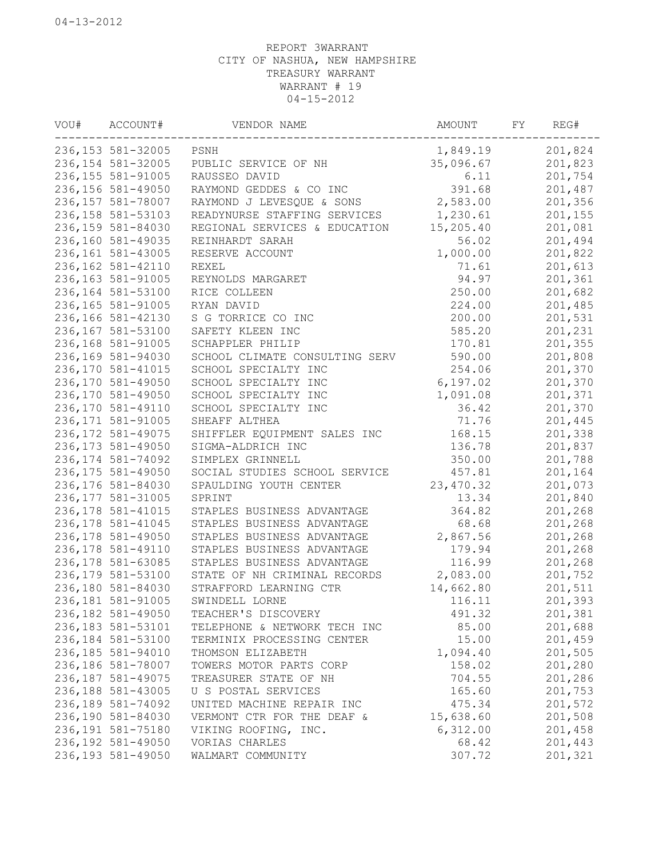| VOU# | ACCOUNT#           | VENDOR NAME                    | AMOUNT     | FY | REG#    |
|------|--------------------|--------------------------------|------------|----|---------|
|      | 236, 153 581-32005 | PSNH                           | 1,849.19   |    | 201,824 |
|      | 236, 154 581-32005 | PUBLIC SERVICE OF NH           | 35,096.67  |    | 201,823 |
|      | 236, 155 581-91005 | RAUSSEO DAVID                  | 6.11       |    | 201,754 |
|      | 236, 156 581-49050 | RAYMOND GEDDES & CO INC        | 391.68     |    | 201,487 |
|      | 236, 157 581-78007 | RAYMOND J LEVESQUE & SONS      | 2,583.00   |    | 201,356 |
|      | 236, 158 581-53103 | READYNURSE STAFFING SERVICES   | 1,230.61   |    | 201,155 |
|      | 236,159 581-84030  | REGIONAL SERVICES & EDUCATION  | 15,205.40  |    | 201,081 |
|      | 236,160 581-49035  | REINHARDT SARAH                | 56.02      |    | 201,494 |
|      | 236, 161 581-43005 | RESERVE ACCOUNT                | 1,000.00   |    | 201,822 |
|      | 236, 162 581-42110 | REXEL                          | 71.61      |    | 201,613 |
|      | 236, 163 581-91005 | REYNOLDS MARGARET              | 94.97      |    | 201,361 |
|      | 236,164 581-53100  | RICE COLLEEN                   | 250.00     |    | 201,682 |
|      | 236, 165 581-91005 | RYAN DAVID                     | 224.00     |    | 201,485 |
|      | 236,166 581-42130  | S G TORRICE CO INC             | 200.00     |    | 201,531 |
|      | 236,167 581-53100  | SAFETY KLEEN INC               | 585.20     |    | 201,231 |
|      | 236,168 581-91005  | SCHAPPLER PHILIP               | 170.81     |    | 201,355 |
|      | 236,169 581-94030  | SCHOOL CLIMATE CONSULTING SERV | 590.00     |    | 201,808 |
|      | 236, 170 581-41015 | SCHOOL SPECIALTY INC           | 254.06     |    | 201,370 |
|      | 236,170 581-49050  | SCHOOL SPECIALTY INC           | 6,197.02   |    | 201,370 |
|      | 236,170 581-49050  | SCHOOL SPECIALTY INC           | 1,091.08   |    | 201,371 |
|      | 236,170 581-49110  | SCHOOL SPECIALTY INC           | 36.42      |    | 201,370 |
|      | 236, 171 581-91005 | SHEAFF ALTHEA                  | 71.76      |    | 201,445 |
|      | 236, 172 581-49075 | SHIFFLER EQUIPMENT SALES INC   | 168.15     |    | 201,338 |
|      | 236, 173 581-49050 | SIGMA-ALDRICH INC              | 136.78     |    | 201,837 |
|      | 236, 174 581-74092 | SIMPLEX GRINNELL               | 350.00     |    | 201,788 |
|      | 236, 175 581-49050 | SOCIAL STUDIES SCHOOL SERVICE  | 457.81     |    | 201,164 |
|      | 236,176 581-84030  | SPAULDING YOUTH CENTER         | 23, 470.32 |    | 201,073 |
|      | 236, 177 581-31005 | SPRINT                         | 13.34      |    | 201,840 |
|      | 236, 178 581-41015 | STAPLES BUSINESS ADVANTAGE     | 364.82     |    | 201,268 |
|      | 236, 178 581-41045 | STAPLES BUSINESS ADVANTAGE     | 68.68      |    | 201,268 |
|      | 236, 178 581-49050 | STAPLES BUSINESS ADVANTAGE     | 2,867.56   |    | 201,268 |
|      | 236, 178 581-49110 | STAPLES BUSINESS ADVANTAGE     | 179.94     |    | 201,268 |
|      | 236, 178 581-63085 | STAPLES BUSINESS ADVANTAGE     | 116.99     |    | 201,268 |
|      | 236, 179 581-53100 | STATE OF NH CRIMINAL RECORDS   | 2,083.00   |    | 201,752 |
|      | 236,180 581-84030  | STRAFFORD LEARNING CTR         | 14,662.80  |    | 201,511 |
|      | 236, 181 581-91005 | SWINDELL LORNE                 | 116.11     |    | 201,393 |
|      | 236, 182 581-49050 | TEACHER'S DISCOVERY            | 491.32     |    | 201,381 |
|      | 236, 183 581-53101 | TELEPHONE & NETWORK TECH INC   | 85.00      |    | 201,688 |
|      | 236,184 581-53100  | TERMINIX PROCESSING CENTER     | 15.00      |    | 201,459 |
|      | 236,185 581-94010  | THOMSON ELIZABETH              | 1,094.40   |    | 201,505 |
|      | 236,186 581-78007  | TOWERS MOTOR PARTS CORP        | 158.02     |    | 201,280 |
|      | 236, 187 581-49075 | TREASURER STATE OF NH          | 704.55     |    | 201,286 |
|      | 236,188 581-43005  | U S POSTAL SERVICES            | 165.60     |    | 201,753 |
|      | 236,189 581-74092  | UNITED MACHINE REPAIR INC      | 475.34     |    | 201,572 |
|      | 236,190 581-84030  | VERMONT CTR FOR THE DEAF &     | 15,638.60  |    | 201,508 |
|      | 236,191 581-75180  | VIKING ROOFING, INC.           | 6,312.00   |    | 201,458 |
|      | 236,192 581-49050  | VORIAS CHARLES                 | 68.42      |    | 201,443 |
|      | 236, 193 581-49050 | WALMART COMMUNITY              | 307.72     |    | 201,321 |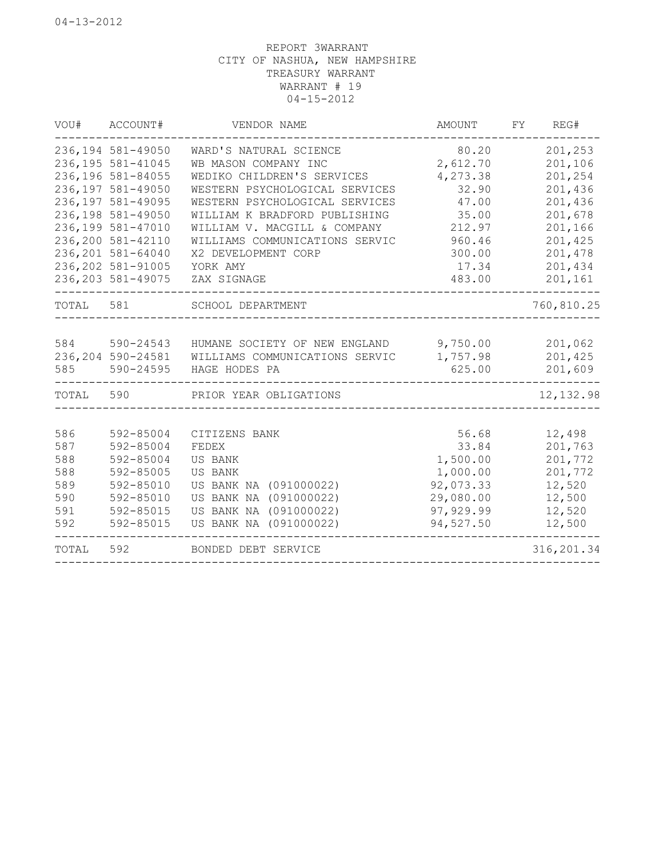| 236, 194 581-49050<br>201,253<br>WARD'S NATURAL SCIENCE<br>80.20<br>236, 195 581-41045<br>2,612.70<br>201,106<br>WB MASON COMPANY INC<br>236,196 581-84055<br>4,273.38<br>201,254<br>WEDIKO CHILDREN'S SERVICES<br>236,197 581-49050<br>32.90<br>201,436<br>WESTERN PSYCHOLOGICAL SERVICES<br>236,197 581-49095<br>WESTERN PSYCHOLOGICAL SERVICES<br>47.00<br>201,436<br>201,678<br>236,198 581-49050<br>35.00<br>WILLIAM K BRADFORD PUBLISHING<br>236,199 581-47010<br>WILLIAM V. MACGILL & COMPANY<br>212.97<br>201,166<br>236,200 581-42110<br>WILLIAMS COMMUNICATIONS SERVIC<br>960.46<br>201,425<br>236, 201 581-64040<br>201,478<br>300.00<br>X2 DEVELOPMENT CORP<br>236, 202 581-91005<br>201,434<br>YORK AMY<br>17.34<br>236, 203 581-49075<br>483.00<br>201,161<br>ZAX SIGNAGE<br>TOTAL<br>581<br>SCHOOL DEPARTMENT<br>584<br>590-24543<br>9,750.00<br>201,062<br>HUMANE SOCIETY OF NEW ENGLAND<br>201,425<br>236, 204 590-24581<br>WILLIAMS COMMUNICATIONS SERVIC<br>1,757.98<br>585<br>590-24595<br>625.00<br>201,609<br>HAGE HODES PA<br>TOTAL<br>590<br>PRIOR YEAR OBLIGATIONS<br>586<br>592-85004<br>56.68<br>12,498<br>CITIZENS BANK<br>587<br>592-85004<br>FEDEX<br>33.84<br>201,763<br>1,500.00<br>201,772<br>588<br>592-85004<br>US BANK<br>1,000.00<br>588<br>592-85005<br>US BANK<br>201,772<br>589<br>US BANK NA (091000022)<br>92,073.33<br>12,520<br>592-85010<br>US BANK NA (091000022)<br>590<br>592-85010<br>29,080.00<br>12,500<br>592-85015<br>US BANK NA (091000022)<br>97, 929.99<br>591<br>12,520<br>592<br>US BANK NA (091000022)<br>592-85015<br>94,527.50<br>12,500<br>TOTAL<br>592<br>BONDED DEBT SERVICE | VOU# | ACCOUNT# | VENDOR NAME | AMOUNT | FY<br>REG#  |
|----------------------------------------------------------------------------------------------------------------------------------------------------------------------------------------------------------------------------------------------------------------------------------------------------------------------------------------------------------------------------------------------------------------------------------------------------------------------------------------------------------------------------------------------------------------------------------------------------------------------------------------------------------------------------------------------------------------------------------------------------------------------------------------------------------------------------------------------------------------------------------------------------------------------------------------------------------------------------------------------------------------------------------------------------------------------------------------------------------------------------------------------------------------------------------------------------------------------------------------------------------------------------------------------------------------------------------------------------------------------------------------------------------------------------------------------------------------------------------------------------------------------------------------------------------------------------------------------------------------------------------------------|------|----------|-------------|--------|-------------|
|                                                                                                                                                                                                                                                                                                                                                                                                                                                                                                                                                                                                                                                                                                                                                                                                                                                                                                                                                                                                                                                                                                                                                                                                                                                                                                                                                                                                                                                                                                                                                                                                                                              |      |          |             |        |             |
|                                                                                                                                                                                                                                                                                                                                                                                                                                                                                                                                                                                                                                                                                                                                                                                                                                                                                                                                                                                                                                                                                                                                                                                                                                                                                                                                                                                                                                                                                                                                                                                                                                              |      |          |             |        |             |
|                                                                                                                                                                                                                                                                                                                                                                                                                                                                                                                                                                                                                                                                                                                                                                                                                                                                                                                                                                                                                                                                                                                                                                                                                                                                                                                                                                                                                                                                                                                                                                                                                                              |      |          |             |        |             |
|                                                                                                                                                                                                                                                                                                                                                                                                                                                                                                                                                                                                                                                                                                                                                                                                                                                                                                                                                                                                                                                                                                                                                                                                                                                                                                                                                                                                                                                                                                                                                                                                                                              |      |          |             |        |             |
|                                                                                                                                                                                                                                                                                                                                                                                                                                                                                                                                                                                                                                                                                                                                                                                                                                                                                                                                                                                                                                                                                                                                                                                                                                                                                                                                                                                                                                                                                                                                                                                                                                              |      |          |             |        |             |
|                                                                                                                                                                                                                                                                                                                                                                                                                                                                                                                                                                                                                                                                                                                                                                                                                                                                                                                                                                                                                                                                                                                                                                                                                                                                                                                                                                                                                                                                                                                                                                                                                                              |      |          |             |        |             |
|                                                                                                                                                                                                                                                                                                                                                                                                                                                                                                                                                                                                                                                                                                                                                                                                                                                                                                                                                                                                                                                                                                                                                                                                                                                                                                                                                                                                                                                                                                                                                                                                                                              |      |          |             |        |             |
|                                                                                                                                                                                                                                                                                                                                                                                                                                                                                                                                                                                                                                                                                                                                                                                                                                                                                                                                                                                                                                                                                                                                                                                                                                                                                                                                                                                                                                                                                                                                                                                                                                              |      |          |             |        |             |
|                                                                                                                                                                                                                                                                                                                                                                                                                                                                                                                                                                                                                                                                                                                                                                                                                                                                                                                                                                                                                                                                                                                                                                                                                                                                                                                                                                                                                                                                                                                                                                                                                                              |      |          |             |        |             |
|                                                                                                                                                                                                                                                                                                                                                                                                                                                                                                                                                                                                                                                                                                                                                                                                                                                                                                                                                                                                                                                                                                                                                                                                                                                                                                                                                                                                                                                                                                                                                                                                                                              |      |          |             |        |             |
|                                                                                                                                                                                                                                                                                                                                                                                                                                                                                                                                                                                                                                                                                                                                                                                                                                                                                                                                                                                                                                                                                                                                                                                                                                                                                                                                                                                                                                                                                                                                                                                                                                              |      |          |             |        |             |
|                                                                                                                                                                                                                                                                                                                                                                                                                                                                                                                                                                                                                                                                                                                                                                                                                                                                                                                                                                                                                                                                                                                                                                                                                                                                                                                                                                                                                                                                                                                                                                                                                                              |      |          |             |        | 760,810.25  |
|                                                                                                                                                                                                                                                                                                                                                                                                                                                                                                                                                                                                                                                                                                                                                                                                                                                                                                                                                                                                                                                                                                                                                                                                                                                                                                                                                                                                                                                                                                                                                                                                                                              |      |          |             |        |             |
|                                                                                                                                                                                                                                                                                                                                                                                                                                                                                                                                                                                                                                                                                                                                                                                                                                                                                                                                                                                                                                                                                                                                                                                                                                                                                                                                                                                                                                                                                                                                                                                                                                              |      |          |             |        |             |
|                                                                                                                                                                                                                                                                                                                                                                                                                                                                                                                                                                                                                                                                                                                                                                                                                                                                                                                                                                                                                                                                                                                                                                                                                                                                                                                                                                                                                                                                                                                                                                                                                                              |      |          |             |        |             |
|                                                                                                                                                                                                                                                                                                                                                                                                                                                                                                                                                                                                                                                                                                                                                                                                                                                                                                                                                                                                                                                                                                                                                                                                                                                                                                                                                                                                                                                                                                                                                                                                                                              |      |          |             |        |             |
|                                                                                                                                                                                                                                                                                                                                                                                                                                                                                                                                                                                                                                                                                                                                                                                                                                                                                                                                                                                                                                                                                                                                                                                                                                                                                                                                                                                                                                                                                                                                                                                                                                              |      |          |             |        | 12, 132.98  |
|                                                                                                                                                                                                                                                                                                                                                                                                                                                                                                                                                                                                                                                                                                                                                                                                                                                                                                                                                                                                                                                                                                                                                                                                                                                                                                                                                                                                                                                                                                                                                                                                                                              |      |          |             |        |             |
|                                                                                                                                                                                                                                                                                                                                                                                                                                                                                                                                                                                                                                                                                                                                                                                                                                                                                                                                                                                                                                                                                                                                                                                                                                                                                                                                                                                                                                                                                                                                                                                                                                              |      |          |             |        |             |
|                                                                                                                                                                                                                                                                                                                                                                                                                                                                                                                                                                                                                                                                                                                                                                                                                                                                                                                                                                                                                                                                                                                                                                                                                                                                                                                                                                                                                                                                                                                                                                                                                                              |      |          |             |        |             |
|                                                                                                                                                                                                                                                                                                                                                                                                                                                                                                                                                                                                                                                                                                                                                                                                                                                                                                                                                                                                                                                                                                                                                                                                                                                                                                                                                                                                                                                                                                                                                                                                                                              |      |          |             |        |             |
|                                                                                                                                                                                                                                                                                                                                                                                                                                                                                                                                                                                                                                                                                                                                                                                                                                                                                                                                                                                                                                                                                                                                                                                                                                                                                                                                                                                                                                                                                                                                                                                                                                              |      |          |             |        |             |
|                                                                                                                                                                                                                                                                                                                                                                                                                                                                                                                                                                                                                                                                                                                                                                                                                                                                                                                                                                                                                                                                                                                                                                                                                                                                                                                                                                                                                                                                                                                                                                                                                                              |      |          |             |        |             |
|                                                                                                                                                                                                                                                                                                                                                                                                                                                                                                                                                                                                                                                                                                                                                                                                                                                                                                                                                                                                                                                                                                                                                                                                                                                                                                                                                                                                                                                                                                                                                                                                                                              |      |          |             |        |             |
|                                                                                                                                                                                                                                                                                                                                                                                                                                                                                                                                                                                                                                                                                                                                                                                                                                                                                                                                                                                                                                                                                                                                                                                                                                                                                                                                                                                                                                                                                                                                                                                                                                              |      |          |             |        |             |
|                                                                                                                                                                                                                                                                                                                                                                                                                                                                                                                                                                                                                                                                                                                                                                                                                                                                                                                                                                                                                                                                                                                                                                                                                                                                                                                                                                                                                                                                                                                                                                                                                                              |      |          |             |        | 316, 201.34 |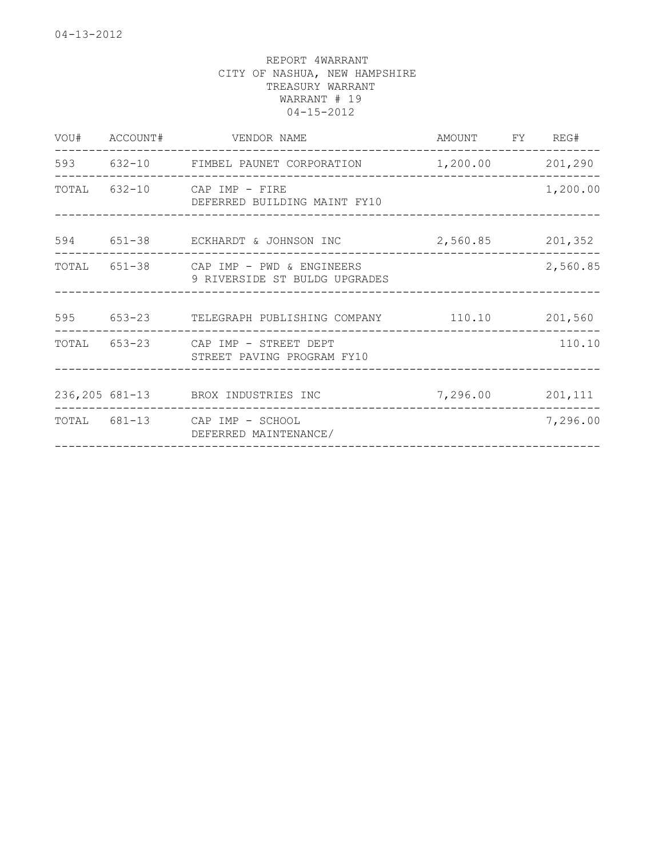|                               |                                                                                                                                                                                                                                                 | 1,200.00                                                                                                                                                                                                                                                                  |
|-------------------------------|-------------------------------------------------------------------------------------------------------------------------------------------------------------------------------------------------------------------------------------------------|---------------------------------------------------------------------------------------------------------------------------------------------------------------------------------------------------------------------------------------------------------------------------|
|                               |                                                                                                                                                                                                                                                 |                                                                                                                                                                                                                                                                           |
| 9 RIVERSIDE ST BULDG UPGRADES |                                                                                                                                                                                                                                                 | 2,560.85                                                                                                                                                                                                                                                                  |
|                               |                                                                                                                                                                                                                                                 |                                                                                                                                                                                                                                                                           |
| STREET PAVING PROGRAM FY10    |                                                                                                                                                                                                                                                 | 110.10                                                                                                                                                                                                                                                                    |
|                               |                                                                                                                                                                                                                                                 |                                                                                                                                                                                                                                                                           |
| DEFERRED MAINTENANCE/         |                                                                                                                                                                                                                                                 | 7,296.00                                                                                                                                                                                                                                                                  |
|                               | VOU# ACCOUNT# VENDOR NAME<br>TOTAL 632-10 CAP IMP - FIRE<br>DEFERRED BUILDING MAINT FY10<br>TOTAL 651-38 CAP IMP - PWD & ENGINEERS<br>TOTAL 653-23 CAP IMP - STREET DEPT<br>236,205 681-13 BROX INDUSTRIES INC<br>TOTAL 681-13 CAP IMP - SCHOOL | AMOUNT FY REG#<br>-------------------<br>593 632-10 FIMBEL PAUNET CORPORATION 1,200.00 201,290<br>594 651-38 ECKHARDT & JOHNSON INC 2,560.85 201,352<br>___________________________________<br>595 653-23 TELEGRAPH PUBLISHING COMPANY 110.10 201,560<br>7,296.00 201,111 |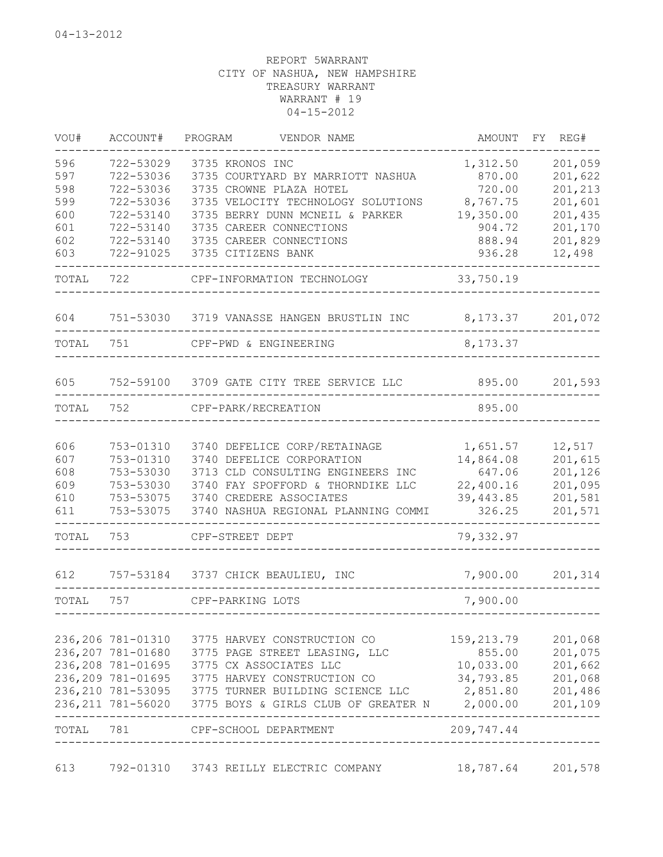| VOU#      | ACCOUNT#          | PROGRAM<br>VENDOR NAME                                         | AMOUNT     | FY REG# |
|-----------|-------------------|----------------------------------------------------------------|------------|---------|
| 596       | 722-53029         | 3735 KRONOS INC                                                | 1,312.50   | 201,059 |
| 597       | 722-53036         | 3735 COURTYARD BY MARRIOTT NASHUA                              | 870.00     | 201,622 |
| 598       | 722-53036         | 3735 CROWNE PLAZA HOTEL                                        | 720.00     | 201,213 |
| 599       | 722-53036         | 3735 VELOCITY TECHNOLOGY SOLUTIONS                             | 8,767.75   | 201,601 |
| 600       | 722-53140         | 3735 BERRY DUNN MCNEIL & PARKER                                | 19,350.00  | 201,435 |
| 601       | 722-53140         | 3735 CAREER CONNECTIONS                                        | 904.72     | 201,170 |
| 602       | 722-53140         | 3735 CAREER CONNECTIONS                                        | 888.94     | 201,829 |
| 603       | 722-91025         | 3735 CITIZENS BANK                                             | 936.28     | 12,498  |
| TOTAL     | 722               | CPF-INFORMATION TECHNOLOGY                                     | 33,750.19  |         |
|           |                   |                                                                |            |         |
| 604       |                   | 751-53030 3719 VANASSE HANGEN BRUSTLIN INC 8,173.37 201,072    |            |         |
| TOTAL     | 751               | CPF-PWD & ENGINEERING                                          | 8, 173.37  |         |
| 605       |                   | 752-59100 3709 GATE CITY TREE SERVICE LLC                      | 895.00     | 201,593 |
| TOTAL     | 752               | CPF-PARK/RECREATION                                            | 895.00     |         |
|           |                   |                                                                |            |         |
| 606       | 753-01310         | 3740 DEFELICE CORP/RETAINAGE                                   | 1,651.57   | 12,517  |
| 607       | 753-01310         | 3740 DEFELICE CORPORATION                                      | 14,864.08  | 201,615 |
| 608       | 753-53030         | 3713 CLD CONSULTING ENGINEERS INC                              | 647.06     | 201,126 |
| 609       | 753-53030         | 3740 FAY SPOFFORD & THORNDIKE LLC                              | 22,400.16  | 201,095 |
| 610       |                   | 753-53075 3740 CREDERE ASSOCIATES                              | 39,443.85  | 201,581 |
| 611       | 753-53075         | 3740 NASHUA REGIONAL PLANNING COMMI                            | 326.25     | 201,571 |
| TOTAL     | 753               | CPF-STREET DEPT                                                | 79,332.97  |         |
| 612       |                   | 757-53184 3737 CHICK BEAULIEU, INC                             | 7,900.00   | 201,314 |
| TOTAL     | 757               | CPF-PARKING LOTS                                               | 7,900.00   |         |
|           |                   |                                                                |            |         |
|           | 236,206 781-01310 | 3775 HARVEY CONSTRUCTION CO                                    | 159,213.79 | 201,068 |
|           |                   | 236, 207 781-01680 3775 PAGE STREET LEASING, LLC               | 855.00     | 201,075 |
|           | 236,208 781-01695 | 3775 CX ASSOCIATES LLC                                         | 10,033.00  | 201,662 |
|           | 236,209 781-01695 | 3775 HARVEY CONSTRUCTION CO                                    | 34,793.85  | 201,068 |
|           |                   | 236, 210 781-53095 3775 TURNER BUILDING SCIENCE LLC            | 2,851.80   | 201,486 |
|           |                   | 236,211 781-56020 3775 BOYS & GIRLS CLUB OF GREATER N 2,000.00 |            | 201,109 |
| TOTAL 781 |                   | CPF-SCHOOL DEPARTMENT                                          | 209,747.44 |         |
| 613       |                   | 792-01310 3743 REILLY ELECTRIC COMPANY                         | 18,787.64  | 201,578 |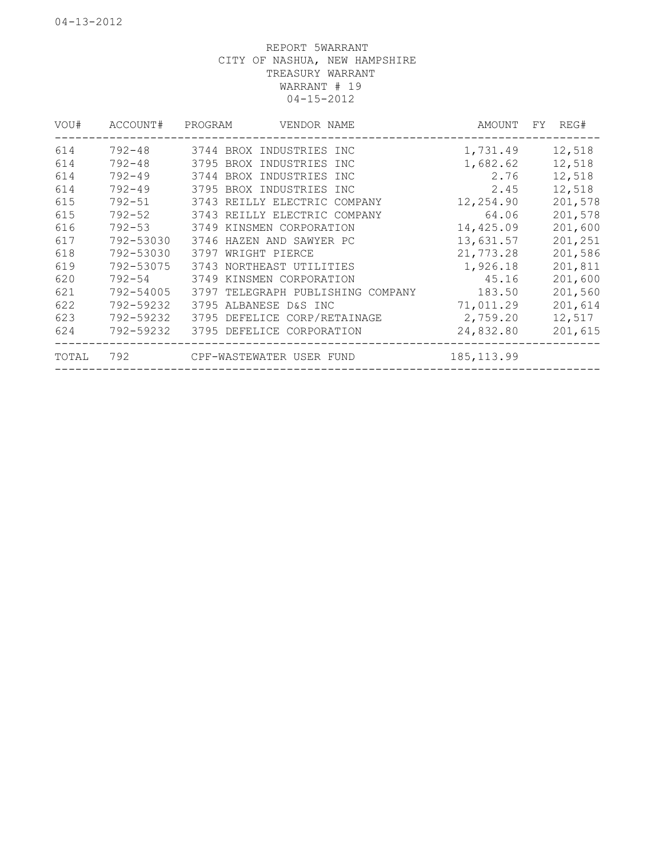| VOU#  | ACCOUNT#   | PROGRAM                      | VENDOR NAME |                                   | AMOUNT      | FY. | REG#    |
|-------|------------|------------------------------|-------------|-----------------------------------|-------------|-----|---------|
| 614   | 792-48     | 3744 BROX INDUSTRIES INC     |             |                                   | 1,731.49    |     | 12,518  |
| 614   | 792-48     | 3795 BROX INDUSTRIES INC     |             |                                   | 1,682.62    |     | 12,518  |
| 614   | $792 - 49$ | 3744 BROX INDUSTRIES INC     |             |                                   | 2.76        |     | 12,518  |
| 614   | $792 - 49$ | 3795 BROX INDUSTRIES INC     |             |                                   | 2.45        |     | 12,518  |
| 615   | $792 - 51$ | 3743 REILLY ELECTRIC COMPANY |             |                                   | 12,254.90   |     | 201,578 |
| 615   | $792 - 52$ | 3743 REILLY ELECTRIC COMPANY |             |                                   | 64.06       |     | 201,578 |
| 616   | $792 - 53$ | 3749 KINSMEN CORPORATION     |             |                                   | 14,425.09   |     | 201,600 |
| 617   | 792-53030  | 3746 HAZEN AND SAWYER PC     |             |                                   | 13,631.57   |     | 201,251 |
| 618   | 792-53030  | 3797 WRIGHT PIERCE           |             |                                   | 21,773.28   |     | 201,586 |
| 619   | 792-53075  | 3743 NORTHEAST UTILITIES     |             |                                   | 1,926.18    |     | 201,811 |
| 620   | $792 - 54$ | 3749 KINSMEN CORPORATION     |             |                                   | 45.16       |     | 201,600 |
| 621   | 792-54005  |                              |             | 3797 TELEGRAPH PUBLISHING COMPANY | 183.50      |     | 201,560 |
| 622   | 792-59232  | 3795 ALBANESE D&S INC        |             |                                   | 71,011.29   |     | 201,614 |
| 623   | 792-59232  | 3795 DEFELICE CORP/RETAINAGE |             |                                   | 2,759.20    |     | 12,517  |
| 624   | 792-59232  | 3795 DEFELICE CORPORATION    |             |                                   | 24,832.80   |     | 201,615 |
| TOTAL | 792        | CPF-WASTEWATER USER FUND     |             |                                   | 185, 113.99 |     |         |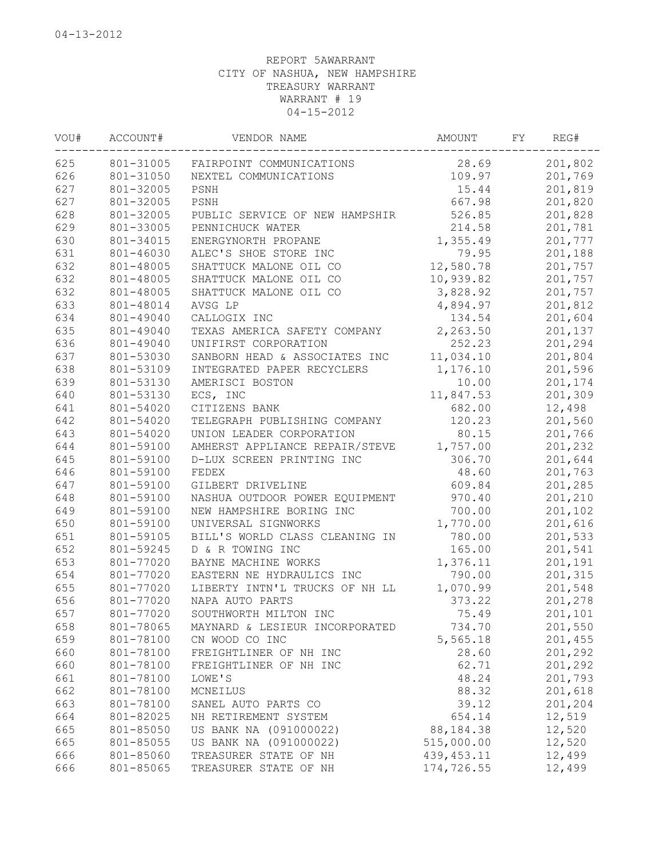| 625<br>801-31005<br>28.69<br>201,802<br>FAIRPOINT COMMUNICATIONS<br>626<br>109.97<br>201,769<br>801-31050<br>NEXTEL COMMUNICATIONS<br>627<br>15.44<br>201,819<br>801-32005<br>PSNH<br>627<br>667.98<br>201,820<br>801-32005<br>PSNH<br>628<br>526.85<br>801-32005<br>201,828<br>PUBLIC SERVICE OF NEW HAMPSHIR<br>629<br>201,781<br>801-33005<br>PENNICHUCK WATER<br>214.58<br>630<br>1,355.49<br>201,777<br>801-34015<br>ENERGYNORTH PROPANE<br>631<br>801-46030<br>ALEC'S SHOE STORE INC<br>79.95<br>201,188<br>632<br>12,580.78<br>801-48005<br>SHATTUCK MALONE OIL CO<br>201,757<br>632<br>10,939.82<br>801-48005<br>SHATTUCK MALONE OIL CO<br>201,757<br>632<br>801-48005<br>SHATTUCK MALONE OIL CO<br>3,828.92<br>201,757<br>633<br>801-48014<br>4,894.97<br>201,812<br>AVSG LP<br>634<br>201,604<br>801-49040<br>CALLOGIX INC<br>134.54<br>635<br>2,263.50<br>801-49040<br>TEXAS AMERICA SAFETY COMPANY<br>201,137<br>636<br>801-49040<br>UNIFIRST CORPORATION<br>252.23<br>201,294<br>637<br>801-53030<br>SANBORN HEAD & ASSOCIATES INC<br>11,034.10<br>201,804<br>638<br>801-53109<br>INTEGRATED PAPER RECYCLERS<br>1,176.10<br>201,596<br>639<br>801-53130<br>AMERISCI BOSTON<br>10.00<br>201,174<br>640<br>801-53130<br>ECS, INC<br>11,847.53<br>201,309<br>641<br>801-54020<br>12,498<br>CITIZENS BANK<br>682.00<br>642<br>801-54020<br>201,560<br>TELEGRAPH PUBLISHING COMPANY<br>120.23<br>643<br>801-54020<br>UNION LEADER CORPORATION<br>80.15<br>201,766<br>644<br>1,757.00<br>801-59100<br>AMHERST APPLIANCE REPAIR/STEVE<br>201,232<br>645<br>801-59100<br>D-LUX SCREEN PRINTING INC<br>306.70<br>201,644<br>646<br>801-59100<br>48.60<br>201,763<br>FEDEX<br>647<br>801-59100<br>609.84<br>201,285<br>GILBERT DRIVELINE<br>648<br>801-59100<br>970.40<br>201,210<br>NASHUA OUTDOOR POWER EQUIPMENT<br>649<br>801-59100<br>700.00<br>NEW HAMPSHIRE BORING INC<br>201,102<br>650<br>801-59100<br>UNIVERSAL SIGNWORKS<br>1,770.00<br>201,616<br>651<br>801-59105<br>BILL'S WORLD CLASS CLEANING IN<br>780.00<br>201,533<br>652<br>801-59245<br>D & R TOWING INC<br>165.00<br>201,541<br>653<br>801-77020<br>BAYNE MACHINE WORKS<br>1,376.11<br>201,191<br>654<br>801-77020<br>790.00<br>EASTERN NE HYDRAULICS INC<br>201,315<br>655<br>801-77020<br>LIBERTY INTN'L TRUCKS OF NH LL<br>1,070.99<br>201,548<br>656<br>NAPA AUTO PARTS<br>801-77020<br>373.22<br>201,278<br>657<br>801-77020<br>SOUTHWORTH MILTON INC<br>75.49<br>201,101<br>201,550<br>658<br>801-78065<br>734.70<br>MAYNARD & LESIEUR INCORPORATED<br>659<br>801-78100<br>CN WOOD CO INC<br>5,565.18<br>201,455<br>660<br>801-78100<br>28.60<br>201,292<br>FREIGHTLINER OF NH INC<br>660<br>801-78100<br>62.71<br>201,292<br>FREIGHTLINER OF NH INC<br>661<br>801-78100<br>48.24<br>201,793<br>LOWE'S<br>662<br>201,618<br>801-78100<br>88.32<br>MCNEILUS<br>663<br>801-78100<br>39.12<br>201,204<br>SANEL AUTO PARTS CO<br>664<br>801-82025<br>654.14<br>12,519<br>NH RETIREMENT SYSTEM<br>665<br>801-85050<br>US BANK NA (091000022)<br>88, 184. 38<br>12,520<br>665<br>US BANK NA (091000022)<br>515,000.00<br>12,520<br>801-85055<br>666<br>801-85060<br>TREASURER STATE OF NH<br>439, 453.11<br>12,499<br>174,726.55<br>666<br>801-85065<br>TREASURER STATE OF NH<br>12,499 | VOU# | ACCOUNT# | VENDOR NAME | <b>AMOUNT</b> | FΥ | REG# |
|------------------------------------------------------------------------------------------------------------------------------------------------------------------------------------------------------------------------------------------------------------------------------------------------------------------------------------------------------------------------------------------------------------------------------------------------------------------------------------------------------------------------------------------------------------------------------------------------------------------------------------------------------------------------------------------------------------------------------------------------------------------------------------------------------------------------------------------------------------------------------------------------------------------------------------------------------------------------------------------------------------------------------------------------------------------------------------------------------------------------------------------------------------------------------------------------------------------------------------------------------------------------------------------------------------------------------------------------------------------------------------------------------------------------------------------------------------------------------------------------------------------------------------------------------------------------------------------------------------------------------------------------------------------------------------------------------------------------------------------------------------------------------------------------------------------------------------------------------------------------------------------------------------------------------------------------------------------------------------------------------------------------------------------------------------------------------------------------------------------------------------------------------------------------------------------------------------------------------------------------------------------------------------------------------------------------------------------------------------------------------------------------------------------------------------------------------------------------------------------------------------------------------------------------------------------------------------------------------------------------------------------------------------------------------------------------------------------------------------------------------------------------------------------------------------------------------------------------------------------------------------------------------------------------------------------------------------------------------------------------------------------------------------------------------------------------------------------------------------------------------------------------------------------------------------------------------------------------------------------------------------------|------|----------|-------------|---------------|----|------|
|                                                                                                                                                                                                                                                                                                                                                                                                                                                                                                                                                                                                                                                                                                                                                                                                                                                                                                                                                                                                                                                                                                                                                                                                                                                                                                                                                                                                                                                                                                                                                                                                                                                                                                                                                                                                                                                                                                                                                                                                                                                                                                                                                                                                                                                                                                                                                                                                                                                                                                                                                                                                                                                                                                                                                                                                                                                                                                                                                                                                                                                                                                                                                                                                                                                                  |      |          |             |               |    |      |
|                                                                                                                                                                                                                                                                                                                                                                                                                                                                                                                                                                                                                                                                                                                                                                                                                                                                                                                                                                                                                                                                                                                                                                                                                                                                                                                                                                                                                                                                                                                                                                                                                                                                                                                                                                                                                                                                                                                                                                                                                                                                                                                                                                                                                                                                                                                                                                                                                                                                                                                                                                                                                                                                                                                                                                                                                                                                                                                                                                                                                                                                                                                                                                                                                                                                  |      |          |             |               |    |      |
|                                                                                                                                                                                                                                                                                                                                                                                                                                                                                                                                                                                                                                                                                                                                                                                                                                                                                                                                                                                                                                                                                                                                                                                                                                                                                                                                                                                                                                                                                                                                                                                                                                                                                                                                                                                                                                                                                                                                                                                                                                                                                                                                                                                                                                                                                                                                                                                                                                                                                                                                                                                                                                                                                                                                                                                                                                                                                                                                                                                                                                                                                                                                                                                                                                                                  |      |          |             |               |    |      |
|                                                                                                                                                                                                                                                                                                                                                                                                                                                                                                                                                                                                                                                                                                                                                                                                                                                                                                                                                                                                                                                                                                                                                                                                                                                                                                                                                                                                                                                                                                                                                                                                                                                                                                                                                                                                                                                                                                                                                                                                                                                                                                                                                                                                                                                                                                                                                                                                                                                                                                                                                                                                                                                                                                                                                                                                                                                                                                                                                                                                                                                                                                                                                                                                                                                                  |      |          |             |               |    |      |
|                                                                                                                                                                                                                                                                                                                                                                                                                                                                                                                                                                                                                                                                                                                                                                                                                                                                                                                                                                                                                                                                                                                                                                                                                                                                                                                                                                                                                                                                                                                                                                                                                                                                                                                                                                                                                                                                                                                                                                                                                                                                                                                                                                                                                                                                                                                                                                                                                                                                                                                                                                                                                                                                                                                                                                                                                                                                                                                                                                                                                                                                                                                                                                                                                                                                  |      |          |             |               |    |      |
|                                                                                                                                                                                                                                                                                                                                                                                                                                                                                                                                                                                                                                                                                                                                                                                                                                                                                                                                                                                                                                                                                                                                                                                                                                                                                                                                                                                                                                                                                                                                                                                                                                                                                                                                                                                                                                                                                                                                                                                                                                                                                                                                                                                                                                                                                                                                                                                                                                                                                                                                                                                                                                                                                                                                                                                                                                                                                                                                                                                                                                                                                                                                                                                                                                                                  |      |          |             |               |    |      |
|                                                                                                                                                                                                                                                                                                                                                                                                                                                                                                                                                                                                                                                                                                                                                                                                                                                                                                                                                                                                                                                                                                                                                                                                                                                                                                                                                                                                                                                                                                                                                                                                                                                                                                                                                                                                                                                                                                                                                                                                                                                                                                                                                                                                                                                                                                                                                                                                                                                                                                                                                                                                                                                                                                                                                                                                                                                                                                                                                                                                                                                                                                                                                                                                                                                                  |      |          |             |               |    |      |
|                                                                                                                                                                                                                                                                                                                                                                                                                                                                                                                                                                                                                                                                                                                                                                                                                                                                                                                                                                                                                                                                                                                                                                                                                                                                                                                                                                                                                                                                                                                                                                                                                                                                                                                                                                                                                                                                                                                                                                                                                                                                                                                                                                                                                                                                                                                                                                                                                                                                                                                                                                                                                                                                                                                                                                                                                                                                                                                                                                                                                                                                                                                                                                                                                                                                  |      |          |             |               |    |      |
|                                                                                                                                                                                                                                                                                                                                                                                                                                                                                                                                                                                                                                                                                                                                                                                                                                                                                                                                                                                                                                                                                                                                                                                                                                                                                                                                                                                                                                                                                                                                                                                                                                                                                                                                                                                                                                                                                                                                                                                                                                                                                                                                                                                                                                                                                                                                                                                                                                                                                                                                                                                                                                                                                                                                                                                                                                                                                                                                                                                                                                                                                                                                                                                                                                                                  |      |          |             |               |    |      |
|                                                                                                                                                                                                                                                                                                                                                                                                                                                                                                                                                                                                                                                                                                                                                                                                                                                                                                                                                                                                                                                                                                                                                                                                                                                                                                                                                                                                                                                                                                                                                                                                                                                                                                                                                                                                                                                                                                                                                                                                                                                                                                                                                                                                                                                                                                                                                                                                                                                                                                                                                                                                                                                                                                                                                                                                                                                                                                                                                                                                                                                                                                                                                                                                                                                                  |      |          |             |               |    |      |
|                                                                                                                                                                                                                                                                                                                                                                                                                                                                                                                                                                                                                                                                                                                                                                                                                                                                                                                                                                                                                                                                                                                                                                                                                                                                                                                                                                                                                                                                                                                                                                                                                                                                                                                                                                                                                                                                                                                                                                                                                                                                                                                                                                                                                                                                                                                                                                                                                                                                                                                                                                                                                                                                                                                                                                                                                                                                                                                                                                                                                                                                                                                                                                                                                                                                  |      |          |             |               |    |      |
|                                                                                                                                                                                                                                                                                                                                                                                                                                                                                                                                                                                                                                                                                                                                                                                                                                                                                                                                                                                                                                                                                                                                                                                                                                                                                                                                                                                                                                                                                                                                                                                                                                                                                                                                                                                                                                                                                                                                                                                                                                                                                                                                                                                                                                                                                                                                                                                                                                                                                                                                                                                                                                                                                                                                                                                                                                                                                                                                                                                                                                                                                                                                                                                                                                                                  |      |          |             |               |    |      |
|                                                                                                                                                                                                                                                                                                                                                                                                                                                                                                                                                                                                                                                                                                                                                                                                                                                                                                                                                                                                                                                                                                                                                                                                                                                                                                                                                                                                                                                                                                                                                                                                                                                                                                                                                                                                                                                                                                                                                                                                                                                                                                                                                                                                                                                                                                                                                                                                                                                                                                                                                                                                                                                                                                                                                                                                                                                                                                                                                                                                                                                                                                                                                                                                                                                                  |      |          |             |               |    |      |
|                                                                                                                                                                                                                                                                                                                                                                                                                                                                                                                                                                                                                                                                                                                                                                                                                                                                                                                                                                                                                                                                                                                                                                                                                                                                                                                                                                                                                                                                                                                                                                                                                                                                                                                                                                                                                                                                                                                                                                                                                                                                                                                                                                                                                                                                                                                                                                                                                                                                                                                                                                                                                                                                                                                                                                                                                                                                                                                                                                                                                                                                                                                                                                                                                                                                  |      |          |             |               |    |      |
|                                                                                                                                                                                                                                                                                                                                                                                                                                                                                                                                                                                                                                                                                                                                                                                                                                                                                                                                                                                                                                                                                                                                                                                                                                                                                                                                                                                                                                                                                                                                                                                                                                                                                                                                                                                                                                                                                                                                                                                                                                                                                                                                                                                                                                                                                                                                                                                                                                                                                                                                                                                                                                                                                                                                                                                                                                                                                                                                                                                                                                                                                                                                                                                                                                                                  |      |          |             |               |    |      |
|                                                                                                                                                                                                                                                                                                                                                                                                                                                                                                                                                                                                                                                                                                                                                                                                                                                                                                                                                                                                                                                                                                                                                                                                                                                                                                                                                                                                                                                                                                                                                                                                                                                                                                                                                                                                                                                                                                                                                                                                                                                                                                                                                                                                                                                                                                                                                                                                                                                                                                                                                                                                                                                                                                                                                                                                                                                                                                                                                                                                                                                                                                                                                                                                                                                                  |      |          |             |               |    |      |
|                                                                                                                                                                                                                                                                                                                                                                                                                                                                                                                                                                                                                                                                                                                                                                                                                                                                                                                                                                                                                                                                                                                                                                                                                                                                                                                                                                                                                                                                                                                                                                                                                                                                                                                                                                                                                                                                                                                                                                                                                                                                                                                                                                                                                                                                                                                                                                                                                                                                                                                                                                                                                                                                                                                                                                                                                                                                                                                                                                                                                                                                                                                                                                                                                                                                  |      |          |             |               |    |      |
|                                                                                                                                                                                                                                                                                                                                                                                                                                                                                                                                                                                                                                                                                                                                                                                                                                                                                                                                                                                                                                                                                                                                                                                                                                                                                                                                                                                                                                                                                                                                                                                                                                                                                                                                                                                                                                                                                                                                                                                                                                                                                                                                                                                                                                                                                                                                                                                                                                                                                                                                                                                                                                                                                                                                                                                                                                                                                                                                                                                                                                                                                                                                                                                                                                                                  |      |          |             |               |    |      |
|                                                                                                                                                                                                                                                                                                                                                                                                                                                                                                                                                                                                                                                                                                                                                                                                                                                                                                                                                                                                                                                                                                                                                                                                                                                                                                                                                                                                                                                                                                                                                                                                                                                                                                                                                                                                                                                                                                                                                                                                                                                                                                                                                                                                                                                                                                                                                                                                                                                                                                                                                                                                                                                                                                                                                                                                                                                                                                                                                                                                                                                                                                                                                                                                                                                                  |      |          |             |               |    |      |
|                                                                                                                                                                                                                                                                                                                                                                                                                                                                                                                                                                                                                                                                                                                                                                                                                                                                                                                                                                                                                                                                                                                                                                                                                                                                                                                                                                                                                                                                                                                                                                                                                                                                                                                                                                                                                                                                                                                                                                                                                                                                                                                                                                                                                                                                                                                                                                                                                                                                                                                                                                                                                                                                                                                                                                                                                                                                                                                                                                                                                                                                                                                                                                                                                                                                  |      |          |             |               |    |      |
|                                                                                                                                                                                                                                                                                                                                                                                                                                                                                                                                                                                                                                                                                                                                                                                                                                                                                                                                                                                                                                                                                                                                                                                                                                                                                                                                                                                                                                                                                                                                                                                                                                                                                                                                                                                                                                                                                                                                                                                                                                                                                                                                                                                                                                                                                                                                                                                                                                                                                                                                                                                                                                                                                                                                                                                                                                                                                                                                                                                                                                                                                                                                                                                                                                                                  |      |          |             |               |    |      |
|                                                                                                                                                                                                                                                                                                                                                                                                                                                                                                                                                                                                                                                                                                                                                                                                                                                                                                                                                                                                                                                                                                                                                                                                                                                                                                                                                                                                                                                                                                                                                                                                                                                                                                                                                                                                                                                                                                                                                                                                                                                                                                                                                                                                                                                                                                                                                                                                                                                                                                                                                                                                                                                                                                                                                                                                                                                                                                                                                                                                                                                                                                                                                                                                                                                                  |      |          |             |               |    |      |
|                                                                                                                                                                                                                                                                                                                                                                                                                                                                                                                                                                                                                                                                                                                                                                                                                                                                                                                                                                                                                                                                                                                                                                                                                                                                                                                                                                                                                                                                                                                                                                                                                                                                                                                                                                                                                                                                                                                                                                                                                                                                                                                                                                                                                                                                                                                                                                                                                                                                                                                                                                                                                                                                                                                                                                                                                                                                                                                                                                                                                                                                                                                                                                                                                                                                  |      |          |             |               |    |      |
|                                                                                                                                                                                                                                                                                                                                                                                                                                                                                                                                                                                                                                                                                                                                                                                                                                                                                                                                                                                                                                                                                                                                                                                                                                                                                                                                                                                                                                                                                                                                                                                                                                                                                                                                                                                                                                                                                                                                                                                                                                                                                                                                                                                                                                                                                                                                                                                                                                                                                                                                                                                                                                                                                                                                                                                                                                                                                                                                                                                                                                                                                                                                                                                                                                                                  |      |          |             |               |    |      |
|                                                                                                                                                                                                                                                                                                                                                                                                                                                                                                                                                                                                                                                                                                                                                                                                                                                                                                                                                                                                                                                                                                                                                                                                                                                                                                                                                                                                                                                                                                                                                                                                                                                                                                                                                                                                                                                                                                                                                                                                                                                                                                                                                                                                                                                                                                                                                                                                                                                                                                                                                                                                                                                                                                                                                                                                                                                                                                                                                                                                                                                                                                                                                                                                                                                                  |      |          |             |               |    |      |
|                                                                                                                                                                                                                                                                                                                                                                                                                                                                                                                                                                                                                                                                                                                                                                                                                                                                                                                                                                                                                                                                                                                                                                                                                                                                                                                                                                                                                                                                                                                                                                                                                                                                                                                                                                                                                                                                                                                                                                                                                                                                                                                                                                                                                                                                                                                                                                                                                                                                                                                                                                                                                                                                                                                                                                                                                                                                                                                                                                                                                                                                                                                                                                                                                                                                  |      |          |             |               |    |      |
|                                                                                                                                                                                                                                                                                                                                                                                                                                                                                                                                                                                                                                                                                                                                                                                                                                                                                                                                                                                                                                                                                                                                                                                                                                                                                                                                                                                                                                                                                                                                                                                                                                                                                                                                                                                                                                                                                                                                                                                                                                                                                                                                                                                                                                                                                                                                                                                                                                                                                                                                                                                                                                                                                                                                                                                                                                                                                                                                                                                                                                                                                                                                                                                                                                                                  |      |          |             |               |    |      |
|                                                                                                                                                                                                                                                                                                                                                                                                                                                                                                                                                                                                                                                                                                                                                                                                                                                                                                                                                                                                                                                                                                                                                                                                                                                                                                                                                                                                                                                                                                                                                                                                                                                                                                                                                                                                                                                                                                                                                                                                                                                                                                                                                                                                                                                                                                                                                                                                                                                                                                                                                                                                                                                                                                                                                                                                                                                                                                                                                                                                                                                                                                                                                                                                                                                                  |      |          |             |               |    |      |
|                                                                                                                                                                                                                                                                                                                                                                                                                                                                                                                                                                                                                                                                                                                                                                                                                                                                                                                                                                                                                                                                                                                                                                                                                                                                                                                                                                                                                                                                                                                                                                                                                                                                                                                                                                                                                                                                                                                                                                                                                                                                                                                                                                                                                                                                                                                                                                                                                                                                                                                                                                                                                                                                                                                                                                                                                                                                                                                                                                                                                                                                                                                                                                                                                                                                  |      |          |             |               |    |      |
|                                                                                                                                                                                                                                                                                                                                                                                                                                                                                                                                                                                                                                                                                                                                                                                                                                                                                                                                                                                                                                                                                                                                                                                                                                                                                                                                                                                                                                                                                                                                                                                                                                                                                                                                                                                                                                                                                                                                                                                                                                                                                                                                                                                                                                                                                                                                                                                                                                                                                                                                                                                                                                                                                                                                                                                                                                                                                                                                                                                                                                                                                                                                                                                                                                                                  |      |          |             |               |    |      |
|                                                                                                                                                                                                                                                                                                                                                                                                                                                                                                                                                                                                                                                                                                                                                                                                                                                                                                                                                                                                                                                                                                                                                                                                                                                                                                                                                                                                                                                                                                                                                                                                                                                                                                                                                                                                                                                                                                                                                                                                                                                                                                                                                                                                                                                                                                                                                                                                                                                                                                                                                                                                                                                                                                                                                                                                                                                                                                                                                                                                                                                                                                                                                                                                                                                                  |      |          |             |               |    |      |
|                                                                                                                                                                                                                                                                                                                                                                                                                                                                                                                                                                                                                                                                                                                                                                                                                                                                                                                                                                                                                                                                                                                                                                                                                                                                                                                                                                                                                                                                                                                                                                                                                                                                                                                                                                                                                                                                                                                                                                                                                                                                                                                                                                                                                                                                                                                                                                                                                                                                                                                                                                                                                                                                                                                                                                                                                                                                                                                                                                                                                                                                                                                                                                                                                                                                  |      |          |             |               |    |      |
|                                                                                                                                                                                                                                                                                                                                                                                                                                                                                                                                                                                                                                                                                                                                                                                                                                                                                                                                                                                                                                                                                                                                                                                                                                                                                                                                                                                                                                                                                                                                                                                                                                                                                                                                                                                                                                                                                                                                                                                                                                                                                                                                                                                                                                                                                                                                                                                                                                                                                                                                                                                                                                                                                                                                                                                                                                                                                                                                                                                                                                                                                                                                                                                                                                                                  |      |          |             |               |    |      |
|                                                                                                                                                                                                                                                                                                                                                                                                                                                                                                                                                                                                                                                                                                                                                                                                                                                                                                                                                                                                                                                                                                                                                                                                                                                                                                                                                                                                                                                                                                                                                                                                                                                                                                                                                                                                                                                                                                                                                                                                                                                                                                                                                                                                                                                                                                                                                                                                                                                                                                                                                                                                                                                                                                                                                                                                                                                                                                                                                                                                                                                                                                                                                                                                                                                                  |      |          |             |               |    |      |
|                                                                                                                                                                                                                                                                                                                                                                                                                                                                                                                                                                                                                                                                                                                                                                                                                                                                                                                                                                                                                                                                                                                                                                                                                                                                                                                                                                                                                                                                                                                                                                                                                                                                                                                                                                                                                                                                                                                                                                                                                                                                                                                                                                                                                                                                                                                                                                                                                                                                                                                                                                                                                                                                                                                                                                                                                                                                                                                                                                                                                                                                                                                                                                                                                                                                  |      |          |             |               |    |      |
|                                                                                                                                                                                                                                                                                                                                                                                                                                                                                                                                                                                                                                                                                                                                                                                                                                                                                                                                                                                                                                                                                                                                                                                                                                                                                                                                                                                                                                                                                                                                                                                                                                                                                                                                                                                                                                                                                                                                                                                                                                                                                                                                                                                                                                                                                                                                                                                                                                                                                                                                                                                                                                                                                                                                                                                                                                                                                                                                                                                                                                                                                                                                                                                                                                                                  |      |          |             |               |    |      |
|                                                                                                                                                                                                                                                                                                                                                                                                                                                                                                                                                                                                                                                                                                                                                                                                                                                                                                                                                                                                                                                                                                                                                                                                                                                                                                                                                                                                                                                                                                                                                                                                                                                                                                                                                                                                                                                                                                                                                                                                                                                                                                                                                                                                                                                                                                                                                                                                                                                                                                                                                                                                                                                                                                                                                                                                                                                                                                                                                                                                                                                                                                                                                                                                                                                                  |      |          |             |               |    |      |
|                                                                                                                                                                                                                                                                                                                                                                                                                                                                                                                                                                                                                                                                                                                                                                                                                                                                                                                                                                                                                                                                                                                                                                                                                                                                                                                                                                                                                                                                                                                                                                                                                                                                                                                                                                                                                                                                                                                                                                                                                                                                                                                                                                                                                                                                                                                                                                                                                                                                                                                                                                                                                                                                                                                                                                                                                                                                                                                                                                                                                                                                                                                                                                                                                                                                  |      |          |             |               |    |      |
|                                                                                                                                                                                                                                                                                                                                                                                                                                                                                                                                                                                                                                                                                                                                                                                                                                                                                                                                                                                                                                                                                                                                                                                                                                                                                                                                                                                                                                                                                                                                                                                                                                                                                                                                                                                                                                                                                                                                                                                                                                                                                                                                                                                                                                                                                                                                                                                                                                                                                                                                                                                                                                                                                                                                                                                                                                                                                                                                                                                                                                                                                                                                                                                                                                                                  |      |          |             |               |    |      |
|                                                                                                                                                                                                                                                                                                                                                                                                                                                                                                                                                                                                                                                                                                                                                                                                                                                                                                                                                                                                                                                                                                                                                                                                                                                                                                                                                                                                                                                                                                                                                                                                                                                                                                                                                                                                                                                                                                                                                                                                                                                                                                                                                                                                                                                                                                                                                                                                                                                                                                                                                                                                                                                                                                                                                                                                                                                                                                                                                                                                                                                                                                                                                                                                                                                                  |      |          |             |               |    |      |
|                                                                                                                                                                                                                                                                                                                                                                                                                                                                                                                                                                                                                                                                                                                                                                                                                                                                                                                                                                                                                                                                                                                                                                                                                                                                                                                                                                                                                                                                                                                                                                                                                                                                                                                                                                                                                                                                                                                                                                                                                                                                                                                                                                                                                                                                                                                                                                                                                                                                                                                                                                                                                                                                                                                                                                                                                                                                                                                                                                                                                                                                                                                                                                                                                                                                  |      |          |             |               |    |      |
|                                                                                                                                                                                                                                                                                                                                                                                                                                                                                                                                                                                                                                                                                                                                                                                                                                                                                                                                                                                                                                                                                                                                                                                                                                                                                                                                                                                                                                                                                                                                                                                                                                                                                                                                                                                                                                                                                                                                                                                                                                                                                                                                                                                                                                                                                                                                                                                                                                                                                                                                                                                                                                                                                                                                                                                                                                                                                                                                                                                                                                                                                                                                                                                                                                                                  |      |          |             |               |    |      |
|                                                                                                                                                                                                                                                                                                                                                                                                                                                                                                                                                                                                                                                                                                                                                                                                                                                                                                                                                                                                                                                                                                                                                                                                                                                                                                                                                                                                                                                                                                                                                                                                                                                                                                                                                                                                                                                                                                                                                                                                                                                                                                                                                                                                                                                                                                                                                                                                                                                                                                                                                                                                                                                                                                                                                                                                                                                                                                                                                                                                                                                                                                                                                                                                                                                                  |      |          |             |               |    |      |
|                                                                                                                                                                                                                                                                                                                                                                                                                                                                                                                                                                                                                                                                                                                                                                                                                                                                                                                                                                                                                                                                                                                                                                                                                                                                                                                                                                                                                                                                                                                                                                                                                                                                                                                                                                                                                                                                                                                                                                                                                                                                                                                                                                                                                                                                                                                                                                                                                                                                                                                                                                                                                                                                                                                                                                                                                                                                                                                                                                                                                                                                                                                                                                                                                                                                  |      |          |             |               |    |      |
|                                                                                                                                                                                                                                                                                                                                                                                                                                                                                                                                                                                                                                                                                                                                                                                                                                                                                                                                                                                                                                                                                                                                                                                                                                                                                                                                                                                                                                                                                                                                                                                                                                                                                                                                                                                                                                                                                                                                                                                                                                                                                                                                                                                                                                                                                                                                                                                                                                                                                                                                                                                                                                                                                                                                                                                                                                                                                                                                                                                                                                                                                                                                                                                                                                                                  |      |          |             |               |    |      |
|                                                                                                                                                                                                                                                                                                                                                                                                                                                                                                                                                                                                                                                                                                                                                                                                                                                                                                                                                                                                                                                                                                                                                                                                                                                                                                                                                                                                                                                                                                                                                                                                                                                                                                                                                                                                                                                                                                                                                                                                                                                                                                                                                                                                                                                                                                                                                                                                                                                                                                                                                                                                                                                                                                                                                                                                                                                                                                                                                                                                                                                                                                                                                                                                                                                                  |      |          |             |               |    |      |
|                                                                                                                                                                                                                                                                                                                                                                                                                                                                                                                                                                                                                                                                                                                                                                                                                                                                                                                                                                                                                                                                                                                                                                                                                                                                                                                                                                                                                                                                                                                                                                                                                                                                                                                                                                                                                                                                                                                                                                                                                                                                                                                                                                                                                                                                                                                                                                                                                                                                                                                                                                                                                                                                                                                                                                                                                                                                                                                                                                                                                                                                                                                                                                                                                                                                  |      |          |             |               |    |      |
|                                                                                                                                                                                                                                                                                                                                                                                                                                                                                                                                                                                                                                                                                                                                                                                                                                                                                                                                                                                                                                                                                                                                                                                                                                                                                                                                                                                                                                                                                                                                                                                                                                                                                                                                                                                                                                                                                                                                                                                                                                                                                                                                                                                                                                                                                                                                                                                                                                                                                                                                                                                                                                                                                                                                                                                                                                                                                                                                                                                                                                                                                                                                                                                                                                                                  |      |          |             |               |    |      |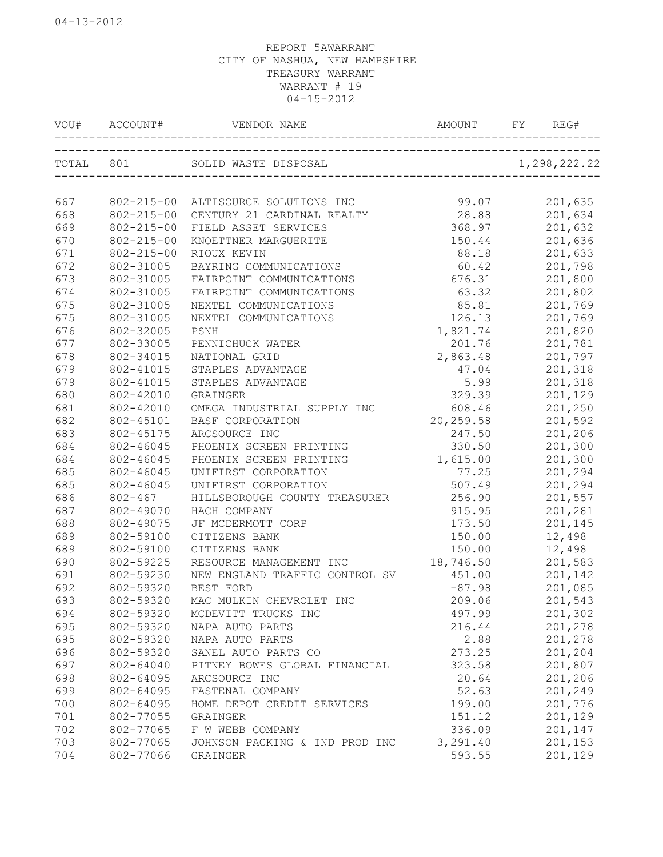|     | VOU# ACCOUNT#    |                                           |           | REG#    |
|-----|------------------|-------------------------------------------|-----------|---------|
|     |                  |                                           |           |         |
|     |                  |                                           |           |         |
| 667 |                  | 802-215-00 ALTISOURCE SOLUTIONS INC 99.07 |           | 201,635 |
| 668 | $802 - 215 - 00$ | CENTURY 21 CARDINAL REALTY                | 28.88     | 201,634 |
| 669 | $802 - 215 - 00$ | FIELD ASSET SERVICES                      | 368.97    | 201,632 |
| 670 | $802 - 215 - 00$ | KNOETTNER MARGUERITE                      | 150.44    | 201,636 |
| 671 | $802 - 215 - 00$ | RIOUX KEVIN                               | 88.18     | 201,633 |
| 672 | 802-31005        | BAYRING COMMUNICATIONS                    | 60.42     | 201,798 |
| 673 | 802-31005        | FAIRPOINT COMMUNICATIONS                  | 676.31    | 201,800 |
| 674 | 802-31005        | FAIRPOINT COMMUNICATIONS                  | 63.32     | 201,802 |
| 675 | 802-31005        | NEXTEL COMMUNICATIONS                     | 85.81     | 201,769 |
| 675 | 802-31005        | NEXTEL COMMUNICATIONS                     | 126.13    | 201,769 |
| 676 | 802-32005        | PSNH                                      | 1,821.74  | 201,820 |
| 677 | 802-33005        | PENNICHUCK WATER                          | 201.76    | 201,781 |
| 678 | 802-34015        | NATIONAL GRID                             | 2,863.48  | 201,797 |
| 679 | 802-41015        | STAPLES ADVANTAGE                         | 47.04     | 201,318 |
| 679 | 802-41015        | STAPLES ADVANTAGE                         | 5.99      | 201,318 |
| 680 | 802-42010        | GRAINGER                                  | 329.39    | 201,129 |
| 681 | 802-42010        | OMEGA INDUSTRIAL SUPPLY INC               | 608.46    | 201,250 |
| 682 | 802-45101        | BASF CORPORATION                          | 20,259.58 | 201,592 |
| 683 | 802-45175        | ARCSOURCE INC                             | 247.50    | 201,206 |
| 684 | 802-46045        | PHOENIX SCREEN PRINTING                   | 330.50    | 201,300 |
| 684 | 802-46045        | PHOENIX SCREEN PRINTING                   | 1,615.00  | 201,300 |
| 685 | 802-46045        | UNIFIRST CORPORATION                      | 77.25     | 201,294 |
| 685 | 802-46045        | UNIFIRST CORPORATION                      | 507.49    | 201,294 |
| 686 | $802 - 467$      | HILLSBOROUGH COUNTY TREASURER             | 256.90    | 201,557 |
| 687 | 802-49070        | HACH COMPANY                              | 915.95    | 201,281 |
| 688 | 802-49075        | JF MCDERMOTT CORP                         | 173.50    | 201,145 |
| 689 | 802-59100        | CITIZENS BANK                             | 150.00    | 12,498  |
| 689 | 802-59100        | CITIZENS BANK                             | 150.00    | 12,498  |
| 690 | 802-59225        | RESOURCE MANAGEMENT INC                   | 18,746.50 | 201,583 |
| 691 | 802-59230        | NEW ENGLAND TRAFFIC CONTROL SV            | 451.00    | 201,142 |
| 692 | 802-59320        | BEST FORD                                 | $-87.98$  | 201,085 |
| 693 | 802-59320        | MAC MULKIN CHEVROLET INC                  | 209.06    | 201,543 |
| 694 | 802-59320        | MCDEVITT TRUCKS INC                       | 497.99    | 201,302 |
| 695 | 802-59320        | NAPA AUTO PARTS                           | 216.44    | 201,278 |
| 695 | 802-59320        | NAPA AUTO PARTS                           | 2.88      | 201,278 |
| 696 | 802-59320        | SANEL AUTO PARTS CO                       | 273.25    | 201,204 |
| 697 | 802-64040        | PITNEY BOWES GLOBAL FINANCIAL             | 323.58    | 201,807 |
| 698 | 802-64095        | ARCSOURCE INC                             | 20.64     | 201,206 |
| 699 | 802-64095        | FASTENAL COMPANY                          | 52.63     | 201,249 |
| 700 | 802-64095        | HOME DEPOT CREDIT SERVICES                | 199.00    | 201,776 |
| 701 | 802-77055        | GRAINGER                                  | 151.12    | 201,129 |
| 702 | 802-77065        | F W WEBB COMPANY                          | 336.09    | 201,147 |
| 703 | 802-77065        | JOHNSON PACKING & IND PROD INC            | 3,291.40  | 201,153 |
| 704 | 802-77066        | GRAINGER                                  | 593.55    | 201,129 |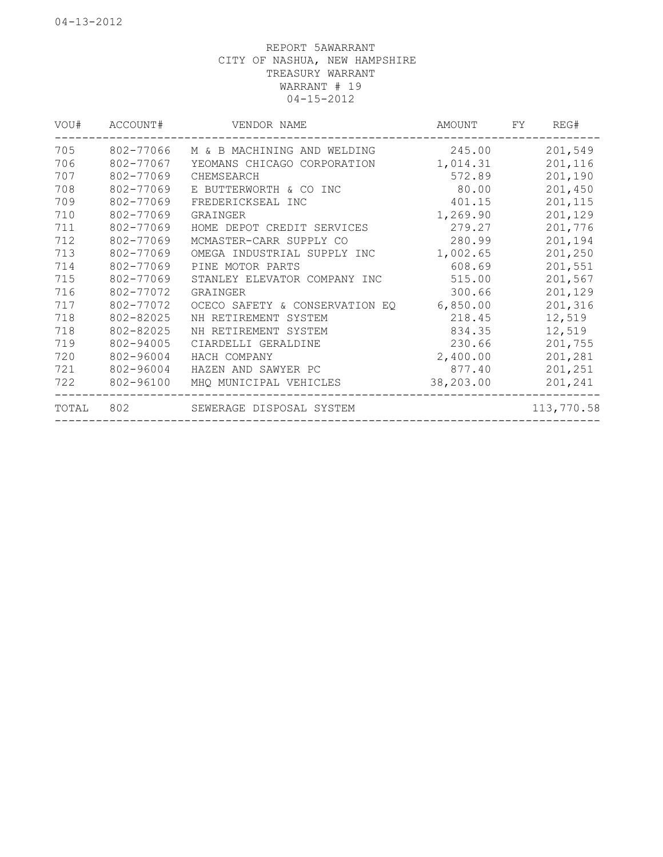| VOU#  | ACCOUNT#  | VENDOR NAME                    | AMOUNT    | REG#<br>FY |
|-------|-----------|--------------------------------|-----------|------------|
| 705   | 802-77066 | M & B MACHINING AND WELDING    | 245.00    | 201,549    |
| 706   | 802-77067 | YEOMANS CHICAGO CORPORATION    | 1,014.31  | 201,116    |
| 707   | 802-77069 | CHEMSEARCH                     | 572.89    | 201,190    |
| 708   | 802-77069 | E BUTTERWORTH & CO INC         | 80.00     | 201,450    |
| 709   | 802-77069 | FREDERICKSEAL INC              | 401.15    | 201,115    |
| 710   | 802-77069 | GRAINGER                       | 1,269.90  | 201,129    |
| 711   | 802-77069 | HOME DEPOT CREDIT SERVICES     | 279.27    | 201,776    |
| 712   | 802-77069 | MCMASTER-CARR SUPPLY CO        | 280.99    | 201,194    |
| 713   | 802-77069 | OMEGA INDUSTRIAL SUPPLY INC    | 1,002.65  | 201,250    |
| 714   | 802-77069 | PINE MOTOR PARTS               | 608.69    | 201,551    |
| 715   | 802-77069 | STANLEY ELEVATOR COMPANY INC   | 515.00    | 201,567    |
| 716   | 802-77072 | GRAINGER                       | 300.66    | 201,129    |
| 717   | 802-77072 | OCECO SAFETY & CONSERVATION EQ | 6,850.00  | 201,316    |
| 718   | 802-82025 | NH RETIREMENT SYSTEM           | 218.45    | 12,519     |
| 718   | 802-82025 | NH RETIREMENT SYSTEM           | 834.35    | 12,519     |
| 719   | 802-94005 | CIARDELLI GERALDINE            | 230.66    | 201,755    |
| 720   | 802-96004 | HACH COMPANY                   | 2,400.00  | 201,281    |
| 721   | 802-96004 | HAZEN AND SAWYER PC            | 877.40    | 201,251    |
| 722   | 802-96100 | MHQ MUNICIPAL VEHICLES         | 38,203.00 | 201,241    |
| TOTAL | 802       | SEWERAGE DISPOSAL SYSTEM       |           | 113,770.58 |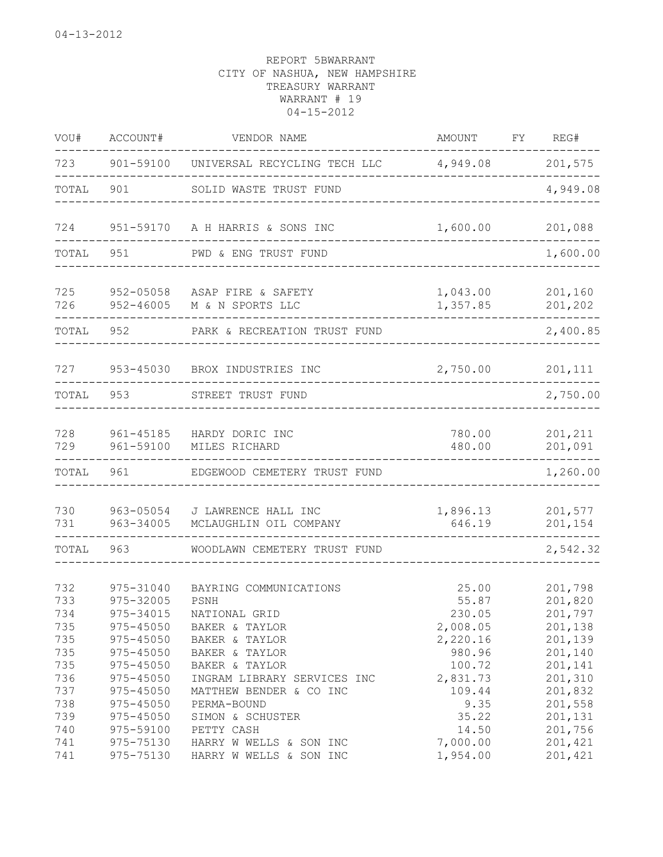| VOU#                                                                      | ACCOUNT#                                                                                                                                        | VENDOR NAME                                                                                                                                                                                                          | AMOUNT                                                                                                      | FY | REG#                                                                                                                  |
|---------------------------------------------------------------------------|-------------------------------------------------------------------------------------------------------------------------------------------------|----------------------------------------------------------------------------------------------------------------------------------------------------------------------------------------------------------------------|-------------------------------------------------------------------------------------------------------------|----|-----------------------------------------------------------------------------------------------------------------------|
| 723                                                                       | 901-59100                                                                                                                                       | UNIVERSAL RECYCLING TECH LLC 4,949.08                                                                                                                                                                                |                                                                                                             |    | 201,575                                                                                                               |
| TOTAL                                                                     | 901                                                                                                                                             | SOLID WASTE TRUST FUND                                                                                                                                                                                               |                                                                                                             |    | 4,949.08                                                                                                              |
| 724                                                                       |                                                                                                                                                 | 951-59170 A H HARRIS & SONS INC                                                                                                                                                                                      | 1,600.00                                                                                                    |    | 201,088                                                                                                               |
| TOTAL                                                                     | 951                                                                                                                                             | PWD & ENG TRUST FUND                                                                                                                                                                                                 |                                                                                                             |    | 1,600.00                                                                                                              |
| 725<br>726                                                                | 952-05058<br>952-46005                                                                                                                          | ASAP FIRE & SAFETY<br>M & N SPORTS LLC                                                                                                                                                                               | 1,043.00<br>1,357.85                                                                                        |    | 201,160<br>201,202                                                                                                    |
| TOTAL                                                                     | 952                                                                                                                                             | PARK & RECREATION TRUST FUND                                                                                                                                                                                         |                                                                                                             |    | 2,400.85                                                                                                              |
| 727                                                                       |                                                                                                                                                 | 953-45030 BROX INDUSTRIES INC                                                                                                                                                                                        | 2,750.00                                                                                                    |    | 201,111                                                                                                               |
| TOTAL                                                                     | 953                                                                                                                                             | STREET TRUST FUND                                                                                                                                                                                                    |                                                                                                             |    | 2,750.00                                                                                                              |
| 728<br>729                                                                | 961-45185<br>961-59100                                                                                                                          | HARDY DORIC INC<br>MILES RICHARD                                                                                                                                                                                     | 780.00<br>480.00                                                                                            |    | 201,211<br>201,091<br>------                                                                                          |
| TOTAL                                                                     | 961                                                                                                                                             | EDGEWOOD CEMETERY TRUST FUND                                                                                                                                                                                         |                                                                                                             |    | 1,260.00                                                                                                              |
| 730<br>731                                                                | 963-05054<br>963-34005                                                                                                                          | J LAWRENCE HALL INC<br>MCLAUGHLIN OIL COMPANY                                                                                                                                                                        | 1,896.13<br>646.19                                                                                          |    | 201,577<br>201,154<br>-------                                                                                         |
| TOTAL                                                                     | 963                                                                                                                                             | WOODLAWN CEMETERY TRUST FUND                                                                                                                                                                                         |                                                                                                             |    | 2,542.32                                                                                                              |
| 732<br>733<br>734<br>735<br>735<br>735<br>735<br>736<br>737<br>738<br>739 | 975-31040<br>975-32005<br>975-34015<br>975-45050<br>975-45050<br>975-45050<br>$975 - 45050$<br>975-45050<br>975-45050<br>975-45050<br>975-45050 | BAYRING COMMUNICATIONS<br>PSNH<br>NATIONAL GRID<br>BAKER & TAYLOR<br>BAKER & TAYLOR<br>BAKER & TAYLOR<br>BAKER & TAYLOR<br>INGRAM LIBRARY SERVICES INC<br>MATTHEW BENDER & CO INC<br>PERMA-BOUND<br>SIMON & SCHUSTER | 25.00<br>55.87<br>230.05<br>2,008.05<br>2,220.16<br>980.96<br>100.72<br>2,831.73<br>109.44<br>9.35<br>35.22 |    | 201,798<br>201,820<br>201,797<br>201,138<br>201,139<br>201,140<br>201,141<br>201,310<br>201,832<br>201,558<br>201,131 |
| 740<br>741<br>741                                                         | 975-59100<br>975-75130<br>975-75130                                                                                                             | PETTY CASH<br>HARRY W WELLS & SON INC<br>HARRY W WELLS & SON INC                                                                                                                                                     | 14.50<br>7,000.00<br>1,954.00                                                                               |    | 201,756<br>201,421<br>201,421                                                                                         |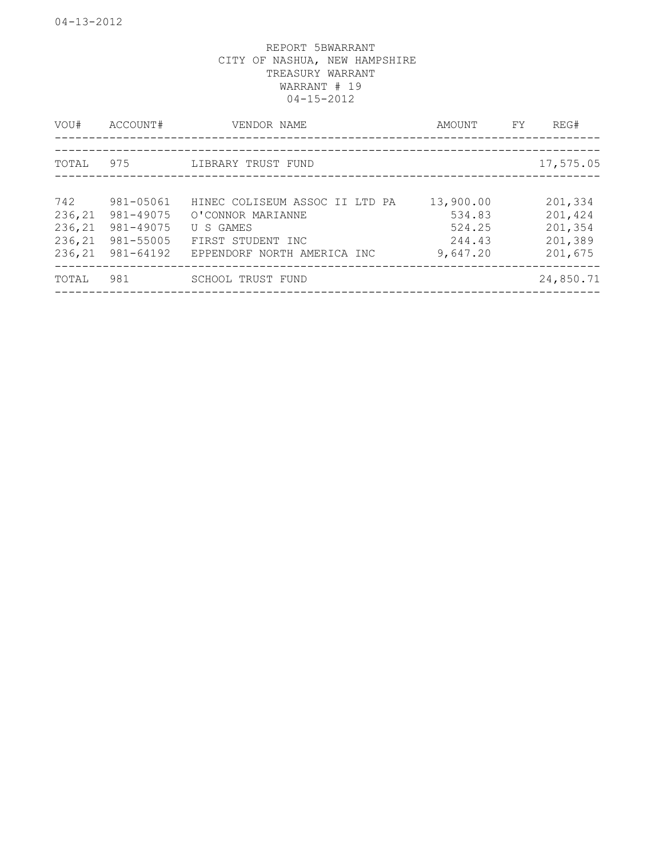| VOU#   | ACCOUNT#  | VENDOR NAME                       | AMOUNT    | FY | REG#      |
|--------|-----------|-----------------------------------|-----------|----|-----------|
|        |           | --------------------------------- |           |    |           |
| TOTAL  | 975       | LIBRARY TRUST FUND                |           |    | 17,575.05 |
|        |           |                                   |           |    |           |
| 742    | 981-05061 | HINEC COLISEUM ASSOC II LTD PA    | 13,900.00 |    | 201,334   |
| 236,21 | 981-49075 | O'CONNOR MARIANNE                 | 534.83    |    | 201,424   |
| 236,21 | 981-49075 | U S GAMES                         | 524.25    |    | 201,354   |
| 236,21 | 981-55005 | FIRST STUDENT INC                 | 244.43    |    | 201,389   |
| 236,21 | 981-64192 | EPPENDORF NORTH AMERICA INC       | 9,647.20  |    | 201,675   |
| TOTAL  | 981       | SCHOOL TRUST FUND                 |           |    | 24,850.71 |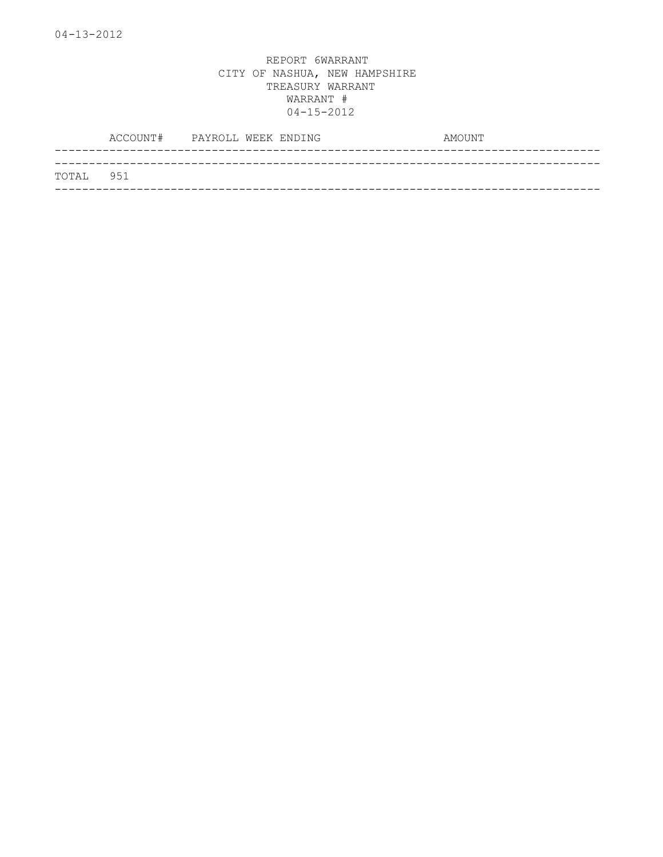|           | ACCOUNT# PAYROLL WEEK ENDING |  | AMOUNT |
|-----------|------------------------------|--|--------|
|           |                              |  |        |
| TOTAL 951 |                              |  |        |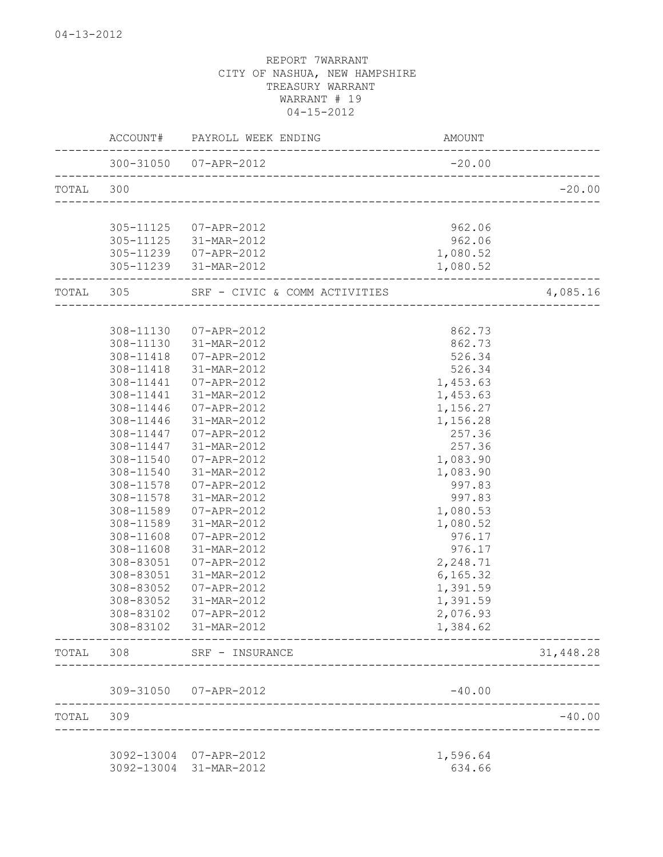|           |           | ACCOUNT# PAYROLL WEEK ENDING                   | AMOUNT               | ______________ |
|-----------|-----------|------------------------------------------------|----------------------|----------------|
|           |           | _____________________<br>300-31050 07-APR-2012 | $-20.00$             |                |
| TOTAL 300 |           |                                                |                      | $-20.00$       |
|           |           |                                                |                      |                |
|           |           | 305-11125  07-APR-2012                         | 962.06               |                |
|           |           | 305-11125 31-MAR-2012                          | 962.06               |                |
|           |           | 305-11239 07-APR-2012<br>305-11239 31-MAR-2012 | 1,080.52<br>1,080.52 |                |
| TOTAL 305 |           | SRF - CIVIC & COMM ACTIVITIES                  |                      | 4,085.16       |
|           |           |                                                |                      |                |
|           | 308-11130 | 07-APR-2012                                    | 862.73               |                |
|           | 308-11130 | 31-MAR-2012                                    | 862.73               |                |
|           | 308-11418 | 07-APR-2012                                    | 526.34               |                |
|           | 308-11418 | 31-MAR-2012                                    | 526.34               |                |
|           | 308-11441 | 07-APR-2012                                    | 1,453.63             |                |
|           | 308-11441 | 31-MAR-2012                                    | 1,453.63             |                |
|           | 308-11446 | 07-APR-2012                                    | 1,156.27             |                |
|           | 308-11446 | 31-MAR-2012                                    | 1,156.28             |                |
|           | 308-11447 | 07-APR-2012                                    | 257.36               |                |
|           | 308-11447 | 31-MAR-2012                                    | 257.36               |                |
|           | 308-11540 | 07-APR-2012                                    | 1,083.90             |                |
|           | 308-11540 | 31-MAR-2012                                    | 1,083.90             |                |
|           | 308-11578 | 07-APR-2012                                    | 997.83               |                |
|           | 308-11578 | 31-MAR-2012                                    | 997.83               |                |
|           | 308-11589 | 07-APR-2012                                    | 1,080.53             |                |
|           | 308-11589 | 31-MAR-2012                                    | 1,080.52             |                |
|           | 308-11608 | 07-APR-2012                                    | 976.17               |                |
|           | 308-11608 | 31-MAR-2012                                    | 976.17               |                |
|           | 308-83051 | 07-APR-2012                                    | 2,248.71             |                |
|           | 308-83051 | 31-MAR-2012                                    | 6, 165.32            |                |
|           | 308-83052 | 07-APR-2012                                    | 1,391.59             |                |
|           | 308-83052 | 31-MAR-2012                                    | 1,391.59             |                |
|           |           | 308-83102  07-APR-2012                         | 2,076.93             |                |
|           |           | 308-83102 31-MAR-2012                          | 1,384.62             |                |
|           |           | TOTAL 308 SRF - INSURANCE                      |                      | 31,448.28      |
|           |           | 309-31050 07-APR-2012                          | $-40.00$             |                |
| TOTAL 309 |           |                                                |                      | $-40.00$       |
|           |           | __________________________________             |                      |                |
|           |           | 3092-13004 07-APR-2012                         | 1,596.64             |                |
|           |           | 3092-13004 31-MAR-2012                         | 634.66               |                |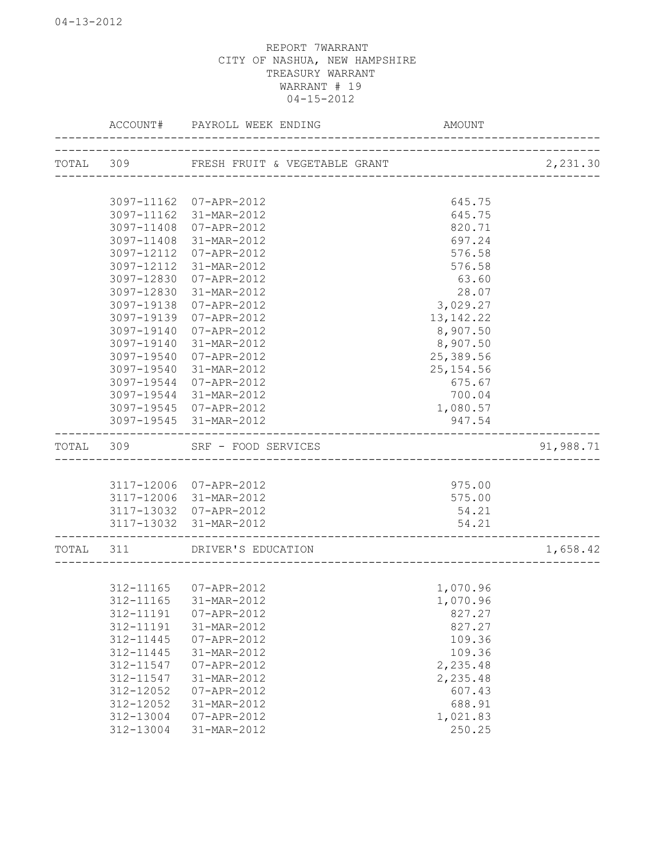| TOTAL 309 FRESH FRUIT & VEGETABLE GRANT<br>2,231.30<br>3097-11162 07-APR-2012<br>645.75<br>3097-11162<br>31-MAR-2012<br>645.75<br>3097-11408<br>07-APR-2012<br>820.71<br>3097-11408<br>697.24<br>31-MAR-2012<br>3097-12112<br>07-APR-2012<br>576.58<br>3097-12112<br>31-MAR-2012<br>576.58<br>3097-12830<br>07-APR-2012<br>63.60<br>28.07<br>3097-12830<br>31-MAR-2012<br>3097-19138<br>3,029.27<br>07-APR-2012<br>3097-19139<br>07-APR-2012<br>13, 142. 22<br>8,907.50<br>3097-19140<br>07-APR-2012<br>8,907.50<br>3097-19140<br>31-MAR-2012<br>25,389.56<br>3097-19540<br>07-APR-2012<br>3097-19540<br>31-MAR-2012<br>25, 154.56<br>3097-19544<br>07-APR-2012<br>675.67<br>3097-19544 31-MAR-2012<br>700.04<br>3097-19545 07-APR-2012<br>1,080.57<br>3097-19545 31-MAR-2012<br>947.54<br>TOTAL<br>SRF - FOOD SERVICES<br>91,988.71<br>309<br>3117-12006 07-APR-2012<br>975.00<br>3117-12006 31-MAR-2012<br>575.00<br>3117-13032<br>07-APR-2012<br>54.21<br>3117-13032<br>31-MAR-2012<br>54.21<br>TOTAL<br>1,658.42<br>311<br>DRIVER'S EDUCATION<br>312-11165<br>07-APR-2012<br>1,070.96<br>312-11165<br>31-MAR-2012<br>1,070.96<br>312-11191<br>07-APR-2012<br>827.27<br>312-11191<br>31-MAR-2012<br>827.27<br>109.36<br>312-11445<br>07-APR-2012<br>312-11445<br>31-MAR-2012<br>109.36<br>312-11547<br>07-APR-2012<br>2,235.48<br>312-11547<br>2,235.48<br>31-MAR-2012<br>312-12052<br>07-APR-2012<br>607.43<br>312-12052<br>688.91<br>31-MAR-2012<br>312-13004<br>1,021.83<br>07-APR-2012<br>312-13004<br>31-MAR-2012 | ACCOUNT# | PAYROLL WEEK ENDING | <b>AMOUNT</b> |  |
|---------------------------------------------------------------------------------------------------------------------------------------------------------------------------------------------------------------------------------------------------------------------------------------------------------------------------------------------------------------------------------------------------------------------------------------------------------------------------------------------------------------------------------------------------------------------------------------------------------------------------------------------------------------------------------------------------------------------------------------------------------------------------------------------------------------------------------------------------------------------------------------------------------------------------------------------------------------------------------------------------------------------------------------------------------------------------------------------------------------------------------------------------------------------------------------------------------------------------------------------------------------------------------------------------------------------------------------------------------------------------------------------------------------------------------------------------------------------------------------------------------------------------|----------|---------------------|---------------|--|
|                                                                                                                                                                                                                                                                                                                                                                                                                                                                                                                                                                                                                                                                                                                                                                                                                                                                                                                                                                                                                                                                                                                                                                                                                                                                                                                                                                                                                                                                                                                           |          |                     |               |  |
|                                                                                                                                                                                                                                                                                                                                                                                                                                                                                                                                                                                                                                                                                                                                                                                                                                                                                                                                                                                                                                                                                                                                                                                                                                                                                                                                                                                                                                                                                                                           |          |                     |               |  |
|                                                                                                                                                                                                                                                                                                                                                                                                                                                                                                                                                                                                                                                                                                                                                                                                                                                                                                                                                                                                                                                                                                                                                                                                                                                                                                                                                                                                                                                                                                                           |          |                     |               |  |
|                                                                                                                                                                                                                                                                                                                                                                                                                                                                                                                                                                                                                                                                                                                                                                                                                                                                                                                                                                                                                                                                                                                                                                                                                                                                                                                                                                                                                                                                                                                           |          |                     |               |  |
|                                                                                                                                                                                                                                                                                                                                                                                                                                                                                                                                                                                                                                                                                                                                                                                                                                                                                                                                                                                                                                                                                                                                                                                                                                                                                                                                                                                                                                                                                                                           |          |                     |               |  |
|                                                                                                                                                                                                                                                                                                                                                                                                                                                                                                                                                                                                                                                                                                                                                                                                                                                                                                                                                                                                                                                                                                                                                                                                                                                                                                                                                                                                                                                                                                                           |          |                     |               |  |
|                                                                                                                                                                                                                                                                                                                                                                                                                                                                                                                                                                                                                                                                                                                                                                                                                                                                                                                                                                                                                                                                                                                                                                                                                                                                                                                                                                                                                                                                                                                           |          |                     |               |  |
|                                                                                                                                                                                                                                                                                                                                                                                                                                                                                                                                                                                                                                                                                                                                                                                                                                                                                                                                                                                                                                                                                                                                                                                                                                                                                                                                                                                                                                                                                                                           |          |                     |               |  |
|                                                                                                                                                                                                                                                                                                                                                                                                                                                                                                                                                                                                                                                                                                                                                                                                                                                                                                                                                                                                                                                                                                                                                                                                                                                                                                                                                                                                                                                                                                                           |          |                     |               |  |
|                                                                                                                                                                                                                                                                                                                                                                                                                                                                                                                                                                                                                                                                                                                                                                                                                                                                                                                                                                                                                                                                                                                                                                                                                                                                                                                                                                                                                                                                                                                           |          |                     |               |  |
|                                                                                                                                                                                                                                                                                                                                                                                                                                                                                                                                                                                                                                                                                                                                                                                                                                                                                                                                                                                                                                                                                                                                                                                                                                                                                                                                                                                                                                                                                                                           |          |                     |               |  |
|                                                                                                                                                                                                                                                                                                                                                                                                                                                                                                                                                                                                                                                                                                                                                                                                                                                                                                                                                                                                                                                                                                                                                                                                                                                                                                                                                                                                                                                                                                                           |          |                     |               |  |
|                                                                                                                                                                                                                                                                                                                                                                                                                                                                                                                                                                                                                                                                                                                                                                                                                                                                                                                                                                                                                                                                                                                                                                                                                                                                                                                                                                                                                                                                                                                           |          |                     |               |  |
|                                                                                                                                                                                                                                                                                                                                                                                                                                                                                                                                                                                                                                                                                                                                                                                                                                                                                                                                                                                                                                                                                                                                                                                                                                                                                                                                                                                                                                                                                                                           |          |                     |               |  |
|                                                                                                                                                                                                                                                                                                                                                                                                                                                                                                                                                                                                                                                                                                                                                                                                                                                                                                                                                                                                                                                                                                                                                                                                                                                                                                                                                                                                                                                                                                                           |          |                     |               |  |
|                                                                                                                                                                                                                                                                                                                                                                                                                                                                                                                                                                                                                                                                                                                                                                                                                                                                                                                                                                                                                                                                                                                                                                                                                                                                                                                                                                                                                                                                                                                           |          |                     |               |  |
|                                                                                                                                                                                                                                                                                                                                                                                                                                                                                                                                                                                                                                                                                                                                                                                                                                                                                                                                                                                                                                                                                                                                                                                                                                                                                                                                                                                                                                                                                                                           |          |                     |               |  |
|                                                                                                                                                                                                                                                                                                                                                                                                                                                                                                                                                                                                                                                                                                                                                                                                                                                                                                                                                                                                                                                                                                                                                                                                                                                                                                                                                                                                                                                                                                                           |          |                     |               |  |
|                                                                                                                                                                                                                                                                                                                                                                                                                                                                                                                                                                                                                                                                                                                                                                                                                                                                                                                                                                                                                                                                                                                                                                                                                                                                                                                                                                                                                                                                                                                           |          |                     |               |  |
|                                                                                                                                                                                                                                                                                                                                                                                                                                                                                                                                                                                                                                                                                                                                                                                                                                                                                                                                                                                                                                                                                                                                                                                                                                                                                                                                                                                                                                                                                                                           |          |                     |               |  |
|                                                                                                                                                                                                                                                                                                                                                                                                                                                                                                                                                                                                                                                                                                                                                                                                                                                                                                                                                                                                                                                                                                                                                                                                                                                                                                                                                                                                                                                                                                                           |          |                     |               |  |
|                                                                                                                                                                                                                                                                                                                                                                                                                                                                                                                                                                                                                                                                                                                                                                                                                                                                                                                                                                                                                                                                                                                                                                                                                                                                                                                                                                                                                                                                                                                           |          |                     |               |  |
|                                                                                                                                                                                                                                                                                                                                                                                                                                                                                                                                                                                                                                                                                                                                                                                                                                                                                                                                                                                                                                                                                                                                                                                                                                                                                                                                                                                                                                                                                                                           |          |                     |               |  |
|                                                                                                                                                                                                                                                                                                                                                                                                                                                                                                                                                                                                                                                                                                                                                                                                                                                                                                                                                                                                                                                                                                                                                                                                                                                                                                                                                                                                                                                                                                                           |          |                     |               |  |
|                                                                                                                                                                                                                                                                                                                                                                                                                                                                                                                                                                                                                                                                                                                                                                                                                                                                                                                                                                                                                                                                                                                                                                                                                                                                                                                                                                                                                                                                                                                           |          |                     |               |  |
|                                                                                                                                                                                                                                                                                                                                                                                                                                                                                                                                                                                                                                                                                                                                                                                                                                                                                                                                                                                                                                                                                                                                                                                                                                                                                                                                                                                                                                                                                                                           |          |                     |               |  |
|                                                                                                                                                                                                                                                                                                                                                                                                                                                                                                                                                                                                                                                                                                                                                                                                                                                                                                                                                                                                                                                                                                                                                                                                                                                                                                                                                                                                                                                                                                                           |          |                     |               |  |
|                                                                                                                                                                                                                                                                                                                                                                                                                                                                                                                                                                                                                                                                                                                                                                                                                                                                                                                                                                                                                                                                                                                                                                                                                                                                                                                                                                                                                                                                                                                           |          |                     |               |  |
|                                                                                                                                                                                                                                                                                                                                                                                                                                                                                                                                                                                                                                                                                                                                                                                                                                                                                                                                                                                                                                                                                                                                                                                                                                                                                                                                                                                                                                                                                                                           |          |                     |               |  |
|                                                                                                                                                                                                                                                                                                                                                                                                                                                                                                                                                                                                                                                                                                                                                                                                                                                                                                                                                                                                                                                                                                                                                                                                                                                                                                                                                                                                                                                                                                                           |          |                     |               |  |
|                                                                                                                                                                                                                                                                                                                                                                                                                                                                                                                                                                                                                                                                                                                                                                                                                                                                                                                                                                                                                                                                                                                                                                                                                                                                                                                                                                                                                                                                                                                           |          |                     |               |  |
|                                                                                                                                                                                                                                                                                                                                                                                                                                                                                                                                                                                                                                                                                                                                                                                                                                                                                                                                                                                                                                                                                                                                                                                                                                                                                                                                                                                                                                                                                                                           |          |                     |               |  |
|                                                                                                                                                                                                                                                                                                                                                                                                                                                                                                                                                                                                                                                                                                                                                                                                                                                                                                                                                                                                                                                                                                                                                                                                                                                                                                                                                                                                                                                                                                                           |          |                     |               |  |
|                                                                                                                                                                                                                                                                                                                                                                                                                                                                                                                                                                                                                                                                                                                                                                                                                                                                                                                                                                                                                                                                                                                                                                                                                                                                                                                                                                                                                                                                                                                           |          |                     |               |  |
|                                                                                                                                                                                                                                                                                                                                                                                                                                                                                                                                                                                                                                                                                                                                                                                                                                                                                                                                                                                                                                                                                                                                                                                                                                                                                                                                                                                                                                                                                                                           |          |                     |               |  |
|                                                                                                                                                                                                                                                                                                                                                                                                                                                                                                                                                                                                                                                                                                                                                                                                                                                                                                                                                                                                                                                                                                                                                                                                                                                                                                                                                                                                                                                                                                                           |          |                     |               |  |
|                                                                                                                                                                                                                                                                                                                                                                                                                                                                                                                                                                                                                                                                                                                                                                                                                                                                                                                                                                                                                                                                                                                                                                                                                                                                                                                                                                                                                                                                                                                           |          |                     |               |  |
|                                                                                                                                                                                                                                                                                                                                                                                                                                                                                                                                                                                                                                                                                                                                                                                                                                                                                                                                                                                                                                                                                                                                                                                                                                                                                                                                                                                                                                                                                                                           |          |                     |               |  |
|                                                                                                                                                                                                                                                                                                                                                                                                                                                                                                                                                                                                                                                                                                                                                                                                                                                                                                                                                                                                                                                                                                                                                                                                                                                                                                                                                                                                                                                                                                                           |          |                     |               |  |
|                                                                                                                                                                                                                                                                                                                                                                                                                                                                                                                                                                                                                                                                                                                                                                                                                                                                                                                                                                                                                                                                                                                                                                                                                                                                                                                                                                                                                                                                                                                           |          |                     | 250.25        |  |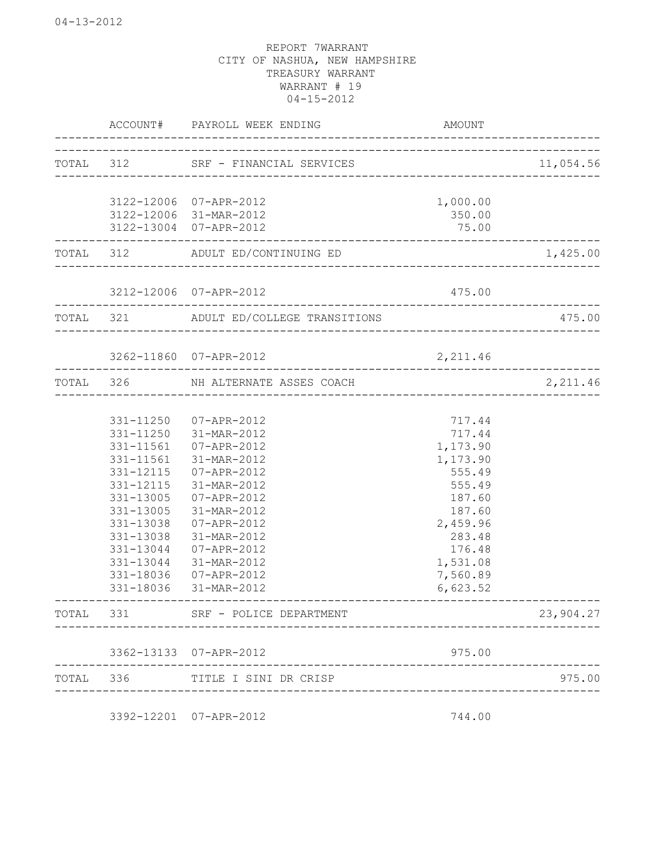|           | ACCOUNT#               | PAYROLL WEEK ENDING                              | AMOUNT               |           |
|-----------|------------------------|--------------------------------------------------|----------------------|-----------|
| TOTAL 312 |                        | SRF - FINANCIAL SERVICES                         |                      | 11,054.56 |
|           |                        |                                                  |                      |           |
|           |                        | 3122-12006 07-APR-2012                           | 1,000.00             |           |
|           |                        | 3122-12006 31-MAR-2012<br>3122-13004 07-APR-2012 | 350.00<br>75.00      |           |
|           |                        |                                                  |                      |           |
| TOTAL 312 |                        | ADULT ED/CONTINUING ED<br>_________________      |                      | 1,425.00  |
|           |                        | 3212-12006 07-APR-2012                           | 475.00               |           |
| TOTAL 321 |                        | ADULT ED/COLLEGE TRANSITIONS                     |                      | 475.00    |
|           |                        | 3262-11860 07-APR-2012                           | 2,211.46             |           |
|           |                        |                                                  |                      |           |
| TOTAL 326 |                        | NH ALTERNATE ASSES COACH                         |                      | 2,211.46  |
|           |                        |                                                  |                      |           |
|           | 331-11250              | 07-APR-2012                                      | 717.44               |           |
|           | 331-11250              | 31-MAR-2012                                      | 717.44               |           |
|           | 331-11561              | 07-APR-2012                                      | 1,173.90             |           |
|           | 331-11561              | 31-MAR-2012                                      | 1,173.90             |           |
|           | 331-12115              | 07-APR-2012                                      | 555.49               |           |
|           | 331-12115              | 31-MAR-2012                                      | 555.49               |           |
|           | 331-13005              | 07-APR-2012                                      | 187.60               |           |
|           | 331-13005              | 31-MAR-2012                                      | 187.60               |           |
|           | 331-13038              | 07-APR-2012                                      | 2,459.96             |           |
|           | 331-13038              | 31-MAR-2012                                      | 283.48               |           |
|           | 331-13044              | 07-APR-2012                                      | 176.48               |           |
|           | 331-13044              | 31-MAR-2012                                      | 1,531.08             |           |
|           | 331-18036<br>331-18036 | 07-APR-2012<br>31-MAR-2012                       | 7,560.89<br>6,623.52 |           |
| TOTAL     |                        |                                                  |                      | 23,904.27 |
|           |                        |                                                  |                      |           |
|           |                        | 3362-13133 07-APR-2012                           | 975.00               |           |
| TOTAL 336 |                        | TITLE I SINI DR CRISP                            |                      | 975.00    |
|           |                        | 3392-12201 07-APR-2012                           | 744.00               |           |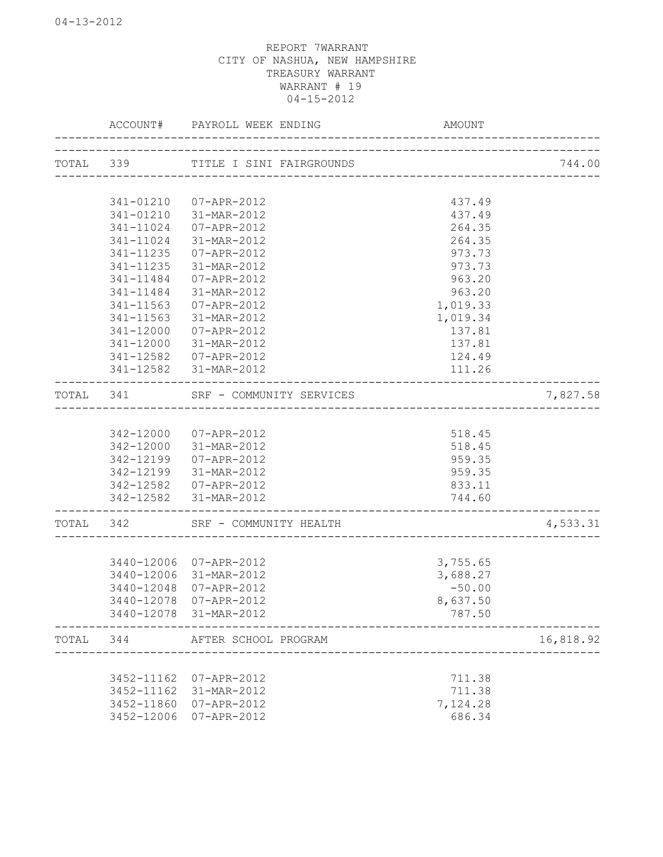|       |            | ACCOUNT# PAYROLL WEEK ENDING       |                                      |           |
|-------|------------|------------------------------------|--------------------------------------|-----------|
|       |            | TOTAL 339 TITLE I SINI FAIRGROUNDS |                                      | 744.00    |
|       |            |                                    | ____________________________________ |           |
|       | 341-01210  | 07-APR-2012                        | 437.49                               |           |
|       | 341-01210  | 31-MAR-2012                        | 437.49                               |           |
|       | 341-11024  | 07-APR-2012                        | 264.35                               |           |
|       | 341-11024  | 31-MAR-2012                        | 264.35                               |           |
|       | 341-11235  | 07-APR-2012                        | 973.73                               |           |
|       | 341-11235  | 31-MAR-2012                        | 973.73                               |           |
|       | 341-11484  | 07-APR-2012                        | 963.20                               |           |
|       | 341-11484  | 31-MAR-2012                        | 963.20                               |           |
|       | 341-11563  | 07-APR-2012                        | 1,019.33                             |           |
|       | 341-11563  | 31-MAR-2012                        | 1,019.34                             |           |
|       | 341-12000  | 07-APR-2012                        | 137.81                               |           |
|       | 341-12000  | 31-MAR-2012                        | 137.81                               |           |
|       | 341-12582  | 07-APR-2012                        | 124.49                               |           |
|       |            | 341-12582 31-MAR-2012              | 111.26                               |           |
|       |            | TOTAL 341 SRF - COMMUNITY SERVICES |                                      | 7,827.58  |
|       |            |                                    |                                      |           |
|       |            | 342-12000 07-APR-2012              | 518.45                               |           |
|       |            | 342-12000 31-MAR-2012              | 518.45                               |           |
|       |            | 342-12199 07-APR-2012              | 959.35                               |           |
|       |            | 342-12199 31-MAR-2012              | 959.35                               |           |
|       |            | 342-12582 07-APR-2012              | 833.11                               |           |
|       |            | 342-12582 31-MAR-2012              | 744.60                               |           |
|       |            | TOTAL 342 SRF - COMMUNITY HEALTH   |                                      | 4,533.31  |
|       |            |                                    |                                      |           |
|       |            | 3440-12006 07-APR-2012             | 3,755.65                             |           |
|       |            | 3440-12006 31-MAR-2012             | 3,688.27                             |           |
|       | 3440-12048 | 07-APR-2012                        | $-50.00$                             |           |
|       |            | 3440-12078 07-APR-2012             | 8,637.50                             |           |
|       |            | 3440-12078 31-MAR-2012             | 787.50                               |           |
| TOTAL | 344        | AFTER SCHOOL PROGRAM               |                                      | 16,818.92 |
|       |            |                                    |                                      |           |
|       | 3452-11162 | 07-APR-2012                        | 711.38                               |           |
|       | 3452-11162 | 31-MAR-2012                        | 711.38                               |           |
|       | 3452-11860 | 07-APR-2012                        | 7,124.28                             |           |
|       | 3452-12006 | 07-APR-2012                        | 686.34                               |           |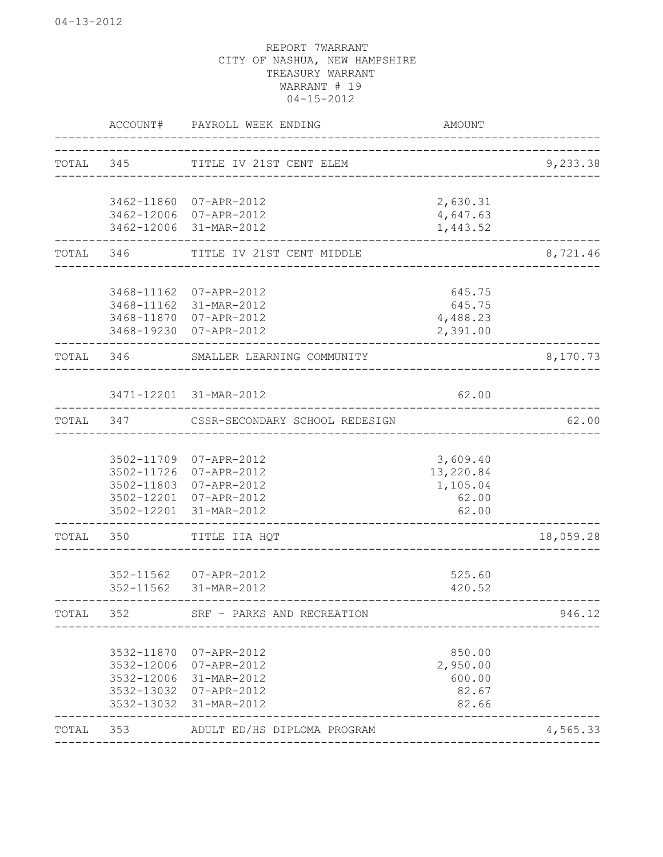|       | ACCOUNT#                 | PAYROLL WEEK ENDING                              | AMOUNT                |           |
|-------|--------------------------|--------------------------------------------------|-----------------------|-----------|
|       | TOTAL 345                | TITLE IV 21ST CENT ELEM                          |                       | 9,233.38  |
|       |                          |                                                  |                       |           |
|       |                          | 3462-11860 07-APR-2012<br>3462-12006 07-APR-2012 | 2,630.31<br>4,647.63  |           |
|       |                          | 3462-12006 31-MAR-2012                           | 1,443.52              |           |
| TOTAL | 346                      | TITLE IV 21ST CENT MIDDLE                        |                       | 8,721.46  |
|       |                          | 3468-11162 07-APR-2012                           | 645.75                |           |
|       |                          | 3468-11162 31-MAR-2012                           | 645.75                |           |
|       | 3468-11870               | 07-APR-2012                                      | 4,488.23              |           |
|       | 3468-19230               | 07-APR-2012                                      | 2,391.00              |           |
| TOTAL | 346                      | SMALLER LEARNING COMMUNITY                       |                       | 8,170.73  |
|       |                          | 3471-12201 31-MAR-2012                           | 62.00                 |           |
| TOTAL | 347                      | CSSR-SECONDARY SCHOOL REDESIGN                   |                       | 62.00     |
|       |                          | 07-APR-2012                                      |                       |           |
|       | 3502-11709<br>3502-11726 | 07-APR-2012                                      | 3,609.40<br>13,220.84 |           |
|       | 3502-11803               | 07-APR-2012                                      | 1,105.04              |           |
|       | 3502-12201               | 07-APR-2012                                      | 62.00                 |           |
|       | 3502-12201               | 31-MAR-2012                                      | 62.00                 |           |
| TOTAL | 350                      | TITLE IIA HQT                                    |                       | 18,059.28 |
|       |                          | 352-11562 07-APR-2012                            | 525.60                |           |
|       |                          | 352-11562 31-MAR-2012                            | 420.52                |           |
| TOTAL | 352                      | SRF - PARKS AND RECREATION                       |                       | 946.12    |
|       | 3532-11870               | 07-APR-2012                                      | 850.00                |           |
|       |                          | 3532-12006 07-APR-2012                           | 2,950.00              |           |
|       |                          | 3532-12006 31-MAR-2012                           | 600.00                |           |
|       |                          | 3532-13032 07-APR-2012                           | 82.67                 |           |
|       |                          | 3532-13032 31-MAR-2012                           | 82.66                 |           |
| TOTAL | 353                      | ADULT ED/HS DIPLOMA PROGRAM                      |                       | 4,565.33  |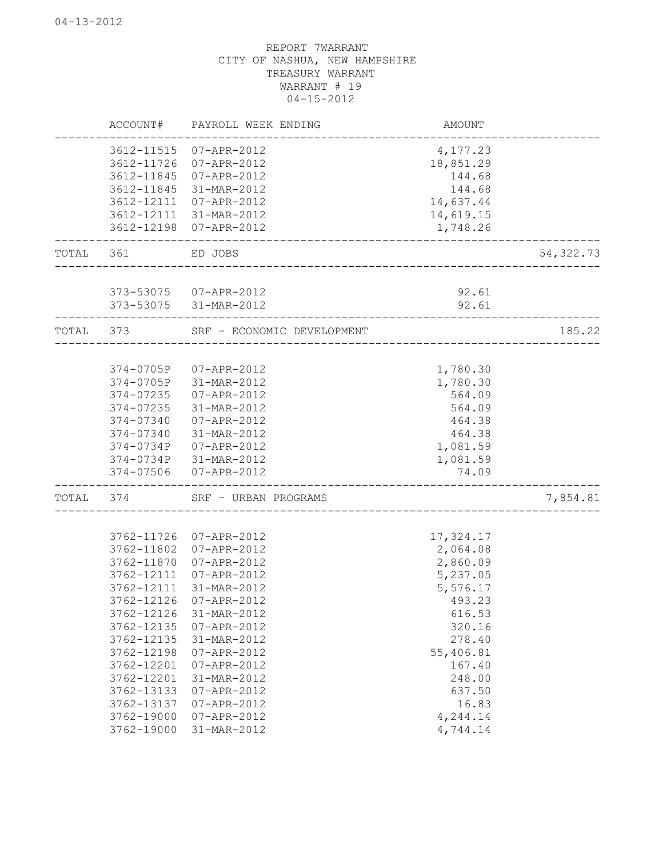|       | ACCOUNT#   | PAYROLL WEEK ENDING                          | AMOUNT    |            |
|-------|------------|----------------------------------------------|-----------|------------|
|       |            | 3612-11515 07-APR-2012                       | 4,177.23  |            |
|       | 3612-11726 | 07-APR-2012                                  | 18,851.29 |            |
|       | 3612-11845 | 07-APR-2012                                  | 144.68    |            |
|       | 3612-11845 | 31-MAR-2012                                  | 144.68    |            |
|       | 3612-12111 | 07-APR-2012                                  | 14,637.44 |            |
|       | 3612-12111 | 31-MAR-2012                                  | 14,619.15 |            |
|       |            | 3612-12198 07-APR-2012                       | 1,748.26  |            |
| TOTAL | 361        | ED JOBS<br>_________________________________ |           | 54, 322.73 |
|       |            | 373-53075 07-APR-2012                        | 92.61     |            |
|       |            | 373-53075 31-MAR-2012                        | 92.61     |            |
| TOTAL | 373        | SRF - ECONOMIC DEVELOPMENT                   |           | 185.22     |
|       |            |                                              |           |            |
|       | 374-0705P  | 07-APR-2012                                  | 1,780.30  |            |
|       | 374-0705P  | 31-MAR-2012                                  | 1,780.30  |            |
|       | 374-07235  | 07-APR-2012                                  | 564.09    |            |
|       | 374-07235  | 31-MAR-2012                                  | 564.09    |            |
|       | 374-07340  | 07-APR-2012                                  | 464.38    |            |
|       | 374-07340  | 31-MAR-2012                                  | 464.38    |            |
|       | 374-0734P  | 07-APR-2012                                  | 1,081.59  |            |
|       |            | 374-0734P 31-MAR-2012                        | 1,081.59  |            |
|       | 374-07506  | 07-APR-2012                                  | 74.09     |            |
| TOTAL | 374        | SRF - URBAN PROGRAMS                         |           | 7,854.81   |
|       |            |                                              |           |            |
|       | 3762-11726 | 07-APR-2012                                  | 17,324.17 |            |
|       | 3762-11802 | 07-APR-2012                                  | 2,064.08  |            |
|       | 3762-11870 | 07-APR-2012                                  | 2,860.09  |            |
|       | 3762-12111 | 07-APR-2012                                  | 5,237.05  |            |
|       | 3762-12111 | 31-MAR-2012                                  | 5,576.17  |            |
|       | 3762-12126 | 07-APR-2012                                  | 493.23    |            |
|       | 3762-12126 | 31-MAR-2012                                  | 616.53    |            |
|       | 3762-12135 | $07 - APR - 2012$                            | 320.16    |            |
|       | 3762-12135 | 31-MAR-2012                                  | 278.40    |            |
|       | 3762-12198 | 07-APR-2012                                  | 55,406.81 |            |
|       | 3762-12201 | 07-APR-2012                                  | 167.40    |            |
|       | 3762-12201 | 31-MAR-2012                                  | 248.00    |            |
|       | 3762-13133 | 07-APR-2012                                  | 637.50    |            |
|       | 3762-13137 | 07-APR-2012                                  | 16.83     |            |
|       | 3762-19000 | 07-APR-2012                                  | 4,244.14  |            |
|       | 3762-19000 | 31-MAR-2012                                  | 4,744.14  |            |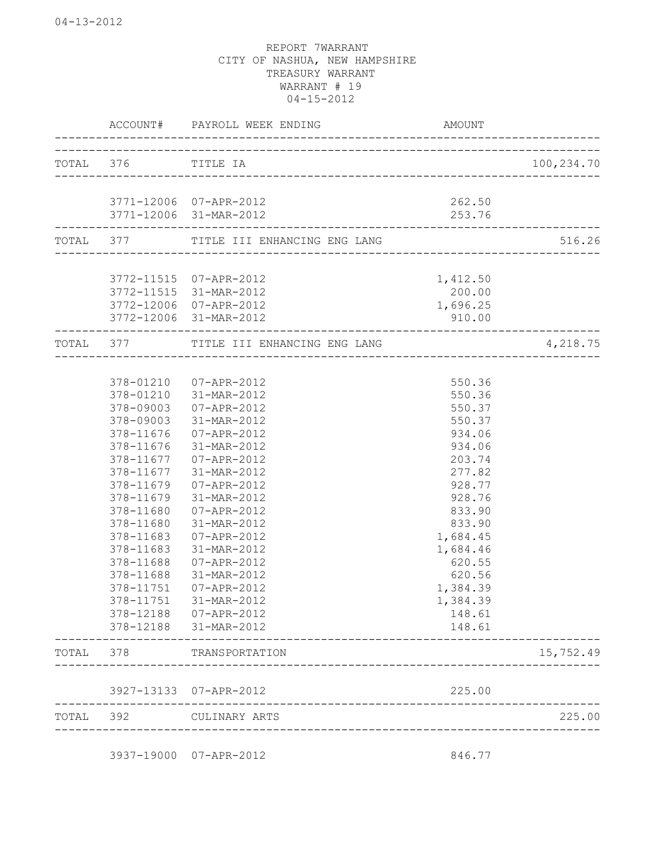|       | ACCOUNT#               | PAYROLL WEEK ENDING                              | AMOUNT           |            |
|-------|------------------------|--------------------------------------------------|------------------|------------|
|       | TOTAL 376 TITLE IA     | ___________________________________              |                  | 100,234.70 |
|       |                        |                                                  |                  |            |
|       |                        | 3771-12006 07-APR-2012<br>3771-12006 31-MAR-2012 | 262.50<br>253.76 |            |
|       |                        | TOTAL 377 TITLE III ENHANCING ENG LANG           |                  | 516.26     |
|       |                        | 3772-11515 07-APR-2012                           | 1,412.50         |            |
|       | 3772-11515             | 31-MAR-2012                                      | 200.00           |            |
|       | 3772-12006             | 07-APR-2012                                      | 1,696.25         |            |
|       | -------------------    | 3772-12006 31-MAR-2012                           | 910.00           |            |
|       |                        | TOTAL 377 TITLE III ENHANCING ENG LANG           |                  | 4,218.75   |
|       |                        |                                                  |                  |            |
|       |                        | 378-01210 07-APR-2012                            | 550.36           |            |
|       |                        | 378-01210 31-MAR-2012                            | 550.36           |            |
|       | 378-09003              | 07-APR-2012                                      | 550.37           |            |
|       | 378-09003              | 31-MAR-2012                                      | 550.37           |            |
|       | 378-11676              | 07-APR-2012                                      | 934.06           |            |
|       | 378-11676              | 31-MAR-2012                                      | 934.06           |            |
|       | 378-11677              | 07-APR-2012                                      | 203.74           |            |
|       | 378-11677<br>378-11679 | 31-MAR-2012<br>07-APR-2012                       | 277.82<br>928.77 |            |
|       | 378-11679              | 31-MAR-2012                                      | 928.76           |            |
|       | 378-11680              | 07-APR-2012                                      | 833.90           |            |
|       | 378-11680              | 31-MAR-2012                                      | 833.90           |            |
|       | 378-11683              | 07-APR-2012                                      | 1,684.45         |            |
|       | 378-11683              | 31-MAR-2012                                      | 1,684.46         |            |
|       | 378-11688              | 07-APR-2012                                      | 620.55           |            |
|       | 378-11688              | 31-MAR-2012                                      | 620.56           |            |
|       | 378-11751              | 07-APR-2012                                      | 1,384.39         |            |
|       | 378-11751              | 31-MAR-2012                                      | 1,384.39         |            |
|       | 378-12188              | $07 - APR - 2012$                                | 148.61           |            |
|       | 378-12188              | 31-MAR-2012                                      | 148.61           |            |
| TOTAL | 378                    | TRANSPORTATION                                   |                  | 15,752.49  |
|       | 3927-13133             | 07-APR-2012                                      | 225.00           |            |
| TOTAL | 392                    | CULINARY ARTS                                    |                  | 225.00     |

3937-19000 07-APR-2012 846.77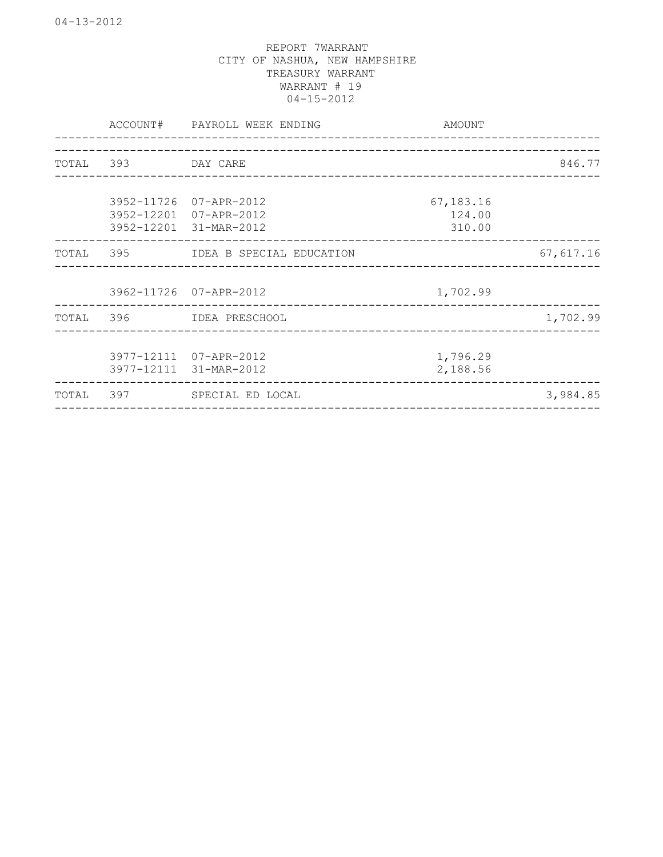|       |                    | ACCOUNT# PAYROLL WEEK ENDING                                               | AMOUNT                                 | <u>_________________</u> |
|-------|--------------------|----------------------------------------------------------------------------|----------------------------------------|--------------------------|
|       | TOTAL 393 DAY CARE |                                                                            |                                        | 846.77                   |
|       |                    | 3952-11726 07-APR-2012<br>3952-12201 07-APR-2012<br>3952-12201 31-MAR-2012 | 67,183.16<br>124.00<br>310.00          |                          |
|       |                    | TOTAL 395 IDEA B SPECIAL EDUCATION                                         |                                        | 67,617.16                |
|       |                    | 3962-11726 07-APR-2012                                                     | 1,702.99                               |                          |
|       |                    | TOTAL 396 IDEA PRESCHOOL                                                   |                                        | 1,702.99                 |
|       |                    | 3977-12111 07-APR-2012<br>3977-12111 31-MAR-2012                           | 1,796.29<br>2,188.56                   |                          |
| TOTAL |                    | 397 SPECIAL ED LOCAL                                                       | -------------------------------------- | 3,984.85                 |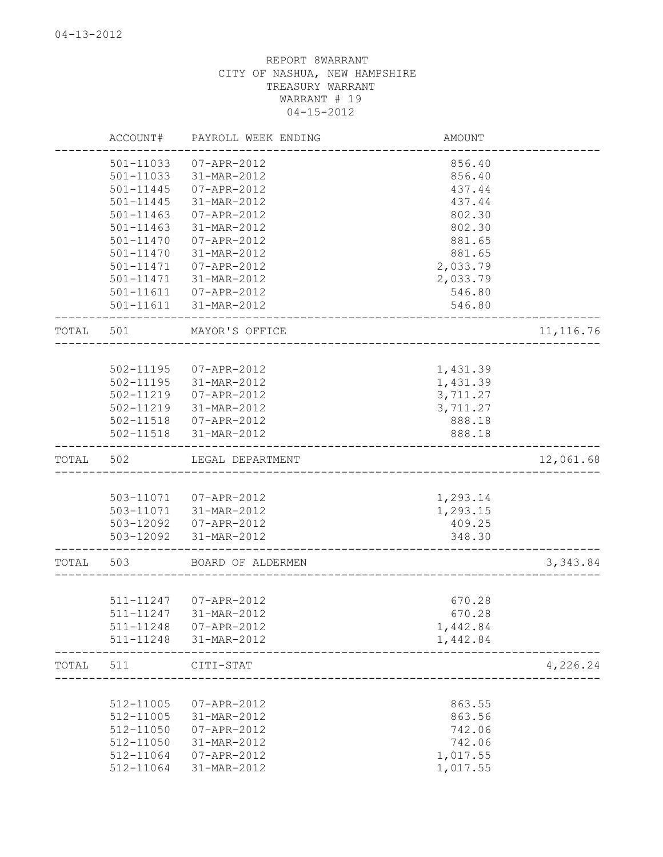|       | ACCOUNT#               | PAYROLL WEEK ENDING        | AMOUNT                              |            |
|-------|------------------------|----------------------------|-------------------------------------|------------|
|       | 501-11033              | 07-APR-2012                | 856.40                              |            |
|       | 501-11033              | 31-MAR-2012                | 856.40                              |            |
|       | 501-11445              | 07-APR-2012                | 437.44                              |            |
|       | 501-11445              | 31-MAR-2012                | 437.44                              |            |
|       | 501-11463              | 07-APR-2012                | 802.30                              |            |
|       | 501-11463              | 31-MAR-2012                | 802.30                              |            |
|       | 501-11470              | 07-APR-2012                | 881.65                              |            |
|       | 501-11470              | 31-MAR-2012                | 881.65                              |            |
|       | 501-11471              | 07-APR-2012                | 2,033.79                            |            |
|       | 501-11471              | 31-MAR-2012                | 2,033.79                            |            |
|       | 501-11611<br>501-11611 | 07-APR-2012<br>31-MAR-2012 | 546.80<br>546.80                    |            |
| TOTAL | 501                    | MAYOR'S OFFICE             |                                     | 11, 116.76 |
|       |                        |                            | ----------------------------------- |            |
|       |                        | 502-11195  07-APR-2012     | 1,431.39                            |            |
|       |                        | 502-11195 31-MAR-2012      | 1,431.39                            |            |
|       | 502-11219              | 07-APR-2012                | 3,711.27                            |            |
|       |                        | 502-11219 31-MAR-2012      | 3,711.27                            |            |
|       |                        | 502-11518  07-APR-2012     | 888.18                              |            |
|       |                        | 502-11518 31-MAR-2012      | 888.18                              |            |
| TOTAL | 502                    | LEGAL DEPARTMENT           |                                     | 12,061.68  |
|       |                        |                            |                                     |            |
|       |                        | 503-11071  07-APR-2012     | 1,293.14                            |            |
|       | 503-11071              | 31-MAR-2012                | 1,293.15                            |            |
|       |                        | 503-12092  07-APR-2012     | 409.25                              |            |
|       | 503-12092              | 31-MAR-2012                | 348.30                              |            |
| TOTAL | 503                    | BOARD OF ALDERMEN          |                                     | 3,343.84   |
|       |                        |                            |                                     |            |
|       |                        | 511-11247 07-APR-2012      | 670.28                              |            |
|       | 511-11247              | 31-MAR-2012                | 670.28                              |            |
|       | 511-11248              | 07-APR-2012<br>31-MAR-2012 | 1,442.84                            |            |
|       | 511-11248              |                            | 1,442.84                            |            |
| TOTAL | 511                    | CITI-STAT                  |                                     | 4,226.24   |
|       |                        |                            |                                     |            |
|       | 512-11005              | 07-APR-2012                | 863.55                              |            |
|       | 512-11005              | 31-MAR-2012                | 863.56                              |            |
|       | 512-11050              | 07-APR-2012                | 742.06                              |            |
|       | 512-11050              | 31-MAR-2012                | 742.06                              |            |
|       | 512-11064              | 07-APR-2012                | 1,017.55                            |            |
|       | 512-11064              | 31-MAR-2012                | 1,017.55                            |            |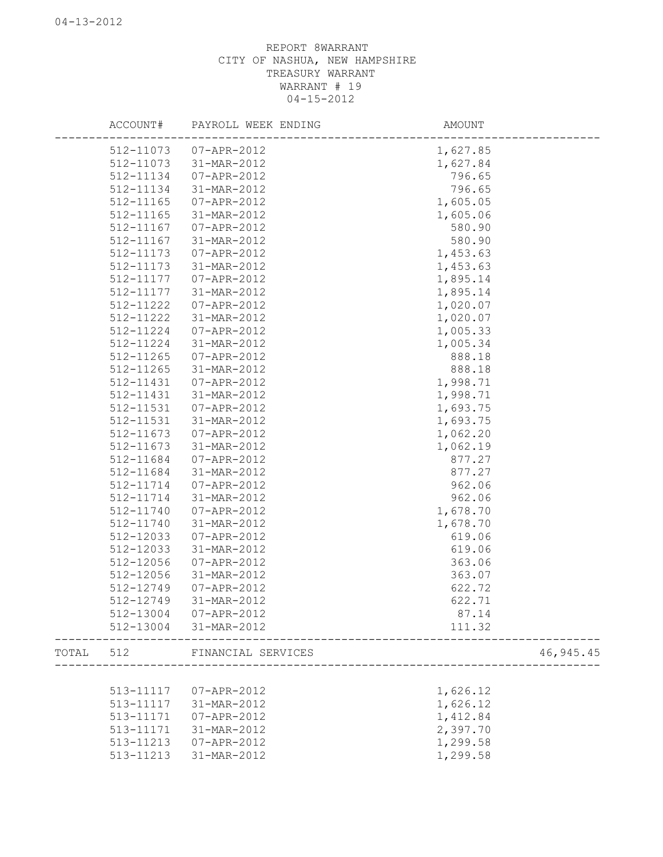|       | ACCOUNT#  | PAYROLL WEEK ENDING    | AMOUNT                           |            |
|-------|-----------|------------------------|----------------------------------|------------|
|       | 512-11073 | 07-APR-2012            | 1,627.85                         |            |
|       | 512-11073 | 31-MAR-2012            | 1,627.84                         |            |
|       | 512-11134 | 07-APR-2012            | 796.65                           |            |
|       | 512-11134 | 31-MAR-2012            | 796.65                           |            |
|       | 512-11165 | 07-APR-2012            | 1,605.05                         |            |
|       | 512-11165 | 31-MAR-2012            | 1,605.06                         |            |
|       | 512-11167 | 07-APR-2012            | 580.90                           |            |
|       | 512-11167 | 31-MAR-2012            | 580.90                           |            |
|       | 512-11173 | 07-APR-2012            | 1,453.63                         |            |
|       | 512-11173 | 31-MAR-2012            | 1,453.63                         |            |
|       | 512-11177 | 07-APR-2012            | 1,895.14                         |            |
|       | 512-11177 | 31-MAR-2012            | 1,895.14                         |            |
|       | 512-11222 | 07-APR-2012            | 1,020.07                         |            |
|       | 512-11222 | 31-MAR-2012            | 1,020.07                         |            |
|       | 512-11224 | 07-APR-2012            | 1,005.33                         |            |
|       | 512-11224 | 31-MAR-2012            | 1,005.34                         |            |
|       | 512-11265 | 07-APR-2012            | 888.18                           |            |
|       | 512-11265 | 31-MAR-2012            | 888.18                           |            |
|       | 512-11431 | 07-APR-2012            | 1,998.71                         |            |
|       | 512-11431 | 31-MAR-2012            | 1,998.71                         |            |
|       | 512-11531 | 07-APR-2012            | 1,693.75                         |            |
|       | 512-11531 | 31-MAR-2012            | 1,693.75                         |            |
|       | 512-11673 | 07-APR-2012            | 1,062.20                         |            |
|       | 512-11673 | 31-MAR-2012            | 1,062.19                         |            |
|       | 512-11684 | 07-APR-2012            | 877.27                           |            |
|       | 512-11684 | 31-MAR-2012            | 877.27                           |            |
|       | 512-11714 | 07-APR-2012            | 962.06                           |            |
|       | 512-11714 | 31-MAR-2012            | 962.06                           |            |
|       | 512-11740 | 07-APR-2012            | 1,678.70                         |            |
|       | 512-11740 | 31-MAR-2012            | 1,678.70                         |            |
|       | 512-12033 | 07-APR-2012            | 619.06                           |            |
|       | 512-12033 | 31-MAR-2012            | 619.06                           |            |
|       | 512-12056 | 07-APR-2012            | 363.06                           |            |
|       | 512-12056 | 31-MAR-2012            | 363.07                           |            |
|       | 512-12749 | 07-APR-2012            | 622.72                           |            |
|       | 512-12749 | 31-MAR-2012            | 622.71                           |            |
|       |           | 512-13004 07-APR-2012  | 87.14                            |            |
|       |           | 512-13004 31-MAR-2012  | 111.32                           |            |
| TOTAL |           | 512 FINANCIAL SERVICES | ________________________________ | 46, 945.45 |
|       |           |                        |                                  |            |
|       | 513-11117 | 07-APR-2012            | 1,626.12                         |            |
|       | 513-11117 | 31-MAR-2012            | 1,626.12                         |            |
|       | 513-11171 | 07-APR-2012            | 1,412.84                         |            |
|       | 513-11171 | 31-MAR-2012            | 2,397.70                         |            |
|       | 513-11213 | 07-APR-2012            | 1,299.58                         |            |
|       | 513-11213 | 31-MAR-2012            | 1,299.58                         |            |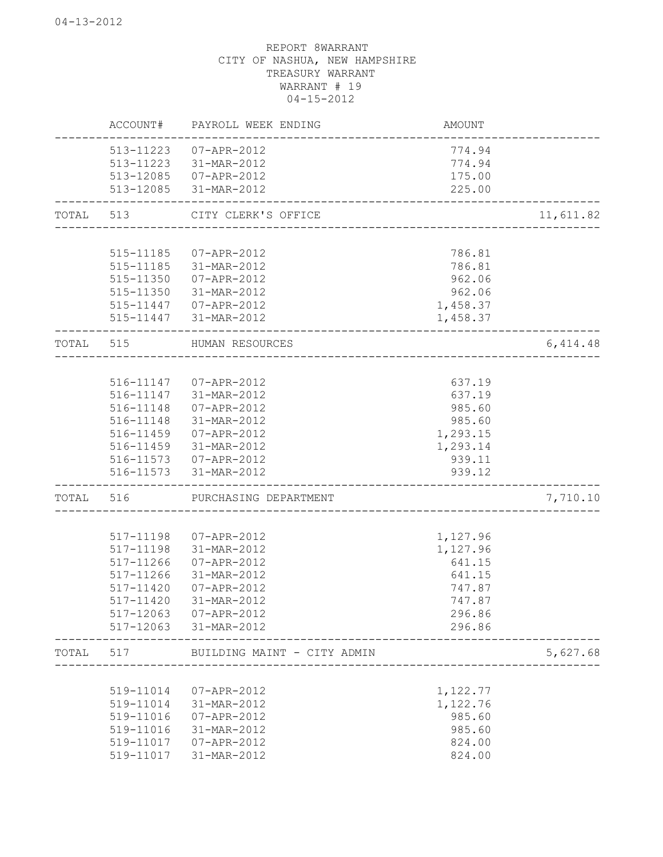|           | ACCOUNT#               | PAYROLL WEEK ENDING         | AMOUNT               |           |
|-----------|------------------------|-----------------------------|----------------------|-----------|
|           | 513-11223              | 07-APR-2012                 | 774.94               |           |
|           | 513-11223              | 31-MAR-2012                 | 774.94               |           |
|           | 513-12085              | 07-APR-2012                 | 175.00               |           |
|           | 513-12085              | 31-MAR-2012                 | 225.00               |           |
| TOTAL 513 |                        | CITY CLERK'S OFFICE         |                      | 11,611.82 |
|           | 515-11185              |                             | 786.81               |           |
|           | 515-11185              | 07-APR-2012<br>31-MAR-2012  | 786.81               |           |
|           |                        |                             |                      |           |
|           | 515-11350              | 07-APR-2012                 | 962.06               |           |
|           | 515-11350              | 31-MAR-2012                 | 962.06               |           |
|           | 515-11447<br>515-11447 | 07-APR-2012<br>31-MAR-2012  | 1,458.37<br>1,458.37 |           |
| TOTAL     | 515                    | HUMAN RESOURCES             |                      | 6,414.48  |
|           |                        |                             |                      |           |
|           | 516-11147              | 07-APR-2012                 | 637.19               |           |
|           | 516-11147              | 31-MAR-2012                 | 637.19               |           |
|           | 516-11148              | 07-APR-2012                 | 985.60               |           |
|           | 516-11148              | 31-MAR-2012                 | 985.60               |           |
|           | 516-11459              | 07-APR-2012                 | 1,293.15             |           |
|           | 516-11459              | 31-MAR-2012                 | 1,293.14             |           |
|           | 516-11573              | 07-APR-2012                 | 939.11               |           |
|           | 516-11573              | 31-MAR-2012                 | 939.12               |           |
| TOTAL     | 516                    | PURCHASING DEPARTMENT       |                      | 7,710.10  |
|           |                        |                             |                      |           |
|           | 517-11198              | 07-APR-2012                 | 1,127.96             |           |
|           | 517-11198              | 31-MAR-2012                 | 1,127.96             |           |
|           | 517-11266              | 07-APR-2012                 | 641.15               |           |
|           | 517-11266              | 31-MAR-2012                 | 641.15               |           |
|           | 517-11420              | 07-APR-2012                 | 747.87               |           |
|           | 517-11420              | 31-MAR-2012                 | 747.87               |           |
|           | 517-12063              | 07-APR-2012                 | 296.86               |           |
|           | 517-12063              | 31-MAR-2012                 | 296.86               |           |
| TOTAL     | 517                    | BUILDING MAINT - CITY ADMIN |                      | 5,627.68  |
|           |                        |                             |                      |           |
|           | 519-11014              | 07-APR-2012                 | 1,122.77             |           |
|           | 519-11014              | 31-MAR-2012                 | 1,122.76             |           |
|           | 519-11016              | 07-APR-2012                 | 985.60               |           |
|           | 519-11016              | 31-MAR-2012                 | 985.60               |           |
|           | 519-11017              | 07-APR-2012                 | 824.00               |           |
|           | 519-11017              | 31-MAR-2012                 | 824.00               |           |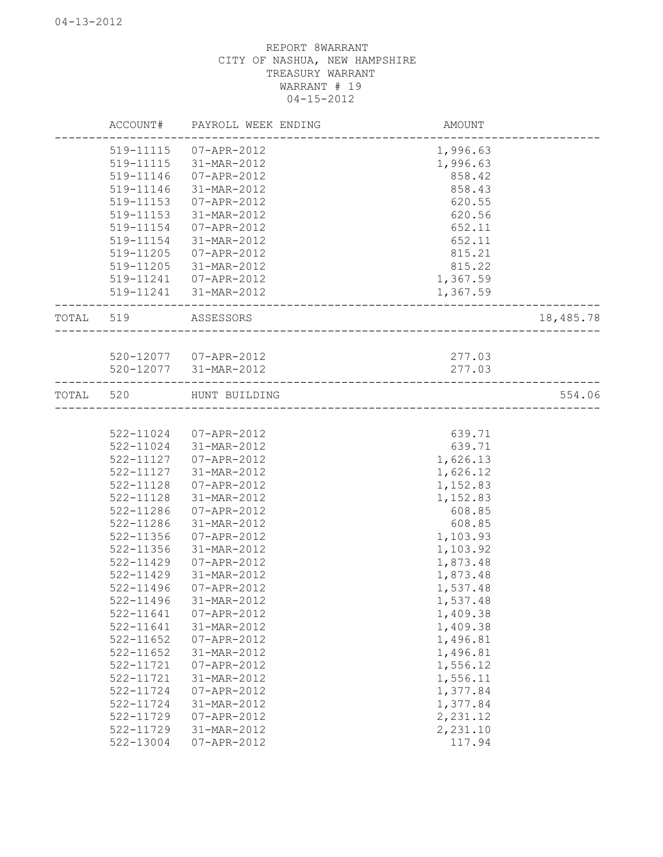|           | ACCOUNT#  | PAYROLL WEEK ENDING   | AMOUNT                             |           |
|-----------|-----------|-----------------------|------------------------------------|-----------|
|           | 519-11115 | 07-APR-2012           | 1,996.63                           |           |
|           | 519-11115 | 31-MAR-2012           | 1,996.63                           |           |
|           | 519-11146 | 07-APR-2012           | 858.42                             |           |
|           | 519-11146 | 31-MAR-2012           | 858.43                             |           |
|           | 519-11153 | 07-APR-2012           | 620.55                             |           |
|           | 519-11153 | 31-MAR-2012           | 620.56                             |           |
|           | 519-11154 | 07-APR-2012           | 652.11                             |           |
|           | 519-11154 | 31-MAR-2012           | 652.11                             |           |
|           | 519-11205 | 07-APR-2012           | 815.21                             |           |
|           | 519-11205 | 31-MAR-2012           | 815.22                             |           |
|           | 519-11241 | 07-APR-2012           | 1,367.59                           |           |
|           | 519-11241 | 31-MAR-2012           | 1,367.59                           |           |
| TOTAL 519 |           | ASSESSORS             |                                    | 18,485.78 |
|           |           |                       |                                    |           |
|           |           | 520-12077 07-APR-2012 | 277.03                             |           |
|           |           | 520-12077 31-MAR-2012 | 277.03                             |           |
|           |           |                       |                                    |           |
| TOTAL 520 |           | HUNT BUILDING         | __________________________________ | 554.06    |
|           |           |                       |                                    |           |
|           | 522-11024 | 07-APR-2012           | 639.71                             |           |
|           | 522-11024 | 31-MAR-2012           | 639.71                             |           |
|           | 522-11127 | 07-APR-2012           | 1,626.13                           |           |
|           | 522-11127 | 31-MAR-2012           | 1,626.12                           |           |
|           | 522-11128 | 07-APR-2012           | 1,152.83                           |           |
|           | 522-11128 | 31-MAR-2012           | 1,152.83                           |           |
|           | 522-11286 | 07-APR-2012           | 608.85                             |           |
|           | 522-11286 | 31-MAR-2012           | 608.85                             |           |
|           | 522-11356 | 07-APR-2012           | 1,103.93                           |           |
|           | 522-11356 | 31-MAR-2012           | 1,103.92                           |           |
|           | 522-11429 | 07-APR-2012           | 1,873.48                           |           |
|           | 522-11429 | 31-MAR-2012           | 1,873.48                           |           |
|           | 522-11496 | 07-APR-2012           | 1,537.48                           |           |
|           | 522-11496 | 31-MAR-2012           | 1,537.48                           |           |
|           | 522-11641 | 07-APR-2012           | 1,409.38                           |           |
|           | 522-11641 | 31-MAR-2012           | 1,409.38                           |           |
|           | 522-11652 | 07-APR-2012           | 1,496.81                           |           |
|           | 522-11652 | 31-MAR-2012           | 1,496.81                           |           |
|           | 522-11721 | $07 - APR - 2012$     | 1,556.12                           |           |
|           | 522-11721 | 31-MAR-2012           | 1,556.11                           |           |
|           | 522-11724 | 07-APR-2012           | 1,377.84                           |           |
|           | 522-11724 | 31-MAR-2012           | 1,377.84                           |           |
|           | 522-11729 | $07 - APR - 2012$     | 2,231.12                           |           |
|           | 522-11729 | 31-MAR-2012           | 2,231.10                           |           |
|           | 522-13004 | $07 - APR - 2012$     | 117.94                             |           |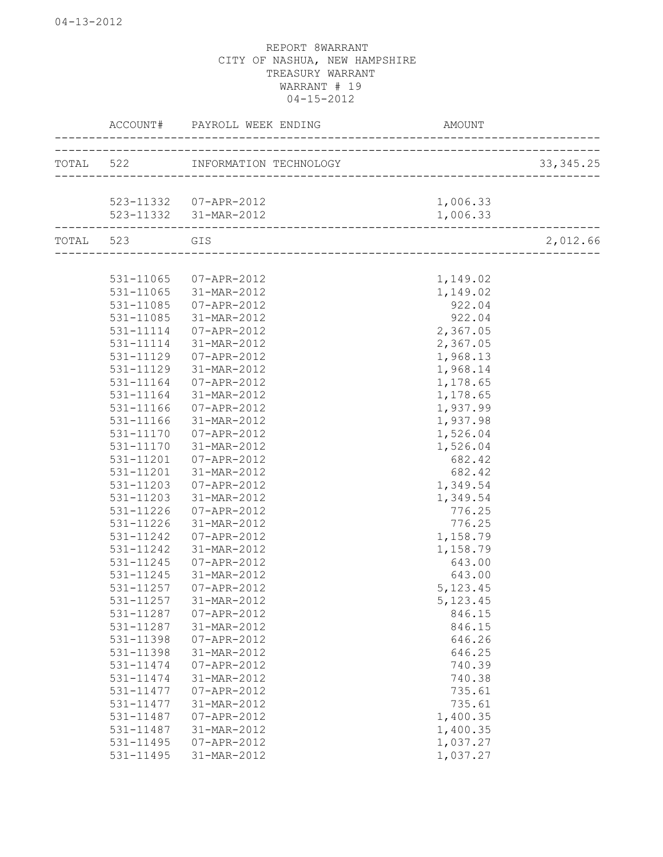|           | ACCOUNT# PAYROLL WEEK ENDING            | AMOUNT                   |            |
|-----------|-----------------------------------------|--------------------------|------------|
|           | TOTAL 522 INFORMATION TECHNOLOGY        |                          | 33, 345.25 |
|           |                                         | ------------------------ |            |
|           | 523-11332 07-APR-2012                   | 1,006.33                 |            |
|           | 523-11332 31-MAR-2012                   | 1,006.33                 |            |
| TOTAL 523 | GIS<br>________________________________ |                          | 2,012.66   |
|           |                                         |                          |            |
| 531-11065 | 07-APR-2012                             | 1,149.02                 |            |
| 531-11065 | 31-MAR-2012                             | 1,149.02                 |            |
| 531-11085 | 07-APR-2012                             | 922.04                   |            |
| 531-11085 | 31-MAR-2012                             | 922.04                   |            |
| 531-11114 | 07-APR-2012                             | 2,367.05                 |            |
| 531-11114 | 31-MAR-2012                             | 2,367.05                 |            |
| 531-11129 | 07-APR-2012                             | 1,968.13                 |            |
| 531-11129 | 31-MAR-2012                             | 1,968.14                 |            |
| 531-11164 | 07-APR-2012                             | 1,178.65                 |            |
| 531-11164 | 31-MAR-2012                             | 1,178.65                 |            |
| 531-11166 | 07-APR-2012                             | 1,937.99                 |            |
| 531-11166 | 31-MAR-2012                             | 1,937.98                 |            |
| 531-11170 | 07-APR-2012                             | 1,526.04                 |            |
| 531-11170 | 31-MAR-2012                             | 1,526.04                 |            |
| 531-11201 | 07-APR-2012                             | 682.42                   |            |
| 531-11201 | 31-MAR-2012                             | 682.42                   |            |
| 531-11203 | 07-APR-2012                             | 1,349.54                 |            |
| 531-11203 | 31-MAR-2012                             | 1,349.54                 |            |
| 531-11226 | 07-APR-2012                             | 776.25                   |            |
| 531-11226 | 31-MAR-2012                             | 776.25                   |            |
| 531-11242 | 07-APR-2012                             | 1,158.79                 |            |
| 531-11242 | 31-MAR-2012                             | 1,158.79                 |            |
| 531-11245 | 07-APR-2012                             | 643.00                   |            |
| 531-11245 | 31-MAR-2012                             | 643.00                   |            |
| 531-11257 | 07-APR-2012                             | 5, 123.45                |            |
|           | 531-11257 31-MAR-2012                   | 5, 123.45                |            |
| 531-11287 | $07 - APR - 2012$                       | 846.15                   |            |
| 531-11287 | 31-MAR-2012                             | 846.15                   |            |
| 531-11398 | 07-APR-2012                             | 646.26                   |            |
| 531-11398 | 31-MAR-2012                             | 646.25                   |            |
| 531-11474 | 07-APR-2012                             | 740.39                   |            |
| 531-11474 | 31-MAR-2012                             | 740.38                   |            |
| 531-11477 | 07-APR-2012                             | 735.61                   |            |
| 531-11477 | 31-MAR-2012                             | 735.61                   |            |
| 531-11487 | 07-APR-2012                             | 1,400.35                 |            |
| 531-11487 | 31-MAR-2012                             | 1,400.35                 |            |
| 531-11495 | 07-APR-2012                             | 1,037.27                 |            |
| 531-11495 | 31-MAR-2012                             | 1,037.27                 |            |
|           |                                         |                          |            |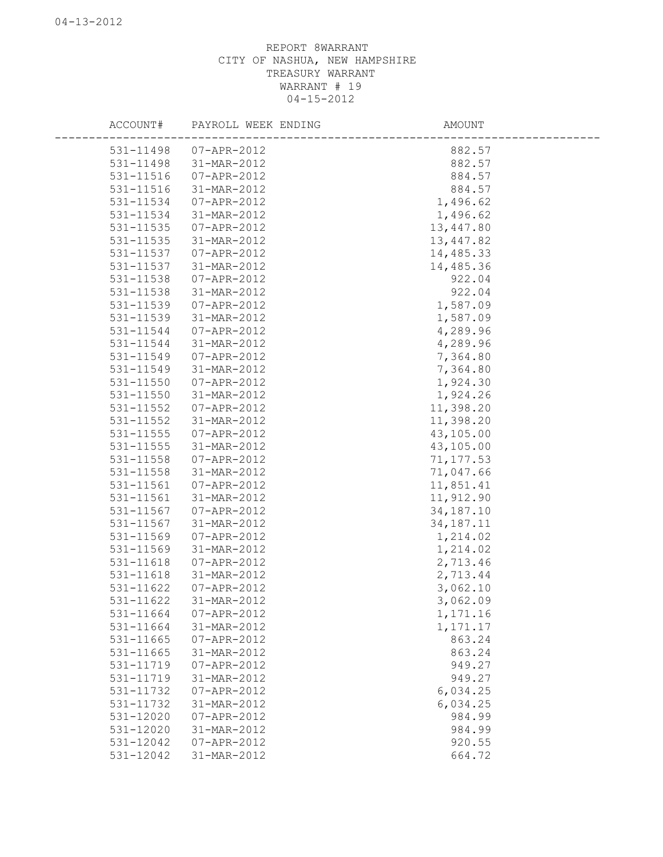| ACCOUNT#  | PAYROLL WEEK ENDING | AMOUNT      |
|-----------|---------------------|-------------|
| 531-11498 | 07-APR-2012         | 882.57      |
| 531-11498 | 31-MAR-2012         | 882.57      |
| 531-11516 | 07-APR-2012         | 884.57      |
| 531-11516 | 31-MAR-2012         | 884.57      |
| 531-11534 | 07-APR-2012         | 1,496.62    |
| 531-11534 | 31-MAR-2012         | 1,496.62    |
| 531-11535 | 07-APR-2012         | 13,447.80   |
| 531-11535 | 31-MAR-2012         | 13, 447.82  |
| 531-11537 | 07-APR-2012         | 14,485.33   |
| 531-11537 | 31-MAR-2012         | 14,485.36   |
| 531-11538 | 07-APR-2012         | 922.04      |
| 531-11538 | 31-MAR-2012         | 922.04      |
| 531-11539 | 07-APR-2012         | 1,587.09    |
| 531-11539 | 31-MAR-2012         | 1,587.09    |
| 531-11544 | 07-APR-2012         | 4,289.96    |
| 531-11544 | 31-MAR-2012         | 4,289.96    |
| 531-11549 | 07-APR-2012         | 7,364.80    |
| 531-11549 | 31-MAR-2012         | 7,364.80    |
| 531-11550 | $07 - APR - 2012$   | 1,924.30    |
| 531-11550 | 31-MAR-2012         | 1,924.26    |
| 531-11552 | 07-APR-2012         | 11,398.20   |
| 531-11552 | 31-MAR-2012         | 11,398.20   |
| 531-11555 | $07 - APR - 2012$   | 43,105.00   |
| 531-11555 | 31-MAR-2012         | 43,105.00   |
| 531-11558 | 07-APR-2012         | 71, 177.53  |
| 531-11558 | 31-MAR-2012         | 71,047.66   |
| 531-11561 | 07-APR-2012         | 11,851.41   |
| 531-11561 | 31-MAR-2012         | 11,912.90   |
| 531-11567 | 07-APR-2012         | 34, 187. 10 |
| 531-11567 | 31-MAR-2012         | 34, 187. 11 |
| 531-11569 | 07-APR-2012         | 1,214.02    |
| 531-11569 | 31-MAR-2012         | 1,214.02    |
| 531-11618 | 07-APR-2012         | 2,713.46    |
| 531-11618 | 31-MAR-2012         | 2,713.44    |
| 531-11622 | 07-APR-2012         | 3,062.10    |
| 531-11622 | 31-MAR-2012         | 3,062.09    |
| 531-11664 | 07-APR-2012         | 1,171.16    |
| 531-11664 | 31-MAR-2012         | 1,171.17    |
| 531-11665 | 07-APR-2012         | 863.24      |
| 531-11665 | 31-MAR-2012         | 863.24      |
| 531-11719 | 07-APR-2012         | 949.27      |
| 531-11719 | 31-MAR-2012         | 949.27      |
| 531-11732 | $07 - APR - 2012$   | 6,034.25    |
| 531-11732 | 31-MAR-2012         | 6,034.25    |
| 531-12020 | 07-APR-2012         | 984.99      |
| 531-12020 | 31-MAR-2012         | 984.99      |
| 531-12042 | 07-APR-2012         | 920.55      |
| 531-12042 | 31-MAR-2012         | 664.72      |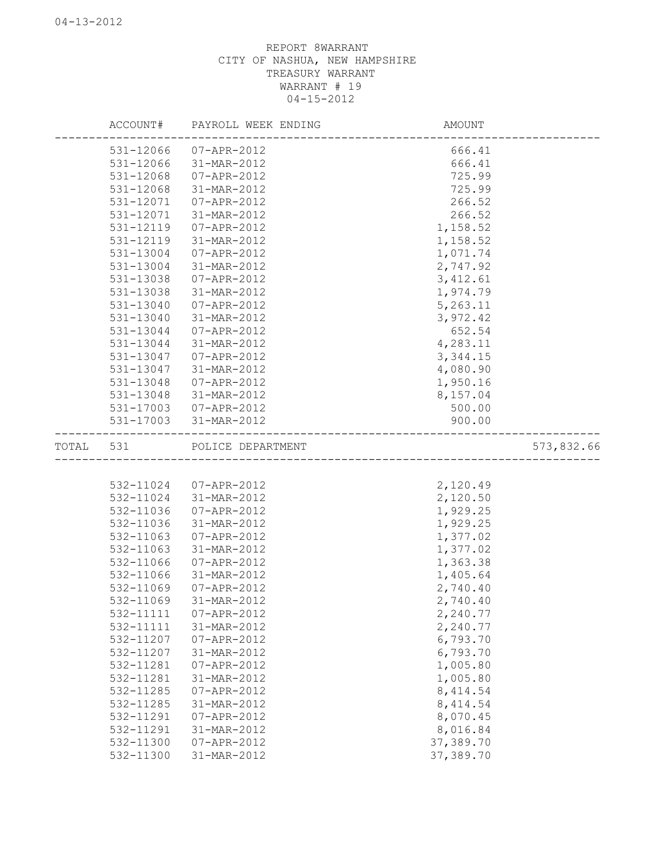|           | ACCOUNT#               | PAYROLL WEEK ENDING              | AMOUNT                |            |
|-----------|------------------------|----------------------------------|-----------------------|------------|
|           | 531-12066              | 07-APR-2012                      | 666.41                |            |
|           | 531-12066              | 31-MAR-2012                      | 666.41                |            |
|           | 531-12068              | 07-APR-2012                      | 725.99                |            |
|           | 531-12068              | 31-MAR-2012                      | 725.99                |            |
|           | 531-12071              | 07-APR-2012                      | 266.52                |            |
|           | 531-12071              | 31-MAR-2012                      | 266.52                |            |
|           | 531-12119              | 07-APR-2012                      | 1,158.52              |            |
|           | 531-12119              | 31-MAR-2012                      | 1,158.52              |            |
|           | 531-13004              | 07-APR-2012                      | 1,071.74              |            |
|           | 531-13004              | 31-MAR-2012                      | 2,747.92              |            |
|           | 531-13038              | 07-APR-2012                      | 3, 412.61             |            |
|           | 531-13038              | 31-MAR-2012                      | 1,974.79              |            |
|           | 531-13040              | 07-APR-2012                      | 5,263.11              |            |
|           | 531-13040              | 31-MAR-2012                      | 3,972.42              |            |
|           | 531-13044              | 07-APR-2012                      | 652.54                |            |
|           | 531-13044              | 31-MAR-2012                      | 4,283.11              |            |
|           | 531-13047              | 07-APR-2012                      | 3, 344.15             |            |
|           | 531-13047              | 31-MAR-2012                      | 4,080.90              |            |
|           | 531-13048              | 07-APR-2012                      | 1,950.16              |            |
|           | 531-13048              | 31-MAR-2012                      | 8,157.04              |            |
|           | 531-17003              | 07-APR-2012                      | 500.00                |            |
|           | 531-17003              | 31-MAR-2012                      | 900.00                |            |
|           |                        |                                  |                       |            |
| TOTAL 531 |                        | POLICE DEPARTMENT                |                       | 573,832.66 |
|           |                        |                                  |                       |            |
|           | 532-11024              | 07-APR-2012                      | 2,120.49              |            |
|           | 532-11024              | 31-MAR-2012                      | 2,120.50              |            |
|           | 532-11036              | 07-APR-2012                      | 1,929.25              |            |
|           | 532-11036              | 31-MAR-2012                      | 1,929.25              |            |
|           | 532-11063              | 07-APR-2012                      | 1,377.02              |            |
|           | 532-11063              | 31-MAR-2012                      | 1,377.02              |            |
|           | 532-11066              | 07-APR-2012                      | 1,363.38              |            |
|           | 532-11066              | 31-MAR-2012                      | 1,405.64              |            |
|           | 532-11069              | 07-APR-2012                      | 2,740.40              |            |
|           | 532-11069              | 31-MAR-2012                      | 2,740.40              |            |
|           | 532-11111              | 07-APR-2012                      | 2,240.77              |            |
|           | 532-11111              | 31-MAR-2012                      | 2,240.77              |            |
|           | 532-11207              | $07 - APR - 2012$                | 6,793.70              |            |
|           | 532-11207              | 31-MAR-2012                      | 6,793.70              |            |
|           | 532-11281              | $07 - APR - 2012$                | 1,005.80              |            |
|           | 532-11281              | 31-MAR-2012                      | 1,005.80              |            |
|           | 532-11285              | 07-APR-2012                      | 8, 414.54             |            |
|           | 532-11285              | 31-MAR-2012                      | 8, 414.54             |            |
|           | 532-11291              | 07-APR-2012                      | 8,070.45              |            |
|           | 532-11291<br>532-11300 | 31-MAR-2012<br>$07 - APR - 2012$ | 8,016.84<br>37,389.70 |            |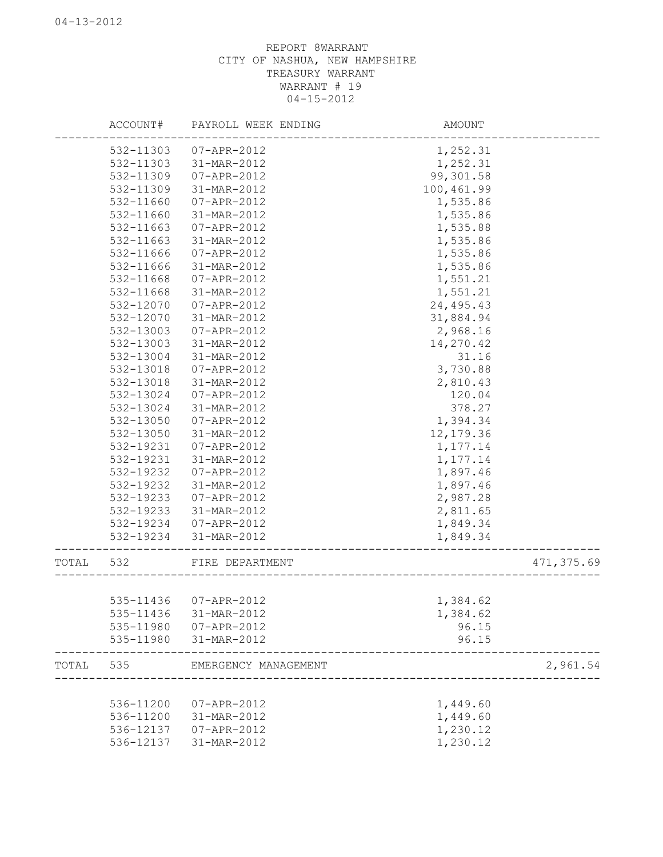|           | ACCOUNT#  | PAYROLL WEEK ENDING            | AMOUNT                         |            |
|-----------|-----------|--------------------------------|--------------------------------|------------|
|           | 532-11303 | 07-APR-2012                    | 1,252.31                       |            |
|           | 532-11303 | 31-MAR-2012                    | 1,252.31                       |            |
|           | 532-11309 | 07-APR-2012                    | 99,301.58                      |            |
|           | 532-11309 | 31-MAR-2012                    | 100,461.99                     |            |
|           | 532-11660 | 07-APR-2012                    | 1,535.86                       |            |
|           | 532-11660 | 31-MAR-2012                    | 1,535.86                       |            |
|           | 532-11663 | 07-APR-2012                    | 1,535.88                       |            |
|           | 532-11663 | 31-MAR-2012                    | 1,535.86                       |            |
|           | 532-11666 | 07-APR-2012                    | 1,535.86                       |            |
|           | 532-11666 | 31-MAR-2012                    | 1,535.86                       |            |
|           | 532-11668 | 07-APR-2012                    | 1,551.21                       |            |
|           | 532-11668 | 31-MAR-2012                    | 1,551.21                       |            |
|           | 532-12070 | 07-APR-2012                    | 24, 495. 43                    |            |
|           | 532-12070 | 31-MAR-2012                    | 31,884.94                      |            |
|           | 532-13003 | 07-APR-2012                    | 2,968.16                       |            |
|           | 532-13003 | 31-MAR-2012                    | 14,270.42                      |            |
|           | 532-13004 | 31-MAR-2012                    | 31.16                          |            |
|           | 532-13018 | 07-APR-2012                    | 3,730.88                       |            |
|           | 532-13018 | 31-MAR-2012                    | 2,810.43                       |            |
|           | 532-13024 | 07-APR-2012                    | 120.04                         |            |
|           | 532-13024 | 31-MAR-2012                    | 378.27                         |            |
|           | 532-13050 | 07-APR-2012                    | 1,394.34                       |            |
|           | 532-13050 | 31-MAR-2012                    | 12, 179.36                     |            |
|           | 532-19231 | 07-APR-2012                    | 1,177.14                       |            |
|           | 532-19231 | 31-MAR-2012                    | 1,177.14                       |            |
|           | 532-19232 | 07-APR-2012                    | 1,897.46                       |            |
|           | 532-19232 | 31-MAR-2012                    | 1,897.46                       |            |
|           | 532-19233 | 07-APR-2012                    | 2,987.28                       |            |
|           | 532-19233 | 31-MAR-2012                    | 2,811.65                       |            |
|           | 532-19234 | 07-APR-2012                    | 1,849.34                       |            |
|           | 532-19234 | 31-MAR-2012                    | 1,849.34                       |            |
|           |           |                                |                                |            |
| TOTAL 532 |           | FIRE DEPARTMENT                | ____________________________   | 471,375.69 |
|           |           |                                |                                |            |
|           |           | 535-11436 07-APR-2012          | 1,384.62                       |            |
|           |           | 535-11436 31-MAR-2012          | 1,384.62                       |            |
|           |           | 535-11980  07-APR-2012         | 96.15                          |            |
|           |           | 535-11980 31-MAR-2012          | 96.15                          |            |
|           |           | TOTAL 535 EMERGENCY MANAGEMENT | ______________________________ | 2,961.54   |
|           |           |                                |                                |            |
|           | 536-11200 | 07-APR-2012                    | 1,449.60                       |            |
|           | 536-11200 | 31-MAR-2012                    | 1,449.60                       |            |
|           | 536-12137 | 07-APR-2012                    | 1,230.12                       |            |
|           | 536-12137 | 31-MAR-2012                    | 1,230.12                       |            |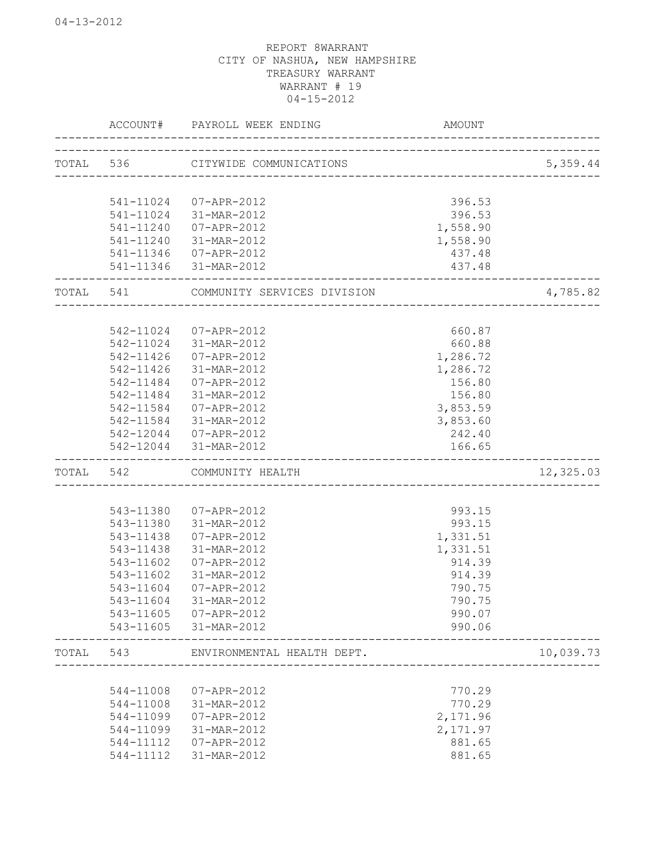|       | ACCOUNT#  | PAYROLL WEEK ENDING               | <b>AMOUNT</b>          |           |
|-------|-----------|-----------------------------------|------------------------|-----------|
|       |           | TOTAL 536 CITYWIDE COMMUNICATIONS | ______________________ | 5,359.44  |
|       |           |                                   |                        |           |
|       | 541-11024 | 07-APR-2012                       | 396.53                 |           |
|       | 541-11024 | 31-MAR-2012                       | 396.53                 |           |
|       | 541-11240 | 07-APR-2012                       | 1,558.90               |           |
|       | 541-11240 | 31-MAR-2012                       | 1,558.90               |           |
|       | 541-11346 | 07-APR-2012                       | 437.48                 |           |
|       | 541-11346 | 31-MAR-2012                       | 437.48                 |           |
| TOTAL | 541       | COMMUNITY SERVICES DIVISION       |                        | 4,785.82  |
|       |           |                                   |                        |           |
|       | 542-11024 | 07-APR-2012                       | 660.87                 |           |
|       | 542-11024 | 31-MAR-2012                       | 660.88                 |           |
|       | 542-11426 | 07-APR-2012                       | 1,286.72               |           |
|       | 542-11426 | 31-MAR-2012                       | 1,286.72               |           |
|       | 542-11484 | $07 - APR - 2012$                 | 156.80                 |           |
|       | 542-11484 | 31-MAR-2012                       | 156.80                 |           |
|       | 542-11584 | 07-APR-2012                       | 3,853.59               |           |
|       | 542-11584 | 31-MAR-2012                       | 3,853.60               |           |
|       | 542-12044 | 07-APR-2012                       | 242.40                 |           |
|       | 542-12044 | 31-MAR-2012                       | 166.65                 |           |
| TOTAL | 542       | COMMUNITY HEALTH                  |                        | 12,325.03 |
|       |           |                                   |                        |           |
|       | 543-11380 | 07-APR-2012                       | 993.15                 |           |
|       | 543-11380 | 31-MAR-2012                       | 993.15                 |           |
|       | 543-11438 | 07-APR-2012                       | 1,331.51               |           |
|       | 543-11438 | 31-MAR-2012                       | 1,331.51               |           |
|       | 543-11602 | 07-APR-2012                       | 914.39                 |           |
|       | 543-11602 | 31-MAR-2012                       | 914.39                 |           |
|       | 543-11604 | 07-APR-2012                       | 790.75                 |           |
|       | 543-11604 | 31-MAR-2012                       | 790.75                 |           |
|       | 543-11605 | 07-APR-2012                       | 990.07                 |           |
|       | 543-11605 | 31-MAR-2012                       | 990.06                 |           |
| TOTAL | 543       | ENVIRONMENTAL HEALTH DEPT.        |                        | 10,039.73 |
|       |           |                                   |                        |           |
|       | 544-11008 | 07-APR-2012                       | 770.29                 |           |
|       | 544-11008 | 31-MAR-2012                       | 770.29                 |           |
|       | 544-11099 | 07-APR-2012                       | 2,171.96               |           |
|       | 544-11099 | 31-MAR-2012                       | 2,171.97               |           |
|       | 544-11112 | 07-APR-2012                       | 881.65                 |           |
|       | 544-11112 | 31-MAR-2012                       | 881.65                 |           |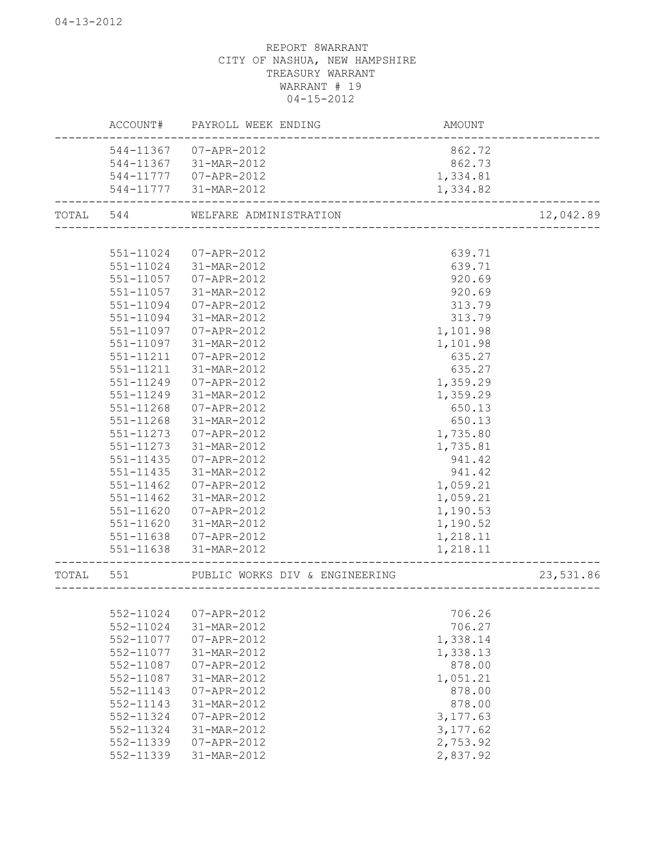|       | ACCOUNT#  | PAYROLL WEEK ENDING            | <b>AMOUNT</b> |           |
|-------|-----------|--------------------------------|---------------|-----------|
|       | 544-11367 | 07-APR-2012                    | 862.72        |           |
|       | 544-11367 | 31-MAR-2012                    | 862.73        |           |
|       | 544-11777 | 07-APR-2012                    | 1,334.81      |           |
|       | 544-11777 | 31-MAR-2012                    | 1,334.82      |           |
| TOTAL | 544       | WELFARE ADMINISTRATION         |               | 12,042.89 |
|       |           |                                |               |           |
|       | 551-11024 | 07-APR-2012                    | 639.71        |           |
|       | 551-11024 | 31-MAR-2012                    | 639.71        |           |
|       | 551-11057 | 07-APR-2012                    | 920.69        |           |
|       | 551-11057 | 31-MAR-2012                    | 920.69        |           |
|       | 551-11094 | 07-APR-2012                    | 313.79        |           |
|       | 551-11094 | 31-MAR-2012                    | 313.79        |           |
|       | 551-11097 | 07-APR-2012                    | 1,101.98      |           |
|       | 551-11097 | 31-MAR-2012                    | 1,101.98      |           |
|       | 551-11211 | $07 - APR - 2012$              | 635.27        |           |
|       | 551-11211 | 31-MAR-2012                    | 635.27        |           |
|       | 551-11249 | 07-APR-2012                    | 1,359.29      |           |
|       | 551-11249 | 31-MAR-2012                    | 1,359.29      |           |
|       | 551-11268 | 07-APR-2012                    | 650.13        |           |
|       | 551-11268 | 31-MAR-2012                    | 650.13        |           |
|       | 551-11273 | 07-APR-2012                    | 1,735.80      |           |
|       | 551-11273 | 31-MAR-2012                    | 1,735.81      |           |
|       | 551-11435 | 07-APR-2012                    | 941.42        |           |
|       | 551-11435 | 31-MAR-2012                    | 941.42        |           |
|       | 551-11462 | 07-APR-2012                    | 1,059.21      |           |
|       | 551-11462 | 31-MAR-2012                    | 1,059.21      |           |
|       | 551-11620 | 07-APR-2012                    | 1,190.53      |           |
|       | 551-11620 | 31-MAR-2012                    | 1,190.52      |           |
|       | 551-11638 | 07-APR-2012                    | 1,218.11      |           |
|       | 551-11638 | 31-MAR-2012                    | 1,218.11      |           |
| TOTAL | 551       | PUBLIC WORKS DIV & ENGINEERING |               | 23,531.86 |
|       |           |                                |               |           |
|       | 552-11024 | 07-APR-2012                    | 706.26        |           |
|       | 552-11024 | 31-MAR-2012                    | 706.27        |           |
|       | 552-11077 | 07-APR-2012                    | 1,338.14      |           |
|       | 552-11077 | 31-MAR-2012                    | 1,338.13      |           |
|       | 552-11087 | 07-APR-2012                    | 878.00        |           |
|       | 552-11087 | 31-MAR-2012                    | 1,051.21      |           |
|       | 552-11143 | 07-APR-2012                    | 878.00        |           |
|       | 552-11143 | 31-MAR-2012                    | 878.00        |           |
|       | 552-11324 | 07-APR-2012                    | 3, 177.63     |           |
|       | 552-11324 | 31-MAR-2012                    | 3, 177.62     |           |
|       | 552-11339 | 07-APR-2012                    | 2,753.92      |           |
|       | 552-11339 | 31-MAR-2012                    | 2,837.92      |           |
|       |           |                                |               |           |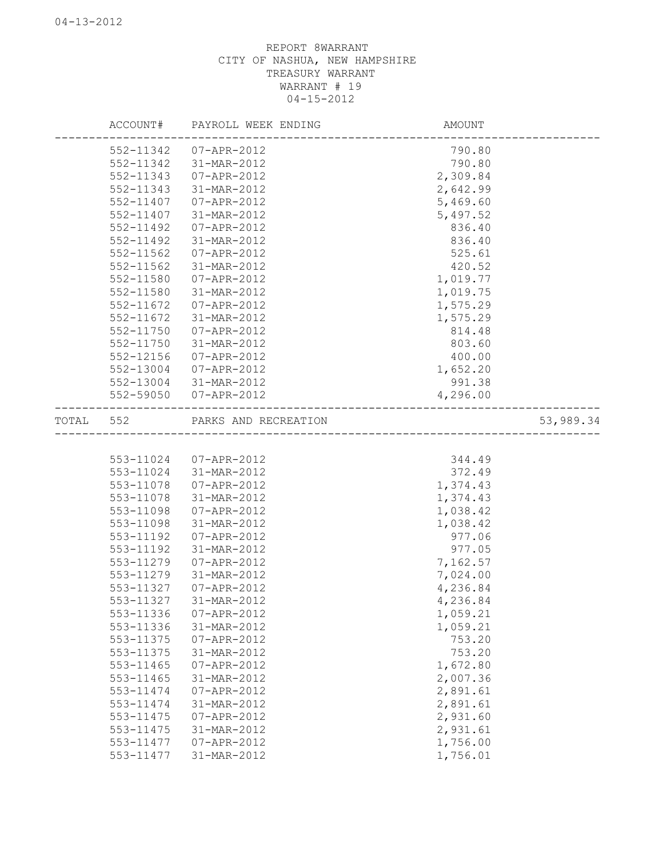|           |               | ACCOUNT# PAYROLL WEEK ENDING | AMOUNT   |           |
|-----------|---------------|------------------------------|----------|-----------|
|           | 552-11342     | 07-APR-2012                  | 790.80   |           |
|           | 552-11342     | 31-MAR-2012                  | 790.80   |           |
|           | 552-11343     | 07-APR-2012                  | 2,309.84 |           |
|           | 552-11343     | 31-MAR-2012                  | 2,642.99 |           |
|           | 552-11407     | 07-APR-2012                  | 5,469.60 |           |
|           | 552-11407     | 31-MAR-2012                  | 5,497.52 |           |
|           | 552-11492     | 07-APR-2012                  | 836.40   |           |
|           | 552-11492     | 31-MAR-2012                  | 836.40   |           |
|           | 552-11562     | 07-APR-2012                  | 525.61   |           |
|           | 552-11562     | 31-MAR-2012                  | 420.52   |           |
|           | 552-11580     | 07-APR-2012                  | 1,019.77 |           |
|           | 552-11580     | 31-MAR-2012                  | 1,019.75 |           |
|           | 552-11672     | 07-APR-2012                  | 1,575.29 |           |
|           | 552-11672     | 31-MAR-2012                  | 1,575.29 |           |
|           | $552 - 11750$ | 07-APR-2012                  | 814.48   |           |
|           | 552-11750     | 31-MAR-2012                  | 803.60   |           |
|           | 552-12156     | 07-APR-2012                  | 400.00   |           |
|           | 552-13004     | 07-APR-2012                  | 1,652.20 |           |
|           |               | 552-13004 31-MAR-2012        | 991.38   |           |
|           |               | 552-59050 07-APR-2012        | 4,296.00 |           |
|           |               |                              |          |           |
| TOTAL 552 |               | PARKS AND RECREATION         |          | 53,989.34 |
|           |               |                              |          |           |
|           |               | 553-11024 07-APR-2012        | 344.49   |           |
|           |               | 553-11024 31-MAR-2012        | 372.49   |           |
|           | 553-11078     | 07-APR-2012                  | 1,374.43 |           |
|           | 553-11078     | 31-MAR-2012                  | 1,374.43 |           |
|           | 553-11098     | 07-APR-2012                  | 1,038.42 |           |
|           | 553-11098     | 31-MAR-2012                  | 1,038.42 |           |
|           | 553-11192     | 07-APR-2012                  | 977.06   |           |
|           | 553-11192     | 31-MAR-2012                  | 977.05   |           |
|           | 553-11279     | 07-APR-2012                  | 7,162.57 |           |
|           | 553-11279     | 31-MAR-2012                  | 7,024.00 |           |
|           | 553-11327     | 07-APR-2012                  | 4,236.84 |           |
|           | 553-11327     | 31-MAR-2012                  | 4,236.84 |           |
|           | 553-11336     | 07-APR-2012                  | 1,059.21 |           |
|           | 553-11336     | 31-MAR-2012                  | 1,059.21 |           |
|           | 553-11375     | 07-APR-2012                  | 753.20   |           |
|           | 553-11375     | 31-MAR-2012                  | 753.20   |           |
|           | 553-11465     | $07 - APR - 2012$            | 1,672.80 |           |
|           | 553-11465     | 31-MAR-2012                  | 2,007.36 |           |
|           | 553-11474     | 07-APR-2012                  | 2,891.61 |           |
|           | 553-11474     | 31-MAR-2012                  | 2,891.61 |           |
|           | 553-11475     | 07-APR-2012                  | 2,931.60 |           |
|           | 553-11475     | 31-MAR-2012                  | 2,931.61 |           |
|           | 553-11477     | $07 - APR - 2012$            | 1,756.00 |           |
|           | 553-11477     | 31-MAR-2012                  | 1,756.01 |           |
|           |               |                              |          |           |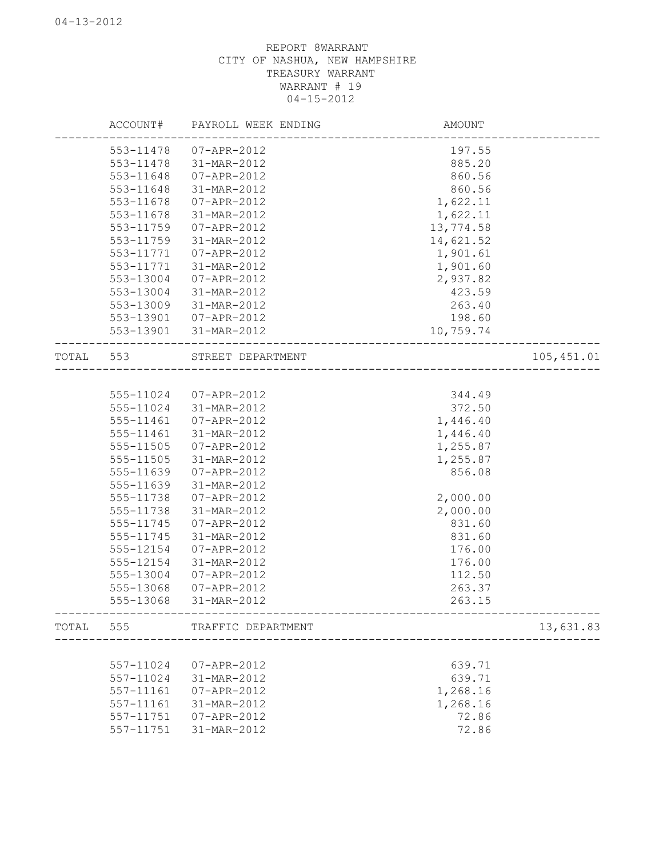|           | ACCOUNT#               | PAYROLL WEEK ENDING        | AMOUNT                             |             |
|-----------|------------------------|----------------------------|------------------------------------|-------------|
|           | 553-11478              | 07-APR-2012                | 197.55                             |             |
|           | 553-11478              | 31-MAR-2012                | 885.20                             |             |
|           | 553-11648              | 07-APR-2012                | 860.56                             |             |
|           | 553-11648              | 31-MAR-2012                | 860.56                             |             |
|           | 553-11678              | 07-APR-2012                | 1,622.11                           |             |
|           | 553-11678              | 31-MAR-2012                | 1,622.11                           |             |
|           | 553-11759              | 07-APR-2012                | 13,774.58                          |             |
|           | 553-11759              | 31-MAR-2012                | 14,621.52                          |             |
|           | 553-11771              | 07-APR-2012                | 1,901.61                           |             |
|           | 553-11771              | 31-MAR-2012                | 1,901.60                           |             |
|           | 553-13004              | 07-APR-2012                | 2,937.82                           |             |
|           | 553-13004              | 31-MAR-2012                | 423.59                             |             |
|           | 553-13009              | 31-MAR-2012                | 263.40                             |             |
|           | 553-13901              | 07-APR-2012                | 198.60                             |             |
|           | 553-13901              | 31-MAR-2012                | 10,759.74                          |             |
| TOTAL 553 |                        | STREET DEPARTMENT          |                                    | 105, 451.01 |
|           |                        |                            |                                    |             |
|           | 555-11024              | 07-APR-2012                | 344.49                             |             |
|           | 555-11024              | 31-MAR-2012                | 372.50                             |             |
|           | 555-11461              | 07-APR-2012                | 1,446.40                           |             |
|           | 555-11461              | 31-MAR-2012                | 1,446.40                           |             |
|           | 555-11505              | 07-APR-2012                | 1,255.87                           |             |
|           | 555-11505              | 31-MAR-2012                | 1,255.87                           |             |
|           | 555-11639              | 07-APR-2012                | 856.08                             |             |
|           | 555-11639              | 31-MAR-2012                |                                    |             |
|           | 555-11738              | 07-APR-2012                | 2,000.00                           |             |
|           | 555-11738              | 31-MAR-2012                | 2,000.00                           |             |
|           | 555-11745              | 07-APR-2012                | 831.60                             |             |
|           | 555-11745              | 31-MAR-2012                | 831.60                             |             |
|           | 555-12154              | 07-APR-2012                | 176.00                             |             |
|           | 555-12154              | 31-MAR-2012                | 176.00                             |             |
|           | 555-13004              |                            | 112.50                             |             |
|           |                        | 07-APR-2012                |                                    |             |
|           | 555-13068<br>555-13068 | 07-APR-2012<br>31-MAR-2012 | 263.37<br>263.15                   |             |
| TOTAL 555 |                        | TRAFFIC DEPARTMENT         |                                    | 13,631.83   |
|           |                        |                            | __________________________________ |             |
|           | 557-11024              | 07-APR-2012                | 639.71                             |             |
|           | 557-11024              | 31-MAR-2012                | 639.71                             |             |
|           | 557-11161              | 07-APR-2012                | 1,268.16                           |             |
|           | 557-11161              | 31-MAR-2012                | 1,268.16                           |             |
|           | 557-11751              | 07-APR-2012                | 72.86                              |             |
|           | 557-11751              | 31-MAR-2012                | 72.86                              |             |
|           |                        |                            |                                    |             |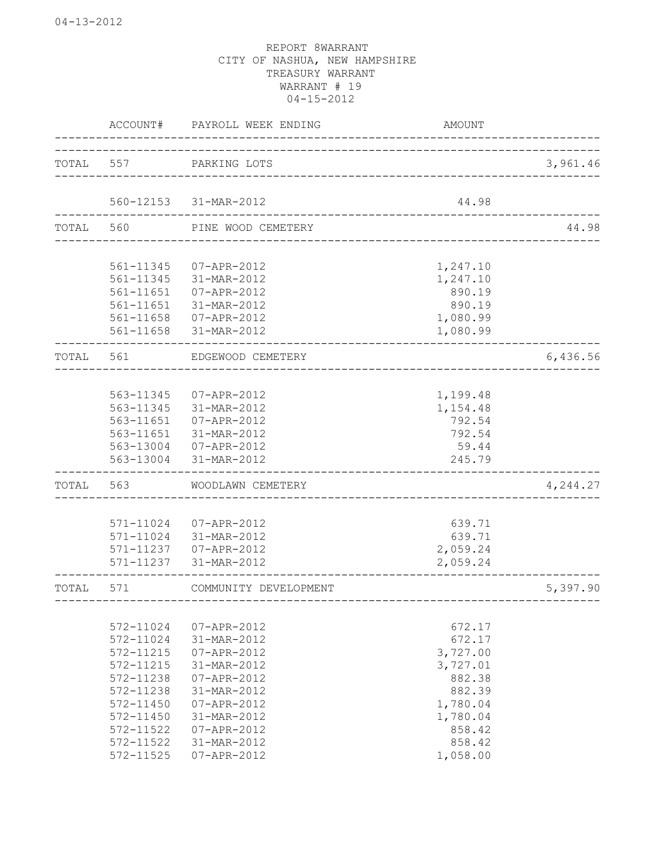|           | ACCOUNT#  | PAYROLL WEEK ENDING   | <b>AMOUNT</b> |          |
|-----------|-----------|-----------------------|---------------|----------|
| TOTAL 557 |           | PARKING LOTS          |               | 3,961.46 |
|           |           | 560-12153 31-MAR-2012 | 44.98         |          |
| TOTAL 560 |           | PINE WOOD CEMETERY    |               | 44.98    |
|           |           |                       |               |          |
|           | 561-11345 | 07-APR-2012           | 1,247.10      |          |
|           | 561-11345 | 31-MAR-2012           | 1,247.10      |          |
|           | 561-11651 | 07-APR-2012           | 890.19        |          |
|           | 561-11651 | 31-MAR-2012           | 890.19        |          |
|           | 561-11658 | 07-APR-2012           | 1,080.99      |          |
|           | 561-11658 | 31-MAR-2012           | 1,080.99      |          |
|           |           |                       |               |          |
| TOTAL     | 561       | EDGEWOOD CEMETERY     |               | 6,436.56 |
|           |           |                       |               |          |
|           | 563-11345 | 07-APR-2012           | 1,199.48      |          |
|           | 563-11345 | 31-MAR-2012           | 1,154.48      |          |
|           | 563-11651 | 07-APR-2012           | 792.54        |          |
|           | 563-11651 | 31-MAR-2012           | 792.54        |          |
|           |           | 563-13004 07-APR-2012 | 59.44         |          |
|           | 563-13004 | 31-MAR-2012           | 245.79        |          |
| TOTAL     | 563       | WOODLAWN CEMETERY     |               | 4,244.27 |
|           |           |                       |               |          |
|           | 571-11024 | 07-APR-2012           | 639.71        |          |
|           | 571-11024 | 31-MAR-2012           | 639.71        |          |
|           | 571-11237 | $07 - APR - 2012$     | 2,059.24      |          |
|           | 571-11237 | 31-MAR-2012           | 2,059.24      |          |
| TOTAL     | 571       | COMMUNITY DEVELOPMENT |               | 5,397.90 |
|           |           |                       |               |          |
|           | 572-11024 | 07-APR-2012           | 672.17        |          |
|           | 572-11024 | 31-MAR-2012           | 672.17        |          |
|           | 572-11215 | 07-APR-2012           | 3,727.00      |          |
|           | 572-11215 | 31-MAR-2012           | 3,727.01      |          |
|           | 572-11238 | 07-APR-2012           | 882.38        |          |
|           | 572-11238 | 31-MAR-2012           | 882.39        |          |
|           | 572-11450 | 07-APR-2012           | 1,780.04      |          |
|           | 572-11450 | 31-MAR-2012           | 1,780.04      |          |
|           | 572-11522 | 07-APR-2012           | 858.42        |          |
|           | 572-11522 | 31-MAR-2012           | 858.42        |          |
|           | 572-11525 | 07-APR-2012           | 1,058.00      |          |
|           |           |                       |               |          |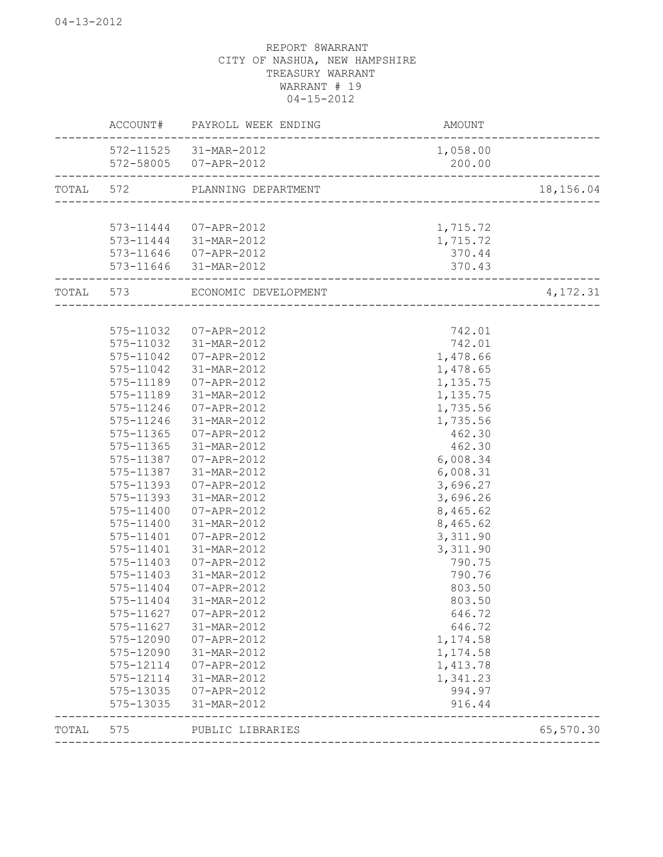|           |           | ACCOUNT# PAYROLL WEEK ENDING | AMOUNT                               |           |
|-----------|-----------|------------------------------|--------------------------------------|-----------|
|           |           | 572-11525 31-MAR-2012        | 1,058.00                             |           |
|           |           | 572-58005 07-APR-2012        | 200.00                               |           |
| TOTAL 572 |           | PLANNING DEPARTMENT          |                                      | 18,156.04 |
|           |           |                              |                                      |           |
|           |           | 573-11444 07-APR-2012        | 1,715.72                             |           |
|           | 573-11444 | 31-MAR-2012                  | 1,715.72                             |           |
|           | 573-11646 | 07-APR-2012                  | 370.44                               |           |
|           | 573-11646 | 31-MAR-2012                  | 370.43                               |           |
| TOTAL 573 |           | ECONOMIC DEVELOPMENT         | ------------------------------------ | 4,172.31  |
|           |           |                              |                                      |           |
|           | 575-11032 | 07-APR-2012                  | 742.01                               |           |
|           | 575-11032 | 31-MAR-2012                  | 742.01                               |           |
|           | 575-11042 | 07-APR-2012                  | 1,478.66                             |           |
|           | 575-11042 | 31-MAR-2012                  | 1,478.65                             |           |
|           | 575-11189 | 07-APR-2012                  | 1,135.75                             |           |
|           | 575-11189 | 31-MAR-2012                  | 1,135.75                             |           |
|           | 575-11246 | 07-APR-2012                  | 1,735.56                             |           |
|           | 575-11246 | 31-MAR-2012                  | 1,735.56                             |           |
|           | 575-11365 | 07-APR-2012                  | 462.30                               |           |
|           | 575-11365 | 31-MAR-2012                  | 462.30                               |           |
|           | 575-11387 | 07-APR-2012                  | 6,008.34                             |           |
|           | 575-11387 | 31-MAR-2012                  | 6,008.31                             |           |
|           | 575-11393 | 07-APR-2012                  | 3,696.27                             |           |
|           | 575-11393 | 31-MAR-2012                  | 3,696.26                             |           |
|           | 575-11400 | 07-APR-2012                  | 8,465.62                             |           |
|           | 575-11400 | 31-MAR-2012                  | 8,465.62                             |           |
|           | 575-11401 | 07-APR-2012                  | 3,311.90                             |           |
|           | 575-11401 | 31-MAR-2012                  | 3,311.90                             |           |
|           | 575-11403 | 07-APR-2012                  | 790.75                               |           |
|           | 575-11403 | 31-MAR-2012                  | 790.76                               |           |
|           | 575-11404 | 07-APR-2012                  | 803.50                               |           |
|           | 575-11404 | 31-MAR-2012                  | 803.50                               |           |
|           | 575-11627 | 07-APR-2012                  | 646.72                               |           |
|           | 575-11627 | 31-MAR-2012                  | 646.72                               |           |
|           | 575-12090 | 07-APR-2012                  | 1,174.58                             |           |
|           | 575-12090 | 31-MAR-2012                  | 1,174.58                             |           |
|           | 575-12114 | 07-APR-2012                  | 1,413.78                             |           |
|           | 575-12114 | 31-MAR-2012                  | 1,341.23                             |           |
|           | 575-13035 | 07-APR-2012                  | 994.97                               |           |
|           | 575-13035 | 31-MAR-2012                  | 916.44                               |           |
| TOTAL     | 575       | PUBLIC LIBRARIES             |                                      | 65,570.30 |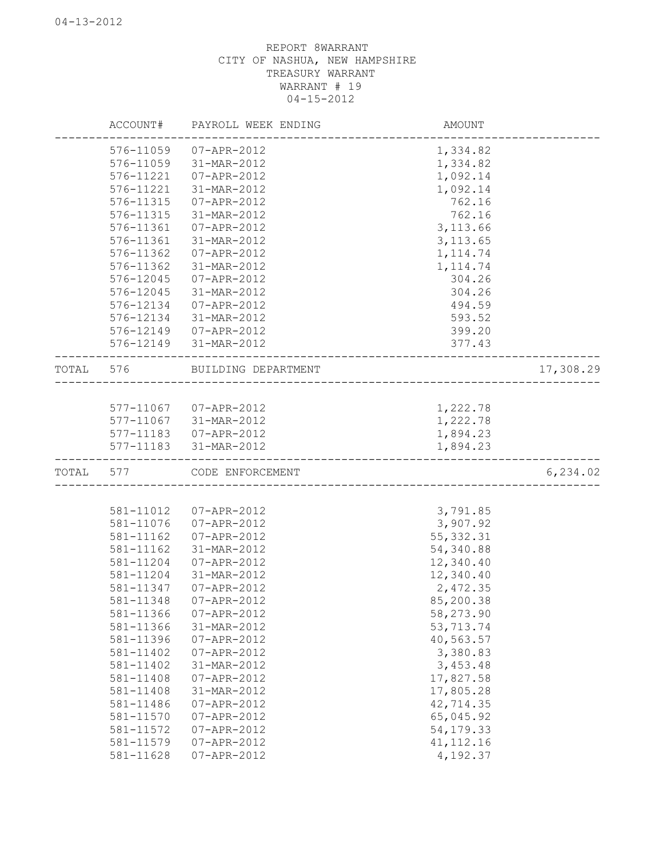|       | ACCOUNT#  | PAYROLL WEEK ENDING                | AMOUNT                       |           |
|-------|-----------|------------------------------------|------------------------------|-----------|
|       | 576-11059 | 07-APR-2012                        | 1,334.82                     |           |
|       | 576-11059 | 31-MAR-2012                        | 1,334.82                     |           |
|       | 576-11221 | 07-APR-2012                        | 1,092.14                     |           |
|       | 576-11221 | 31-MAR-2012                        | 1,092.14                     |           |
|       | 576-11315 | 07-APR-2012                        | 762.16                       |           |
|       | 576-11315 | 31-MAR-2012                        | 762.16                       |           |
|       | 576-11361 | 07-APR-2012                        | 3, 113.66                    |           |
|       | 576-11361 | 31-MAR-2012                        | 3, 113.65                    |           |
|       | 576-11362 | 07-APR-2012                        | 1, 114.74                    |           |
|       | 576-11362 | 31-MAR-2012                        | 1, 114.74                    |           |
|       | 576-12045 | 07-APR-2012                        | 304.26                       |           |
|       | 576-12045 | 31-MAR-2012                        | 304.26                       |           |
|       | 576-12134 | 07-APR-2012                        | 494.59                       |           |
|       | 576-12134 | 31-MAR-2012                        | 593.52                       |           |
|       | 576-12149 | 07-APR-2012                        | 399.20                       |           |
|       | 576-12149 | 31-MAR-2012                        | 377.43                       |           |
|       | TOTAL 576 | BUILDING DEPARTMENT                | ---------------------------- | 17,308.29 |
|       |           |                                    |                              |           |
|       |           | 577-11067 07-APR-2012              | 1,222.78                     |           |
|       |           | 577-11067 31-MAR-2012              | 1,222.78                     |           |
|       |           | 577-11183  07-APR-2012             | 1,894.23                     |           |
|       |           | 577-11183 31-MAR-2012<br>--------- | 1,894.23                     |           |
| TOTAL | 577       | CODE ENFORCEMENT                   |                              | 6, 234.02 |
|       |           |                                    |                              |           |
|       | 581-11012 | 07-APR-2012                        | 3,791.85                     |           |
|       | 581-11076 | 07-APR-2012                        | 3,907.92                     |           |
|       | 581-11162 | 07-APR-2012                        | 55, 332.31                   |           |
|       | 581-11162 | 31-MAR-2012                        | 54,340.88                    |           |
|       | 581-11204 | 07-APR-2012                        | 12,340.40                    |           |
|       | 581-11204 | 31-MAR-2012                        | 12,340.40                    |           |
|       | 581-11347 | 07-APR-2012                        | 2,472.35                     |           |
|       | 581-11348 | 07-APR-2012                        | 85,200.38                    |           |
|       | 581-11366 | 07-APR-2012                        | 58,273.90                    |           |
|       | 581-11366 | 31-MAR-2012                        | 53, 713.74                   |           |
|       | 581-11396 | 07-APR-2012                        | 40,563.57                    |           |
|       | 581-11402 | 07-APR-2012                        | 3,380.83                     |           |
|       | 581-11402 | 31-MAR-2012                        | 3,453.48                     |           |
|       | 581-11408 | $07 - APR - 2012$                  | 17,827.58                    |           |
|       | 581-11408 | 31-MAR-2012                        | 17,805.28                    |           |
|       | 581-11486 | $07 - APR - 2012$                  | 42,714.35                    |           |
|       | 581-11570 | $07 - APR - 2012$                  | 65,045.92                    |           |
|       | 581-11572 | 07-APR-2012                        | 54, 179. 33                  |           |
|       | 581-11579 | 07-APR-2012                        | 41, 112.16                   |           |
|       | 581-11628 | 07-APR-2012                        | 4,192.37                     |           |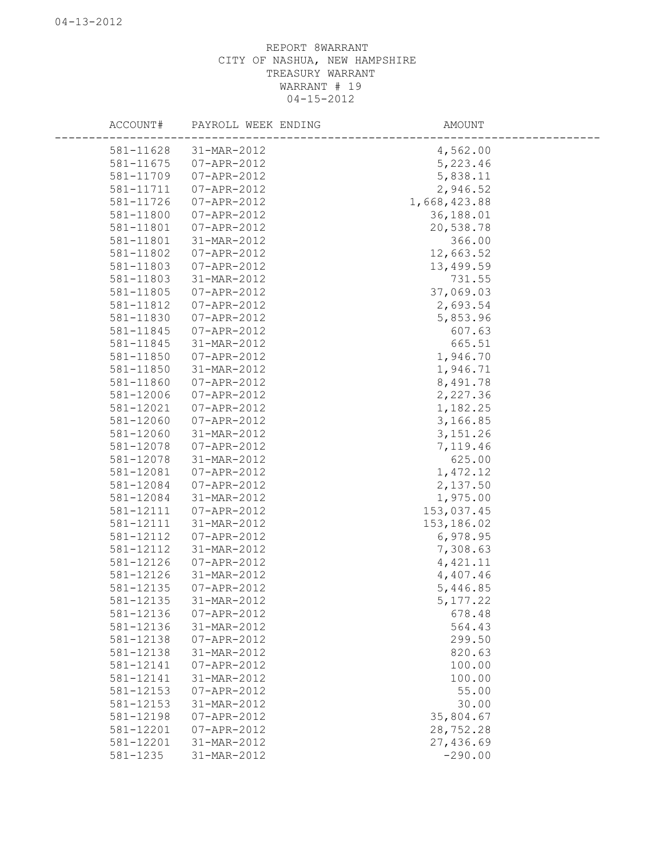| ACCOUNT#  | PAYROLL WEEK ENDING | AMOUNT       |  |
|-----------|---------------------|--------------|--|
| 581-11628 | 31-MAR-2012         | 4,562.00     |  |
| 581-11675 | 07-APR-2012         | 5,223.46     |  |
| 581-11709 | 07-APR-2012         | 5,838.11     |  |
| 581-11711 | 07-APR-2012         | 2,946.52     |  |
| 581-11726 | 07-APR-2012         | 1,668,423.88 |  |
| 581-11800 | 07-APR-2012         | 36,188.01    |  |
| 581-11801 | 07-APR-2012         | 20,538.78    |  |
| 581-11801 | 31-MAR-2012         | 366.00       |  |
| 581-11802 | 07-APR-2012         | 12,663.52    |  |
| 581-11803 | 07-APR-2012         | 13,499.59    |  |
| 581-11803 | 31-MAR-2012         | 731.55       |  |
| 581-11805 | 07-APR-2012         | 37,069.03    |  |
| 581-11812 | 07-APR-2012         | 2,693.54     |  |
| 581-11830 | 07-APR-2012         | 5,853.96     |  |
| 581-11845 | 07-APR-2012         | 607.63       |  |
| 581-11845 | 31-MAR-2012         | 665.51       |  |
| 581-11850 | 07-APR-2012         | 1,946.70     |  |
| 581-11850 | 31-MAR-2012         | 1,946.71     |  |
| 581-11860 | 07-APR-2012         | 8,491.78     |  |
| 581-12006 | 07-APR-2012         | 2,227.36     |  |
| 581-12021 | 07-APR-2012         | 1,182.25     |  |
| 581-12060 | 07-APR-2012         | 3,166.85     |  |
| 581-12060 | 31-MAR-2012         | 3, 151.26    |  |
| 581-12078 | 07-APR-2012         | 7,119.46     |  |
| 581-12078 | 31-MAR-2012         | 625.00       |  |
| 581-12081 | 07-APR-2012         | 1,472.12     |  |
| 581-12084 | 07-APR-2012         | 2,137.50     |  |
| 581-12084 | 31-MAR-2012         | 1,975.00     |  |
| 581-12111 | 07-APR-2012         | 153,037.45   |  |
| 581-12111 | 31-MAR-2012         | 153,186.02   |  |
| 581-12112 | 07-APR-2012         | 6,978.95     |  |
| 581-12112 | 31-MAR-2012         | 7,308.63     |  |
| 581-12126 | 07-APR-2012         | 4, 421.11    |  |
| 581-12126 | 31-MAR-2012         | 4,407.46     |  |
| 581-12135 | 07-APR-2012         | 5,446.85     |  |
| 581-12135 | 31-MAR-2012         | 5, 177.22    |  |
| 581-12136 | 07-APR-2012         | 678.48       |  |
| 581-12136 | 31-MAR-2012         | 564.43       |  |
| 581-12138 | 07-APR-2012         | 299.50       |  |
| 581-12138 | 31-MAR-2012         | 820.63       |  |
| 581-12141 | 07-APR-2012         | 100.00       |  |
| 581-12141 | 31-MAR-2012         | 100.00       |  |
| 581-12153 | 07-APR-2012         | 55.00        |  |
| 581-12153 | 31-MAR-2012         | 30.00        |  |
| 581-12198 | 07-APR-2012         | 35,804.67    |  |
| 581-12201 | 07-APR-2012         | 28,752.28    |  |
| 581-12201 | 31-MAR-2012         | 27,436.69    |  |
| 581-1235  | 31-MAR-2012         | $-290.00$    |  |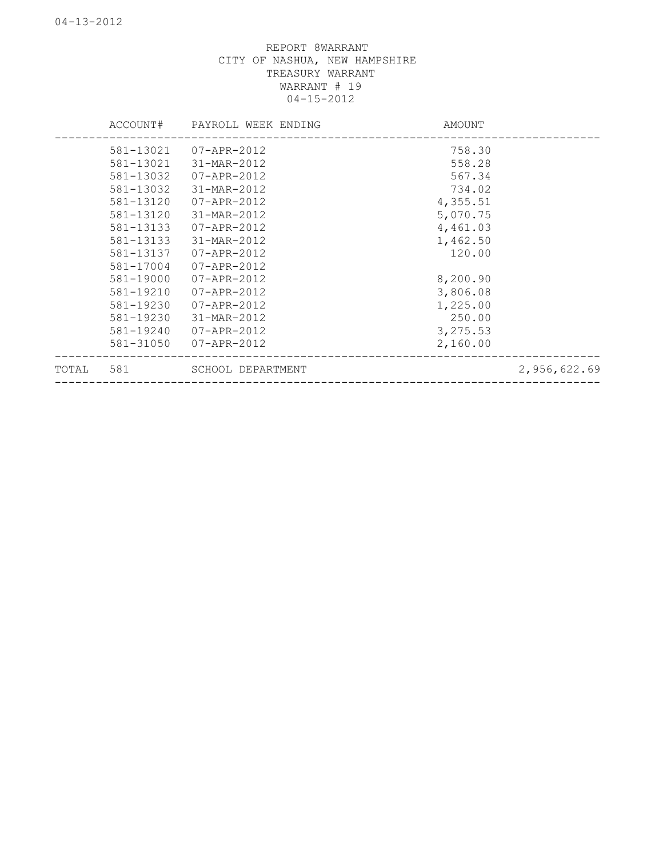|       | ACCOUNT#  | PAYROLL WEEK ENDING | AMOUNT   |              |
|-------|-----------|---------------------|----------|--------------|
|       | 581-13021 | 07-APR-2012         | 758.30   |              |
|       | 581-13021 | 31-MAR-2012         | 558.28   |              |
|       | 581-13032 | 07-APR-2012         | 567.34   |              |
|       | 581-13032 | 31-MAR-2012         | 734.02   |              |
|       | 581-13120 | 07-APR-2012         | 4,355.51 |              |
|       | 581-13120 | 31-MAR-2012         | 5,070.75 |              |
|       | 581-13133 | 07-APR-2012         | 4,461.03 |              |
|       | 581-13133 | 31-MAR-2012         | 1,462.50 |              |
|       | 581-13137 | 07-APR-2012         | 120.00   |              |
|       | 581-17004 | 07-APR-2012         |          |              |
|       | 581-19000 | 07-APR-2012         | 8,200.90 |              |
|       | 581-19210 | 07-APR-2012         | 3,806.08 |              |
|       | 581-19230 | 07-APR-2012         | 1,225.00 |              |
|       | 581-19230 | 31-MAR-2012         | 250.00   |              |
|       | 581-19240 | 07-APR-2012         | 3,275.53 |              |
|       | 581-31050 | 07-APR-2012         | 2,160.00 |              |
| TOTAL | 581       | SCHOOL DEPARTMENT   |          | 2,956,622.69 |
|       |           |                     |          |              |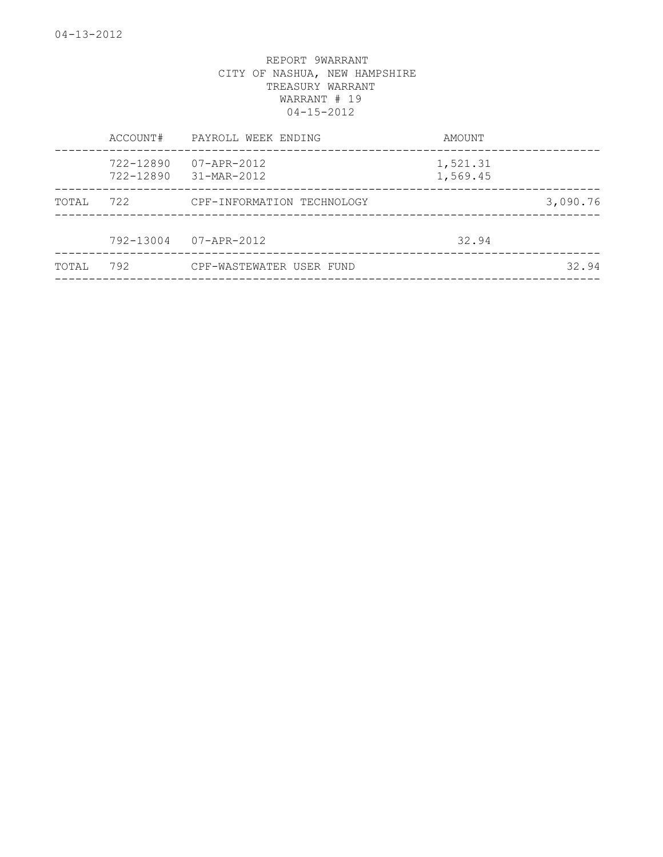|       | ACCOUNT#               | PAYROLL WEEK ENDING        | AMOUNT               |          |
|-------|------------------------|----------------------------|----------------------|----------|
|       | 722-12890<br>722-12890 | 07-APR-2012<br>31-MAR-2012 | 1,521.31<br>1,569.45 |          |
| TOTAL | 722                    | CPF-INFORMATION TECHNOLOGY |                      | 3,090.76 |
|       | 792-13004              | 07-APR-2012                | 32.94                |          |
| TOTAL | 792                    | CPF-WASTEWATER USER FUND   |                      | 32.94    |
|       |                        |                            |                      |          |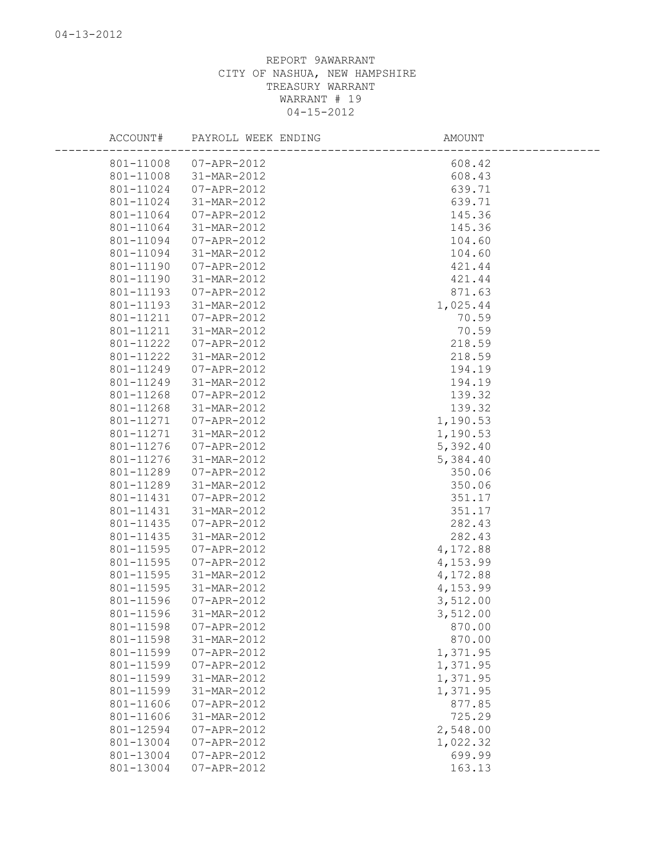| ACCOUNT#  | PAYROLL WEEK ENDING | AMOUNT   |
|-----------|---------------------|----------|
| 801-11008 | $07 - APR - 2012$   | 608.42   |
| 801-11008 | 31-MAR-2012         | 608.43   |
| 801-11024 | 07-APR-2012         | 639.71   |
| 801-11024 | 31-MAR-2012         | 639.71   |
| 801-11064 | $07 - APR - 2012$   | 145.36   |
| 801-11064 | 31-MAR-2012         | 145.36   |
| 801-11094 | 07-APR-2012         | 104.60   |
| 801-11094 | 31-MAR-2012         | 104.60   |
| 801-11190 | 07-APR-2012         | 421.44   |
| 801-11190 | 31-MAR-2012         | 421.44   |
| 801-11193 | 07-APR-2012         | 871.63   |
| 801-11193 | 31-MAR-2012         | 1,025.44 |
| 801-11211 | 07-APR-2012         | 70.59    |
| 801-11211 | 31-MAR-2012         | 70.59    |
| 801-11222 | 07-APR-2012         | 218.59   |
| 801-11222 | 31-MAR-2012         | 218.59   |
| 801-11249 | 07-APR-2012         | 194.19   |
| 801-11249 | 31-MAR-2012         | 194.19   |
| 801-11268 | $07 - APR - 2012$   | 139.32   |
| 801-11268 | 31-MAR-2012         | 139.32   |
| 801-11271 | 07-APR-2012         | 1,190.53 |
| 801-11271 | 31-MAR-2012         | 1,190.53 |
| 801-11276 | 07-APR-2012         | 5,392.40 |
| 801-11276 | 31-MAR-2012         | 5,384.40 |
| 801-11289 | $07 - APR - 2012$   | 350.06   |
| 801-11289 | 31-MAR-2012         | 350.06   |
| 801-11431 | $07 - APR - 2012$   | 351.17   |
| 801-11431 | 31-MAR-2012         | 351.17   |
| 801-11435 | $07 - APR - 2012$   | 282.43   |
| 801-11435 | 31-MAR-2012         | 282.43   |
| 801-11595 | $07 - APR - 2012$   | 4,172.88 |
| 801-11595 | 07-APR-2012         | 4,153.99 |
| 801-11595 | 31-MAR-2012         | 4,172.88 |
| 801-11595 | 31-MAR-2012         | 4,153.99 |
| 801-11596 | $07 - APR - 2012$   | 3,512.00 |
| 801-11596 | 31-MAR-2012         | 3,512.00 |
| 801-11598 | $07 - APR - 2012$   | 870.00   |
| 801-11598 | 31-MAR-2012         | 870.00   |
| 801-11599 | 07-APR-2012         | 1,371.95 |
| 801-11599 | 07-APR-2012         | 1,371.95 |
| 801-11599 | 31-MAR-2012         | 1,371.95 |
| 801-11599 | 31-MAR-2012         | 1,371.95 |
| 801-11606 | 07-APR-2012         | 877.85   |
| 801-11606 | 31-MAR-2012         | 725.29   |
| 801-12594 | 07-APR-2012         | 2,548.00 |
| 801-13004 | 07-APR-2012         | 1,022.32 |
| 801-13004 | 07-APR-2012         | 699.99   |
| 801-13004 | 07-APR-2012         | 163.13   |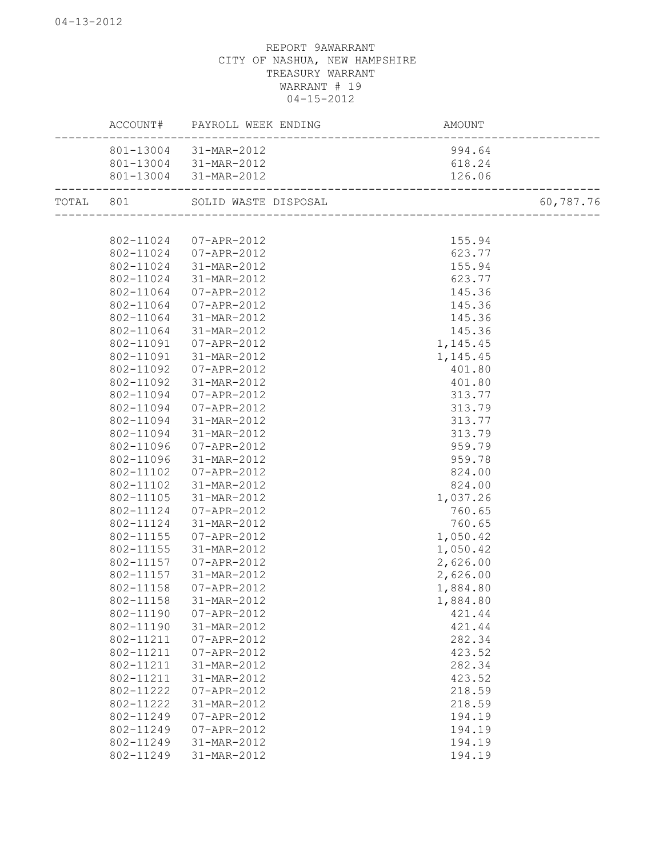|           |           | ACCOUNT# PAYROLL WEEK ENDING | AMOUNT           |           |
|-----------|-----------|------------------------------|------------------|-----------|
|           | 801-13004 | 31-MAR-2012                  | 994.64           |           |
|           |           | 801-13004 31-MAR-2012        | 618.24           |           |
|           |           | 801-13004 31-MAR-2012        | 126.06           |           |
| TOTAL 801 |           | SOLID WASTE DISPOSAL         |                  | 60,787.76 |
|           |           |                              |                  |           |
|           | 802-11024 | 07-APR-2012                  | 155.94           |           |
|           | 802-11024 | 07-APR-2012                  | 623.77           |           |
|           | 802-11024 | 31-MAR-2012                  | 155.94           |           |
|           | 802-11024 | 31-MAR-2012                  | 623.77           |           |
|           | 802-11064 | 07-APR-2012                  | 145.36           |           |
|           | 802-11064 | 07-APR-2012                  | 145.36           |           |
|           | 802-11064 | 31-MAR-2012                  | 145.36           |           |
|           | 802-11064 | 31-MAR-2012                  | 145.36           |           |
|           | 802-11091 | 07-APR-2012                  | 1,145.45         |           |
|           | 802-11091 | 31-MAR-2012                  | 1,145.45         |           |
|           | 802-11092 | 07-APR-2012                  | 401.80           |           |
|           | 802-11092 | 31-MAR-2012                  | 401.80           |           |
|           | 802-11094 | 07-APR-2012                  | 313.77           |           |
|           | 802-11094 | 07-APR-2012                  | 313.79           |           |
|           | 802-11094 | 31-MAR-2012                  | 313.77           |           |
|           | 802-11094 | 31-MAR-2012                  | 313.79           |           |
|           | 802-11096 | 07-APR-2012                  | 959.79           |           |
|           | 802-11096 | 31-MAR-2012                  | 959.78           |           |
|           | 802-11102 | 07-APR-2012                  | 824.00           |           |
|           | 802-11102 | 31-MAR-2012                  | 824.00           |           |
|           | 802-11105 | 31-MAR-2012                  | 1,037.26         |           |
|           | 802-11124 | 07-APR-2012                  | 760.65           |           |
|           | 802-11124 | 31-MAR-2012                  | 760.65           |           |
|           | 802-11155 | 07-APR-2012                  | 1,050.42         |           |
|           | 802-11155 | 31-MAR-2012                  | 1,050.42         |           |
|           | 802-11157 | 07-APR-2012                  | 2,626.00         |           |
|           | 802-11157 | 31-MAR-2012                  | 2,626.00         |           |
|           | 802-11158 | 07-APR-2012                  | 1,884.80         |           |
|           | 802-11158 | 31-MAR-2012                  | 1,884.80         |           |
|           | 802-11190 | $07 - APR - 2012$            |                  |           |
|           | 802-11190 |                              | 421.44<br>421.44 |           |
|           | 802-11211 | 31-MAR-2012                  | 282.34           |           |
|           |           | 07-APR-2012                  | 423.52           |           |
|           | 802-11211 | 07-APR-2012                  |                  |           |
|           | 802-11211 | 31-MAR-2012                  | 282.34           |           |
|           | 802-11211 | 31-MAR-2012                  | 423.52           |           |
|           | 802-11222 | 07-APR-2012                  | 218.59           |           |
|           | 802-11222 | 31-MAR-2012                  | 218.59           |           |
|           | 802-11249 | 07-APR-2012                  | 194.19           |           |
|           | 802-11249 | $07 - APR - 2012$            | 194.19           |           |
|           | 802-11249 | 31-MAR-2012                  | 194.19           |           |
|           | 802-11249 | 31-MAR-2012                  | 194.19           |           |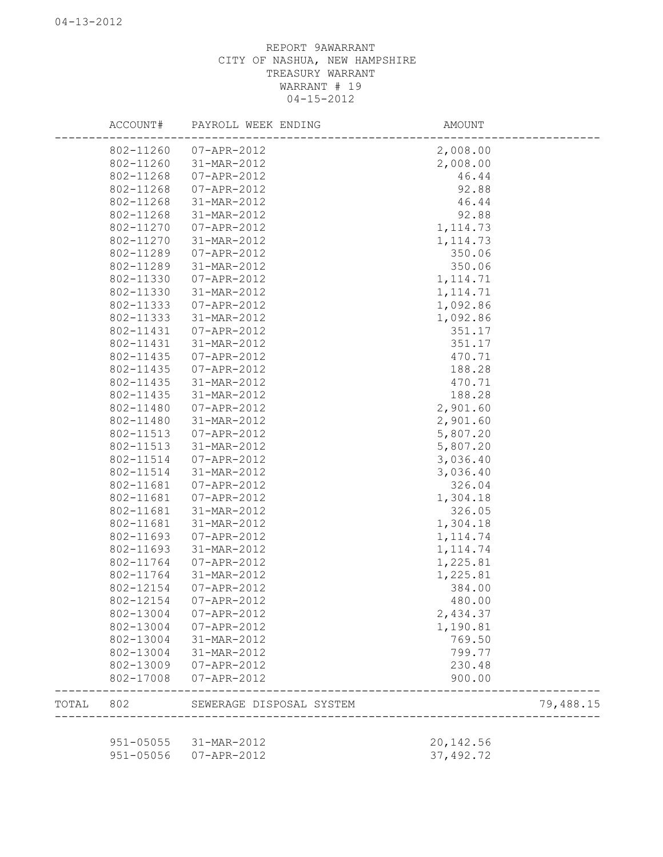|       | ACCOUNT#  | PAYROLL WEEK ENDING      | AMOUNT     |           |
|-------|-----------|--------------------------|------------|-----------|
|       | 802-11260 | 07-APR-2012              | 2,008.00   |           |
|       | 802-11260 | 31-MAR-2012              | 2,008.00   |           |
|       | 802-11268 | 07-APR-2012              | 46.44      |           |
|       | 802-11268 | 07-APR-2012              | 92.88      |           |
|       | 802-11268 | 31-MAR-2012              | 46.44      |           |
|       | 802-11268 | 31-MAR-2012              | 92.88      |           |
|       | 802-11270 | 07-APR-2012              | 1, 114.73  |           |
|       | 802-11270 | 31-MAR-2012              | 1, 114.73  |           |
|       | 802-11289 | 07-APR-2012              | 350.06     |           |
|       | 802-11289 | 31-MAR-2012              | 350.06     |           |
|       | 802-11330 | 07-APR-2012              | 1, 114.71  |           |
|       | 802-11330 | 31-MAR-2012              | 1, 114.71  |           |
|       | 802-11333 | 07-APR-2012              | 1,092.86   |           |
|       | 802-11333 | 31-MAR-2012              | 1,092.86   |           |
|       | 802-11431 | 07-APR-2012              | 351.17     |           |
|       | 802-11431 | 31-MAR-2012              | 351.17     |           |
|       | 802-11435 | 07-APR-2012              | 470.71     |           |
|       | 802-11435 | 07-APR-2012              | 188.28     |           |
|       | 802-11435 | 31-MAR-2012              | 470.71     |           |
|       | 802-11435 | 31-MAR-2012              | 188.28     |           |
|       | 802-11480 | 07-APR-2012              | 2,901.60   |           |
|       | 802-11480 | 31-MAR-2012              | 2,901.60   |           |
|       | 802-11513 | 07-APR-2012              | 5,807.20   |           |
|       | 802-11513 | 31-MAR-2012              | 5,807.20   |           |
|       | 802-11514 | 07-APR-2012              | 3,036.40   |           |
|       | 802-11514 | 31-MAR-2012              | 3,036.40   |           |
|       | 802-11681 | 07-APR-2012              | 326.04     |           |
|       | 802-11681 | 07-APR-2012              | 1,304.18   |           |
|       | 802-11681 | 31-MAR-2012              | 326.05     |           |
|       | 802-11681 | 31-MAR-2012              | 1,304.18   |           |
|       | 802-11693 | 07-APR-2012              | 1, 114.74  |           |
|       | 802-11693 | 31-MAR-2012              | 1, 114.74  |           |
|       | 802-11764 | 07-APR-2012              | 1,225.81   |           |
|       | 802-11764 | 31-MAR-2012              | 1,225.81   |           |
|       | 802-12154 | 07-APR-2012              | 384.00     |           |
|       | 802-12154 | 07-APR-2012              | 480.00     |           |
|       |           | 802-13004 07-APR-2012    | 2,434.37   |           |
|       | 802-13004 | 07-APR-2012              | 1,190.81   |           |
|       | 802-13004 | 31-MAR-2012              | 769.50     |           |
|       |           | 802-13004 31-MAR-2012    | 799.77     |           |
|       |           | 802-13009 07-APR-2012    | 230.48     |           |
|       | 802-17008 | 07-APR-2012              | 900.00     |           |
| TOTAL | 802       | SEWERAGE DISPOSAL SYSTEM |            | 79,488.15 |
|       |           |                          |            |           |
|       |           | 951-05055 31-MAR-2012    | 20, 142.56 |           |
|       |           | 951-05056 07-APR-2012    | 37, 492.72 |           |